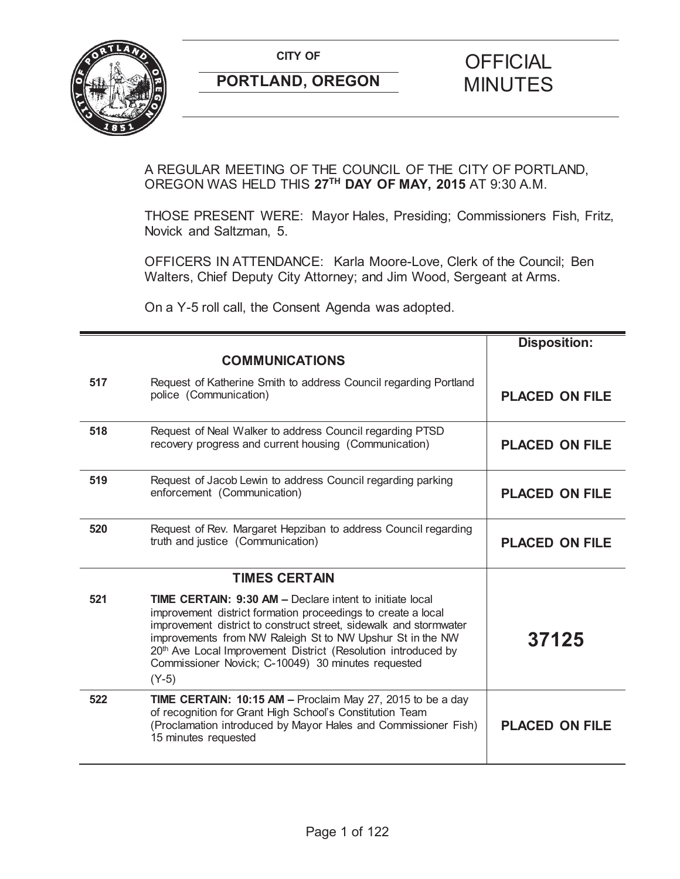

# **CITY OF CITY OF CITY OF CITY OF**

## A REGULAR MEETING OF THE COUNCIL OF THE CITY OF PORTLAND, OREGON WAS HELD THIS **27TH DAY OF MAY, 2015** AT 9:30 A.M.

THOSE PRESENT WERE: Mayor Hales, Presiding; Commissioners Fish, Fritz, Novick and Saltzman, 5.

OFFICERS IN ATTENDANCE: Karla Moore-Love, Clerk of the Council; Ben Walters, Chief Deputy City Attorney; and Jim Wood, Sergeant at Arms.

On a Y-5 roll call, the Consent Agenda was adopted.

|     |                                                                                                                                                                                                                                                                                                                                                                                                     | <b>Disposition:</b>   |
|-----|-----------------------------------------------------------------------------------------------------------------------------------------------------------------------------------------------------------------------------------------------------------------------------------------------------------------------------------------------------------------------------------------------------|-----------------------|
|     | <b>COMMUNICATIONS</b>                                                                                                                                                                                                                                                                                                                                                                               |                       |
| 517 | Request of Katherine Smith to address Council regarding Portland<br>police (Communication)                                                                                                                                                                                                                                                                                                          | <b>PLACED ON FILE</b> |
| 518 | Request of Neal Walker to address Council regarding PTSD<br>recovery progress and current housing (Communication)                                                                                                                                                                                                                                                                                   | <b>PLACED ON FILE</b> |
| 519 | Request of Jacob Lewin to address Council regarding parking<br>enforcement (Communication)                                                                                                                                                                                                                                                                                                          | <b>PLACED ON FILE</b> |
| 520 | Request of Rev. Margaret Hepziban to address Council regarding<br>truth and justice (Communication)                                                                                                                                                                                                                                                                                                 | <b>PLACED ON FILE</b> |
|     | <b>TIMES CERTAIN</b>                                                                                                                                                                                                                                                                                                                                                                                |                       |
| 521 | <b>TIME CERTAIN: 9:30 AM - Declare intent to initiate local</b><br>improvement district formation proceedings to create a local<br>improvement district to construct street, sidewalk and stormwater<br>improvements from NW Raleigh St to NW Upshur St in the NW<br>20th Ave Local Improvement District (Resolution introduced by<br>Commissioner Novick; C-10049) 30 minutes requested<br>$(Y-5)$ | 37125                 |
| 522 | TIME CERTAIN: 10:15 AM - Proclaim May 27, 2015 to be a day<br>of recognition for Grant High School's Constitution Team<br>(Proclamation introduced by Mayor Hales and Commissioner Fish)<br>15 minutes requested                                                                                                                                                                                    | <b>PLACED ON FILE</b> |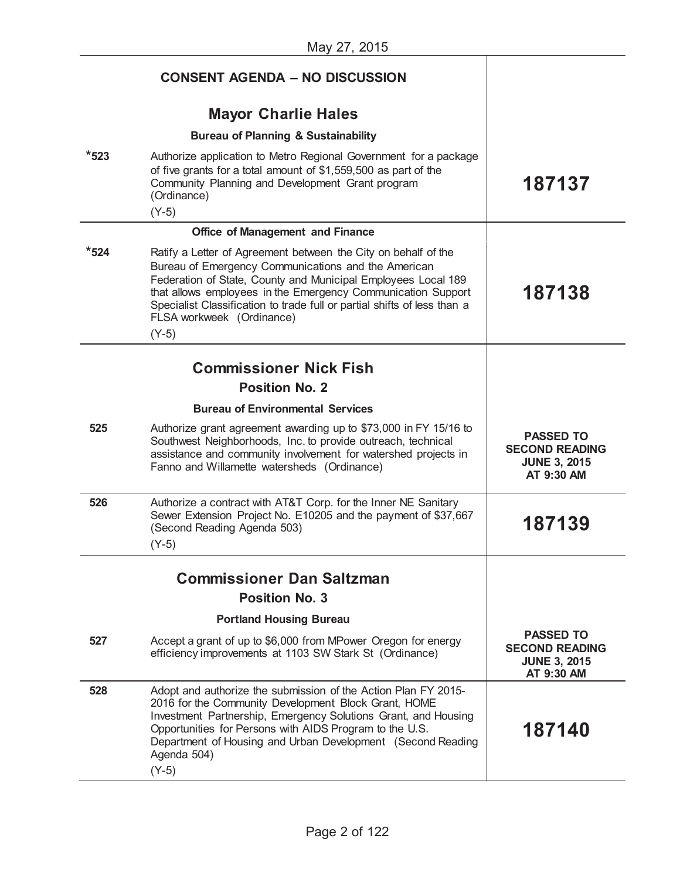|           | 1010y 21, 2010                                                                                                                                                                                                                                                                                                                                                             |                                                                                |
|-----------|----------------------------------------------------------------------------------------------------------------------------------------------------------------------------------------------------------------------------------------------------------------------------------------------------------------------------------------------------------------------------|--------------------------------------------------------------------------------|
|           | <b>CONSENT AGENDA - NO DISCUSSION</b>                                                                                                                                                                                                                                                                                                                                      |                                                                                |
|           | <b>Mayor Charlie Hales</b>                                                                                                                                                                                                                                                                                                                                                 |                                                                                |
|           | <b>Bureau of Planning &amp; Sustainability</b>                                                                                                                                                                                                                                                                                                                             |                                                                                |
| $*523$    | Authorize application to Metro Regional Government for a package<br>of five grants for a total amount of \$1,559,500 as part of the<br>Community Planning and Development Grant program<br>(Ordinance)<br>$(Y-5)$                                                                                                                                                          | 187137                                                                         |
|           | <b>Office of Management and Finance</b>                                                                                                                                                                                                                                                                                                                                    |                                                                                |
| $*_{524}$ | Ratify a Letter of Agreement between the City on behalf of the<br>Bureau of Emergency Communications and the American<br>Federation of State, County and Municipal Employees Local 189<br>that allows employees in the Emergency Communication Support<br>Specialist Classification to trade full or partial shifts of less than a<br>FLSA workweek (Ordinance)<br>$(Y-5)$ | 187138                                                                         |
|           | <b>Commissioner Nick Fish</b>                                                                                                                                                                                                                                                                                                                                              |                                                                                |
|           | <b>Position No. 2</b>                                                                                                                                                                                                                                                                                                                                                      |                                                                                |
|           | <b>Bureau of Environmental Services</b>                                                                                                                                                                                                                                                                                                                                    |                                                                                |
| 525       | Authorize grant agreement awarding up to \$73,000 in FY 15/16 to<br>Southwest Neighborhoods, Inc. to provide outreach, technical<br>assistance and community involvement for watershed projects in<br>Fanno and Willamette watersheds (Ordinance)                                                                                                                          | <b>PASSED TO</b><br><b>SECOND READING</b><br><b>JUNE 3, 2015</b><br>AT 9:30 AM |
| 526       | Authorize a contract with AT&T Corp. for the Inner NE Sanitary<br>Sewer Extension Project No. E10205 and the payment of \$37,667<br>(Second Reading Agenda 503)<br>$(Y-5)$                                                                                                                                                                                                 | 187139                                                                         |
|           | <b>Commissioner Dan Saltzman</b>                                                                                                                                                                                                                                                                                                                                           |                                                                                |
|           | <b>Position No. 3</b>                                                                                                                                                                                                                                                                                                                                                      |                                                                                |
|           | <b>Portland Housing Bureau</b>                                                                                                                                                                                                                                                                                                                                             |                                                                                |
| 527       | Accept a grant of up to \$6,000 from MPower Oregon for energy<br>efficiency improvements at 1103 SW Stark St (Ordinance)                                                                                                                                                                                                                                                   | <b>PASSED TO</b><br><b>SECOND READING</b><br><b>JUNE 3, 2015</b><br>AT 9:30 AM |
| 528       | Adopt and authorize the submission of the Action Plan FY 2015-<br>2016 for the Community Development Block Grant, HOME<br>Investment Partnership, Emergency Solutions Grant, and Housing<br>Opportunities for Persons with AIDS Program to the U.S.<br>Department of Housing and Urban Development (Second Reading<br>Agenda 504)<br>$(Y-5)$                               | 187140                                                                         |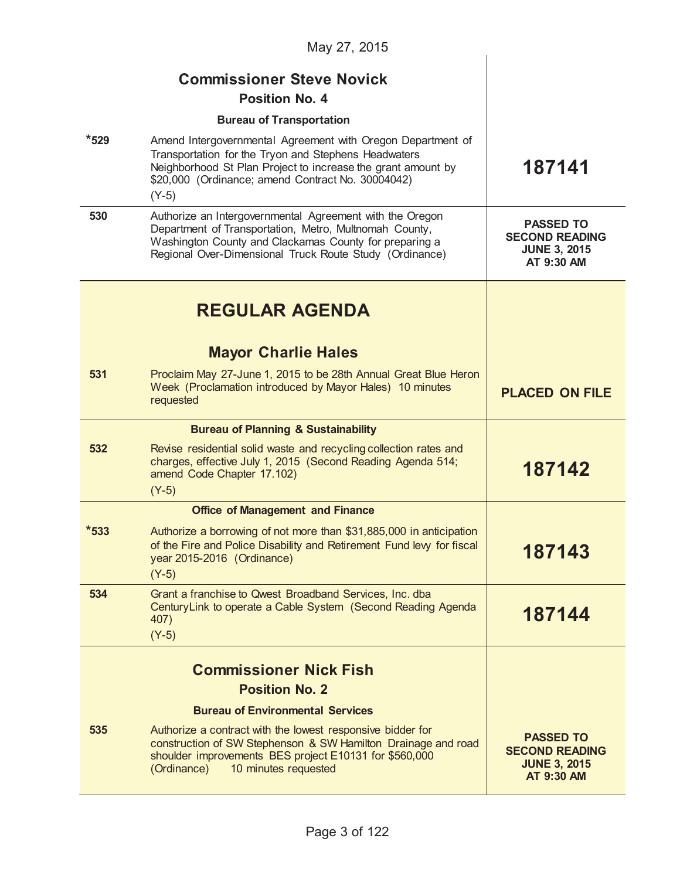| May 27, 2015 |                                                                                                                                                                                                                                                     |                                                                                |
|--------------|-----------------------------------------------------------------------------------------------------------------------------------------------------------------------------------------------------------------------------------------------------|--------------------------------------------------------------------------------|
|              | <b>Commissioner Steve Novick</b><br><b>Position No. 4</b>                                                                                                                                                                                           |                                                                                |
|              | <b>Bureau of Transportation</b>                                                                                                                                                                                                                     |                                                                                |
| $*529$       | Amend Intergovernmental Agreement with Oregon Department of<br>Transportation for the Tryon and Stephens Headwaters<br>Neighborhood St Plan Project to increase the grant amount by<br>\$20,000 (Ordinance; amend Contract No. 30004042)<br>$(Y-5)$ | 187141                                                                         |
| 530          | Authorize an Intergovernmental Agreement with the Oregon<br>Department of Transportation, Metro, Multnomah County,<br>Washington County and Clackamas County for preparing a<br>Regional Over-Dimensional Truck Route Study (Ordinance)             | <b>PASSED TO</b><br><b>SECOND READING</b><br><b>JUNE 3, 2015</b><br>AT 9:30 AM |
|              | <b>REGULAR AGENDA</b>                                                                                                                                                                                                                               |                                                                                |
|              | <b>Mayor Charlie Hales</b>                                                                                                                                                                                                                          |                                                                                |
| 531          | Proclaim May 27-June 1, 2015 to be 28th Annual Great Blue Heron<br>Week (Proclamation introduced by Mayor Hales) 10 minutes<br>requested                                                                                                            | <b>PLACED ON FILE</b>                                                          |
|              | <b>Bureau of Planning &amp; Sustainability</b>                                                                                                                                                                                                      |                                                                                |
| 532          | Revise residential solid waste and recycling collection rates and<br>charges, effective July 1, 2015 (Second Reading Agenda 514;<br>amend Code Chapter 17.102)<br>$(Y-5)$                                                                           | 187142                                                                         |
|              | <b>Office of Management and Finance</b>                                                                                                                                                                                                             |                                                                                |
| $*533$       | Authorize a borrowing of not more than \$31,885,000 in anticipation<br>of the Fire and Police Disability and Retirement Fund levy for fiscal<br>year 2015-2016 (Ordinance)<br>$(Y-5)$                                                               | 187143                                                                         |
| 534          | Grant a franchise to Qwest Broadband Services, Inc. dba<br>Century Link to operate a Cable System (Second Reading Agenda<br>407)<br>$(Y-5)$                                                                                                         | 187144                                                                         |
|              | <b>Commissioner Nick Fish</b><br><b>Position No. 2</b>                                                                                                                                                                                              |                                                                                |
|              | <b>Bureau of Environmental Services</b>                                                                                                                                                                                                             |                                                                                |
| 535          | Authorize a contract with the lowest responsive bidder for<br>construction of SW Stephenson & SW Hamilton Drainage and road<br>shoulder improvements BES project E10131 for \$560,000<br>(Ordinance)<br>10 minutes requested                        | <b>PASSED TO</b><br><b>SECOND READING</b><br><b>JUNE 3, 2015</b><br>AT 9:30 AM |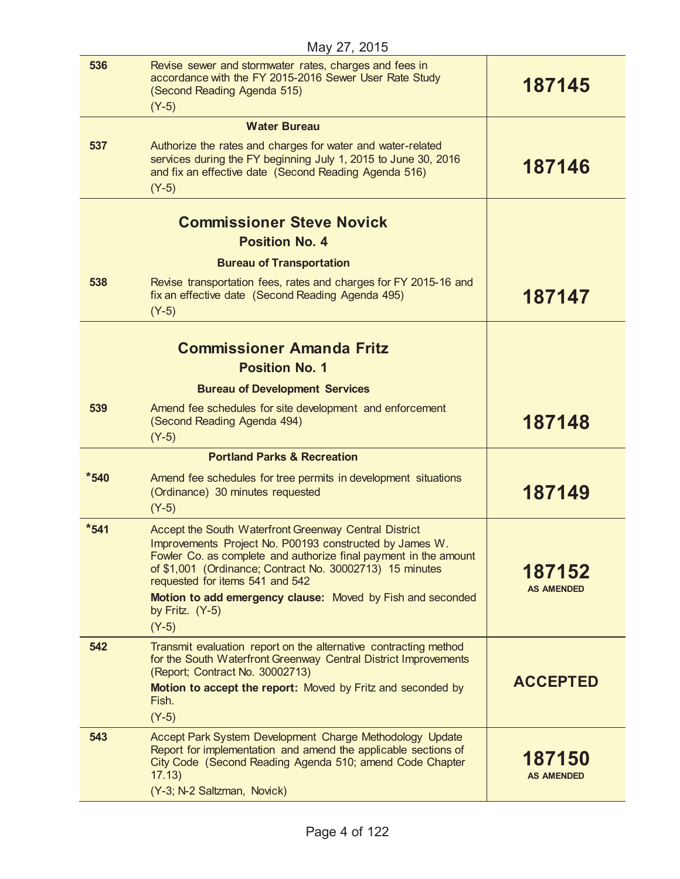| 536       | Revise sewer and stormwater rates, charges and fees in<br>accordance with the FY 2015-2016 Sewer User Rate Study<br>(Second Reading Agenda 515)<br>$(Y-5)$                                                                                                                                                                                        | 187145                      |
|-----------|---------------------------------------------------------------------------------------------------------------------------------------------------------------------------------------------------------------------------------------------------------------------------------------------------------------------------------------------------|-----------------------------|
|           | <b>Water Bureau</b>                                                                                                                                                                                                                                                                                                                               |                             |
| 537       | Authorize the rates and charges for water and water-related<br>services during the FY beginning July 1, 2015 to June 30, 2016<br>and fix an effective date (Second Reading Agenda 516)<br>$(Y-5)$                                                                                                                                                 | 187146                      |
|           |                                                                                                                                                                                                                                                                                                                                                   |                             |
|           | <b>Commissioner Steve Novick</b>                                                                                                                                                                                                                                                                                                                  |                             |
|           | <b>Position No. 4</b>                                                                                                                                                                                                                                                                                                                             |                             |
|           | <b>Bureau of Transportation</b>                                                                                                                                                                                                                                                                                                                   |                             |
| 538       | Revise transportation fees, rates and charges for FY 2015-16 and<br>fix an effective date (Second Reading Agenda 495)<br>$(Y-5)$                                                                                                                                                                                                                  | 187147                      |
|           |                                                                                                                                                                                                                                                                                                                                                   |                             |
|           | <b>Commissioner Amanda Fritz</b>                                                                                                                                                                                                                                                                                                                  |                             |
|           | <b>Position No. 1</b>                                                                                                                                                                                                                                                                                                                             |                             |
|           | <b>Bureau of Development Services</b>                                                                                                                                                                                                                                                                                                             |                             |
| 539       | Amend fee schedules for site development and enforcement<br>(Second Reading Agenda 494)<br>$(Y-5)$                                                                                                                                                                                                                                                | 187148                      |
|           | <b>Portland Parks &amp; Recreation</b>                                                                                                                                                                                                                                                                                                            |                             |
| $*540$    | Amend fee schedules for tree permits in development situations<br>(Ordinance) 30 minutes requested<br>$(Y-5)$                                                                                                                                                                                                                                     | 187149                      |
| $*_{541}$ | Accept the South Waterfront Greenway Central District<br>Improvements Project No. P00193 constructed by James W.<br>Fowler Co. as complete and authorize final payment in the amount<br>of \$1,001 (Ordinance; Contract No. 30002713) 15 minutes<br>requested for items 541 and 542<br>Motion to add emergency clause: Moved by Fish and seconded | 187152<br><b>AS AMENDED</b> |
|           | by Fritz. $(Y-5)$<br>$(Y-5)$                                                                                                                                                                                                                                                                                                                      |                             |
| 542       | Transmit evaluation report on the alternative contracting method                                                                                                                                                                                                                                                                                  |                             |
|           | for the South Waterfront Greenway Central District Improvements<br>(Report; Contract No. 30002713)                                                                                                                                                                                                                                                |                             |
|           | Motion to accept the report: Moved by Fritz and seconded by<br>Fish.                                                                                                                                                                                                                                                                              | <b>ACCEPTED</b>             |
|           | $(Y-5)$                                                                                                                                                                                                                                                                                                                                           |                             |
| 543       | Accept Park System Development Charge Methodology Update<br>Report for implementation and amend the applicable sections of<br>City Code (Second Reading Agenda 510; amend Code Chapter<br>17.13)<br>(Y-3; N-2 Saltzman, Novick)                                                                                                                   | 187150<br><b>AS AMENDED</b> |
|           |                                                                                                                                                                                                                                                                                                                                                   |                             |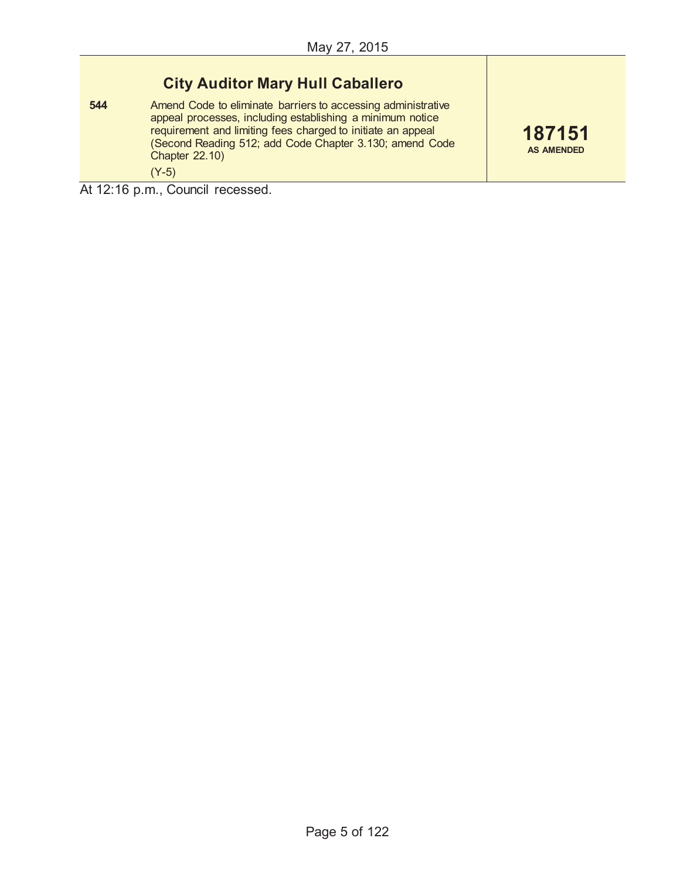## **City Auditor Mary Hull Caballero**

**544** Amend Code to eliminate barriers to accessing administrative appeal processes, including establishing a minimum notice requirement and limiting fees charged to initiate an appeal (Second Reading 512; add Code Chapter 3.130; amend Code Chapter 22.10) (Y-5)

**187151 AS AMENDED**

At 12:16 p.m., Council recessed.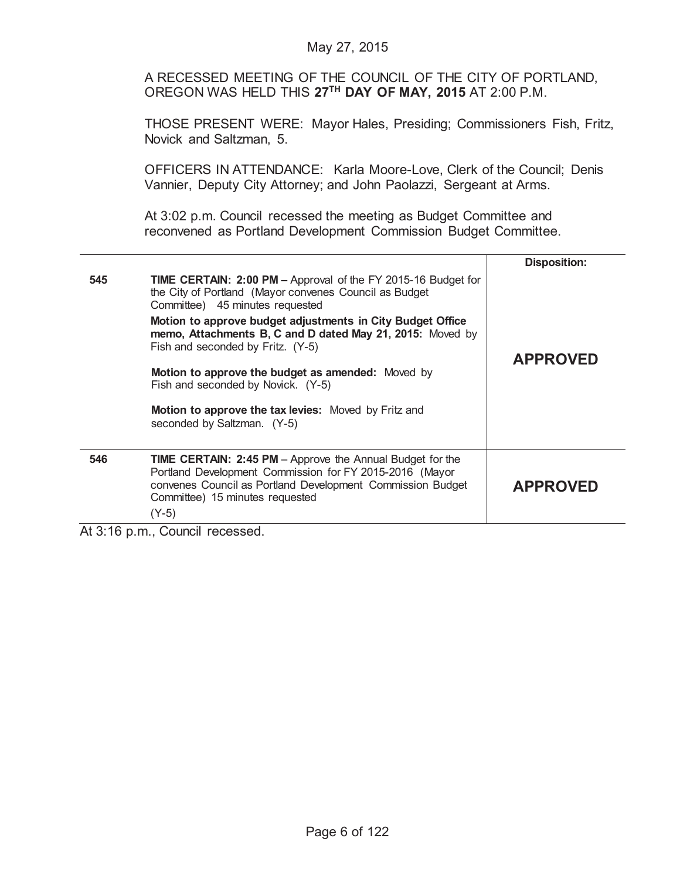A RECESSED MEETING OF THE COUNCIL OF THE CITY OF PORTLAND, OREGON WAS HELD THIS **27TH DAY OF MAY, 2015** AT 2:00 P.M.

THOSE PRESENT WERE: Mayor Hales, Presiding; Commissioners Fish, Fritz, Novick and Saltzman, 5.

OFFICERS IN ATTENDANCE: Karla Moore-Love, Clerk of the Council; Denis Vannier, Deputy City Attorney; and John Paolazzi, Sergeant at Arms.

At 3:02 p.m. Council recessed the meeting as Budget Committee and reconvened as Portland Development Commission Budget Committee.

|          |                                                                                                                                                                                                                                                                                                                                                                                 | <b>Disposition:</b> |
|----------|---------------------------------------------------------------------------------------------------------------------------------------------------------------------------------------------------------------------------------------------------------------------------------------------------------------------------------------------------------------------------------|---------------------|
| 545      | TIME CERTAIN: 2:00 PM - Approval of the FY 2015-16 Budget for<br>the City of Portland (Mayor convenes Council as Budget<br>Committee) 45 minutes requested<br>Motion to approve budget adjustments in City Budget Office<br>memo, Attachments B, C and D dated May 21, 2015: Moved by<br>Fish and seconded by Fritz. (Y-5)<br>Motion to approve the budget as amended: Moved by | <b>APPROVED</b>     |
|          | Fish and seconded by Novick. (Y-5)                                                                                                                                                                                                                                                                                                                                              |                     |
|          | <b>Motion to approve the tax levies:</b> Moved by Fritz and<br>seconded by Saltzman. (Y-5)                                                                                                                                                                                                                                                                                      |                     |
| 546      | <b>TIME CERTAIN: 2:45 PM</b> - Approve the Annual Budget for the<br>Portland Development Commission for FY 2015-2016 (Mayor<br>convenes Council as Portland Development Commission Budget<br>Committee) 15 minutes requested<br>$(Y-5)$                                                                                                                                         | <b>APPROVED</b>     |
| $\cdots$ | <b>A</b> 100<br>$\sim$                                                                                                                                                                                                                                                                                                                                                          |                     |

At 3:16 p.m., Council recessed.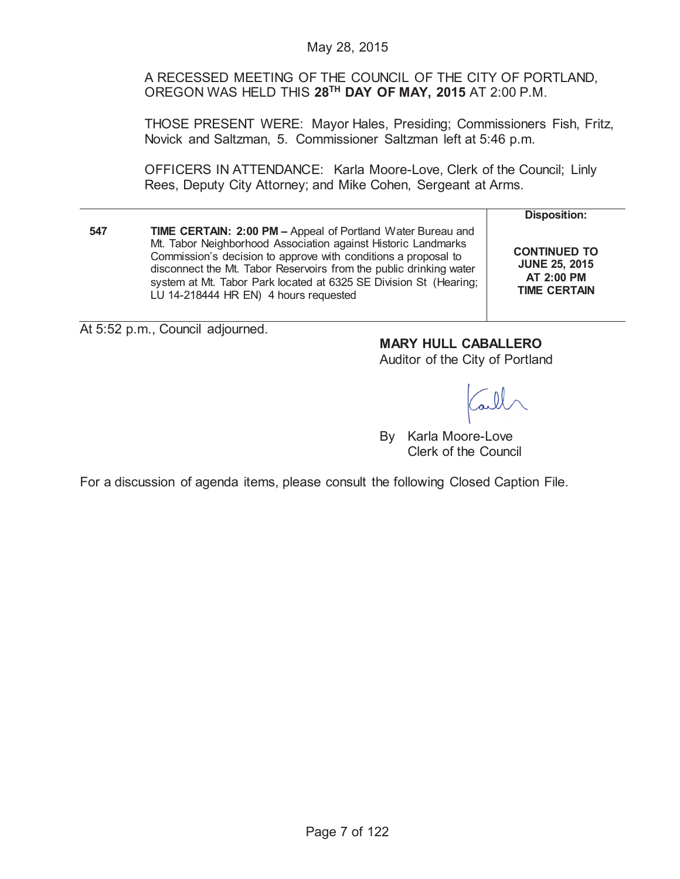A RECESSED MEETING OF THE COUNCIL OF THE CITY OF PORTLAND, OREGON WAS HELD THIS **28TH DAY OF MAY, 2015** AT 2:00 P.M.

THOSE PRESENT WERE: Mayor Hales, Presiding; Commissioners Fish, Fritz, Novick and Saltzman, 5. Commissioner Saltzman left at 5:46 p.m.

OFFICERS IN ATTENDANCE: Karla Moore-Love, Clerk of the Council; Linly Rees, Deputy City Attorney; and Mike Cohen, Sergeant at Arms.

| 547 | TIME CERTAIN: 2:00 PM - Appeal of Portland Water Bureau and<br>Mt. Tabor Neighborhood Association against Historic Landmarks<br>Commission's decision to approve with conditions a proposal to<br>disconnect the Mt. Tabor Reservoirs from the public drinking water<br>system at Mt. Tabor Park located at 6325 SE Division St (Hearing; |  |
|-----|-------------------------------------------------------------------------------------------------------------------------------------------------------------------------------------------------------------------------------------------------------------------------------------------------------------------------------------------|--|
|     | LU 14-218444 HR EN) 4 hours requested                                                                                                                                                                                                                                                                                                     |  |

**Disposition:**

**CONTINUED TO JUNE 25, 2015 AT 2:00 PM TIME CERTAIN**

At 5:52 p.m., Council adjourned.

**MARY HULL CABALLERO**

Auditor of the City of Portland

By Karla Moore-Love Clerk of the Council

For a discussion of agenda items, please consult the following Closed Caption File.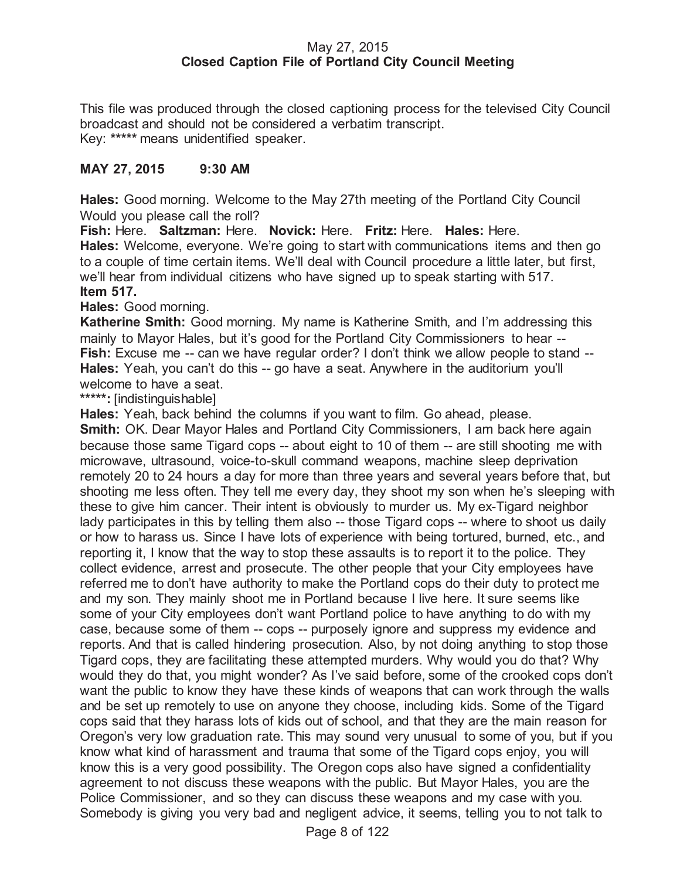## May 27, 2015 **Closed Caption File of Portland City Council Meeting**

This file was produced through the closed captioning process for the televised City Council broadcast and should not be considered a verbatim transcript. Key: **\*\*\*\*\*** means unidentified speaker.

## **MAY 27, 2015 9:30 AM**

**Hales:** Good morning. Welcome to the May 27th meeting of the Portland City Council Would you please call the roll?

**Fish:** Here. **Saltzman:** Here. **Novick:** Here. **Fritz:** Here. **Hales:** Here. **Hales:** Welcome, everyone. We're going to start with communications items and then go to a couple of time certain items. We'll deal with Council procedure a little later, but first, we'll hear from individual citizens who have signed up to speak starting with 517. **Item 517.**

**Hales:** Good morning.

**Katherine Smith:** Good morning. My name is Katherine Smith, and I'm addressing this mainly to Mayor Hales, but it's good for the Portland City Commissioners to hear -- **Fish:** Excuse me -- can we have regular order? I don't think we allow people to stand -- **Hales:** Yeah, you can't do this -- go have a seat. Anywhere in the auditorium you'll welcome to have a seat.

**\*\*\*\*\*:** [indistinguishable]

**Hales:** Yeah, back behind the columns if you want to film. Go ahead, please.

**Smith:** OK. Dear Mayor Hales and Portland City Commissioners, I am back here again because those same Tigard cops -- about eight to 10 of them -- are still shooting me with microwave, ultrasound, voice-to-skull command weapons, machine sleep deprivation remotely 20 to 24 hours a day for more than three years and several years before that, but shooting me less often. They tell me every day, they shoot my son when he's sleeping with these to give him cancer. Their intent is obviously to murder us. My ex-Tigard neighbor lady participates in this by telling them also -- those Tigard cops -- where to shoot us daily or how to harass us. Since I have lots of experience with being tortured, burned, etc., and reporting it, I know that the way to stop these assaults is to report it to the police. They collect evidence, arrest and prosecute. The other people that your City employees have referred me to don't have authority to make the Portland cops do their duty to protect me and my son. They mainly shoot me in Portland because I live here. It sure seems like some of your City employees don't want Portland police to have anything to do with my case, because some of them -- cops -- purposely ignore and suppress my evidence and reports. And that is called hindering prosecution. Also, by not doing anything to stop those Tigard cops, they are facilitating these attempted murders. Why would you do that? Why would they do that, you might wonder? As I've said before, some of the crooked cops don't want the public to know they have these kinds of weapons that can work through the walls and be set up remotely to use on anyone they choose, including kids. Some of the Tigard cops said that they harass lots of kids out of school, and that they are the main reason for Oregon's very low graduation rate. This may sound very unusual to some of you, but if you know what kind of harassment and trauma that some of the Tigard cops enjoy, you will know this is a very good possibility. The Oregon cops also have signed a confidentiality agreement to not discuss these weapons with the public. But Mayor Hales, you are the Police Commissioner, and so they can discuss these weapons and my case with you. Somebody is giving you very bad and negligent advice, it seems, telling you to not talk to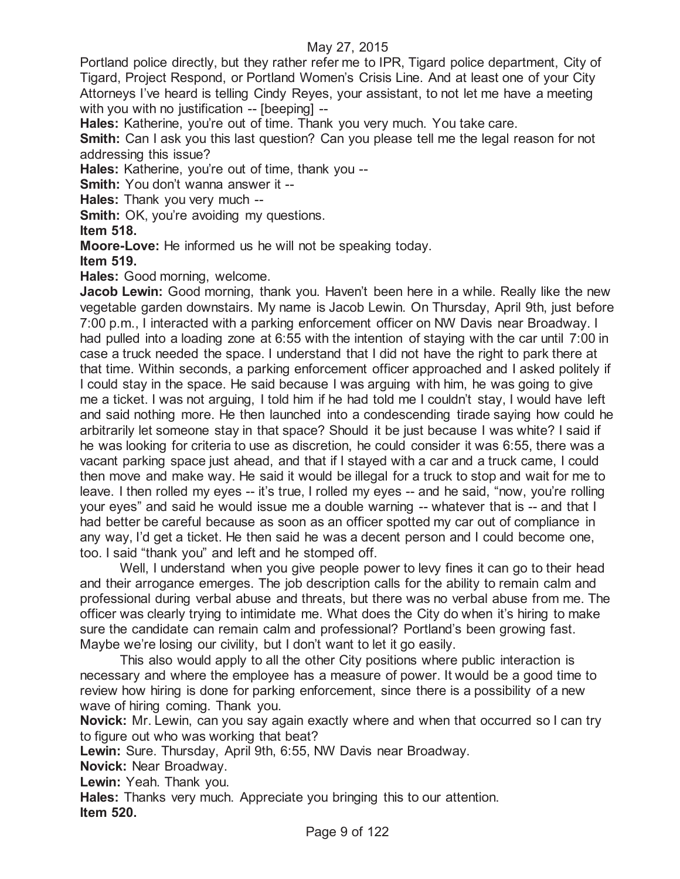Portland police directly, but they rather refer me to IPR, Tigard police department, City of Tigard, Project Respond, or Portland Women's Crisis Line. And at least one of your City Attorneys I've heard is telling Cindy Reyes, your assistant, to not let me have a meeting with you with no justification -- [beeping] --

**Hales:** Katherine, you're out of time. Thank you very much. You take care.

**Smith:** Can I ask you this last question? Can you please tell me the legal reason for not addressing this issue?

**Hales:** Katherine, you're out of time, thank you --

**Smith:** You don't wanna answer it --

**Hales:** Thank you very much --

**Smith:** OK, you're avoiding my questions.

**Item 518.**

**Moore-Love:** He informed us he will not be speaking today.

**Item 519.**

**Hales:** Good morning, welcome.

**Jacob Lewin:** Good morning, thank you. Haven't been here in a while. Really like the new vegetable garden downstairs. My name is Jacob Lewin. On Thursday, April 9th, just before 7:00 p.m., I interacted with a parking enforcement officer on NW Davis near Broadway. I had pulled into a loading zone at 6:55 with the intention of staying with the car until 7:00 in case a truck needed the space. I understand that I did not have the right to park there at that time. Within seconds, a parking enforcement officer approached and I asked politely if I could stay in the space. He said because I was arguing with him, he was going to give me a ticket. I was not arguing, I told him if he had told me I couldn't stay, I would have left and said nothing more. He then launched into a condescending tirade saying how could he arbitrarily let someone stay in that space? Should it be just because I was white? I said if he was looking for criteria to use as discretion, he could consider it was 6:55, there was a vacant parking space just ahead, and that if I stayed with a car and a truck came, I could then move and make way. He said it would be illegal for a truck to stop and wait for me to leave. I then rolled my eyes -- it's true, I rolled my eyes -- and he said, "now, you're rolling your eyes" and said he would issue me a double warning -- whatever that is -- and that I had better be careful because as soon as an officer spotted my car out of compliance in any way, I'd get a ticket. He then said he was a decent person and I could become one, too. I said "thank you" and left and he stomped off.

Well, I understand when you give people power to levy fines it can go to their head and their arrogance emerges. The job description calls for the ability to remain calm and professional during verbal abuse and threats, but there was no verbal abuse from me. The officer was clearly trying to intimidate me. What does the City do when it's hiring to make sure the candidate can remain calm and professional? Portland's been growing fast. Maybe we're losing our civility, but I don't want to let it go easily.

This also would apply to all the other City positions where public interaction is necessary and where the employee has a measure of power. It would be a good time to review how hiring is done for parking enforcement, since there is a possibility of a new wave of hiring coming. Thank you.

**Novick:** Mr. Lewin, can you say again exactly where and when that occurred so I can try to figure out who was working that beat?

**Lewin:** Sure. Thursday, April 9th, 6:55, NW Davis near Broadway.

**Novick:** Near Broadway.

**Lewin:** Yeah. Thank you.

**Hales:** Thanks very much. Appreciate you bringing this to our attention. **Item 520.**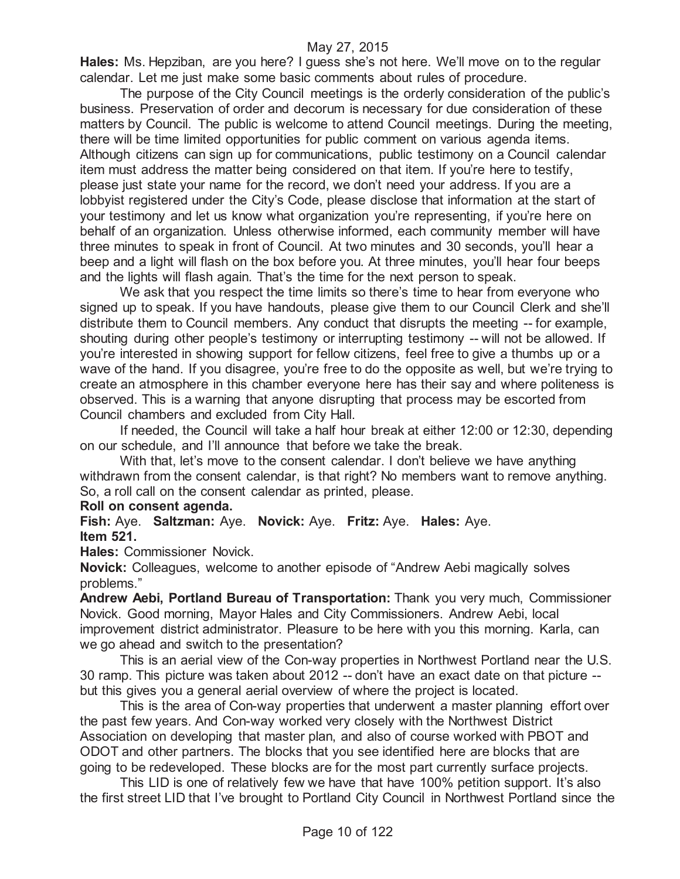**Hales:** Ms. Hepziban, are you here? I guess she's not here. We'll move on to the regular calendar. Let me just make some basic comments about rules of procedure.

The purpose of the City Council meetings is the orderly consideration of the public's business. Preservation of order and decorum is necessary for due consideration of these matters by Council. The public is welcome to attend Council meetings. During the meeting, there will be time limited opportunities for public comment on various agenda items. Although citizens can sign up for communications, public testimony on a Council calendar item must address the matter being considered on that item. If you're here to testify, please just state your name for the record, we don't need your address. If you are a lobbyist registered under the City's Code, please disclose that information at the start of your testimony and let us know what organization you're representing, if you're here on behalf of an organization. Unless otherwise informed, each community member will have three minutes to speak in front of Council. At two minutes and 30 seconds, you'll hear a beep and a light will flash on the box before you. At three minutes, you'll hear four beeps and the lights will flash again. That's the time for the next person to speak.

We ask that you respect the time limits so there's time to hear from everyone who signed up to speak. If you have handouts, please give them to our Council Clerk and she'll distribute them to Council members. Any conduct that disrupts the meeting -- for example, shouting during other people's testimony or interrupting testimony -- will not be allowed. If you're interested in showing support for fellow citizens, feel free to give a thumbs up or a wave of the hand. If you disagree, you're free to do the opposite as well, but we're trying to create an atmosphere in this chamber everyone here has their say and where politeness is observed. This is a warning that anyone disrupting that process may be escorted from Council chambers and excluded from City Hall.

If needed, the Council will take a half hour break at either 12:00 or 12:30, depending on our schedule, and I'll announce that before we take the break.

With that, let's move to the consent calendar. I don't believe we have anything withdrawn from the consent calendar, is that right? No members want to remove anything. So, a roll call on the consent calendar as printed, please.

#### **Roll on consent agenda.**

**Fish:** Aye. **Saltzman:** Aye. **Novick:** Aye. **Fritz:** Aye. **Hales:** Aye. **Item 521.**

**Hales:** Commissioner Novick.

**Novick:** Colleagues, welcome to another episode of "Andrew Aebi magically solves problems."

**Andrew Aebi, Portland Bureau of Transportation:** Thank you very much, Commissioner Novick. Good morning, Mayor Hales and City Commissioners. Andrew Aebi, local improvement district administrator. Pleasure to be here with you this morning. Karla, can we go ahead and switch to the presentation?

This is an aerial view of the Con-way properties in Northwest Portland near the U.S. 30 ramp. This picture was taken about 2012 -- don't have an exact date on that picture - but this gives you a general aerial overview of where the project is located.

This is the area of Con-way properties that underwent a master planning effort over the past few years. And Con-way worked very closely with the Northwest District Association on developing that master plan, and also of course worked with PBOT and ODOT and other partners. The blocks that you see identified here are blocks that are going to be redeveloped. These blocks are for the most part currently surface projects.

This LID is one of relatively few we have that have 100% petition support. It's also the first street LID that I've brought to Portland City Council in Northwest Portland since the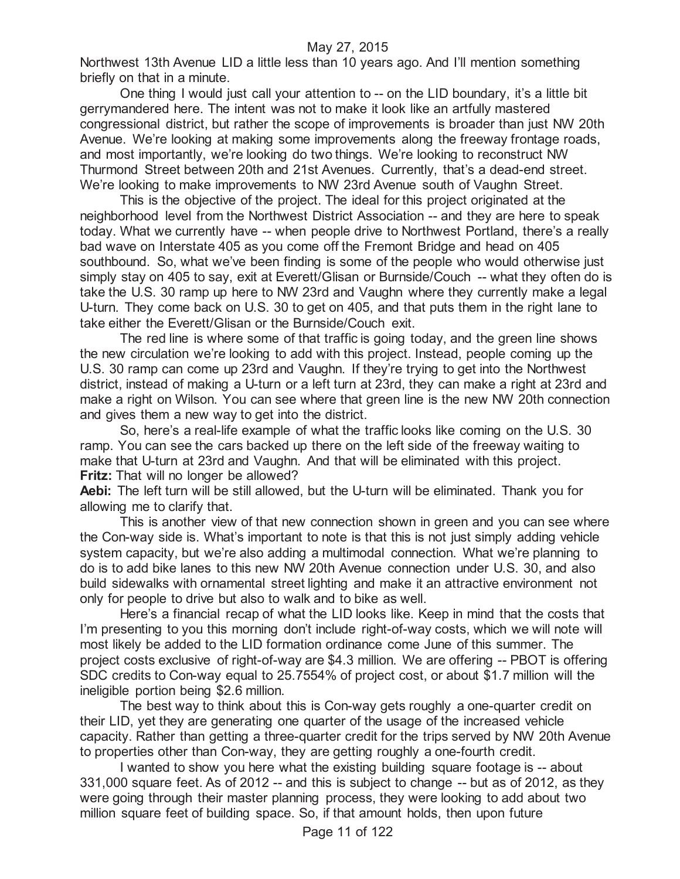Northwest 13th Avenue LID a little less than 10 years ago. And I'll mention something briefly on that in a minute.

One thing I would just call your attention to -- on the LID boundary, it's a little bit gerrymandered here. The intent was not to make it look like an artfully mastered congressional district, but rather the scope of improvements is broader than just NW 20th Avenue. We're looking at making some improvements along the freeway frontage roads, and most importantly, we're looking do two things. We're looking to reconstruct NW Thurmond Street between 20th and 21st Avenues. Currently, that's a dead-end street. We're looking to make improvements to NW 23rd Avenue south of Vaughn Street.

This is the objective of the project. The ideal for this project originated at the neighborhood level from the Northwest District Association -- and they are here to speak today. What we currently have -- when people drive to Northwest Portland, there's a really bad wave on Interstate 405 as you come off the Fremont Bridge and head on 405 southbound. So, what we've been finding is some of the people who would otherwise just simply stay on 405 to say, exit at Everett/Glisan or Burnside/Couch -- what they often do is take the U.S. 30 ramp up here to NW 23rd and Vaughn where they currently make a legal U-turn. They come back on U.S. 30 to get on 405, and that puts them in the right lane to take either the Everett/Glisan or the Burnside/Couch exit.

The red line is where some of that traffic is going today, and the green line shows the new circulation we're looking to add with this project. Instead, people coming up the U.S. 30 ramp can come up 23rd and Vaughn. If they're trying to get into the Northwest district, instead of making a U-turn or a left turn at 23rd, they can make a right at 23rd and make a right on Wilson. You can see where that green line is the new NW 20th connection and gives them a new way to get into the district.

So, here's a real-life example of what the traffic looks like coming on the U.S. 30 ramp. You can see the cars backed up there on the left side of the freeway waiting to make that U-turn at 23rd and Vaughn. And that will be eliminated with this project. **Fritz:** That will no longer be allowed?

**Aebi:** The left turn will be still allowed, but the U-turn will be eliminated. Thank you for allowing me to clarify that.

This is another view of that new connection shown in green and you can see where the Con-way side is. What's important to note is that this is not just simply adding vehicle system capacity, but we're also adding a multimodal connection. What we're planning to do is to add bike lanes to this new NW 20th Avenue connection under U.S. 30, and also build sidewalks with ornamental street lighting and make it an attractive environment not only for people to drive but also to walk and to bike as well.

Here's a financial recap of what the LID looks like. Keep in mind that the costs that I'm presenting to you this morning don't include right-of-way costs, which we will note will most likely be added to the LID formation ordinance come June of this summer. The project costs exclusive of right-of-way are \$4.3 million. We are offering -- PBOT is offering SDC credits to Con-way equal to 25.7554% of project cost, or about \$1.7 million will the ineligible portion being \$2.6 million.

The best way to think about this is Con-way gets roughly a one-quarter credit on their LID, yet they are generating one quarter of the usage of the increased vehicle capacity. Rather than getting a three-quarter credit for the trips served by NW 20th Avenue to properties other than Con-way, they are getting roughly a one-fourth credit.

I wanted to show you here what the existing building square footage is -- about 331,000 square feet. As of 2012 -- and this is subject to change -- but as of 2012, as they were going through their master planning process, they were looking to add about two million square feet of building space. So, if that amount holds, then upon future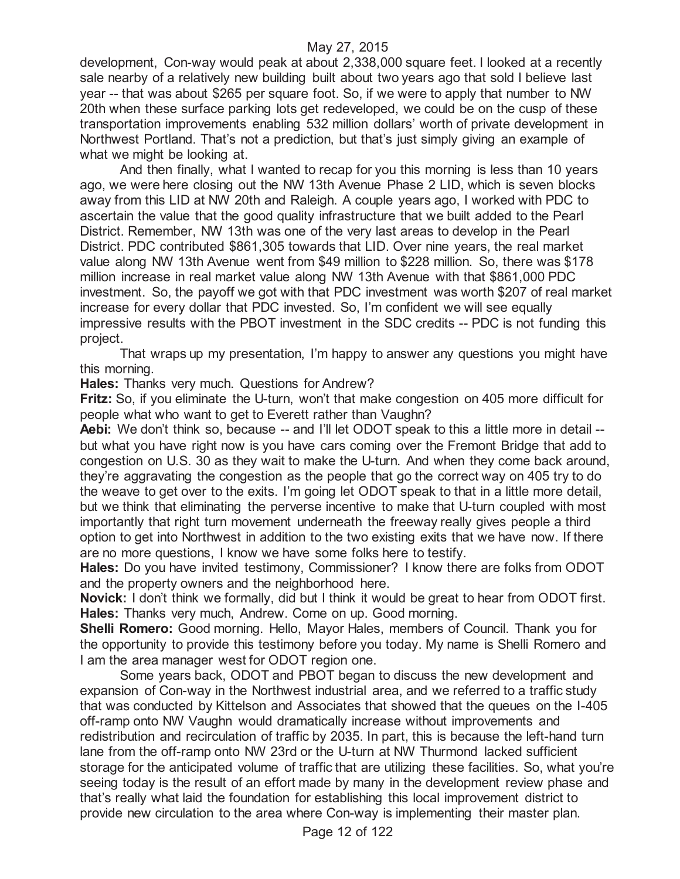development, Con-way would peak at about 2,338,000 square feet. I looked at a recently sale nearby of a relatively new building built about two years ago that sold I believe last year -- that was about \$265 per square foot. So, if we were to apply that number to NW 20th when these surface parking lots get redeveloped, we could be on the cusp of these transportation improvements enabling 532 million dollars' worth of private development in Northwest Portland. That's not a prediction, but that's just simply giving an example of what we might be looking at.

And then finally, what I wanted to recap for you this morning is less than 10 years ago, we were here closing out the NW 13th Avenue Phase 2 LID, which is seven blocks away from this LID at NW 20th and Raleigh. A couple years ago, I worked with PDC to ascertain the value that the good quality infrastructure that we built added to the Pearl District. Remember, NW 13th was one of the very last areas to develop in the Pearl District. PDC contributed \$861,305 towards that LID. Over nine years, the real market value along NW 13th Avenue went from \$49 million to \$228 million. So, there was \$178 million increase in real market value along NW 13th Avenue with that \$861,000 PDC investment. So, the payoff we got with that PDC investment was worth \$207 of real market increase for every dollar that PDC invested. So, I'm confident we will see equally impressive results with the PBOT investment in the SDC credits -- PDC is not funding this project.

That wraps up my presentation, I'm happy to answer any questions you might have this morning.

**Hales:** Thanks very much. Questions for Andrew?

**Fritz:** So, if you eliminate the U-turn, won't that make congestion on 405 more difficult for people what who want to get to Everett rather than Vaughn?

**Aebi:** We don't think so, because -- and I'll let ODOT speak to this a little more in detail -but what you have right now is you have cars coming over the Fremont Bridge that add to congestion on U.S. 30 as they wait to make the U-turn. And when they come back around, they're aggravating the congestion as the people that go the correct way on 405 try to do the weave to get over to the exits. I'm going let ODOT speak to that in a little more detail, but we think that eliminating the perverse incentive to make that U-turn coupled with most importantly that right turn movement underneath the freeway really gives people a third option to get into Northwest in addition to the two existing exits that we have now. If there are no more questions, I know we have some folks here to testify.

**Hales:** Do you have invited testimony, Commissioner? I know there are folks from ODOT and the property owners and the neighborhood here.

**Novick:** I don't think we formally, did but I think it would be great to hear from ODOT first. **Hales:** Thanks very much, Andrew. Come on up. Good morning.

**Shelli Romero:** Good morning. Hello, Mayor Hales, members of Council. Thank you for the opportunity to provide this testimony before you today. My name is Shelli Romero and I am the area manager west for ODOT region one.

Some years back, ODOT and PBOT began to discuss the new development and expansion of Con-way in the Northwest industrial area, and we referred to a traffic study that was conducted by Kittelson and Associates that showed that the queues on the I-405 off-ramp onto NW Vaughn would dramatically increase without improvements and redistribution and recirculation of traffic by 2035. In part, this is because the left-hand turn lane from the off-ramp onto NW 23rd or the U-turn at NW Thurmond lacked sufficient storage for the anticipated volume of traffic that are utilizing these facilities. So, what you're seeing today is the result of an effort made by many in the development review phase and that's really what laid the foundation for establishing this local improvement district to provide new circulation to the area where Con-way is implementing their master plan.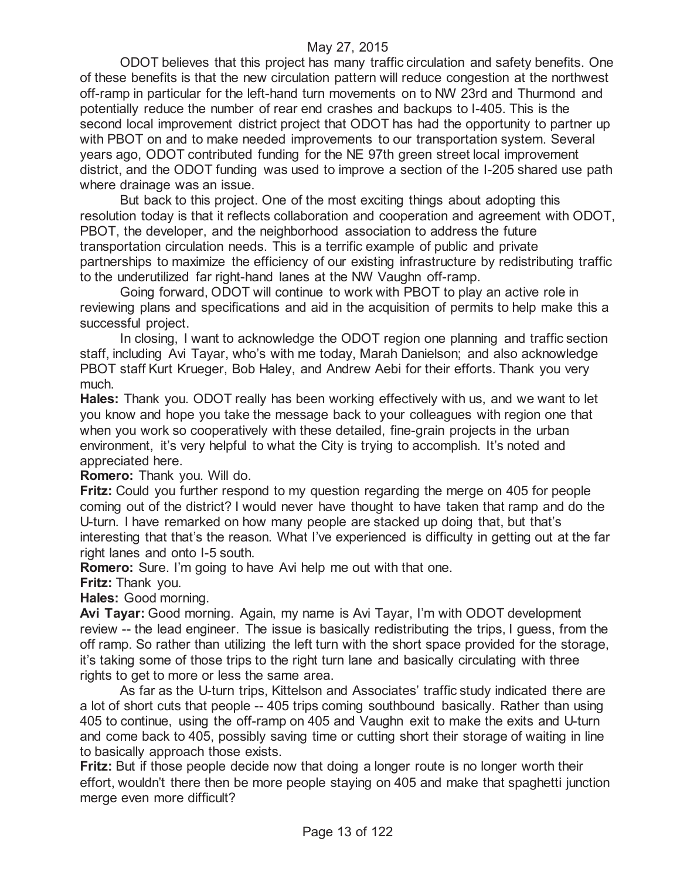ODOT believes that this project has many traffic circulation and safety benefits. One of these benefits is that the new circulation pattern will reduce congestion at the northwest off-ramp in particular for the left-hand turn movements on to NW 23rd and Thurmond and potentially reduce the number of rear end crashes and backups to I-405. This is the second local improvement district project that ODOT has had the opportunity to partner up with PBOT on and to make needed improvements to our transportation system. Several years ago, ODOT contributed funding for the NE 97th green street local improvement district, and the ODOT funding was used to improve a section of the I-205 shared use path where drainage was an issue.

But back to this project. One of the most exciting things about adopting this resolution today is that it reflects collaboration and cooperation and agreement with ODOT, PBOT, the developer, and the neighborhood association to address the future transportation circulation needs. This is a terrific example of public and private partnerships to maximize the efficiency of our existing infrastructure by redistributing traffic to the underutilized far right-hand lanes at the NW Vaughn off-ramp.

Going forward, ODOT will continue to work with PBOT to play an active role in reviewing plans and specifications and aid in the acquisition of permits to help make this a successful project.

In closing, I want to acknowledge the ODOT region one planning and traffic section staff, including Avi Tayar, who's with me today, Marah Danielson; and also acknowledge PBOT staff Kurt Krueger, Bob Haley, and Andrew Aebi for their efforts. Thank you very much.

**Hales:** Thank you. ODOT really has been working effectively with us, and we want to let you know and hope you take the message back to your colleagues with region one that when you work so cooperatively with these detailed, fine-grain projects in the urban environment, it's very helpful to what the City is trying to accomplish. It's noted and appreciated here.

**Romero:** Thank you. Will do.

**Fritz:** Could you further respond to my question regarding the merge on 405 for people coming out of the district? I would never have thought to have taken that ramp and do the U-turn. I have remarked on how many people are stacked up doing that, but that's interesting that that's the reason. What I've experienced is difficulty in getting out at the far right lanes and onto I-5 south.

**Romero:** Sure. I'm going to have Avi help me out with that one.

**Fritz:** Thank you.

**Hales:** Good morning.

**Avi Tayar:** Good morning. Again, my name is Avi Tayar, I'm with ODOT development review -- the lead engineer. The issue is basically redistributing the trips, I guess, from the off ramp. So rather than utilizing the left turn with the short space provided for the storage, it's taking some of those trips to the right turn lane and basically circulating with three rights to get to more or less the same area.

As far as the U-turn trips, Kittelson and Associates' traffic study indicated there are a lot of short cuts that people -- 405 trips coming southbound basically. Rather than using 405 to continue, using the off-ramp on 405 and Vaughn exit to make the exits and U-turn and come back to 405, possibly saving time or cutting short their storage of waiting in line to basically approach those exists.

**Fritz:** But if those people decide now that doing a longer route is no longer worth their effort, wouldn't there then be more people staying on 405 and make that spaghetti junction merge even more difficult?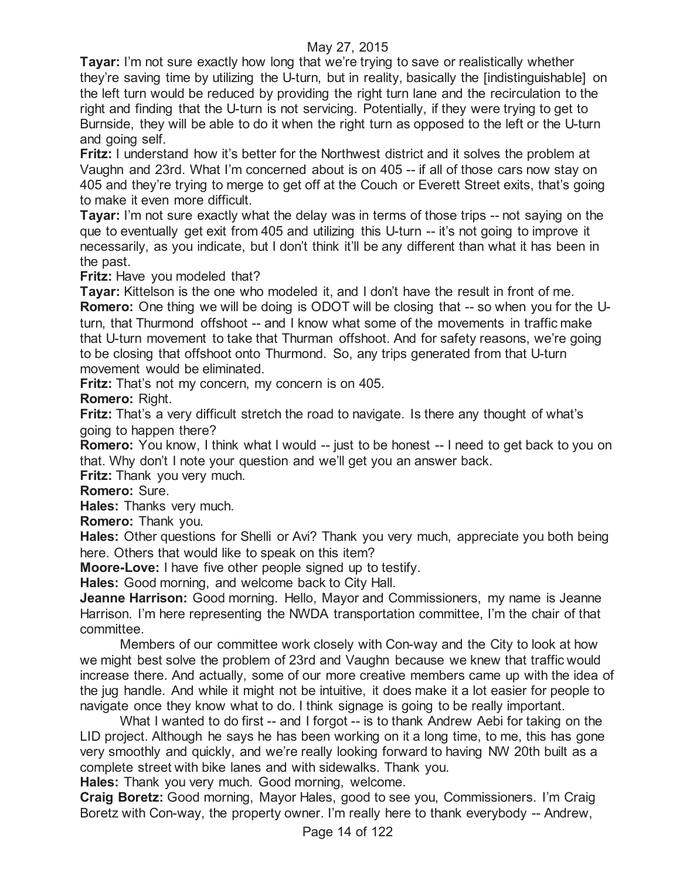**Tayar:** I'm not sure exactly how long that we're trying to save or realistically whether they're saving time by utilizing the U-turn, but in reality, basically the [indistinguishable] on the left turn would be reduced by providing the right turn lane and the recirculation to the right and finding that the U-turn is not servicing. Potentially, if they were trying to get to Burnside, they will be able to do it when the right turn as opposed to the left or the U-turn and going self.

**Fritz:** I understand how it's better for the Northwest district and it solves the problem at Vaughn and 23rd. What I'm concerned about is on 405 -- if all of those cars now stay on 405 and they're trying to merge to get off at the Couch or Everett Street exits, that's going to make it even more difficult.

**Tayar:** I'm not sure exactly what the delay was in terms of those trips -- not saying on the que to eventually get exit from 405 and utilizing this U-turn -- it's not going to improve it necessarily, as you indicate, but I don't think it'll be any different than what it has been in the past.

**Fritz:** Have you modeled that?

**Tayar:** Kittelson is the one who modeled it, and I don't have the result in front of me. **Romero:** One thing we will be doing is ODOT will be closing that -- so when you for the Uturn, that Thurmond offshoot -- and I know what some of the movements in traffic make that U-turn movement to take that Thurman offshoot. And for safety reasons, we're going to be closing that offshoot onto Thurmond. So, any trips generated from that U-turn movement would be eliminated.

**Fritz:** That's not my concern, my concern is on 405.

**Romero:** Right.

**Fritz:** That's a very difficult stretch the road to navigate. Is there any thought of what's going to happen there?

**Romero:** You know, I think what I would -- just to be honest -- I need to get back to you on that. Why don't I note your question and we'll get you an answer back.

**Fritz:** Thank you very much.

**Romero:** Sure.

**Hales:** Thanks very much.

**Romero:** Thank you.

**Hales:** Other questions for Shelli or Avi? Thank you very much, appreciate you both being here. Others that would like to speak on this item?

**Moore-Love:** I have five other people signed up to testify.

**Hales:** Good morning, and welcome back to City Hall.

**Jeanne Harrison:** Good morning. Hello, Mayor and Commissioners, my name is Jeanne Harrison. I'm here representing the NWDA transportation committee, I'm the chair of that committee.

Members of our committee work closely with Con-way and the City to look at how we might best solve the problem of 23rd and Vaughn because we knew that traffic would increase there. And actually, some of our more creative members came up with the idea of the jug handle. And while it might not be intuitive, it does make it a lot easier for people to navigate once they know what to do. I think signage is going to be really important.

What I wanted to do first -- and I forgot -- is to thank Andrew Aebi for taking on the LID project. Although he says he has been working on it a long time, to me, this has gone very smoothly and quickly, and we're really looking forward to having NW 20th built as a complete street with bike lanes and with sidewalks. Thank you.

**Hales:** Thank you very much. Good morning, welcome.

**Craig Boretz:** Good morning, Mayor Hales, good to see you, Commissioners. I'm Craig Boretz with Con-way, the property owner. I'm really here to thank everybody -- Andrew,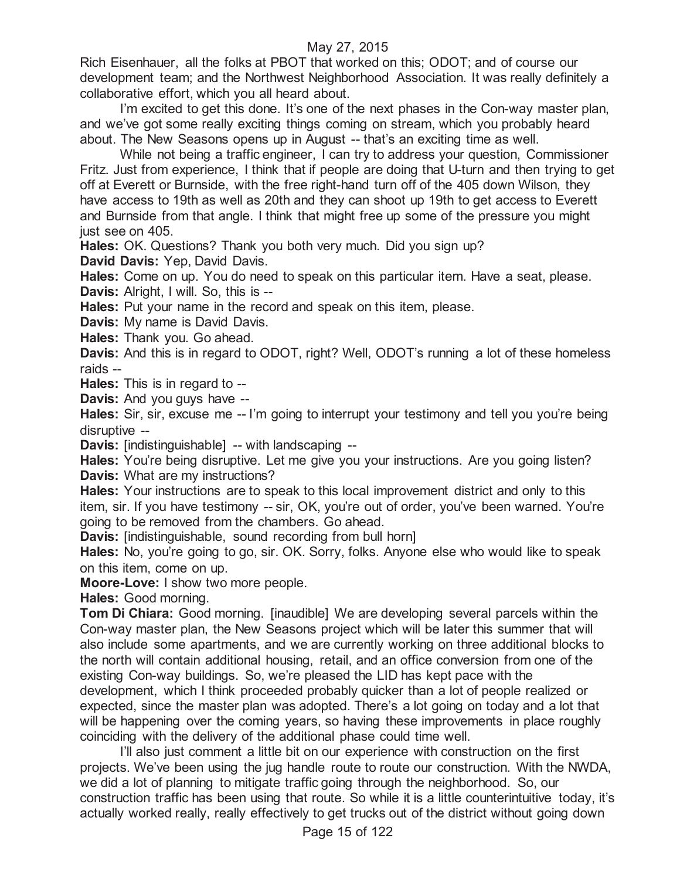Rich Eisenhauer, all the folks at PBOT that worked on this; ODOT; and of course our development team; and the Northwest Neighborhood Association. It was really definitely a collaborative effort, which you all heard about.

I'm excited to get this done. It's one of the next phases in the Con-way master plan, and we've got some really exciting things coming on stream, which you probably heard about. The New Seasons opens up in August -- that's an exciting time as well.

While not being a traffic engineer, I can try to address your question, Commissioner Fritz. Just from experience, I think that if people are doing that U-turn and then trying to get off at Everett or Burnside, with the free right-hand turn off of the 405 down Wilson, they have access to 19th as well as 20th and they can shoot up 19th to get access to Everett and Burnside from that angle. I think that might free up some of the pressure you might just see on 405.

**Hales:** OK. Questions? Thank you both very much. Did you sign up?

**David Davis:** Yep, David Davis.

**Hales:** Come on up. You do need to speak on this particular item. Have a seat, please. **Davis:** Alright, I will. So, this is --

**Hales:** Put your name in the record and speak on this item, please.

**Davis:** My name is David Davis.

**Hales:** Thank you. Go ahead.

**Davis:** And this is in regard to ODOT, right? Well, ODOT's running a lot of these homeless raids --

**Hales:** This is in regard to --

**Davis:** And you guys have --

**Hales:** Sir, sir, excuse me -- I'm going to interrupt your testimony and tell you you're being disruptive --

**Davis:** [indistinguishable] -- with landscaping --

**Hales:** You're being disruptive. Let me give you your instructions. Are you going listen? **Davis:** What are my instructions?

**Hales:** Your instructions are to speak to this local improvement district and only to this item, sir. If you have testimony -- sir, OK, you're out of order, you've been warned. You're going to be removed from the chambers. Go ahead.

**Davis:** [indistinguishable, sound recording from bull horn]

**Hales:** No, you're going to go, sir. OK. Sorry, folks. Anyone else who would like to speak on this item, come on up.

**Moore-Love:** I show two more people.

**Hales:** Good morning.

**Tom Di Chiara:** Good morning. [inaudible] We are developing several parcels within the Con-way master plan, the New Seasons project which will be later this summer that will also include some apartments, and we are currently working on three additional blocks to the north will contain additional housing, retail, and an office conversion from one of the existing Con-way buildings. So, we're pleased the LID has kept pace with the development, which I think proceeded probably quicker than a lot of people realized or expected, since the master plan was adopted. There's a lot going on today and a lot that will be happening over the coming years, so having these improvements in place roughly coinciding with the delivery of the additional phase could time well.

I'll also just comment a little bit on our experience with construction on the first projects. We've been using the jug handle route to route our construction. With the NWDA, we did a lot of planning to mitigate traffic going through the neighborhood. So, our construction traffic has been using that route. So while it is a little counterintuitive today, it's actually worked really, really effectively to get trucks out of the district without going down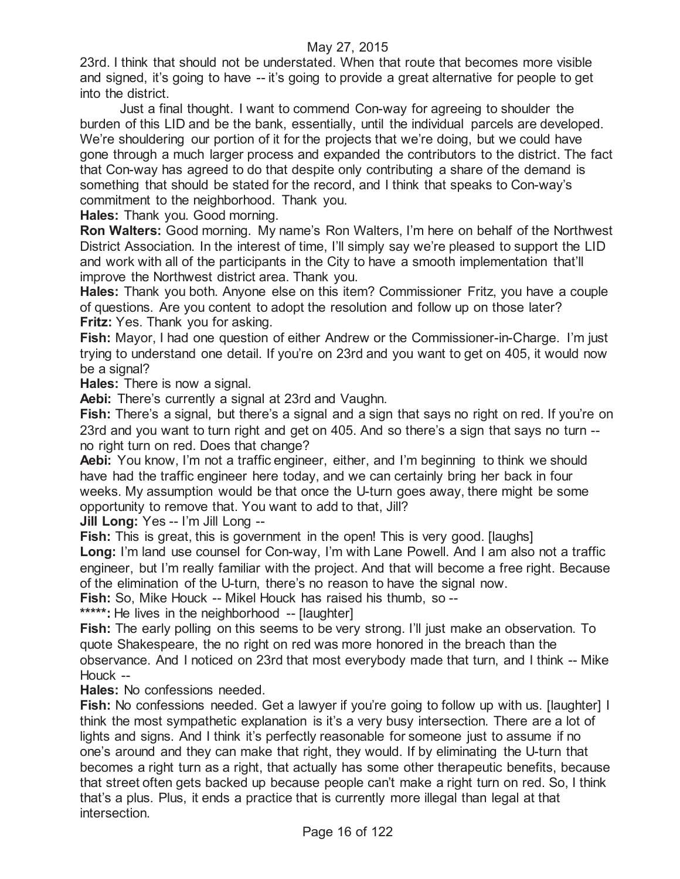23rd. I think that should not be understated. When that route that becomes more visible and signed, it's going to have -- it's going to provide a great alternative for people to get into the district.

Just a final thought. I want to commend Con-way for agreeing to shoulder the burden of this LID and be the bank, essentially, until the individual parcels are developed. We're shouldering our portion of it for the projects that we're doing, but we could have gone through a much larger process and expanded the contributors to the district. The fact that Con-way has agreed to do that despite only contributing a share of the demand is something that should be stated for the record, and I think that speaks to Con-way's commitment to the neighborhood. Thank you.

**Hales:** Thank you. Good morning.

**Ron Walters:** Good morning. My name's Ron Walters, I'm here on behalf of the Northwest District Association. In the interest of time, I'll simply say we're pleased to support the LID and work with all of the participants in the City to have a smooth implementation that'll improve the Northwest district area. Thank you.

**Hales:** Thank you both. Anyone else on this item? Commissioner Fritz, you have a couple of questions. Are you content to adopt the resolution and follow up on those later? **Fritz:** Yes. Thank you for asking.

**Fish:** Mayor, I had one question of either Andrew or the Commissioner-in-Charge. I'm just trying to understand one detail. If you're on 23rd and you want to get on 405, it would now be a signal?

**Hales:** There is now a signal.

**Aebi:** There's currently a signal at 23rd and Vaughn.

**Fish:** There's a signal, but there's a signal and a sign that says no right on red. If you're on 23rd and you want to turn right and get on 405. And so there's a sign that says no turn - no right turn on red. Does that change?

**Aebi:** You know, I'm not a traffic engineer, either, and I'm beginning to think we should have had the traffic engineer here today, and we can certainly bring her back in four weeks. My assumption would be that once the U-turn goes away, there might be some opportunity to remove that. You want to add to that, Jill?

**Jill Long:** Yes -- I'm Jill Long --

**Fish:** This is great, this is government in the open! This is very good. [laughs]

**Long:** I'm land use counsel for Con-way, I'm with Lane Powell. And I am also not a traffic engineer, but I'm really familiar with the project. And that will become a free right. Because of the elimination of the U-turn, there's no reason to have the signal now.

**Fish:** So, Mike Houck -- Mikel Houck has raised his thumb, so --

**\*\*\*\*\*:** He lives in the neighborhood -- [laughter]

**Fish:** The early polling on this seems to be very strong. I'll just make an observation. To quote Shakespeare, the no right on red was more honored in the breach than the observance. And I noticed on 23rd that most everybody made that turn, and I think -- Mike Houck --

**Hales:** No confessions needed.

**Fish:** No confessions needed. Get a lawyer if you're going to follow up with us. [laughter] I think the most sympathetic explanation is it's a very busy intersection. There are a lot of lights and signs. And I think it's perfectly reasonable for someone just to assume if no one's around and they can make that right, they would. If by eliminating the U-turn that becomes a right turn as a right, that actually has some other therapeutic benefits, because that street often gets backed up because people can't make a right turn on red. So, I think that's a plus. Plus, it ends a practice that is currently more illegal than legal at that intersection.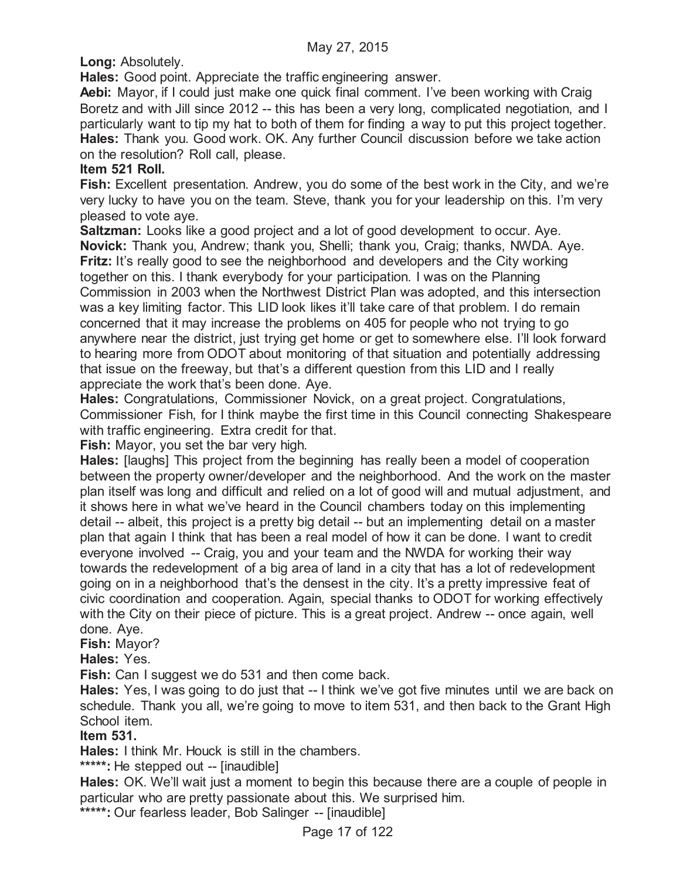**Long:** Absolutely.

**Hales:** Good point. Appreciate the traffic engineering answer.

**Aebi:** Mayor, if I could just make one quick final comment. I've been working with Craig Boretz and with Jill since 2012 -- this has been a very long, complicated negotiation, and I particularly want to tip my hat to both of them for finding a way to put this project together. **Hales:** Thank you. Good work. OK. Any further Council discussion before we take action on the resolution? Roll call, please.

## **Item 521 Roll.**

**Fish:** Excellent presentation. Andrew, you do some of the best work in the City, and we're very lucky to have you on the team. Steve, thank you for your leadership on this. I'm very pleased to vote aye.

**Saltzman:** Looks like a good project and a lot of good development to occur. Aye. **Novick:** Thank you, Andrew; thank you, Shelli; thank you, Craig; thanks, NWDA. Aye. **Fritz:** It's really good to see the neighborhood and developers and the City working together on this. I thank everybody for your participation. I was on the Planning Commission in 2003 when the Northwest District Plan was adopted, and this intersection was a key limiting factor. This LID look likes it'll take care of that problem. I do remain concerned that it may increase the problems on 405 for people who not trying to go anywhere near the district, just trying get home or get to somewhere else. I'll look forward to hearing more from ODOT about monitoring of that situation and potentially addressing that issue on the freeway, but that's a different question from this LID and I really appreciate the work that's been done. Aye.

**Hales:** Congratulations, Commissioner Novick, on a great project. Congratulations, Commissioner Fish, for I think maybe the first time in this Council connecting Shakespeare with traffic engineering. Extra credit for that.

**Fish:** Mayor, you set the bar very high.

**Hales:** [laughs] This project from the beginning has really been a model of cooperation between the property owner/developer and the neighborhood. And the work on the master plan itself was long and difficult and relied on a lot of good will and mutual adjustment, and it shows here in what we've heard in the Council chambers today on this implementing detail -- albeit, this project is a pretty big detail -- but an implementing detail on a master plan that again I think that has been a real model of how it can be done. I want to credit everyone involved -- Craig, you and your team and the NWDA for working their way towards the redevelopment of a big area of land in a city that has a lot of redevelopment going on in a neighborhood that's the densest in the city. It's a pretty impressive feat of civic coordination and cooperation. Again, special thanks to ODOT for working effectively with the City on their piece of picture. This is a great project. Andrew -- once again, well done. Aye.

**Fish:** Mayor?

**Hales:** Yes.

**Fish:** Can I suggest we do 531 and then come back.

**Hales:** Yes, I was going to do just that -- I think we've got five minutes until we are back on schedule. Thank you all, we're going to move to item 531, and then back to the Grant High School item.

## **Item 531.**

**Hales:** I think Mr. Houck is still in the chambers.

**\*\*\*\*\*:** He stepped out -- [inaudible]

**Hales:** OK. We'll wait just a moment to begin this because there are a couple of people in particular who are pretty passionate about this. We surprised him.

**\*\*\*\*\*:** Our fearless leader, Bob Salinger -- [inaudible]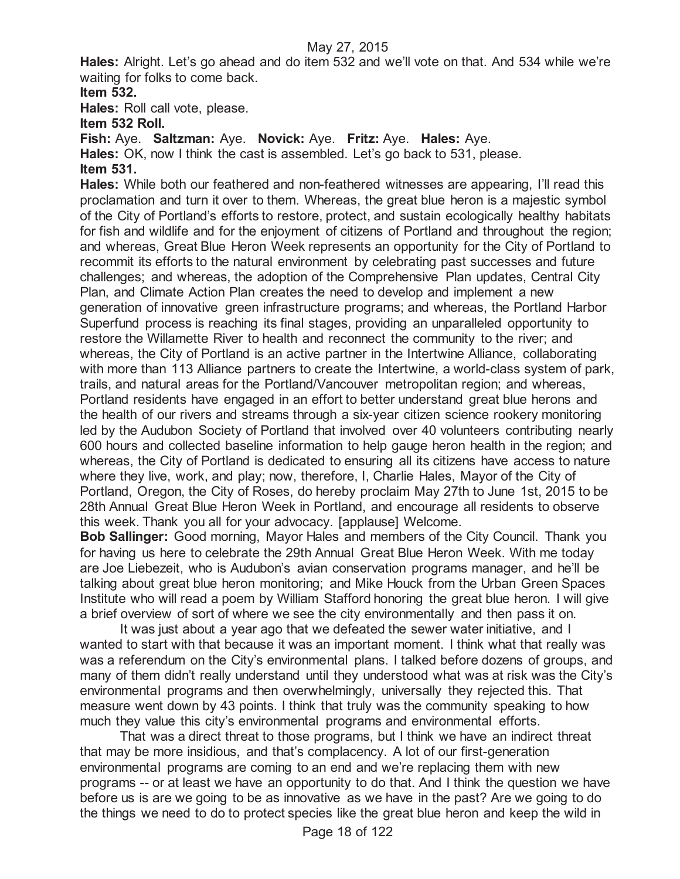**Hales:** Alright. Let's go ahead and do item 532 and we'll vote on that. And 534 while we're waiting for folks to come back.

**Item 532.**

**Hales:** Roll call vote, please.

**Item 532 Roll.**

**Fish:** Aye. **Saltzman:** Aye. **Novick:** Aye. **Fritz:** Aye. **Hales:** Aye. **Hales:** OK, now I think the cast is assembled. Let's go back to 531, please. **Item 531.**

**Hales:** While both our feathered and non-feathered witnesses are appearing, I'll read this proclamation and turn it over to them. Whereas, the great blue heron is a majestic symbol of the City of Portland's efforts to restore, protect, and sustain ecologically healthy habitats for fish and wildlife and for the enjoyment of citizens of Portland and throughout the region; and whereas, Great Blue Heron Week represents an opportunity for the City of Portland to recommit its efforts to the natural environment by celebrating past successes and future challenges; and whereas, the adoption of the Comprehensive Plan updates, Central City Plan, and Climate Action Plan creates the need to develop and implement a new generation of innovative green infrastructure programs; and whereas, the Portland Harbor Superfund process is reaching its final stages, providing an unparalleled opportunity to restore the Willamette River to health and reconnect the community to the river; and whereas, the City of Portland is an active partner in the Intertwine Alliance, collaborating with more than 113 Alliance partners to create the Intertwine, a world-class system of park, trails, and natural areas for the Portland/Vancouver metropolitan region; and whereas, Portland residents have engaged in an effort to better understand great blue herons and the health of our rivers and streams through a six-year citizen science rookery monitoring led by the Audubon Society of Portland that involved over 40 volunteers contributing nearly 600 hours and collected baseline information to help gauge heron health in the region; and whereas, the City of Portland is dedicated to ensuring all its citizens have access to nature where they live, work, and play; now, therefore, I, Charlie Hales, Mayor of the City of Portland, Oregon, the City of Roses, do hereby proclaim May 27th to June 1st, 2015 to be 28th Annual Great Blue Heron Week in Portland, and encourage all residents to observe this week. Thank you all for your advocacy. [applause] Welcome.

**Bob Sallinger:** Good morning, Mayor Hales and members of the City Council. Thank you for having us here to celebrate the 29th Annual Great Blue Heron Week. With me today are Joe Liebezeit, who is Audubon's avian conservation programs manager, and he'll be talking about great blue heron monitoring; and Mike Houck from the Urban Green Spaces Institute who will read a poem by William Stafford honoring the great blue heron. I will give a brief overview of sort of where we see the city environmentally and then pass it on.

It was just about a year ago that we defeated the sewer water initiative, and I wanted to start with that because it was an important moment. I think what that really was was a referendum on the City's environmental plans. I talked before dozens of groups, and many of them didn't really understand until they understood what was at risk was the City's environmental programs and then overwhelmingly, universally they rejected this. That measure went down by 43 points. I think that truly was the community speaking to how much they value this city's environmental programs and environmental efforts.

That was a direct threat to those programs, but I think we have an indirect threat that may be more insidious, and that's complacency. A lot of our first-generation environmental programs are coming to an end and we're replacing them with new programs -- or at least we have an opportunity to do that. And I think the question we have before us is are we going to be as innovative as we have in the past? Are we going to do the things we need to do to protect species like the great blue heron and keep the wild in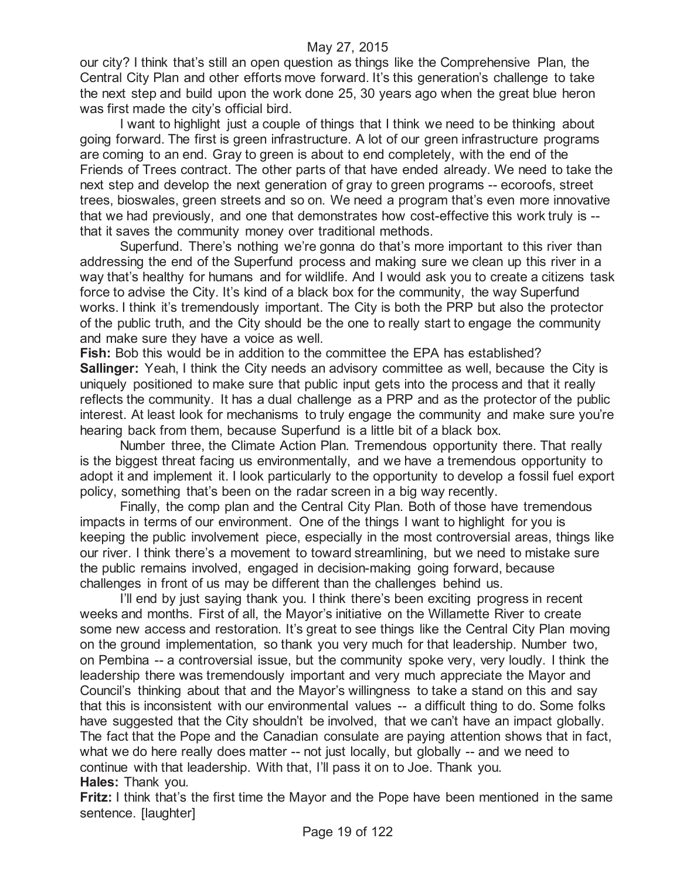our city? I think that's still an open question as things like the Comprehensive Plan, the Central City Plan and other efforts move forward. It's this generation's challenge to take the next step and build upon the work done 25, 30 years ago when the great blue heron was first made the city's official bird.

I want to highlight just a couple of things that I think we need to be thinking about going forward. The first is green infrastructure. A lot of our green infrastructure programs are coming to an end. Gray to green is about to end completely, with the end of the Friends of Trees contract. The other parts of that have ended already. We need to take the next step and develop the next generation of gray to green programs -- ecoroofs, street trees, bioswales, green streets and so on. We need a program that's even more innovative that we had previously, and one that demonstrates how cost-effective this work truly is - that it saves the community money over traditional methods.

Superfund. There's nothing we're gonna do that's more important to this river than addressing the end of the Superfund process and making sure we clean up this river in a way that's healthy for humans and for wildlife. And I would ask you to create a citizens task force to advise the City. It's kind of a black box for the community, the way Superfund works. I think it's tremendously important. The City is both the PRP but also the protector of the public truth, and the City should be the one to really start to engage the community and make sure they have a voice as well.

**Fish:** Bob this would be in addition to the committee the EPA has established? **Sallinger:** Yeah, I think the City needs an advisory committee as well, because the City is uniquely positioned to make sure that public input gets into the process and that it really reflects the community. It has a dual challenge as a PRP and as the protector of the public interest. At least look for mechanisms to truly engage the community and make sure you're hearing back from them, because Superfund is a little bit of a black box.

Number three, the Climate Action Plan. Tremendous opportunity there. That really is the biggest threat facing us environmentally, and we have a tremendous opportunity to adopt it and implement it. I look particularly to the opportunity to develop a fossil fuel export policy, something that's been on the radar screen in a big way recently.

Finally, the comp plan and the Central City Plan. Both of those have tremendous impacts in terms of our environment. One of the things I want to highlight for you is keeping the public involvement piece, especially in the most controversial areas, things like our river. I think there's a movement to toward streamlining, but we need to mistake sure the public remains involved, engaged in decision-making going forward, because challenges in front of us may be different than the challenges behind us.

I'll end by just saying thank you. I think there's been exciting progress in recent weeks and months. First of all, the Mayor's initiative on the Willamette River to create some new access and restoration. It's great to see things like the Central City Plan moving on the ground implementation, so thank you very much for that leadership. Number two, on Pembina -- a controversial issue, but the community spoke very, very loudly. I think the leadership there was tremendously important and very much appreciate the Mayor and Council's thinking about that and the Mayor's willingness to take a stand on this and say that this is inconsistent with our environmental values -- a difficult thing to do. Some folks have suggested that the City shouldn't be involved, that we can't have an impact globally. The fact that the Pope and the Canadian consulate are paying attention shows that in fact, what we do here really does matter -- not just locally, but globally -- and we need to continue with that leadership. With that, I'll pass it on to Joe. Thank you. **Hales:** Thank you.

**Fritz:** I think that's the first time the Mayor and the Pope have been mentioned in the same sentence. [laughter]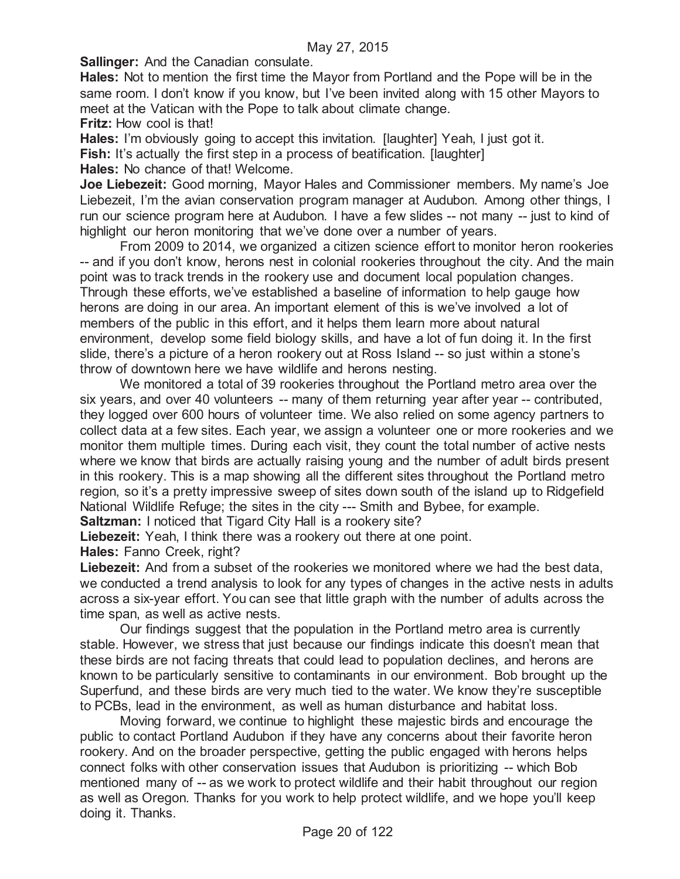**Sallinger:** And the Canadian consulate.

**Hales:** Not to mention the first time the Mayor from Portland and the Pope will be in the same room. I don't know if you know, but I've been invited along with 15 other Mayors to meet at the Vatican with the Pope to talk about climate change.

**Fritz:** How cool is that!

**Hales:** I'm obviously going to accept this invitation. [laughter] Yeah, I just got it.

**Fish:** It's actually the first step in a process of beatification. [laughter]

**Hales:** No chance of that! Welcome.

**Joe Liebezeit:** Good morning, Mayor Hales and Commissioner members. My name's Joe Liebezeit, I'm the avian conservation program manager at Audubon. Among other things, I run our science program here at Audubon. I have a few slides -- not many -- just to kind of highlight our heron monitoring that we've done over a number of years.

From 2009 to 2014, we organized a citizen science effort to monitor heron rookeries -- and if you don't know, herons nest in colonial rookeries throughout the city. And the main point was to track trends in the rookery use and document local population changes. Through these efforts, we've established a baseline of information to help gauge how herons are doing in our area. An important element of this is we've involved a lot of members of the public in this effort, and it helps them learn more about natural environment, develop some field biology skills, and have a lot of fun doing it. In the first slide, there's a picture of a heron rookery out at Ross Island -- so just within a stone's throw of downtown here we have wildlife and herons nesting.

We monitored a total of 39 rookeries throughout the Portland metro area over the six years, and over 40 volunteers -- many of them returning year after year -- contributed, they logged over 600 hours of volunteer time. We also relied on some agency partners to collect data at a few sites. Each year, we assign a volunteer one or more rookeries and we monitor them multiple times. During each visit, they count the total number of active nests where we know that birds are actually raising young and the number of adult birds present in this rookery. This is a map showing all the different sites throughout the Portland metro region, so it's a pretty impressive sweep of sites down south of the island up to Ridgefield National Wildlife Refuge; the sites in the city --- Smith and Bybee, for example.

**Saltzman:** I noticed that Tigard City Hall is a rookery site?

**Liebezeit:** Yeah, I think there was a rookery out there at one point.

**Hales:** Fanno Creek, right?

**Liebezeit:** And from a subset of the rookeries we monitored where we had the best data, we conducted a trend analysis to look for any types of changes in the active nests in adults across a six-year effort. You can see that little graph with the number of adults across the time span, as well as active nests.

Our findings suggest that the population in the Portland metro area is currently stable. However, we stress that just because our findings indicate this doesn't mean that these birds are not facing threats that could lead to population declines, and herons are known to be particularly sensitive to contaminants in our environment. Bob brought up the Superfund, and these birds are very much tied to the water. We know they're susceptible to PCBs, lead in the environment, as well as human disturbance and habitat loss.

Moving forward, we continue to highlight these majestic birds and encourage the public to contact Portland Audubon if they have any concerns about their favorite heron rookery. And on the broader perspective, getting the public engaged with herons helps connect folks with other conservation issues that Audubon is prioritizing -- which Bob mentioned many of -- as we work to protect wildlife and their habit throughout our region as well as Oregon. Thanks for you work to help protect wildlife, and we hope you'll keep doing it. Thanks.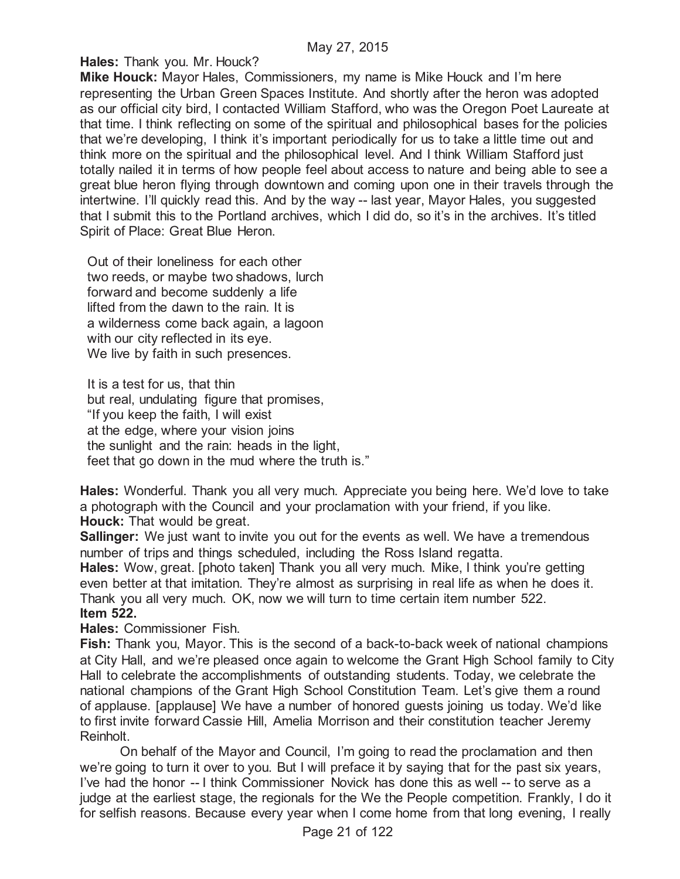**Hales:** Thank you. Mr. Houck?

**Mike Houck:** Mayor Hales, Commissioners, my name is Mike Houck and I'm here representing the Urban Green Spaces Institute. And shortly after the heron was adopted as our official city bird, I contacted William Stafford, who was the Oregon Poet Laureate at that time. I think reflecting on some of the spiritual and philosophical bases for the policies that we're developing, I think it's important periodically for us to take a little time out and think more on the spiritual and the philosophical level. And I think William Stafford just totally nailed it in terms of how people feel about access to nature and being able to see a great blue heron flying through downtown and coming upon one in their travels through the intertwine. I'll quickly read this. And by the way -- last year, Mayor Hales, you suggested that I submit this to the Portland archives, which I did do, so it's in the archives. It's titled Spirit of Place: Great Blue Heron.

Out of their loneliness for each other two reeds, or maybe two shadows, lurch forward and become suddenly a life lifted from the dawn to the rain. It is a wilderness come back again, a lagoon with our city reflected in its eye. We live by faith in such presences.

It is a test for us, that thin but real, undulating figure that promises, "If you keep the faith, I will exist at the edge, where your vision joins the sunlight and the rain: heads in the light, feet that go down in the mud where the truth is."

**Hales:** Wonderful. Thank you all very much. Appreciate you being here. We'd love to take a photograph with the Council and your proclamation with your friend, if you like. **Houck:** That would be great.

**Sallinger:** We just want to invite you out for the events as well. We have a tremendous number of trips and things scheduled, including the Ross Island regatta.

**Hales:** Wow, great. [photo taken] Thank you all very much. Mike, I think you're getting even better at that imitation. They're almost as surprising in real life as when he does it. Thank you all very much. OK, now we will turn to time certain item number 522. **Item 522.**

**Hales:** Commissioner Fish.

**Fish:** Thank you, Mayor. This is the second of a back-to-back week of national champions at City Hall, and we're pleased once again to welcome the Grant High School family to City Hall to celebrate the accomplishments of outstanding students. Today, we celebrate the national champions of the Grant High School Constitution Team. Let's give them a round of applause. [applause] We have a number of honored guests joining us today. We'd like to first invite forward Cassie Hill, Amelia Morrison and their constitution teacher Jeremy Reinholt.

On behalf of the Mayor and Council, I'm going to read the proclamation and then we're going to turn it over to you. But I will preface it by saying that for the past six years, I've had the honor -- I think Commissioner Novick has done this as well -- to serve as a judge at the earliest stage, the regionals for the We the People competition. Frankly, I do it for selfish reasons. Because every year when I come home from that long evening, I really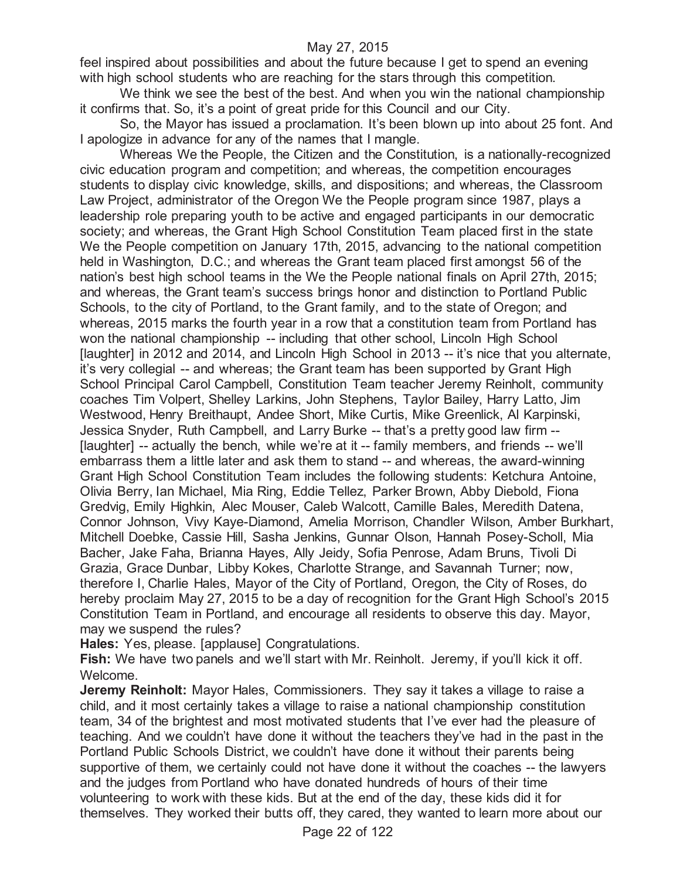feel inspired about possibilities and about the future because I get to spend an evening with high school students who are reaching for the stars through this competition.

We think we see the best of the best. And when you win the national championship it confirms that. So, it's a point of great pride for this Council and our City.

So, the Mayor has issued a proclamation. It's been blown up into about 25 font. And I apologize in advance for any of the names that I mangle.

Whereas We the People, the Citizen and the Constitution, is a nationally-recognized civic education program and competition; and whereas, the competition encourages students to display civic knowledge, skills, and dispositions; and whereas, the Classroom Law Project, administrator of the Oregon We the People program since 1987, plays a leadership role preparing youth to be active and engaged participants in our democratic society; and whereas, the Grant High School Constitution Team placed first in the state We the People competition on January 17th, 2015, advancing to the national competition held in Washington, D.C.; and whereas the Grant team placed first amongst 56 of the nation's best high school teams in the We the People national finals on April 27th, 2015; and whereas, the Grant team's success brings honor and distinction to Portland Public Schools, to the city of Portland, to the Grant family, and to the state of Oregon; and whereas, 2015 marks the fourth year in a row that a constitution team from Portland has won the national championship -- including that other school, Lincoln High School [laughter] in 2012 and 2014, and Lincoln High School in 2013 -- it's nice that you alternate, it's very collegial -- and whereas; the Grant team has been supported by Grant High School Principal Carol Campbell, Constitution Team teacher Jeremy Reinholt, community coaches Tim Volpert, Shelley Larkins, John Stephens, Taylor Bailey, Harry Latto, Jim Westwood, Henry Breithaupt, Andee Short, Mike Curtis, Mike Greenlick, Al Karpinski, Jessica Snyder, Ruth Campbell, and Larry Burke -- that's a pretty good law firm -- [laughter] -- actually the bench, while we're at it -- family members, and friends -- we'll embarrass them a little later and ask them to stand -- and whereas, the award-winning Grant High School Constitution Team includes the following students: Ketchura Antoine, Olivia Berry, Ian Michael, Mia Ring, Eddie Tellez, Parker Brown, Abby Diebold, Fiona Gredvig, Emily Highkin, Alec Mouser, Caleb Walcott, Camille Bales, Meredith Datena, Connor Johnson, Vivy Kaye-Diamond, Amelia Morrison, Chandler Wilson, Amber Burkhart, Mitchell Doebke, Cassie Hill, Sasha Jenkins, Gunnar Olson, Hannah Posey-Scholl, Mia Bacher, Jake Faha, Brianna Hayes, Ally Jeidy, Sofia Penrose, Adam Bruns, Tivoli Di Grazia, Grace Dunbar, Libby Kokes, Charlotte Strange, and Savannah Turner; now, therefore I, Charlie Hales, Mayor of the City of Portland, Oregon, the City of Roses, do hereby proclaim May 27, 2015 to be a day of recognition for the Grant High School's 2015 Constitution Team in Portland, and encourage all residents to observe this day. Mayor, may we suspend the rules?

**Hales:** Yes, please. [applause] Congratulations.

Fish: We have two panels and we'll start with Mr. Reinholt. Jeremy, if you'll kick it off. Welcome.

**Jeremy Reinholt:** Mayor Hales, Commissioners. They say it takes a village to raise a child, and it most certainly takes a village to raise a national championship constitution team, 34 of the brightest and most motivated students that I've ever had the pleasure of teaching. And we couldn't have done it without the teachers they've had in the past in the Portland Public Schools District, we couldn't have done it without their parents being supportive of them, we certainly could not have done it without the coaches -- the lawyers and the judges from Portland who have donated hundreds of hours of their time volunteering to work with these kids. But at the end of the day, these kids did it for themselves. They worked their butts off, they cared, they wanted to learn more about our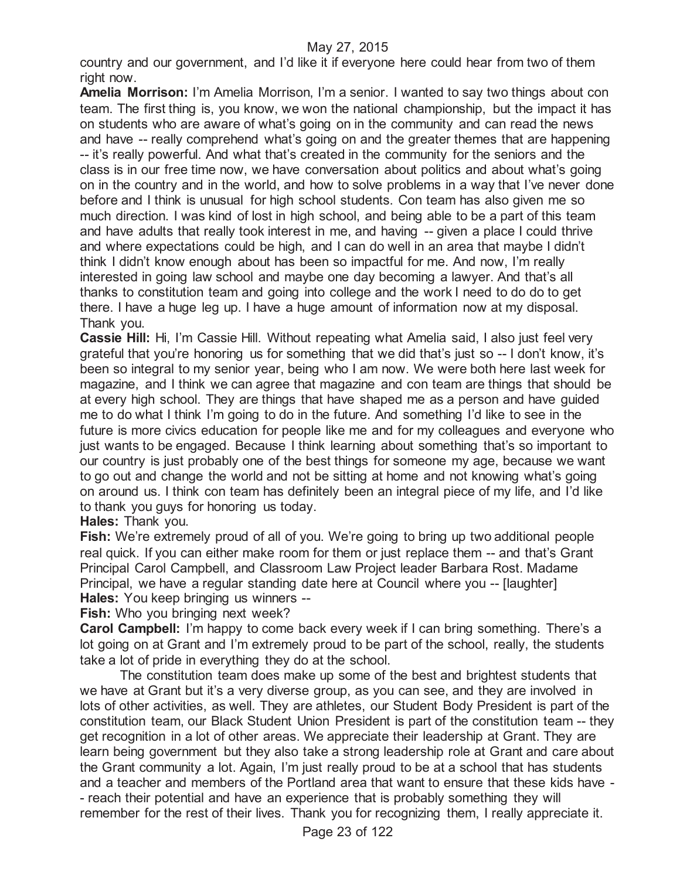country and our government, and I'd like it if everyone here could hear from two of them right now.

**Amelia Morrison:** I'm Amelia Morrison, I'm a senior. I wanted to say two things about con team. The first thing is, you know, we won the national championship, but the impact it has on students who are aware of what's going on in the community and can read the news and have -- really comprehend what's going on and the greater themes that are happening -- it's really powerful. And what that's created in the community for the seniors and the class is in our free time now, we have conversation about politics and about what's going on in the country and in the world, and how to solve problems in a way that I've never done before and I think is unusual for high school students. Con team has also given me so much direction. I was kind of lost in high school, and being able to be a part of this team and have adults that really took interest in me, and having -- given a place I could thrive and where expectations could be high, and I can do well in an area that maybe I didn't think I didn't know enough about has been so impactful for me. And now, I'm really interested in going law school and maybe one day becoming a lawyer. And that's all thanks to constitution team and going into college and the work I need to do do to get there. I have a huge leg up. I have a huge amount of information now at my disposal. Thank you.

**Cassie Hill:** Hi, I'm Cassie Hill. Without repeating what Amelia said, I also just feel very grateful that you're honoring us for something that we did that's just so -- I don't know, it's been so integral to my senior year, being who I am now. We were both here last week for magazine, and I think we can agree that magazine and con team are things that should be at every high school. They are things that have shaped me as a person and have guided me to do what I think I'm going to do in the future. And something I'd like to see in the future is more civics education for people like me and for my colleagues and everyone who just wants to be engaged. Because I think learning about something that's so important to our country is just probably one of the best things for someone my age, because we want to go out and change the world and not be sitting at home and not knowing what's going on around us. I think con team has definitely been an integral piece of my life, and I'd like to thank you guys for honoring us today.

## **Hales:** Thank you.

**Fish:** We're extremely proud of all of you. We're going to bring up two additional people real quick. If you can either make room for them or just replace them -- and that's Grant Principal Carol Campbell, and Classroom Law Project leader Barbara Rost. Madame Principal, we have a regular standing date here at Council where you -- [laughter] **Hales:** You keep bringing us winners --

**Fish:** Who you bringing next week?

**Carol Campbell:** I'm happy to come back every week if I can bring something. There's a lot going on at Grant and I'm extremely proud to be part of the school, really, the students take a lot of pride in everything they do at the school.

The constitution team does make up some of the best and brightest students that we have at Grant but it's a very diverse group, as you can see, and they are involved in lots of other activities, as well. They are athletes, our Student Body President is part of the constitution team, our Black Student Union President is part of the constitution team -- they get recognition in a lot of other areas. We appreciate their leadership at Grant. They are learn being government but they also take a strong leadership role at Grant and care about the Grant community a lot. Again, I'm just really proud to be at a school that has students and a teacher and members of the Portland area that want to ensure that these kids have - - reach their potential and have an experience that is probably something they will remember for the rest of their lives. Thank you for recognizing them, I really appreciate it.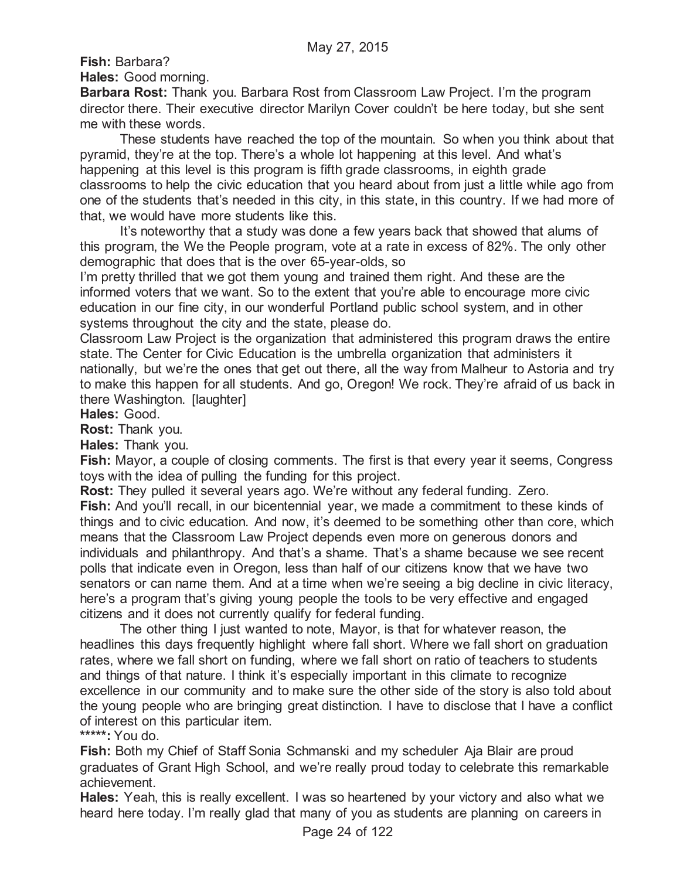**Fish:** Barbara?

**Hales:** Good morning.

**Barbara Rost:** Thank you. Barbara Rost from Classroom Law Project. I'm the program director there. Their executive director Marilyn Cover couldn't be here today, but she sent me with these words.

These students have reached the top of the mountain. So when you think about that pyramid, they're at the top. There's a whole lot happening at this level. And what's happening at this level is this program is fifth grade classrooms, in eighth grade classrooms to help the civic education that you heard about from just a little while ago from one of the students that's needed in this city, in this state, in this country. If we had more of that, we would have more students like this.

It's noteworthy that a study was done a few years back that showed that alums of this program, the We the People program, vote at a rate in excess of 82%. The only other demographic that does that is the over 65-year-olds, so

I'm pretty thrilled that we got them young and trained them right. And these are the informed voters that we want. So to the extent that you're able to encourage more civic education in our fine city, in our wonderful Portland public school system, and in other systems throughout the city and the state, please do.

Classroom Law Project is the organization that administered this program draws the entire state. The Center for Civic Education is the umbrella organization that administers it nationally, but we're the ones that get out there, all the way from Malheur to Astoria and try to make this happen for all students. And go, Oregon! We rock. They're afraid of us back in there Washington. [laughter]

**Hales:** Good.

**Rost:** Thank you.

**Hales:** Thank you.

**Fish:** Mayor, a couple of closing comments. The first is that every year it seems, Congress toys with the idea of pulling the funding for this project.

**Rost:** They pulled it several years ago. We're without any federal funding. Zero. **Fish:** And you'll recall, in our bicentennial year, we made a commitment to these kinds of things and to civic education. And now, it's deemed to be something other than core, which means that the Classroom Law Project depends even more on generous donors and individuals and philanthropy. And that's a shame. That's a shame because we see recent polls that indicate even in Oregon, less than half of our citizens know that we have two senators or can name them. And at a time when we're seeing a big decline in civic literacy, here's a program that's giving young people the tools to be very effective and engaged citizens and it does not currently qualify for federal funding.

The other thing I just wanted to note, Mayor, is that for whatever reason, the headlines this days frequently highlight where fall short. Where we fall short on graduation rates, where we fall short on funding, where we fall short on ratio of teachers to students and things of that nature. I think it's especially important in this climate to recognize excellence in our community and to make sure the other side of the story is also told about the young people who are bringing great distinction. I have to disclose that I have a conflict of interest on this particular item.

**\*\*\*\*\*:** You do.

**Fish:** Both my Chief of Staff Sonia Schmanski and my scheduler Aja Blair are proud graduates of Grant High School, and we're really proud today to celebrate this remarkable achievement.

**Hales:** Yeah, this is really excellent. I was so heartened by your victory and also what we heard here today. I'm really glad that many of you as students are planning on careers in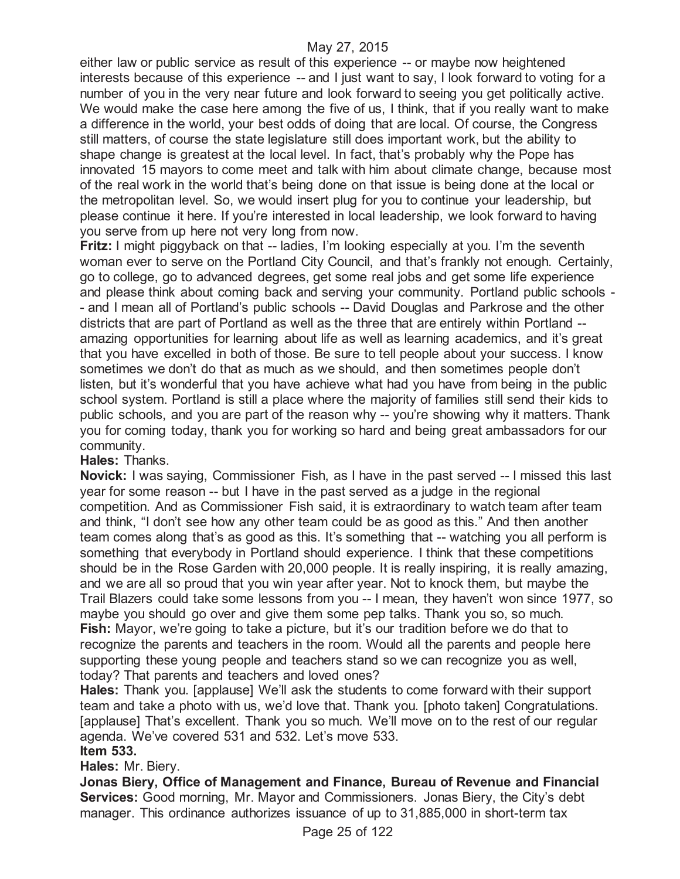either law or public service as result of this experience -- or maybe now heightened interests because of this experience -- and I just want to say, I look forward to voting for a number of you in the very near future and look forward to seeing you get politically active. We would make the case here among the five of us, I think, that if you really want to make a difference in the world, your best odds of doing that are local. Of course, the Congress still matters, of course the state legislature still does important work, but the ability to shape change is greatest at the local level. In fact, that's probably why the Pope has innovated 15 mayors to come meet and talk with him about climate change, because most of the real work in the world that's being done on that issue is being done at the local or the metropolitan level. So, we would insert plug for you to continue your leadership, but please continue it here. If you're interested in local leadership, we look forward to having you serve from up here not very long from now.

**Fritz:** I might piggyback on that -- ladies, I'm looking especially at you. I'm the seventh woman ever to serve on the Portland City Council, and that's frankly not enough. Certainly, go to college, go to advanced degrees, get some real jobs and get some life experience and please think about coming back and serving your community. Portland public schools - - and I mean all of Portland's public schools -- David Douglas and Parkrose and the other districts that are part of Portland as well as the three that are entirely within Portland - amazing opportunities for learning about life as well as learning academics, and it's great that you have excelled in both of those. Be sure to tell people about your success. I know sometimes we don't do that as much as we should, and then sometimes people don't listen, but it's wonderful that you have achieve what had you have from being in the public school system. Portland is still a place where the majority of families still send their kids to public schools, and you are part of the reason why -- you're showing why it matters. Thank you for coming today, thank you for working so hard and being great ambassadors for our community.

**Hales:** Thanks.

**Novick:** I was saying, Commissioner Fish, as I have in the past served -- I missed this last year for some reason -- but I have in the past served as a judge in the regional competition. And as Commissioner Fish said, it is extraordinary to watch team after team and think, "I don't see how any other team could be as good as this." And then another team comes along that's as good as this. It's something that -- watching you all perform is something that everybody in Portland should experience. I think that these competitions should be in the Rose Garden with 20,000 people. It is really inspiring, it is really amazing, and we are all so proud that you win year after year. Not to knock them, but maybe the Trail Blazers could take some lessons from you -- I mean, they haven't won since 1977, so maybe you should go over and give them some pep talks. Thank you so, so much. **Fish:** Mayor, we're going to take a picture, but it's our tradition before we do that to recognize the parents and teachers in the room. Would all the parents and people here supporting these young people and teachers stand so we can recognize you as well, today? That parents and teachers and loved ones?

**Hales:** Thank you. [applause] We'll ask the students to come forward with their support team and take a photo with us, we'd love that. Thank you. [photo taken] Congratulations. [applause] That's excellent. Thank you so much. We'll move on to the rest of our regular agenda. We've covered 531 and 532. Let's move 533. **Item 533.**

**Hales:** Mr. Biery.

**Jonas Biery, Office of Management and Finance, Bureau of Revenue and Financial Services:** Good morning, Mr. Mayor and Commissioners. Jonas Biery, the City's debt manager. This ordinance authorizes issuance of up to 31,885,000 in short-term tax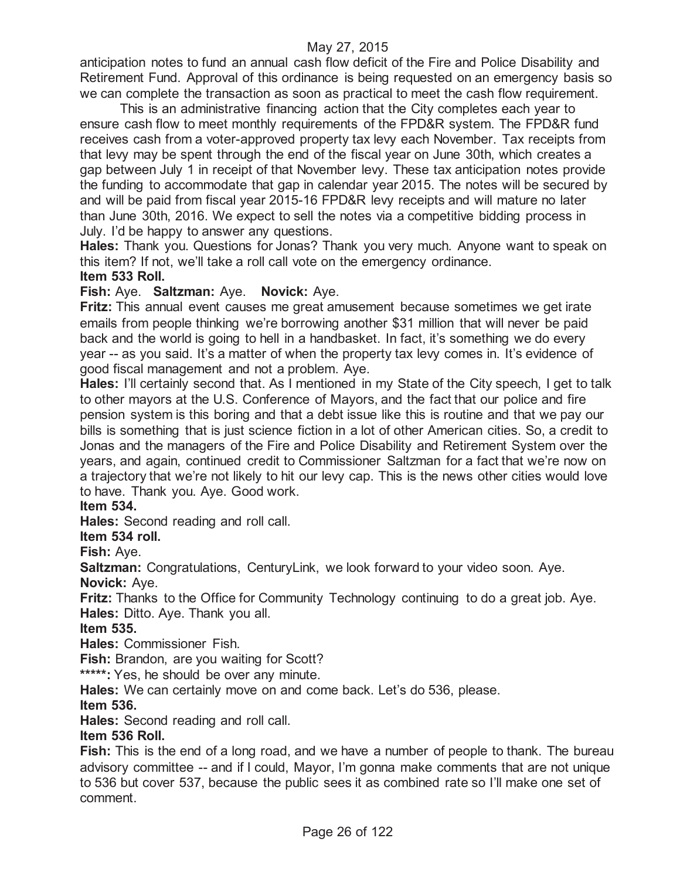anticipation notes to fund an annual cash flow deficit of the Fire and Police Disability and Retirement Fund. Approval of this ordinance is being requested on an emergency basis so we can complete the transaction as soon as practical to meet the cash flow requirement.

This is an administrative financing action that the City completes each year to ensure cash flow to meet monthly requirements of the FPD&R system. The FPD&R fund receives cash from a voter-approved property tax levy each November. Tax receipts from that levy may be spent through the end of the fiscal year on June 30th, which creates a gap between July 1 in receipt of that November levy. These tax anticipation notes provide the funding to accommodate that gap in calendar year 2015. The notes will be secured by and will be paid from fiscal year 2015-16 FPD&R levy receipts and will mature no later than June 30th, 2016. We expect to sell the notes via a competitive bidding process in July. I'd be happy to answer any questions.

**Hales:** Thank you. Questions for Jonas? Thank you very much. Anyone want to speak on this item? If not, we'll take a roll call vote on the emergency ordinance. **Item 533 Roll.**

## **Fish:** Aye. **Saltzman:** Aye. **Novick:** Aye.

**Fritz:** This annual event causes me great amusement because sometimes we get irate emails from people thinking we're borrowing another \$31 million that will never be paid back and the world is going to hell in a handbasket. In fact, it's something we do every year -- as you said. It's a matter of when the property tax levy comes in. It's evidence of good fiscal management and not a problem. Aye.

**Hales:** I'll certainly second that. As I mentioned in my State of the City speech, I get to talk to other mayors at the U.S. Conference of Mayors, and the fact that our police and fire pension system is this boring and that a debt issue like this is routine and that we pay our bills is something that is just science fiction in a lot of other American cities. So, a credit to Jonas and the managers of the Fire and Police Disability and Retirement System over the years, and again, continued credit to Commissioner Saltzman for a fact that we're now on a trajectory that we're not likely to hit our levy cap. This is the news other cities would love to have. Thank you. Aye. Good work.

## **Item 534.**

**Hales:** Second reading and roll call.

## **Item 534 roll.**

**Fish:** Aye.

**Saltzman:** Congratulations, CenturyLink, we look forward to your video soon. Aye. **Novick:** Aye.

**Fritz:** Thanks to the Office for Community Technology continuing to do a great job. Aye. **Hales:** Ditto. Aye. Thank you all.

## **Item 535.**

**Hales:** Commissioner Fish.

**Fish:** Brandon, are you waiting for Scott?

**\*\*\*\*\*:** Yes, he should be over any minute.

**Hales:** We can certainly move on and come back. Let's do 536, please.

## **Item 536.**

**Hales:** Second reading and roll call.

## **Item 536 Roll.**

**Fish:** This is the end of a long road, and we have a number of people to thank. The bureau advisory committee -- and if I could, Mayor, I'm gonna make comments that are not unique to 536 but cover 537, because the public sees it as combined rate so I'll make one set of comment.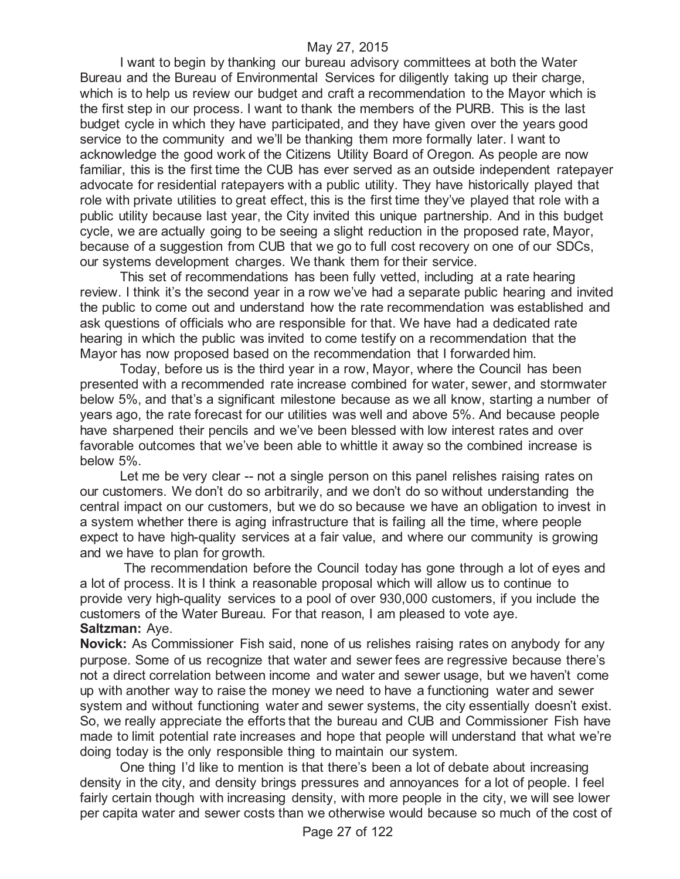I want to begin by thanking our bureau advisory committees at both the Water Bureau and the Bureau of Environmental Services for diligently taking up their charge, which is to help us review our budget and craft a recommendation to the Mayor which is the first step in our process. I want to thank the members of the PURB. This is the last budget cycle in which they have participated, and they have given over the years good service to the community and we'll be thanking them more formally later. I want to acknowledge the good work of the Citizens Utility Board of Oregon. As people are now familiar, this is the first time the CUB has ever served as an outside independent ratepayer advocate for residential ratepayers with a public utility. They have historically played that role with private utilities to great effect, this is the first time they've played that role with a public utility because last year, the City invited this unique partnership. And in this budget cycle, we are actually going to be seeing a slight reduction in the proposed rate, Mayor, because of a suggestion from CUB that we go to full cost recovery on one of our SDCs, our systems development charges. We thank them for their service.

This set of recommendations has been fully vetted, including at a rate hearing review. I think it's the second year in a row we've had a separate public hearing and invited the public to come out and understand how the rate recommendation was established and ask questions of officials who are responsible for that. We have had a dedicated rate hearing in which the public was invited to come testify on a recommendation that the Mayor has now proposed based on the recommendation that I forwarded him.

Today, before us is the third year in a row, Mayor, where the Council has been presented with a recommended rate increase combined for water, sewer, and stormwater below 5%, and that's a significant milestone because as we all know, starting a number of years ago, the rate forecast for our utilities was well and above 5%. And because people have sharpened their pencils and we've been blessed with low interest rates and over favorable outcomes that we've been able to whittle it away so the combined increase is below 5%.

Let me be very clear -- not a single person on this panel relishes raising rates on our customers. We don't do so arbitrarily, and we don't do so without understanding the central impact on our customers, but we do so because we have an obligation to invest in a system whether there is aging infrastructure that is failing all the time, where people expect to have high-quality services at a fair value, and where our community is growing and we have to plan for growth.

The recommendation before the Council today has gone through a lot of eyes and a lot of process. It is I think a reasonable proposal which will allow us to continue to provide very high-quality services to a pool of over 930,000 customers, if you include the customers of the Water Bureau. For that reason, I am pleased to vote aye. **Saltzman:** Aye.

**Novick:** As Commissioner Fish said, none of us relishes raising rates on anybody for any purpose. Some of us recognize that water and sewer fees are regressive because there's not a direct correlation between income and water and sewer usage, but we haven't come up with another way to raise the money we need to have a functioning water and sewer system and without functioning water and sewer systems, the city essentially doesn't exist. So, we really appreciate the efforts that the bureau and CUB and Commissioner Fish have made to limit potential rate increases and hope that people will understand that what we're doing today is the only responsible thing to maintain our system.

One thing I'd like to mention is that there's been a lot of debate about increasing density in the city, and density brings pressures and annoyances for a lot of people. I feel fairly certain though with increasing density, with more people in the city, we will see lower per capita water and sewer costs than we otherwise would because so much of the cost of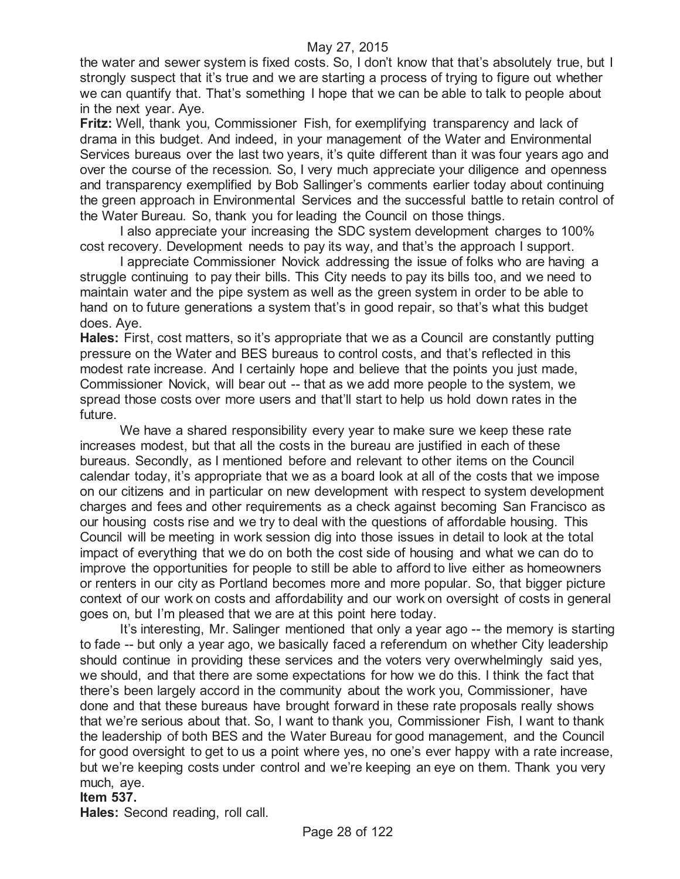the water and sewer system is fixed costs. So, I don't know that that's absolutely true, but I strongly suspect that it's true and we are starting a process of trying to figure out whether we can quantify that. That's something I hope that we can be able to talk to people about in the next year. Aye.

**Fritz:** Well, thank you, Commissioner Fish, for exemplifying transparency and lack of drama in this budget. And indeed, in your management of the Water and Environmental Services bureaus over the last two years, it's quite different than it was four years ago and over the course of the recession. So, I very much appreciate your diligence and openness and transparency exemplified by Bob Sallinger's comments earlier today about continuing the green approach in Environmental Services and the successful battle to retain control of the Water Bureau. So, thank you for leading the Council on those things.

I also appreciate your increasing the SDC system development charges to 100% cost recovery. Development needs to pay its way, and that's the approach I support.

I appreciate Commissioner Novick addressing the issue of folks who are having a struggle continuing to pay their bills. This City needs to pay its bills too, and we need to maintain water and the pipe system as well as the green system in order to be able to hand on to future generations a system that's in good repair, so that's what this budget does. Aye.

**Hales:** First, cost matters, so it's appropriate that we as a Council are constantly putting pressure on the Water and BES bureaus to control costs, and that's reflected in this modest rate increase. And I certainly hope and believe that the points you just made, Commissioner Novick, will bear out -- that as we add more people to the system, we spread those costs over more users and that'll start to help us hold down rates in the future.

We have a shared responsibility every year to make sure we keep these rate increases modest, but that all the costs in the bureau are justified in each of these bureaus. Secondly, as I mentioned before and relevant to other items on the Council calendar today, it's appropriate that we as a board look at all of the costs that we impose on our citizens and in particular on new development with respect to system development charges and fees and other requirements as a check against becoming San Francisco as our housing costs rise and we try to deal with the questions of affordable housing. This Council will be meeting in work session dig into those issues in detail to look at the total impact of everything that we do on both the cost side of housing and what we can do to improve the opportunities for people to still be able to afford to live either as homeowners or renters in our city as Portland becomes more and more popular. So, that bigger picture context of our work on costs and affordability and our work on oversight of costs in general goes on, but I'm pleased that we are at this point here today.

It's interesting, Mr. Salinger mentioned that only a year ago -- the memory is starting to fade -- but only a year ago, we basically faced a referendum on whether City leadership should continue in providing these services and the voters very overwhelmingly said yes, we should, and that there are some expectations for how we do this. I think the fact that there's been largely accord in the community about the work you, Commissioner, have done and that these bureaus have brought forward in these rate proposals really shows that we're serious about that. So, I want to thank you, Commissioner Fish, I want to thank the leadership of both BES and the Water Bureau for good management, and the Council for good oversight to get to us a point where yes, no one's ever happy with a rate increase, but we're keeping costs under control and we're keeping an eye on them. Thank you very much, aye.

#### **Item 537.**

**Hales:** Second reading, roll call.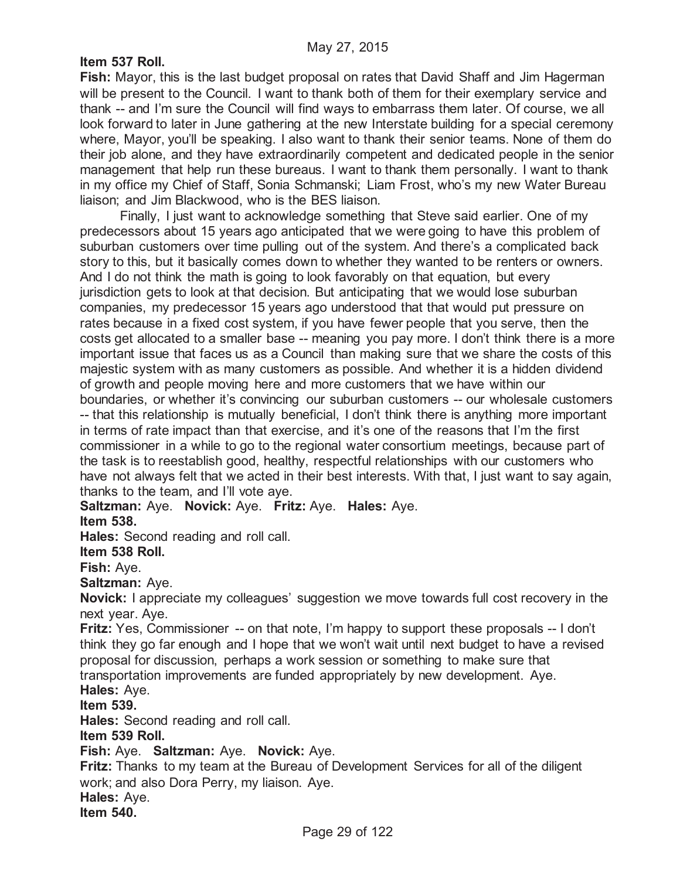## **Item 537 Roll.**

**Fish:** Mayor, this is the last budget proposal on rates that David Shaff and Jim Hagerman will be present to the Council. I want to thank both of them for their exemplary service and thank -- and I'm sure the Council will find ways to embarrass them later. Of course, we all look forward to later in June gathering at the new Interstate building for a special ceremony where, Mayor, you'll be speaking. I also want to thank their senior teams. None of them do their job alone, and they have extraordinarily competent and dedicated people in the senior management that help run these bureaus. I want to thank them personally. I want to thank in my office my Chief of Staff, Sonia Schmanski; Liam Frost, who's my new Water Bureau liaison; and Jim Blackwood, who is the BES liaison.

Finally, I just want to acknowledge something that Steve said earlier. One of my predecessors about 15 years ago anticipated that we were going to have this problem of suburban customers over time pulling out of the system. And there's a complicated back story to this, but it basically comes down to whether they wanted to be renters or owners. And I do not think the math is going to look favorably on that equation, but every jurisdiction gets to look at that decision. But anticipating that we would lose suburban companies, my predecessor 15 years ago understood that that would put pressure on rates because in a fixed cost system, if you have fewer people that you serve, then the costs get allocated to a smaller base -- meaning you pay more. I don't think there is a more important issue that faces us as a Council than making sure that we share the costs of this majestic system with as many customers as possible. And whether it is a hidden dividend of growth and people moving here and more customers that we have within our boundaries, or whether it's convincing our suburban customers -- our wholesale customers -- that this relationship is mutually beneficial, I don't think there is anything more important in terms of rate impact than that exercise, and it's one of the reasons that I'm the first commissioner in a while to go to the regional water consortium meetings, because part of the task is to reestablish good, healthy, respectful relationships with our customers who have not always felt that we acted in their best interests. With that, I just want to say again, thanks to the team, and I'll vote aye.

**Saltzman:** Aye. **Novick:** Aye. **Fritz:** Aye. **Hales:** Aye.

**Item 538.**

**Hales:** Second reading and roll call.

**Item 538 Roll.**

**Fish:** Aye.

**Saltzman:** Aye.

**Novick:** I appreciate my colleagues' suggestion we move towards full cost recovery in the next year. Aye.

**Fritz:** Yes, Commissioner -- on that note, I'm happy to support these proposals -- I don't think they go far enough and I hope that we won't wait until next budget to have a revised proposal for discussion, perhaps a work session or something to make sure that transportation improvements are funded appropriately by new development. Aye.

**Hales:** Aye.

**Item 539.**

**Hales:** Second reading and roll call.

**Item 539 Roll.**

**Fish:** Aye. **Saltzman:** Aye. **Novick:** Aye.

**Fritz:** Thanks to my team at the Bureau of Development Services for all of the diligent work; and also Dora Perry, my liaison. Aye.

**Hales:** Aye.

**Item 540.**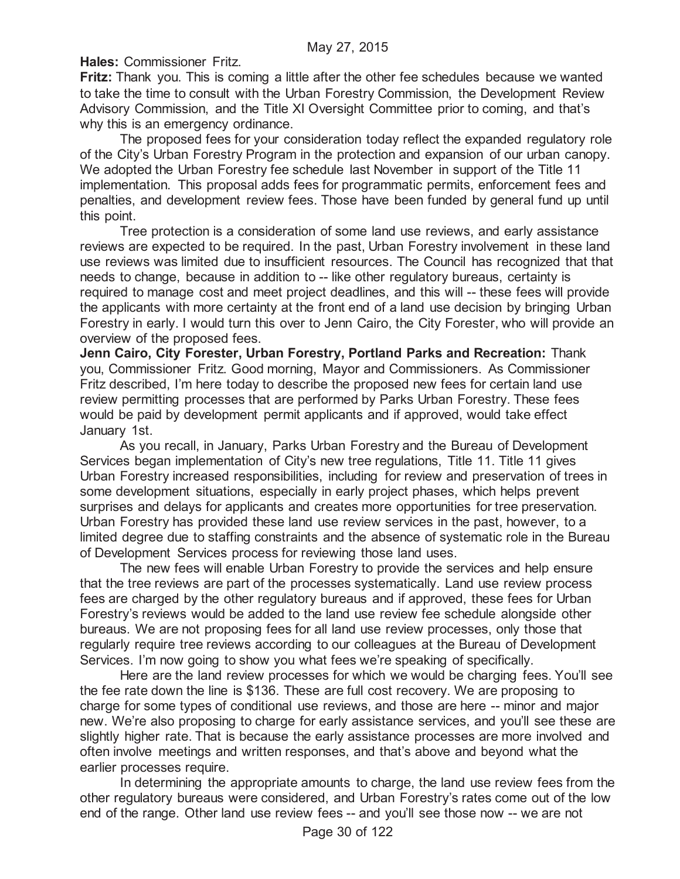**Hales:** Commissioner Fritz.

**Fritz:** Thank you. This is coming a little after the other fee schedules because we wanted to take the time to consult with the Urban Forestry Commission, the Development Review Advisory Commission, and the Title XI Oversight Committee prior to coming, and that's why this is an emergency ordinance.

The proposed fees for your consideration today reflect the expanded regulatory role of the City's Urban Forestry Program in the protection and expansion of our urban canopy. We adopted the Urban Forestry fee schedule last November in support of the Title 11 implementation. This proposal adds fees for programmatic permits, enforcement fees and penalties, and development review fees. Those have been funded by general fund up until this point.

Tree protection is a consideration of some land use reviews, and early assistance reviews are expected to be required. In the past, Urban Forestry involvement in these land use reviews was limited due to insufficient resources. The Council has recognized that that needs to change, because in addition to -- like other regulatory bureaus, certainty is required to manage cost and meet project deadlines, and this will -- these fees will provide the applicants with more certainty at the front end of a land use decision by bringing Urban Forestry in early. I would turn this over to Jenn Cairo, the City Forester, who will provide an overview of the proposed fees.

**Jenn Cairo, City Forester, Urban Forestry, Portland Parks and Recreation:** Thank you, Commissioner Fritz. Good morning, Mayor and Commissioners. As Commissioner Fritz described, I'm here today to describe the proposed new fees for certain land use review permitting processes that are performed by Parks Urban Forestry. These fees would be paid by development permit applicants and if approved, would take effect January 1st.

As you recall, in January, Parks Urban Forestry and the Bureau of Development Services began implementation of City's new tree regulations, Title 11. Title 11 gives Urban Forestry increased responsibilities, including for review and preservation of trees in some development situations, especially in early project phases, which helps prevent surprises and delays for applicants and creates more opportunities for tree preservation. Urban Forestry has provided these land use review services in the past, however, to a limited degree due to staffing constraints and the absence of systematic role in the Bureau of Development Services process for reviewing those land uses.

The new fees will enable Urban Forestry to provide the services and help ensure that the tree reviews are part of the processes systematically. Land use review process fees are charged by the other regulatory bureaus and if approved, these fees for Urban Forestry's reviews would be added to the land use review fee schedule alongside other bureaus. We are not proposing fees for all land use review processes, only those that regularly require tree reviews according to our colleagues at the Bureau of Development Services. I'm now going to show you what fees we're speaking of specifically.

Here are the land review processes for which we would be charging fees. You'll see the fee rate down the line is \$136. These are full cost recovery. We are proposing to charge for some types of conditional use reviews, and those are here -- minor and major new. We're also proposing to charge for early assistance services, and you'll see these are slightly higher rate. That is because the early assistance processes are more involved and often involve meetings and written responses, and that's above and beyond what the earlier processes require.

In determining the appropriate amounts to charge, the land use review fees from the other regulatory bureaus were considered, and Urban Forestry's rates come out of the low end of the range. Other land use review fees -- and you'll see those now -- we are not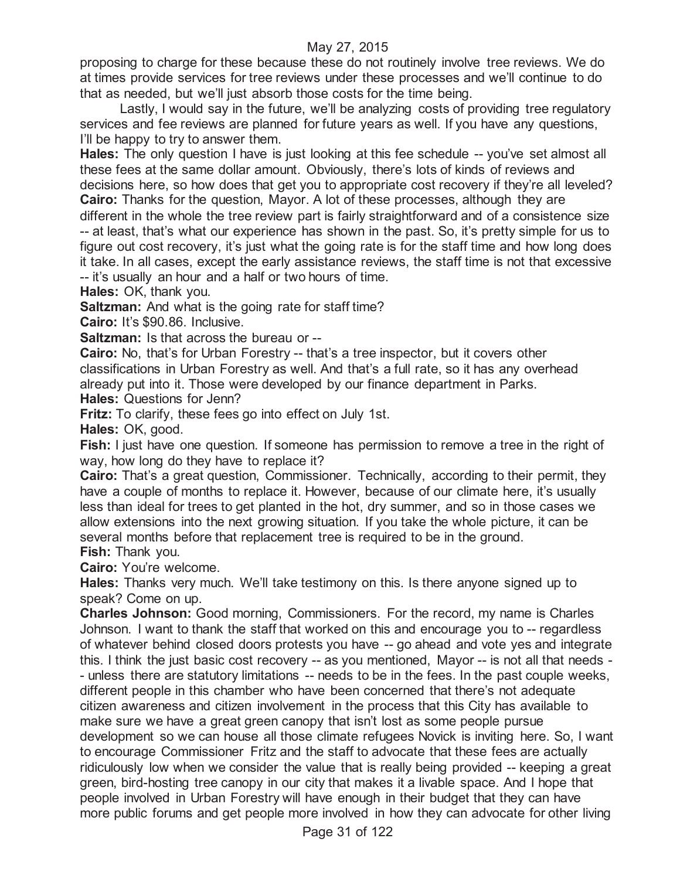proposing to charge for these because these do not routinely involve tree reviews. We do at times provide services for tree reviews under these processes and we'll continue to do that as needed, but we'll just absorb those costs for the time being.

Lastly, I would say in the future, we'll be analyzing costs of providing tree regulatory services and fee reviews are planned for future years as well. If you have any questions, I'll be happy to try to answer them.

**Hales:** The only question I have is just looking at this fee schedule -- you've set almost all these fees at the same dollar amount. Obviously, there's lots of kinds of reviews and decisions here, so how does that get you to appropriate cost recovery if they're all leveled? **Cairo:** Thanks for the question, Mayor. A lot of these processes, although they are

different in the whole the tree review part is fairly straightforward and of a consistence size -- at least, that's what our experience has shown in the past. So, it's pretty simple for us to figure out cost recovery, it's just what the going rate is for the staff time and how long does it take. In all cases, except the early assistance reviews, the staff time is not that excessive -- it's usually an hour and a half or two hours of time.

**Hales:** OK, thank you.

**Saltzman:** And what is the going rate for staff time?

**Cairo:** It's \$90.86. Inclusive.

**Saltzman:** Is that across the bureau or --

**Cairo:** No, that's for Urban Forestry -- that's a tree inspector, but it covers other classifications in Urban Forestry as well. And that's a full rate, so it has any overhead already put into it. Those were developed by our finance department in Parks. **Hales:** Questions for Jenn?

**Fritz:** To clarify, these fees go into effect on July 1st.

**Hales:** OK, good.

**Fish:** I just have one question. If someone has permission to remove a tree in the right of way, how long do they have to replace it?

**Cairo:** That's a great question, Commissioner. Technically, according to their permit, they have a couple of months to replace it. However, because of our climate here, it's usually less than ideal for trees to get planted in the hot, dry summer, and so in those cases we allow extensions into the next growing situation. If you take the whole picture, it can be several months before that replacement tree is required to be in the ground. **Fish:** Thank you.

**Cairo:** You're welcome.

**Hales:** Thanks very much. We'll take testimony on this. Is there anyone signed up to speak? Come on up.

**Charles Johnson:** Good morning, Commissioners. For the record, my name is Charles Johnson. I want to thank the staff that worked on this and encourage you to -- regardless of whatever behind closed doors protests you have -- go ahead and vote yes and integrate this. I think the just basic cost recovery -- as you mentioned, Mayor -- is not all that needs - - unless there are statutory limitations -- needs to be in the fees. In the past couple weeks, different people in this chamber who have been concerned that there's not adequate citizen awareness and citizen involvement in the process that this City has available to make sure we have a great green canopy that isn't lost as some people pursue development so we can house all those climate refugees Novick is inviting here. So, I want to encourage Commissioner Fritz and the staff to advocate that these fees are actually ridiculously low when we consider the value that is really being provided -- keeping a great green, bird-hosting tree canopy in our city that makes it a livable space. And I hope that people involved in Urban Forestry will have enough in their budget that they can have more public forums and get people more involved in how they can advocate for other living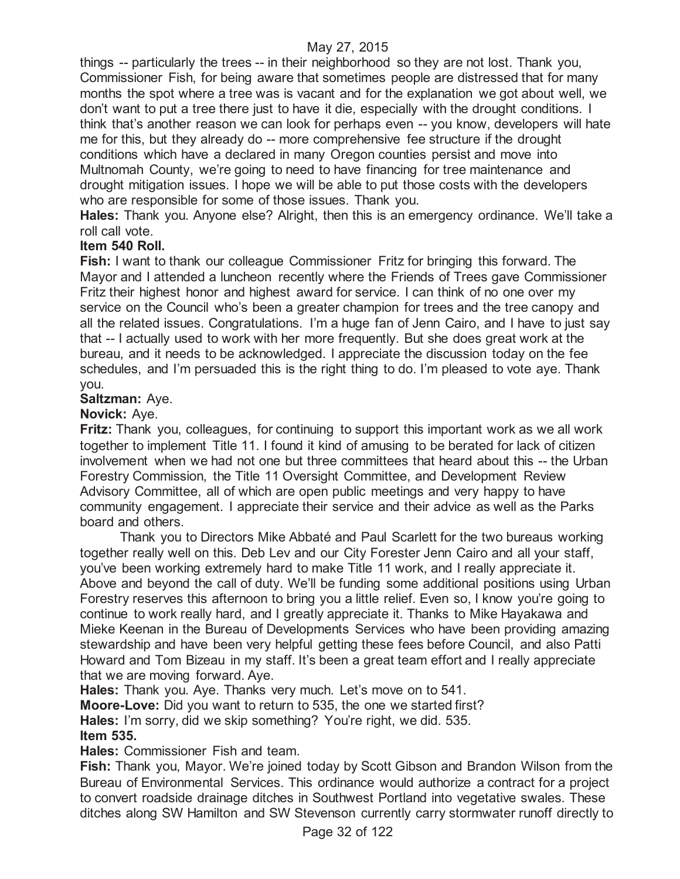things -- particularly the trees -- in their neighborhood so they are not lost. Thank you, Commissioner Fish, for being aware that sometimes people are distressed that for many months the spot where a tree was is vacant and for the explanation we got about well, we don't want to put a tree there just to have it die, especially with the drought conditions. I think that's another reason we can look for perhaps even -- you know, developers will hate me for this, but they already do -- more comprehensive fee structure if the drought conditions which have a declared in many Oregon counties persist and move into Multnomah County, we're going to need to have financing for tree maintenance and drought mitigation issues. I hope we will be able to put those costs with the developers who are responsible for some of those issues. Thank you.

**Hales:** Thank you. Anyone else? Alright, then this is an emergency ordinance. We'll take a roll call vote.

## **Item 540 Roll.**

**Fish:** I want to thank our colleague Commissioner Fritz for bringing this forward. The Mayor and I attended a luncheon recently where the Friends of Trees gave Commissioner Fritz their highest honor and highest award for service. I can think of no one over my service on the Council who's been a greater champion for trees and the tree canopy and all the related issues. Congratulations. I'm a huge fan of Jenn Cairo, and I have to just say that -- I actually used to work with her more frequently. But she does great work at the bureau, and it needs to be acknowledged. I appreciate the discussion today on the fee schedules, and I'm persuaded this is the right thing to do. I'm pleased to vote aye. Thank you.

## **Saltzman:** Aye.

## **Novick:** Aye.

**Fritz:** Thank you, colleagues, for continuing to support this important work as we all work together to implement Title 11. I found it kind of amusing to be berated for lack of citizen involvement when we had not one but three committees that heard about this -- the Urban Forestry Commission, the Title 11 Oversight Committee, and Development Review Advisory Committee, all of which are open public meetings and very happy to have community engagement. I appreciate their service and their advice as well as the Parks board and others.

Thank you to Directors Mike Abbaté and Paul Scarlett for the two bureaus working together really well on this. Deb Lev and our City Forester Jenn Cairo and all your staff, you've been working extremely hard to make Title 11 work, and I really appreciate it. Above and beyond the call of duty. We'll be funding some additional positions using Urban Forestry reserves this afternoon to bring you a little relief. Even so, I know you're going to continue to work really hard, and I greatly appreciate it. Thanks to Mike Hayakawa and Mieke Keenan in the Bureau of Developments Services who have been providing amazing stewardship and have been very helpful getting these fees before Council, and also Patti Howard and Tom Bizeau in my staff. It's been a great team effort and I really appreciate that we are moving forward. Aye.

**Hales:** Thank you. Aye. Thanks very much. Let's move on to 541.

**Moore-Love:** Did you want to return to 535, the one we started first?

**Hales:** I'm sorry, did we skip something? You're right, we did. 535.

## **Item 535.**

**Hales:** Commissioner Fish and team.

**Fish:** Thank you, Mayor. We're joined today by Scott Gibson and Brandon Wilson from the Bureau of Environmental Services. This ordinance would authorize a contract for a project to convert roadside drainage ditches in Southwest Portland into vegetative swales. These ditches along SW Hamilton and SW Stevenson currently carry stormwater runoff directly to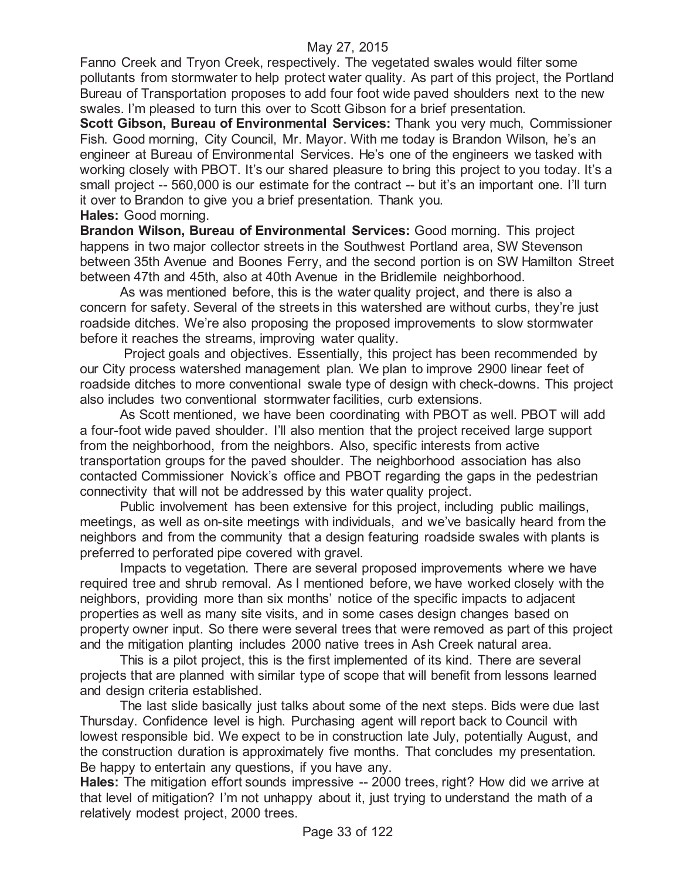Fanno Creek and Tryon Creek, respectively. The vegetated swales would filter some pollutants from stormwater to help protect water quality. As part of this project, the Portland Bureau of Transportation proposes to add four foot wide paved shoulders next to the new swales. I'm pleased to turn this over to Scott Gibson for a brief presentation.

**Scott Gibson, Bureau of Environmental Services:** Thank you very much, Commissioner Fish. Good morning, City Council, Mr. Mayor. With me today is Brandon Wilson, he's an engineer at Bureau of Environmental Services. He's one of the engineers we tasked with working closely with PBOT. It's our shared pleasure to bring this project to you today. It's a small project -- 560,000 is our estimate for the contract -- but it's an important one. I'll turn it over to Brandon to give you a brief presentation. Thank you. **Hales:** Good morning.

**Brandon Wilson, Bureau of Environmental Services:** Good morning. This project happens in two major collector streets in the Southwest Portland area, SW Stevenson between 35th Avenue and Boones Ferry, and the second portion is on SW Hamilton Street between 47th and 45th, also at 40th Avenue in the Bridlemile neighborhood.

As was mentioned before, this is the water quality project, and there is also a concern for safety. Several of the streets in this watershed are without curbs, they're just roadside ditches. We're also proposing the proposed improvements to slow stormwater before it reaches the streams, improving water quality.

Project goals and objectives. Essentially, this project has been recommended by our City process watershed management plan. We plan to improve 2900 linear feet of roadside ditches to more conventional swale type of design with check-downs. This project also includes two conventional stormwater facilities, curb extensions.

As Scott mentioned, we have been coordinating with PBOT as well. PBOT will add a four-foot wide paved shoulder. I'll also mention that the project received large support from the neighborhood, from the neighbors. Also, specific interests from active transportation groups for the paved shoulder. The neighborhood association has also contacted Commissioner Novick's office and PBOT regarding the gaps in the pedestrian connectivity that will not be addressed by this water quality project.

Public involvement has been extensive for this project, including public mailings, meetings, as well as on-site meetings with individuals, and we've basically heard from the neighbors and from the community that a design featuring roadside swales with plants is preferred to perforated pipe covered with gravel.

Impacts to vegetation. There are several proposed improvements where we have required tree and shrub removal. As I mentioned before, we have worked closely with the neighbors, providing more than six months' notice of the specific impacts to adjacent properties as well as many site visits, and in some cases design changes based on property owner input. So there were several trees that were removed as part of this project and the mitigation planting includes 2000 native trees in Ash Creek natural area.

This is a pilot project, this is the first implemented of its kind. There are several projects that are planned with similar type of scope that will benefit from lessons learned and design criteria established.

The last slide basically just talks about some of the next steps. Bids were due last Thursday. Confidence level is high. Purchasing agent will report back to Council with lowest responsible bid. We expect to be in construction late July, potentially August, and the construction duration is approximately five months. That concludes my presentation. Be happy to entertain any questions, if you have any.

**Hales:** The mitigation effort sounds impressive -- 2000 trees, right? How did we arrive at that level of mitigation? I'm not unhappy about it, just trying to understand the math of a relatively modest project, 2000 trees.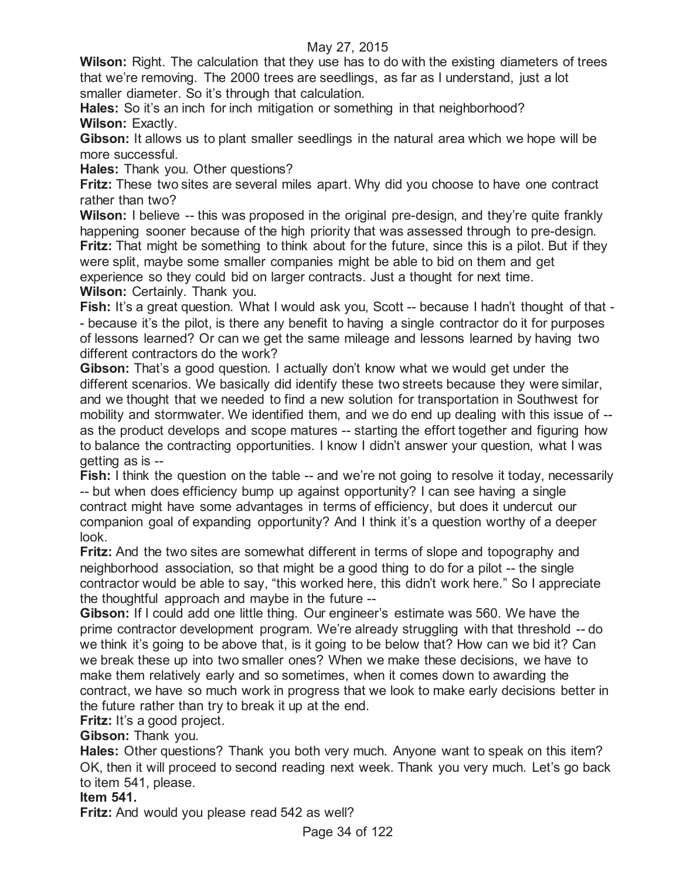**Wilson:** Right. The calculation that they use has to do with the existing diameters of trees that we're removing. The 2000 trees are seedlings, as far as I understand, just a lot smaller diameter. So it's through that calculation.

Hales: So it's an inch for inch mitigation or something in that neighborhood? **Wilson:** Exactly.

**Gibson:** It allows us to plant smaller seedlings in the natural area which we hope will be more successful.

**Hales:** Thank you. Other questions?

**Fritz:** These two sites are several miles apart. Why did you choose to have one contract rather than two?

**Wilson:** I believe -- this was proposed in the original pre-design, and they're quite frankly happening sooner because of the high priority that was assessed through to pre-design. **Fritz:** That might be something to think about for the future, since this is a pilot. But if they were split, maybe some smaller companies might be able to bid on them and get experience so they could bid on larger contracts. Just a thought for next time. **Wilson:** Certainly. Thank you.

**Fish:** It's a great question. What I would ask you, Scott -- because I hadn't thought of that - - because it's the pilot, is there any benefit to having a single contractor do it for purposes of lessons learned? Or can we get the same mileage and lessons learned by having two different contractors do the work?

**Gibson:** That's a good question. I actually don't know what we would get under the different scenarios. We basically did identify these two streets because they were similar, and we thought that we needed to find a new solution for transportation in Southwest for mobility and stormwater. We identified them, and we do end up dealing with this issue of - as the product develops and scope matures -- starting the effort together and figuring how to balance the contracting opportunities. I know I didn't answer your question, what I was getting as is --

**Fish:** I think the question on the table -- and we're not going to resolve it today, necessarily -- but when does efficiency bump up against opportunity? I can see having a single contract might have some advantages in terms of efficiency, but does it undercut our companion goal of expanding opportunity? And I think it's a question worthy of a deeper look.

**Fritz:** And the two sites are somewhat different in terms of slope and topography and neighborhood association, so that might be a good thing to do for a pilot -- the single contractor would be able to say, "this worked here, this didn't work here." So I appreciate the thoughtful approach and maybe in the future --

**Gibson:** If I could add one little thing. Our engineer's estimate was 560. We have the prime contractor development program. We're already struggling with that threshold -- do we think it's going to be above that, is it going to be below that? How can we bid it? Can we break these up into two smaller ones? When we make these decisions, we have to make them relatively early and so sometimes, when it comes down to awarding the contract, we have so much work in progress that we look to make early decisions better in the future rather than try to break it up at the end.

**Fritz:** It's a good project.

**Gibson:** Thank you.

**Hales:** Other questions? Thank you both very much. Anyone want to speak on this item? OK, then it will proceed to second reading next week. Thank you very much. Let's go back to item 541, please.

## **Item 541.**

**Fritz:** And would you please read 542 as well?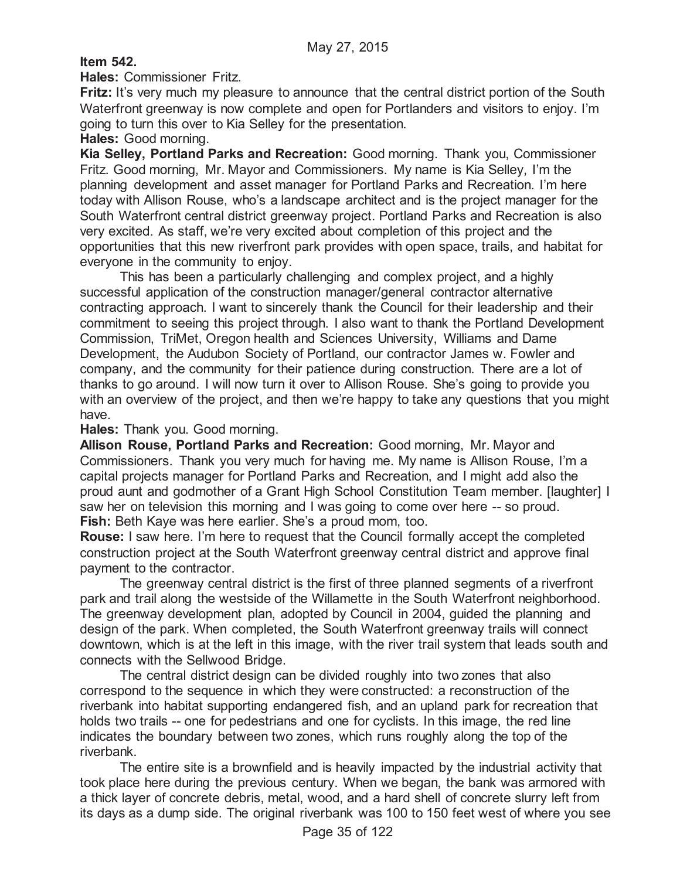## **Item 542.**

**Hales:** Commissioner Fritz.

**Fritz:** It's very much my pleasure to announce that the central district portion of the South Waterfront greenway is now complete and open for Portlanders and visitors to enjoy. I'm going to turn this over to Kia Selley for the presentation.

**Hales:** Good morning.

**Kia Selley, Portland Parks and Recreation:** Good morning. Thank you, Commissioner Fritz. Good morning, Mr. Mayor and Commissioners. My name is Kia Selley, I'm the planning development and asset manager for Portland Parks and Recreation. I'm here today with Allison Rouse, who's a landscape architect and is the project manager for the South Waterfront central district greenway project. Portland Parks and Recreation is also very excited. As staff, we're very excited about completion of this project and the opportunities that this new riverfront park provides with open space, trails, and habitat for everyone in the community to enjoy.

This has been a particularly challenging and complex project, and a highly successful application of the construction manager/general contractor alternative contracting approach. I want to sincerely thank the Council for their leadership and their commitment to seeing this project through. I also want to thank the Portland Development Commission, TriMet, Oregon health and Sciences University, Williams and Dame Development, the Audubon Society of Portland, our contractor James w. Fowler and company, and the community for their patience during construction. There are a lot of thanks to go around. I will now turn it over to Allison Rouse. She's going to provide you with an overview of the project, and then we're happy to take any questions that you might have.

**Hales:** Thank you. Good morning.

**Allison Rouse, Portland Parks and Recreation:** Good morning, Mr. Mayor and Commissioners. Thank you very much for having me. My name is Allison Rouse, I'm a capital projects manager for Portland Parks and Recreation, and I might add also the proud aunt and godmother of a Grant High School Constitution Team member. [laughter] I saw her on television this morning and I was going to come over here -- so proud. **Fish:** Beth Kaye was here earlier. She's a proud mom, too.

**Rouse:** I saw here. I'm here to request that the Council formally accept the completed construction project at the South Waterfront greenway central district and approve final payment to the contractor.

The greenway central district is the first of three planned segments of a riverfront park and trail along the westside of the Willamette in the South Waterfront neighborhood. The greenway development plan, adopted by Council in 2004, guided the planning and design of the park. When completed, the South Waterfront greenway trails will connect downtown, which is at the left in this image, with the river trail system that leads south and connects with the Sellwood Bridge.

The central district design can be divided roughly into two zones that also correspond to the sequence in which they were constructed: a reconstruction of the riverbank into habitat supporting endangered fish, and an upland park for recreation that holds two trails -- one for pedestrians and one for cyclists. In this image, the red line indicates the boundary between two zones, which runs roughly along the top of the riverbank.

The entire site is a brownfield and is heavily impacted by the industrial activity that took place here during the previous century. When we began, the bank was armored with a thick layer of concrete debris, metal, wood, and a hard shell of concrete slurry left from its days as a dump side. The original riverbank was 100 to 150 feet west of where you see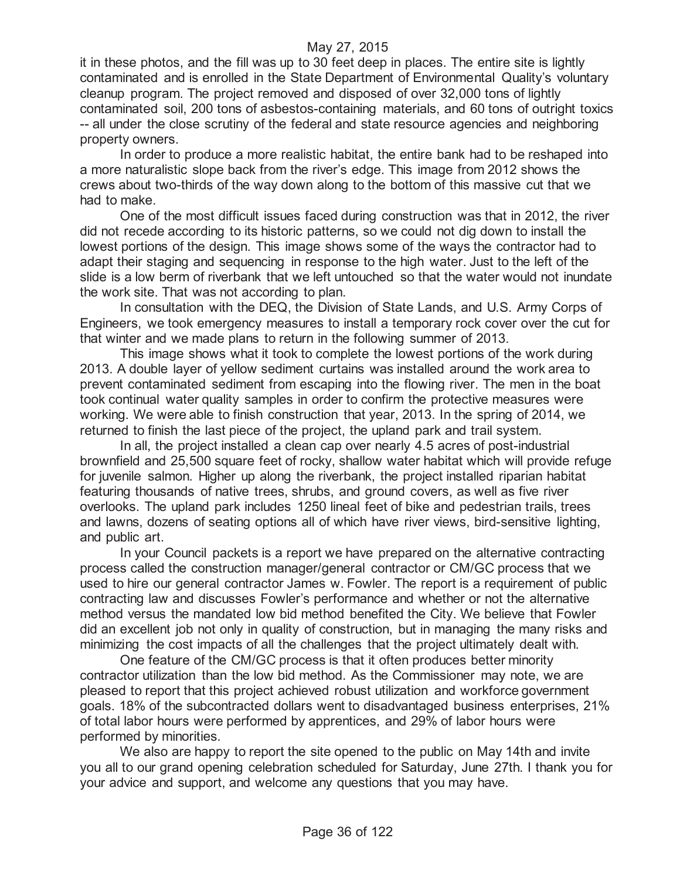it in these photos, and the fill was up to 30 feet deep in places. The entire site is lightly contaminated and is enrolled in the State Department of Environmental Quality's voluntary cleanup program. The project removed and disposed of over 32,000 tons of lightly contaminated soil, 200 tons of asbestos-containing materials, and 60 tons of outright toxics -- all under the close scrutiny of the federal and state resource agencies and neighboring property owners.

In order to produce a more realistic habitat, the entire bank had to be reshaped into a more naturalistic slope back from the river's edge. This image from 2012 shows the crews about two-thirds of the way down along to the bottom of this massive cut that we had to make.

One of the most difficult issues faced during construction was that in 2012, the river did not recede according to its historic patterns, so we could not dig down to install the lowest portions of the design. This image shows some of the ways the contractor had to adapt their staging and sequencing in response to the high water. Just to the left of the slide is a low berm of riverbank that we left untouched so that the water would not inundate the work site. That was not according to plan.

In consultation with the DEQ, the Division of State Lands, and U.S. Army Corps of Engineers, we took emergency measures to install a temporary rock cover over the cut for that winter and we made plans to return in the following summer of 2013.

This image shows what it took to complete the lowest portions of the work during 2013. A double layer of yellow sediment curtains was installed around the work area to prevent contaminated sediment from escaping into the flowing river. The men in the boat took continual water quality samples in order to confirm the protective measures were working. We were able to finish construction that year, 2013. In the spring of 2014, we returned to finish the last piece of the project, the upland park and trail system.

In all, the project installed a clean cap over nearly 4.5 acres of post-industrial brownfield and 25,500 square feet of rocky, shallow water habitat which will provide refuge for juvenile salmon. Higher up along the riverbank, the project installed riparian habitat featuring thousands of native trees, shrubs, and ground covers, as well as five river overlooks. The upland park includes 1250 lineal feet of bike and pedestrian trails, trees and lawns, dozens of seating options all of which have river views, bird-sensitive lighting, and public art.

In your Council packets is a report we have prepared on the alternative contracting process called the construction manager/general contractor or CM/GC process that we used to hire our general contractor James w. Fowler. The report is a requirement of public contracting law and discusses Fowler's performance and whether or not the alternative method versus the mandated low bid method benefited the City. We believe that Fowler did an excellent job not only in quality of construction, but in managing the many risks and minimizing the cost impacts of all the challenges that the project ultimately dealt with.

One feature of the CM/GC process is that it often produces better minority contractor utilization than the low bid method. As the Commissioner may note, we are pleased to report that this project achieved robust utilization and workforce government goals. 18% of the subcontracted dollars went to disadvantaged business enterprises, 21% of total labor hours were performed by apprentices, and 29% of labor hours were performed by minorities.

We also are happy to report the site opened to the public on May 14th and invite you all to our grand opening celebration scheduled for Saturday, June 27th. I thank you for your advice and support, and welcome any questions that you may have.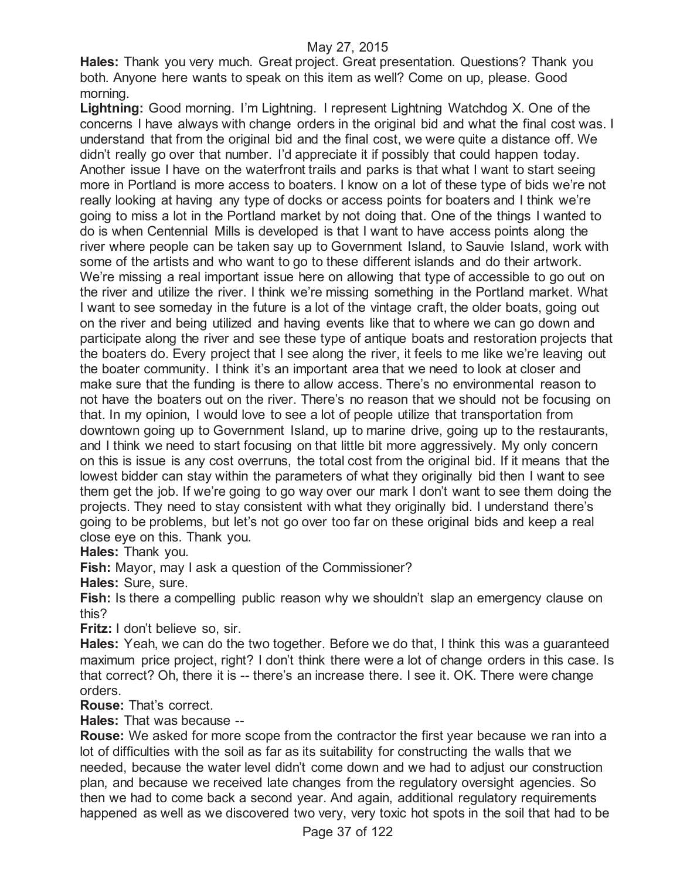**Hales:** Thank you very much. Great project. Great presentation. Questions? Thank you both. Anyone here wants to speak on this item as well? Come on up, please. Good morning.

**Lightning:** Good morning. I'm Lightning. I represent Lightning Watchdog X. One of the concerns I have always with change orders in the original bid and what the final cost was. I understand that from the original bid and the final cost, we were quite a distance off. We didn't really go over that number. I'd appreciate it if possibly that could happen today. Another issue I have on the waterfront trails and parks is that what I want to start seeing more in Portland is more access to boaters. I know on a lot of these type of bids we're not really looking at having any type of docks or access points for boaters and I think we're going to miss a lot in the Portland market by not doing that. One of the things I wanted to do is when Centennial Mills is developed is that I want to have access points along the river where people can be taken say up to Government Island, to Sauvie Island, work with some of the artists and who want to go to these different islands and do their artwork. We're missing a real important issue here on allowing that type of accessible to go out on the river and utilize the river. I think we're missing something in the Portland market. What I want to see someday in the future is a lot of the vintage craft, the older boats, going out on the river and being utilized and having events like that to where we can go down and participate along the river and see these type of antique boats and restoration projects that the boaters do. Every project that I see along the river, it feels to me like we're leaving out the boater community. I think it's an important area that we need to look at closer and make sure that the funding is there to allow access. There's no environmental reason to not have the boaters out on the river. There's no reason that we should not be focusing on that. In my opinion, I would love to see a lot of people utilize that transportation from downtown going up to Government Island, up to marine drive, going up to the restaurants, and I think we need to start focusing on that little bit more aggressively. My only concern on this is issue is any cost overruns, the total cost from the original bid. If it means that the lowest bidder can stay within the parameters of what they originally bid then I want to see them get the job. If we're going to go way over our mark I don't want to see them doing the projects. They need to stay consistent with what they originally bid. I understand there's going to be problems, but let's not go over too far on these original bids and keep a real close eye on this. Thank you.

**Hales:** Thank you.

**Fish:** Mayor, may I ask a question of the Commissioner?

**Hales:** Sure, sure.

Fish: Is there a compelling public reason why we shouldn't slap an emergency clause on this?

**Fritz:** I don't believe so, sir.

**Hales:** Yeah, we can do the two together. Before we do that, I think this was a guaranteed maximum price project, right? I don't think there were a lot of change orders in this case. Is that correct? Oh, there it is -- there's an increase there. I see it. OK. There were change orders.

**Rouse:** That's correct.

**Hales:** That was because --

**Rouse:** We asked for more scope from the contractor the first year because we ran into a lot of difficulties with the soil as far as its suitability for constructing the walls that we needed, because the water level didn't come down and we had to adjust our construction plan, and because we received late changes from the regulatory oversight agencies. So then we had to come back a second year. And again, additional regulatory requirements happened as well as we discovered two very, very toxic hot spots in the soil that had to be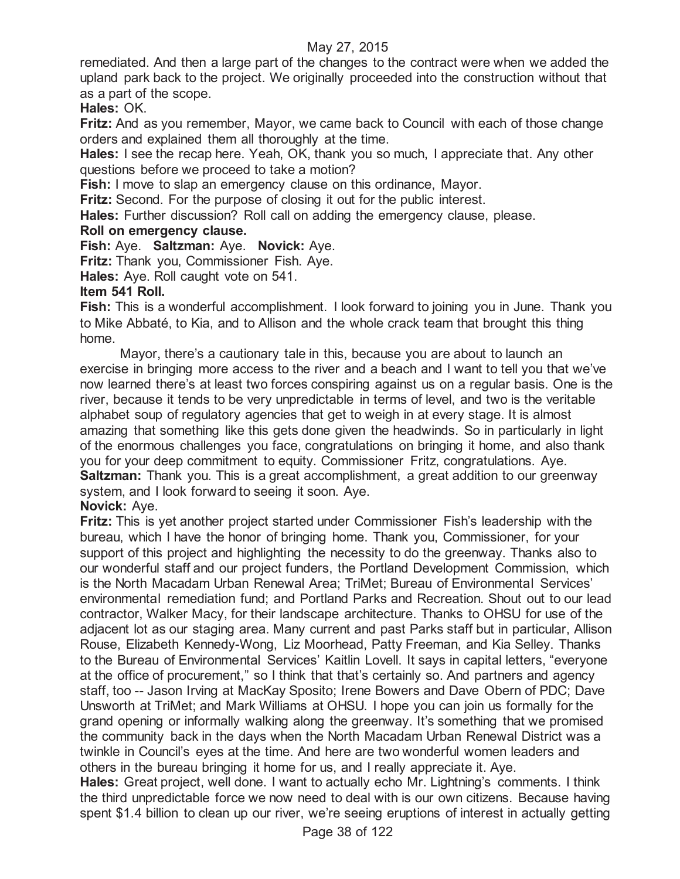remediated. And then a large part of the changes to the contract were when we added the upland park back to the project. We originally proceeded into the construction without that as a part of the scope.

**Hales:** OK.

**Fritz:** And as you remember, Mayor, we came back to Council with each of those change orders and explained them all thoroughly at the time.

**Hales:** I see the recap here. Yeah, OK, thank you so much, I appreciate that. Any other questions before we proceed to take a motion?

**Fish:** I move to slap an emergency clause on this ordinance, Mayor.

**Fritz:** Second. For the purpose of closing it out for the public interest.

**Hales:** Further discussion? Roll call on adding the emergency clause, please.

### **Roll on emergency clause.**

**Fish:** Aye. **Saltzman:** Aye. **Novick:** Aye.

**Fritz:** Thank you, Commissioner Fish. Aye.

**Hales:** Aye. Roll caught vote on 541.

### **Item 541 Roll.**

**Fish:** This is a wonderful accomplishment. I look forward to joining you in June. Thank you to Mike Abbaté, to Kia, and to Allison and the whole crack team that brought this thing home.

Mayor, there's a cautionary tale in this, because you are about to launch an exercise in bringing more access to the river and a beach and I want to tell you that we've now learned there's at least two forces conspiring against us on a regular basis. One is the river, because it tends to be very unpredictable in terms of level, and two is the veritable alphabet soup of regulatory agencies that get to weigh in at every stage. It is almost amazing that something like this gets done given the headwinds. So in particularly in light of the enormous challenges you face, congratulations on bringing it home, and also thank you for your deep commitment to equity. Commissioner Fritz, congratulations. Aye. **Saltzman:** Thank you. This is a great accomplishment, a great addition to our greenway system, and I look forward to seeing it soon. Aye.

## **Novick:** Aye.

**Fritz:** This is yet another project started under Commissioner Fish's leadership with the bureau, which I have the honor of bringing home. Thank you, Commissioner, for your support of this project and highlighting the necessity to do the greenway. Thanks also to our wonderful staff and our project funders, the Portland Development Commission, which is the North Macadam Urban Renewal Area; TriMet; Bureau of Environmental Services' environmental remediation fund; and Portland Parks and Recreation. Shout out to our lead contractor, Walker Macy, for their landscape architecture. Thanks to OHSU for use of the adjacent lot as our staging area. Many current and past Parks staff but in particular, Allison Rouse, Elizabeth Kennedy-Wong, Liz Moorhead, Patty Freeman, and Kia Selley. Thanks to the Bureau of Environmental Services' Kaitlin Lovell. It says in capital letters, "everyone at the office of procurement," so I think that that's certainly so. And partners and agency staff, too -- Jason Irving at MacKay Sposito; Irene Bowers and Dave Obern of PDC; Dave Unsworth at TriMet; and Mark Williams at OHSU. I hope you can join us formally for the grand opening or informally walking along the greenway. It's something that we promised the community back in the days when the North Macadam Urban Renewal District was a twinkle in Council's eyes at the time. And here are two wonderful women leaders and others in the bureau bringing it home for us, and I really appreciate it. Aye.

**Hales:** Great project, well done. I want to actually echo Mr. Lightning's comments. I think the third unpredictable force we now need to deal with is our own citizens. Because having spent \$1.4 billion to clean up our river, we're seeing eruptions of interest in actually getting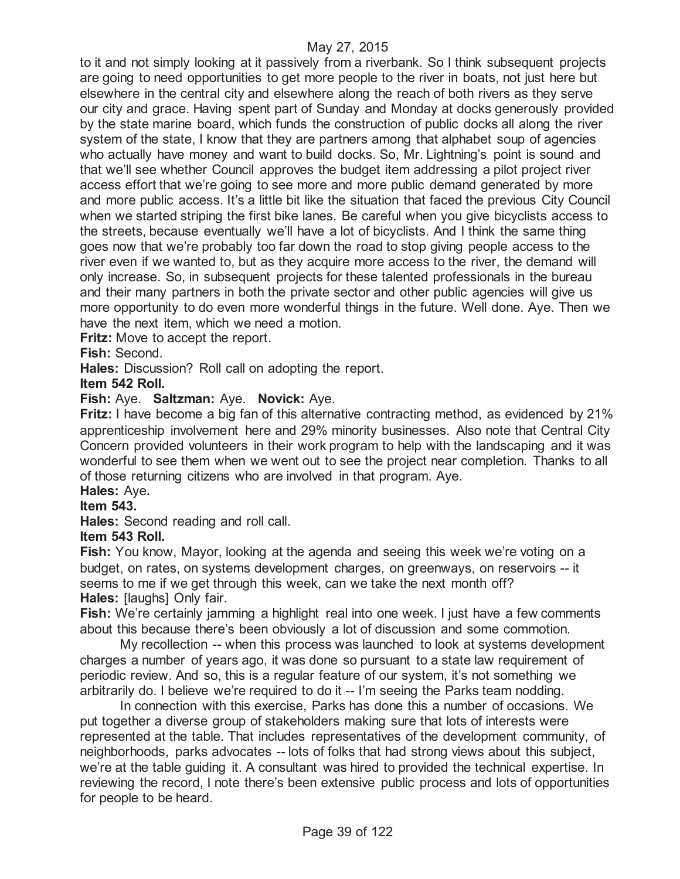to it and not simply looking at it passively from a riverbank. So I think subsequent projects are going to need opportunities to get more people to the river in boats, not just here but elsewhere in the central city and elsewhere along the reach of both rivers as they serve our city and grace. Having spent part of Sunday and Monday at docks generously provided by the state marine board, which funds the construction of public docks all along the river system of the state, I know that they are partners among that alphabet soup of agencies who actually have money and want to build docks. So, Mr. Lightning's point is sound and that we'll see whether Council approves the budget item addressing a pilot project river access effort that we're going to see more and more public demand generated by more and more public access. It's a little bit like the situation that faced the previous City Council when we started striping the first bike lanes. Be careful when you give bicyclists access to the streets, because eventually we'll have a lot of bicyclists. And I think the same thing goes now that we're probably too far down the road to stop giving people access to the river even if we wanted to, but as they acquire more access to the river, the demand will only increase. So, in subsequent projects for these talented professionals in the bureau and their many partners in both the private sector and other public agencies will give us more opportunity to do even more wonderful things in the future. Well done. Aye. Then we have the next item, which we need a motion.

**Fritz:** Move to accept the report.

**Fish:** Second.

**Hales:** Discussion? Roll call on adopting the report.

**Item 542 Roll.**

### **Fish:** Aye. **Saltzman:** Aye. **Novick:** Aye.

**Fritz:** I have become a big fan of this alternative contracting method, as evidenced by 21% apprenticeship involvement here and 29% minority businesses. Also note that Central City Concern provided volunteers in their work program to help with the landscaping and it was wonderful to see them when we went out to see the project near completion. Thanks to all of those returning citizens who are involved in that program. Aye.

#### **Hales:** Aye**. Item 543.**

**Hales:** Second reading and roll call.

#### **Item 543 Roll.**

**Fish:** You know, Mayor, looking at the agenda and seeing this week we're voting on a budget, on rates, on systems development charges, on greenways, on reservoirs -- it seems to me if we get through this week, can we take the next month off? **Hales:** [laughs] Only fair.

**Fish:** We're certainly jamming a highlight real into one week. I just have a few comments about this because there's been obviously a lot of discussion and some commotion.

My recollection -- when this process was launched to look at systems development charges a number of years ago, it was done so pursuant to a state law requirement of periodic review. And so, this is a regular feature of our system, it's not something we arbitrarily do. I believe we're required to do it -- I'm seeing the Parks team nodding.

In connection with this exercise, Parks has done this a number of occasions. We put together a diverse group of stakeholders making sure that lots of interests were represented at the table. That includes representatives of the development community, of neighborhoods, parks advocates -- lots of folks that had strong views about this subject, we're at the table guiding it. A consultant was hired to provided the technical expertise. In reviewing the record, I note there's been extensive public process and lots of opportunities for people to be heard.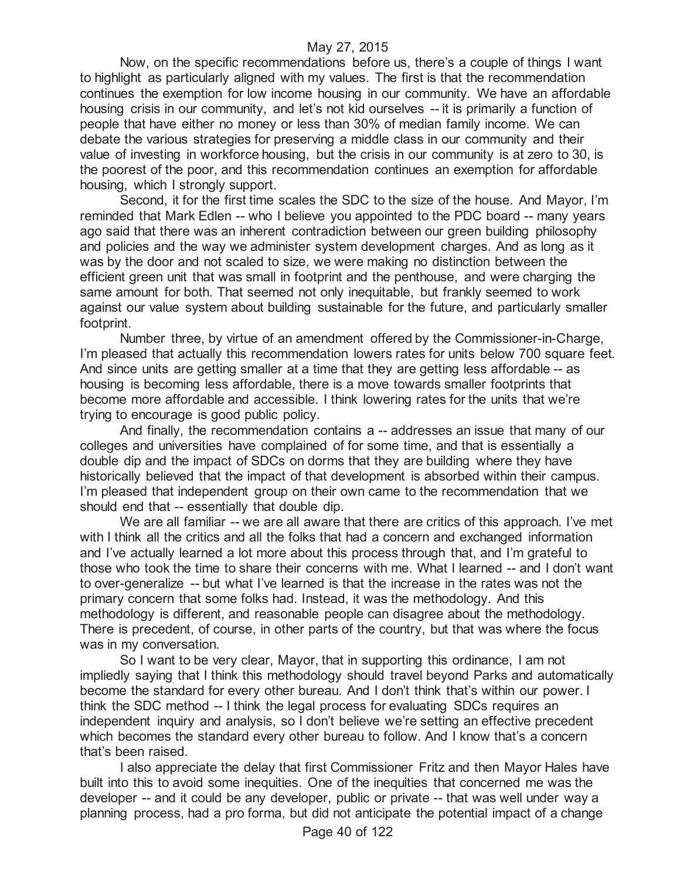Now, on the specific recommendations before us, there's a couple of things I want to highlight as particularly aligned with my values. The first is that the recommendation continues the exemption for low income housing in our community. We have an affordable housing crisis in our community, and let's not kid ourselves -- it is primarily a function of people that have either no money or less than 30% of median family income. We can debate the various strategies for preserving a middle class in our community and their value of investing in workforce housing, but the crisis in our community is at zero to 30, is the poorest of the poor, and this recommendation continues an exemption for affordable housing, which I strongly support.

Second, it for the first time scales the SDC to the size of the house. And Mayor, I'm reminded that Mark Edlen -- who I believe you appointed to the PDC board -- many years ago said that there was an inherent contradiction between our green building philosophy and policies and the way we administer system development charges. And as long as it was by the door and not scaled to size, we were making no distinction between the efficient green unit that was small in footprint and the penthouse, and were charging the same amount for both. That seemed not only inequitable, but frankly seemed to work against our value system about building sustainable for the future, and particularly smaller footprint.

Number three, by virtue of an amendment offered by the Commissioner-in-Charge, I'm pleased that actually this recommendation lowers rates for units below 700 square feet. And since units are getting smaller at a time that they are getting less affordable -- as housing is becoming less affordable, there is a move towards smaller footprints that become more affordable and accessible. I think lowering rates for the units that we're trying to encourage is good public policy.

And finally, the recommendation contains a -- addresses an issue that many of our colleges and universities have complained of for some time, and that is essentially a double dip and the impact of SDCs on dorms that they are building where they have historically believed that the impact of that development is absorbed within their campus. I'm pleased that independent group on their own came to the recommendation that we should end that -- essentially that double dip.

We are all familiar -- we are all aware that there are critics of this approach. I've met with I think all the critics and all the folks that had a concern and exchanged information and I've actually learned a lot more about this process through that, and I'm grateful to those who took the time to share their concerns with me. What I learned -- and I don't want to over-generalize -- but what I've learned is that the increase in the rates was not the primary concern that some folks had. Instead, it was the methodology. And this methodology is different, and reasonable people can disagree about the methodology. There is precedent, of course, in other parts of the country, but that was where the focus was in my conversation.

So I want to be very clear, Mayor, that in supporting this ordinance, I am not impliedly saying that I think this methodology should travel beyond Parks and automatically become the standard for every other bureau. And I don't think that's within our power. I think the SDC method -- I think the legal process for evaluating SDCs requires an independent inquiry and analysis, so I don't believe we're setting an effective precedent which becomes the standard every other bureau to follow. And I know that's a concern that's been raised.

I also appreciate the delay that first Commissioner Fritz and then Mayor Hales have built into this to avoid some inequities. One of the inequities that concerned me was the developer -- and it could be any developer, public or private -- that was well under way a planning process, had a pro forma, but did not anticipate the potential impact of a change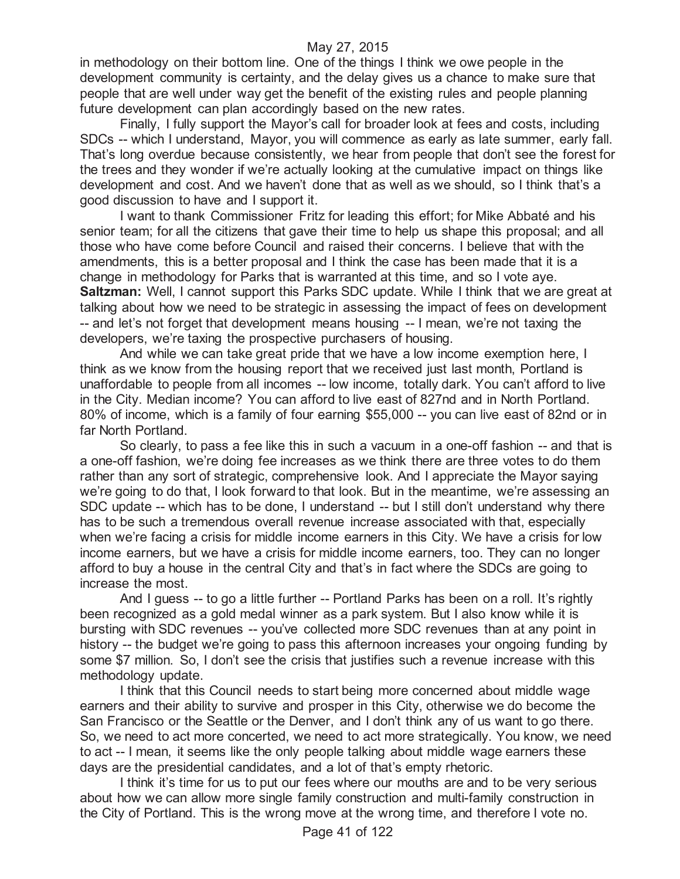in methodology on their bottom line. One of the things I think we owe people in the development community is certainty, and the delay gives us a chance to make sure that people that are well under way get the benefit of the existing rules and people planning future development can plan accordingly based on the new rates.

Finally, I fully support the Mayor's call for broader look at fees and costs, including SDCs -- which I understand, Mayor, you will commence as early as late summer, early fall. That's long overdue because consistently, we hear from people that don't see the forest for the trees and they wonder if we're actually looking at the cumulative impact on things like development and cost. And we haven't done that as well as we should, so I think that's a good discussion to have and I support it.

I want to thank Commissioner Fritz for leading this effort; for Mike Abbaté and his senior team; for all the citizens that gave their time to help us shape this proposal; and all those who have come before Council and raised their concerns. I believe that with the amendments, this is a better proposal and I think the case has been made that it is a change in methodology for Parks that is warranted at this time, and so I vote aye. **Saltzman:** Well, I cannot support this Parks SDC update. While I think that we are great at talking about how we need to be strategic in assessing the impact of fees on development -- and let's not forget that development means housing -- I mean, we're not taxing the developers, we're taxing the prospective purchasers of housing.

And while we can take great pride that we have a low income exemption here, I think as we know from the housing report that we received just last month, Portland is unaffordable to people from all incomes -- low income, totally dark. You can't afford to live in the City. Median income? You can afford to live east of 827nd and in North Portland. 80% of income, which is a family of four earning \$55,000 -- you can live east of 82nd or in far North Portland.

So clearly, to pass a fee like this in such a vacuum in a one-off fashion -- and that is a one-off fashion, we're doing fee increases as we think there are three votes to do them rather than any sort of strategic, comprehensive look. And I appreciate the Mayor saying we're going to do that, I look forward to that look. But in the meantime, we're assessing an SDC update -- which has to be done, I understand -- but I still don't understand why there has to be such a tremendous overall revenue increase associated with that, especially when we're facing a crisis for middle income earners in this City. We have a crisis for low income earners, but we have a crisis for middle income earners, too. They can no longer afford to buy a house in the central City and that's in fact where the SDCs are going to increase the most.

And I guess -- to go a little further -- Portland Parks has been on a roll. It's rightly been recognized as a gold medal winner as a park system. But I also know while it is bursting with SDC revenues -- you've collected more SDC revenues than at any point in history -- the budget we're going to pass this afternoon increases your ongoing funding by some \$7 million. So, I don't see the crisis that justifies such a revenue increase with this methodology update.

I think that this Council needs to start being more concerned about middle wage earners and their ability to survive and prosper in this City, otherwise we do become the San Francisco or the Seattle or the Denver, and I don't think any of us want to go there. So, we need to act more concerted, we need to act more strategically. You know, we need to act -- I mean, it seems like the only people talking about middle wage earners these days are the presidential candidates, and a lot of that's empty rhetoric.

I think it's time for us to put our fees where our mouths are and to be very serious about how we can allow more single family construction and multi-family construction in the City of Portland. This is the wrong move at the wrong time, and therefore I vote no.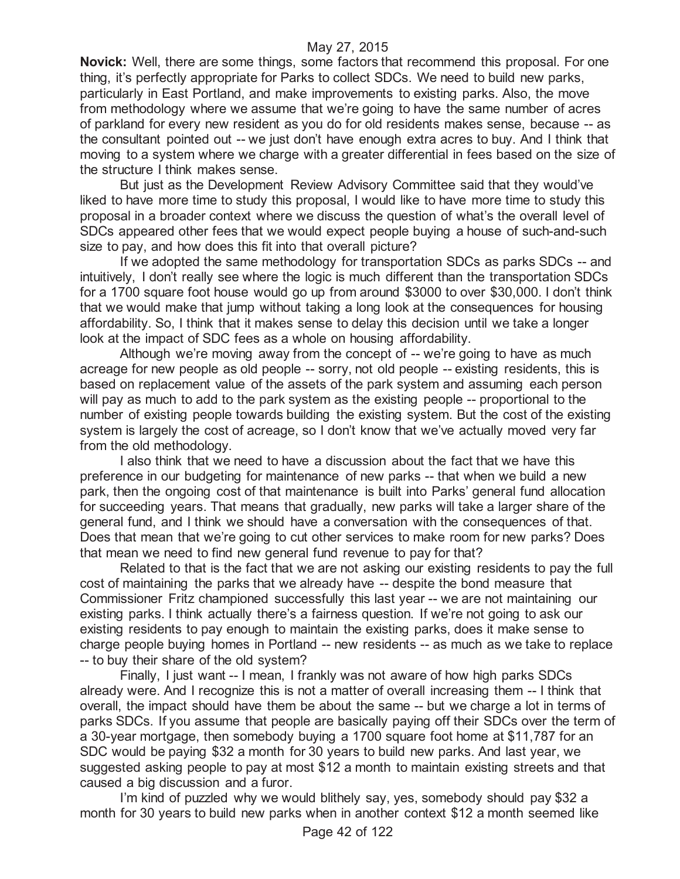**Novick:** Well, there are some things, some factors that recommend this proposal. For one thing, it's perfectly appropriate for Parks to collect SDCs. We need to build new parks, particularly in East Portland, and make improvements to existing parks. Also, the move from methodology where we assume that we're going to have the same number of acres of parkland for every new resident as you do for old residents makes sense, because -- as the consultant pointed out -- we just don't have enough extra acres to buy. And I think that moving to a system where we charge with a greater differential in fees based on the size of the structure I think makes sense.

But just as the Development Review Advisory Committee said that they would've liked to have more time to study this proposal, I would like to have more time to study this proposal in a broader context where we discuss the question of what's the overall level of SDCs appeared other fees that we would expect people buying a house of such-and-such size to pay, and how does this fit into that overall picture?

If we adopted the same methodology for transportation SDCs as parks SDCs -- and intuitively, I don't really see where the logic is much different than the transportation SDCs for a 1700 square foot house would go up from around \$3000 to over \$30,000. I don't think that we would make that jump without taking a long look at the consequences for housing affordability. So, I think that it makes sense to delay this decision until we take a longer look at the impact of SDC fees as a whole on housing affordability.

Although we're moving away from the concept of -- we're going to have as much acreage for new people as old people -- sorry, not old people -- existing residents, this is based on replacement value of the assets of the park system and assuming each person will pay as much to add to the park system as the existing people -- proportional to the number of existing people towards building the existing system. But the cost of the existing system is largely the cost of acreage, so I don't know that we've actually moved very far from the old methodology.

I also think that we need to have a discussion about the fact that we have this preference in our budgeting for maintenance of new parks -- that when we build a new park, then the ongoing cost of that maintenance is built into Parks' general fund allocation for succeeding years. That means that gradually, new parks will take a larger share of the general fund, and I think we should have a conversation with the consequences of that. Does that mean that we're going to cut other services to make room for new parks? Does that mean we need to find new general fund revenue to pay for that?

Related to that is the fact that we are not asking our existing residents to pay the full cost of maintaining the parks that we already have -- despite the bond measure that Commissioner Fritz championed successfully this last year -- we are not maintaining our existing parks. I think actually there's a fairness question. If we're not going to ask our existing residents to pay enough to maintain the existing parks, does it make sense to charge people buying homes in Portland -- new residents -- as much as we take to replace -- to buy their share of the old system?

Finally, I just want -- I mean, I frankly was not aware of how high parks SDCs already were. And I recognize this is not a matter of overall increasing them -- I think that overall, the impact should have them be about the same -- but we charge a lot in terms of parks SDCs. If you assume that people are basically paying off their SDCs over the term of a 30-year mortgage, then somebody buying a 1700 square foot home at \$11,787 for an SDC would be paying \$32 a month for 30 years to build new parks. And last year, we suggested asking people to pay at most \$12 a month to maintain existing streets and that caused a big discussion and a furor.

I'm kind of puzzled why we would blithely say, yes, somebody should pay \$32 a month for 30 years to build new parks when in another context \$12 a month seemed like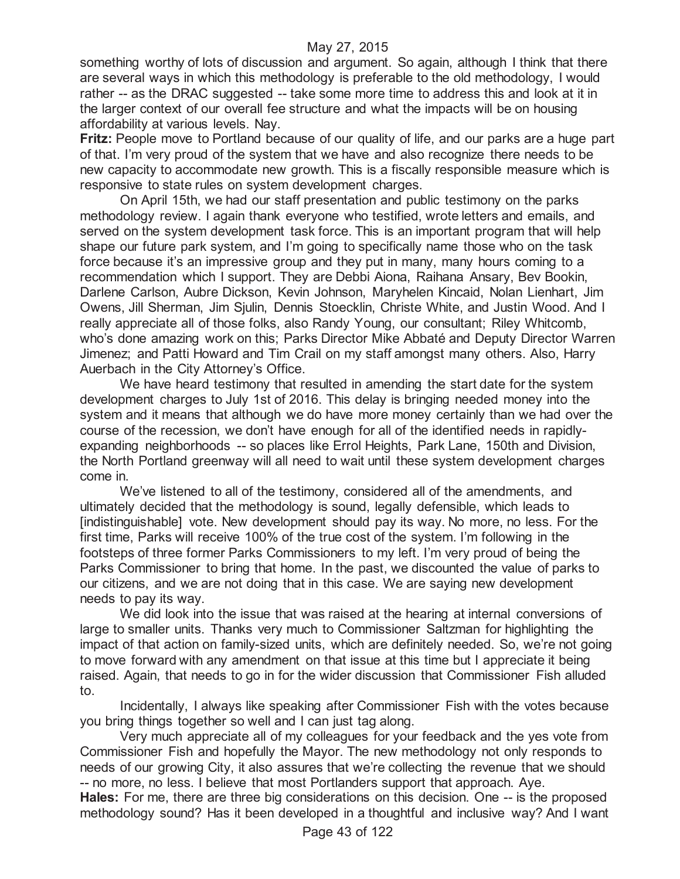something worthy of lots of discussion and argument. So again, although I think that there are several ways in which this methodology is preferable to the old methodology, I would rather -- as the DRAC suggested -- take some more time to address this and look at it in the larger context of our overall fee structure and what the impacts will be on housing affordability at various levels. Nay.

**Fritz:** People move to Portland because of our quality of life, and our parks are a huge part of that. I'm very proud of the system that we have and also recognize there needs to be new capacity to accommodate new growth. This is a fiscally responsible measure which is responsive to state rules on system development charges.

On April 15th, we had our staff presentation and public testimony on the parks methodology review. I again thank everyone who testified, wrote letters and emails, and served on the system development task force. This is an important program that will help shape our future park system, and I'm going to specifically name those who on the task force because it's an impressive group and they put in many, many hours coming to a recommendation which I support. They are Debbi Aiona, Raihana Ansary, Bev Bookin, Darlene Carlson, Aubre Dickson, Kevin Johnson, Maryhelen Kincaid, Nolan Lienhart, Jim Owens, Jill Sherman, Jim Sjulin, Dennis Stoecklin, Christe White, and Justin Wood. And I really appreciate all of those folks, also Randy Young, our consultant; Riley Whitcomb, who's done amazing work on this; Parks Director Mike Abbaté and Deputy Director Warren Jimenez; and Patti Howard and Tim Crail on my staff amongst many others. Also, Harry Auerbach in the City Attorney's Office.

We have heard testimony that resulted in amending the start date for the system development charges to July 1st of 2016. This delay is bringing needed money into the system and it means that although we do have more money certainly than we had over the course of the recession, we don't have enough for all of the identified needs in rapidlyexpanding neighborhoods -- so places like Errol Heights, Park Lane, 150th and Division, the North Portland greenway will all need to wait until these system development charges come in.

We've listened to all of the testimony, considered all of the amendments, and ultimately decided that the methodology is sound, legally defensible, which leads to [indistinguishable] vote. New development should pay its way. No more, no less. For the first time, Parks will receive 100% of the true cost of the system. I'm following in the footsteps of three former Parks Commissioners to my left. I'm very proud of being the Parks Commissioner to bring that home. In the past, we discounted the value of parks to our citizens, and we are not doing that in this case. We are saying new development needs to pay its way.

We did look into the issue that was raised at the hearing at internal conversions of large to smaller units. Thanks very much to Commissioner Saltzman for highlighting the impact of that action on family-sized units, which are definitely needed. So, we're not going to move forward with any amendment on that issue at this time but I appreciate it being raised. Again, that needs to go in for the wider discussion that Commissioner Fish alluded to.

Incidentally, I always like speaking after Commissioner Fish with the votes because you bring things together so well and I can just tag along.

Very much appreciate all of my colleagues for your feedback and the yes vote from Commissioner Fish and hopefully the Mayor. The new methodology not only responds to needs of our growing City, it also assures that we're collecting the revenue that we should -- no more, no less. I believe that most Portlanders support that approach. Aye.

**Hales:** For me, there are three big considerations on this decision. One -- is the proposed methodology sound? Has it been developed in a thoughtful and inclusive way? And I want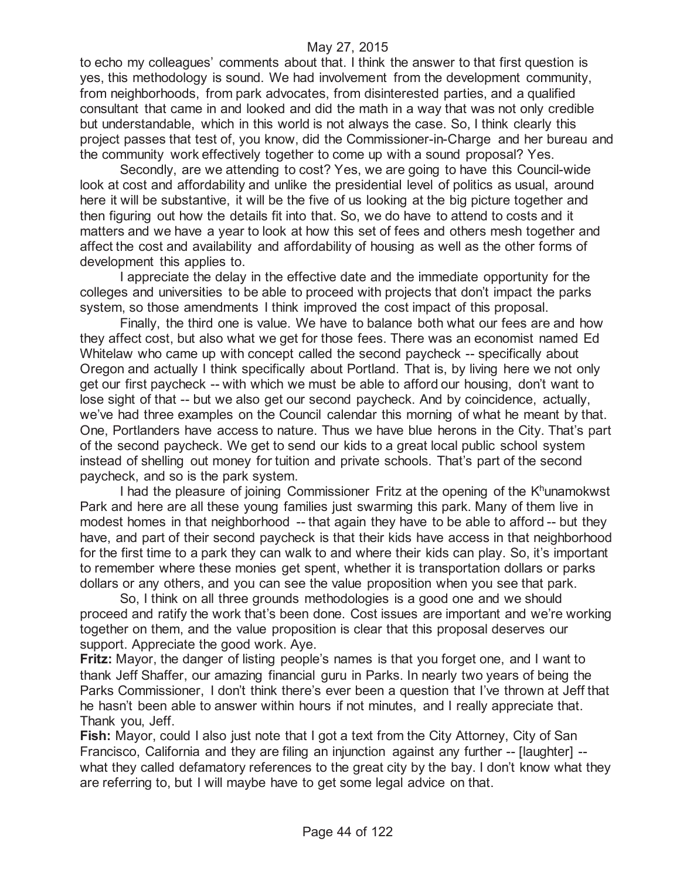to echo my colleagues' comments about that. I think the answer to that first question is yes, this methodology is sound. We had involvement from the development community, from neighborhoods, from park advocates, from disinterested parties, and a qualified consultant that came in and looked and did the math in a way that was not only credible but understandable, which in this world is not always the case. So, I think clearly this project passes that test of, you know, did the Commissioner-in-Charge and her bureau and the community work effectively together to come up with a sound proposal? Yes.

Secondly, are we attending to cost? Yes, we are going to have this Council-wide look at cost and affordability and unlike the presidential level of politics as usual, around here it will be substantive, it will be the five of us looking at the big picture together and then figuring out how the details fit into that. So, we do have to attend to costs and it matters and we have a year to look at how this set of fees and others mesh together and affect the cost and availability and affordability of housing as well as the other forms of development this applies to.

I appreciate the delay in the effective date and the immediate opportunity for the colleges and universities to be able to proceed with projects that don't impact the parks system, so those amendments I think improved the cost impact of this proposal.

Finally, the third one is value. We have to balance both what our fees are and how they affect cost, but also what we get for those fees. There was an economist named Ed Whitelaw who came up with concept called the second paycheck -- specifically about Oregon and actually I think specifically about Portland. That is, by living here we not only get our first paycheck -- with which we must be able to afford our housing, don't want to lose sight of that -- but we also get our second paycheck. And by coincidence, actually, we've had three examples on the Council calendar this morning of what he meant by that. One, Portlanders have access to nature. Thus we have blue herons in the City. That's part of the second paycheck. We get to send our kids to a great local public school system instead of shelling out money for tuition and private schools. That's part of the second paycheck, and so is the park system.

I had the pleasure of joining Commissioner Fritz at the opening of the K<sup>h</sup>unamokwst Park and here are all these young families just swarming this park. Many of them live in modest homes in that neighborhood -- that again they have to be able to afford -- but they have, and part of their second paycheck is that their kids have access in that neighborhood for the first time to a park they can walk to and where their kids can play. So, it's important to remember where these monies get spent, whether it is transportation dollars or parks dollars or any others, and you can see the value proposition when you see that park.

So, I think on all three grounds methodologies is a good one and we should proceed and ratify the work that's been done. Cost issues are important and we're working together on them, and the value proposition is clear that this proposal deserves our support. Appreciate the good work. Aye.

**Fritz:** Mayor, the danger of listing people's names is that you forget one, and I want to thank Jeff Shaffer, our amazing financial guru in Parks. In nearly two years of being the Parks Commissioner, I don't think there's ever been a question that I've thrown at Jeff that he hasn't been able to answer within hours if not minutes, and I really appreciate that. Thank you, Jeff.

**Fish:** Mayor, could I also just note that I got a text from the City Attorney, City of San Francisco, California and they are filing an injunction against any further -- [laughter] - what they called defamatory references to the great city by the bay. I don't know what they are referring to, but I will maybe have to get some legal advice on that.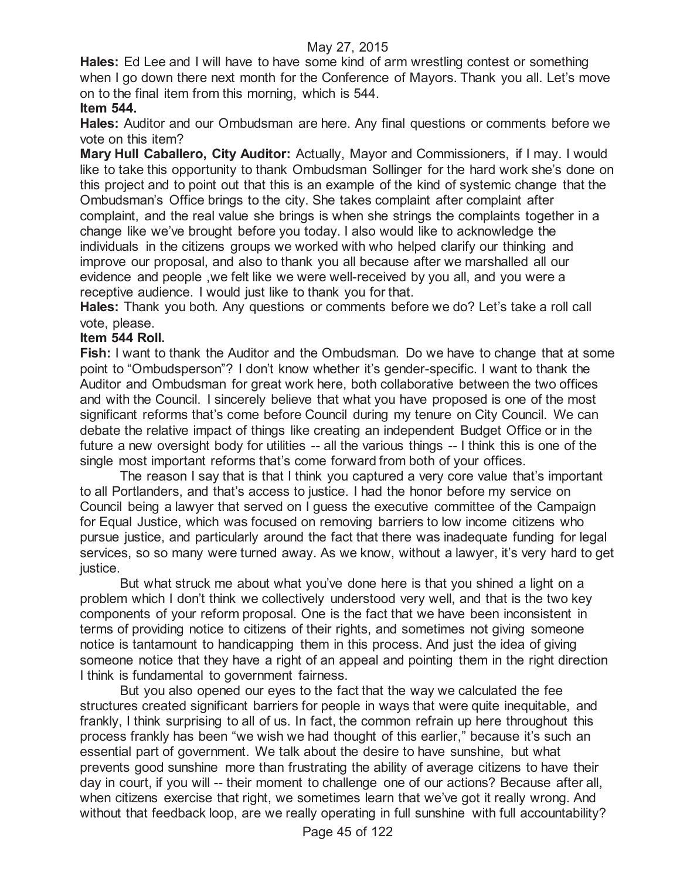**Hales:** Ed Lee and I will have to have some kind of arm wrestling contest or something when I go down there next month for the Conference of Mayors. Thank you all. Let's move on to the final item from this morning, which is 544.

# **Item 544.**

**Hales:** Auditor and our Ombudsman are here. Any final questions or comments before we vote on this item?

**Mary Hull Caballero, City Auditor:** Actually, Mayor and Commissioners, if I may. I would like to take this opportunity to thank Ombudsman Sollinger for the hard work she's done on this project and to point out that this is an example of the kind of systemic change that the Ombudsman's Office brings to the city. She takes complaint after complaint after complaint, and the real value she brings is when she strings the complaints together in a change like we've brought before you today. I also would like to acknowledge the individuals in the citizens groups we worked with who helped clarify our thinking and improve our proposal, and also to thank you all because after we marshalled all our evidence and people ,we felt like we were well-received by you all, and you were a receptive audience. I would just like to thank you for that.

**Hales:** Thank you both. Any questions or comments before we do? Let's take a roll call vote, please.

## **Item 544 Roll.**

**Fish:** I want to thank the Auditor and the Ombudsman. Do we have to change that at some point to "Ombudsperson"? I don't know whether it's gender-specific. I want to thank the Auditor and Ombudsman for great work here, both collaborative between the two offices and with the Council. I sincerely believe that what you have proposed is one of the most significant reforms that's come before Council during my tenure on City Council. We can debate the relative impact of things like creating an independent Budget Office or in the future a new oversight body for utilities -- all the various things -- I think this is one of the single most important reforms that's come forward from both of your offices.

The reason I say that is that I think you captured a very core value that's important to all Portlanders, and that's access to justice. I had the honor before my service on Council being a lawyer that served on I guess the executive committee of the Campaign for Equal Justice, which was focused on removing barriers to low income citizens who pursue justice, and particularly around the fact that there was inadequate funding for legal services, so so many were turned away. As we know, without a lawyer, it's very hard to get justice.

But what struck me about what you've done here is that you shined a light on a problem which I don't think we collectively understood very well, and that is the two key components of your reform proposal. One is the fact that we have been inconsistent in terms of providing notice to citizens of their rights, and sometimes not giving someone notice is tantamount to handicapping them in this process. And just the idea of giving someone notice that they have a right of an appeal and pointing them in the right direction I think is fundamental to government fairness.

But you also opened our eyes to the fact that the way we calculated the fee structures created significant barriers for people in ways that were quite inequitable, and frankly, I think surprising to all of us. In fact, the common refrain up here throughout this process frankly has been "we wish we had thought of this earlier," because it's such an essential part of government. We talk about the desire to have sunshine, but what prevents good sunshine more than frustrating the ability of average citizens to have their day in court, if you will -- their moment to challenge one of our actions? Because after all, when citizens exercise that right, we sometimes learn that we've got it really wrong. And without that feedback loop, are we really operating in full sunshine with full accountability?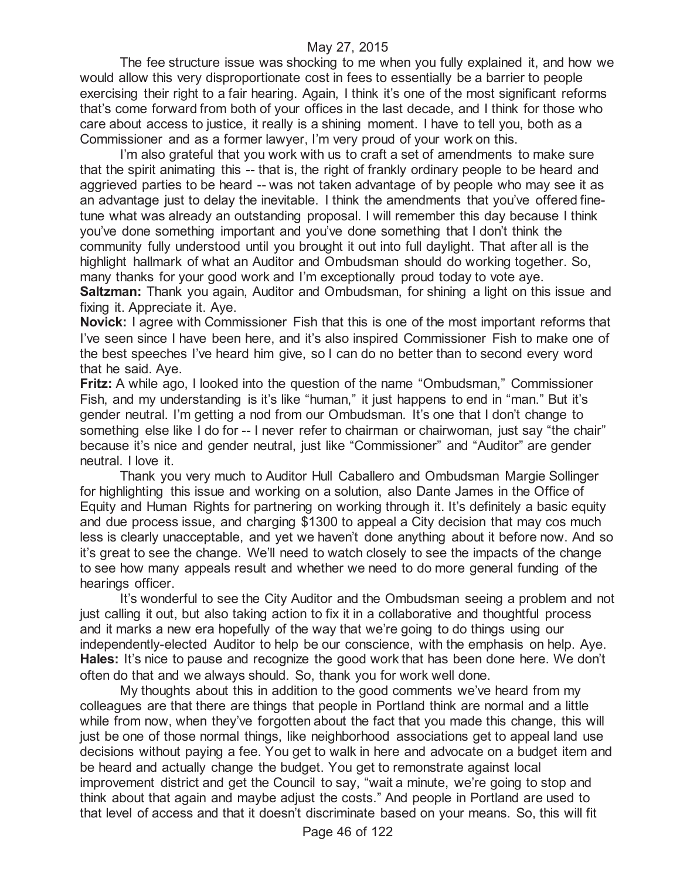The fee structure issue was shocking to me when you fully explained it, and how we would allow this very disproportionate cost in fees to essentially be a barrier to people exercising their right to a fair hearing. Again, I think it's one of the most significant reforms that's come forward from both of your offices in the last decade, and I think for those who care about access to justice, it really is a shining moment. I have to tell you, both as a Commissioner and as a former lawyer, I'm very proud of your work on this.

I'm also grateful that you work with us to craft a set of amendments to make sure that the spirit animating this -- that is, the right of frankly ordinary people to be heard and aggrieved parties to be heard -- was not taken advantage of by people who may see it as an advantage just to delay the inevitable. I think the amendments that you've offered finetune what was already an outstanding proposal. I will remember this day because I think you've done something important and you've done something that I don't think the community fully understood until you brought it out into full daylight. That after all is the highlight hallmark of what an Auditor and Ombudsman should do working together. So, many thanks for your good work and I'm exceptionally proud today to vote aye.

**Saltzman:** Thank you again, Auditor and Ombudsman, for shining a light on this issue and fixing it. Appreciate it. Aye.

**Novick:** I agree with Commissioner Fish that this is one of the most important reforms that I've seen since I have been here, and it's also inspired Commissioner Fish to make one of the best speeches I've heard him give, so I can do no better than to second every word that he said. Aye.

**Fritz:** A while ago, I looked into the question of the name "Ombudsman," Commissioner Fish, and my understanding is it's like "human," it just happens to end in "man." But it's gender neutral. I'm getting a nod from our Ombudsman. It's one that I don't change to something else like I do for -- I never refer to chairman or chairwoman, just say "the chair" because it's nice and gender neutral, just like "Commissioner" and "Auditor" are gender neutral. I love it.

Thank you very much to Auditor Hull Caballero and Ombudsman Margie Sollinger for highlighting this issue and working on a solution, also Dante James in the Office of Equity and Human Rights for partnering on working through it. It's definitely a basic equity and due process issue, and charging \$1300 to appeal a City decision that may cos much less is clearly unacceptable, and yet we haven't done anything about it before now. And so it's great to see the change. We'll need to watch closely to see the impacts of the change to see how many appeals result and whether we need to do more general funding of the hearings officer.

It's wonderful to see the City Auditor and the Ombudsman seeing a problem and not just calling it out, but also taking action to fix it in a collaborative and thoughtful process and it marks a new era hopefully of the way that we're going to do things using our independently-elected Auditor to help be our conscience, with the emphasis on help. Aye. **Hales:** It's nice to pause and recognize the good work that has been done here. We don't often do that and we always should. So, thank you for work well done.

My thoughts about this in addition to the good comments we've heard from my colleagues are that there are things that people in Portland think are normal and a little while from now, when they've forgotten about the fact that you made this change, this will just be one of those normal things, like neighborhood associations get to appeal land use decisions without paying a fee. You get to walk in here and advocate on a budget item and be heard and actually change the budget. You get to remonstrate against local improvement district and get the Council to say, "wait a minute, we're going to stop and think about that again and maybe adjust the costs." And people in Portland are used to that level of access and that it doesn't discriminate based on your means. So, this will fit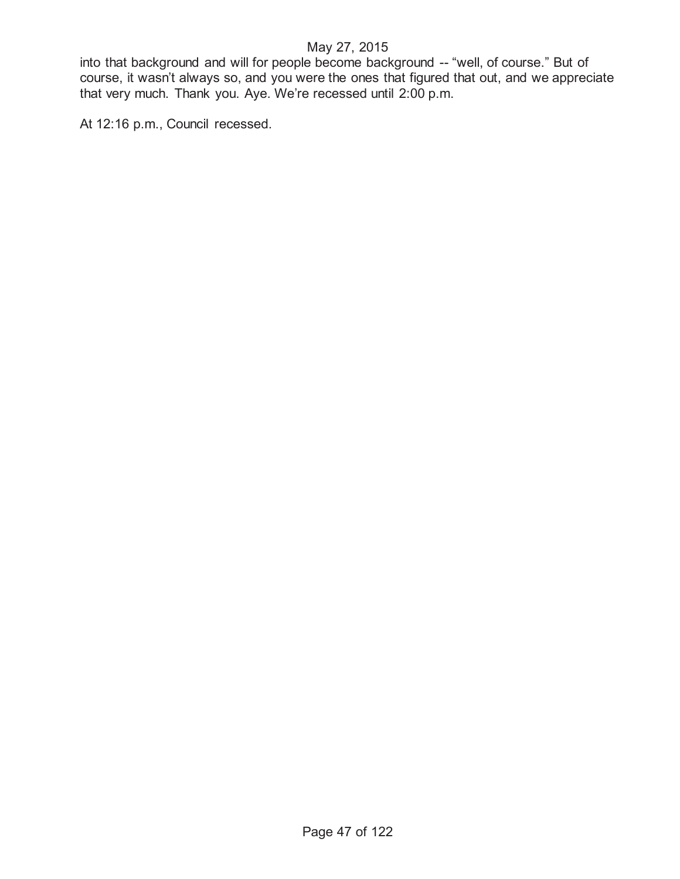into that background and will for people become background -- "well, of course." But of course, it wasn't always so, and you were the ones that figured that out, and we appreciate that very much. Thank you. Aye. We're recessed until 2:00 p.m.

At 12:16 p.m., Council recessed.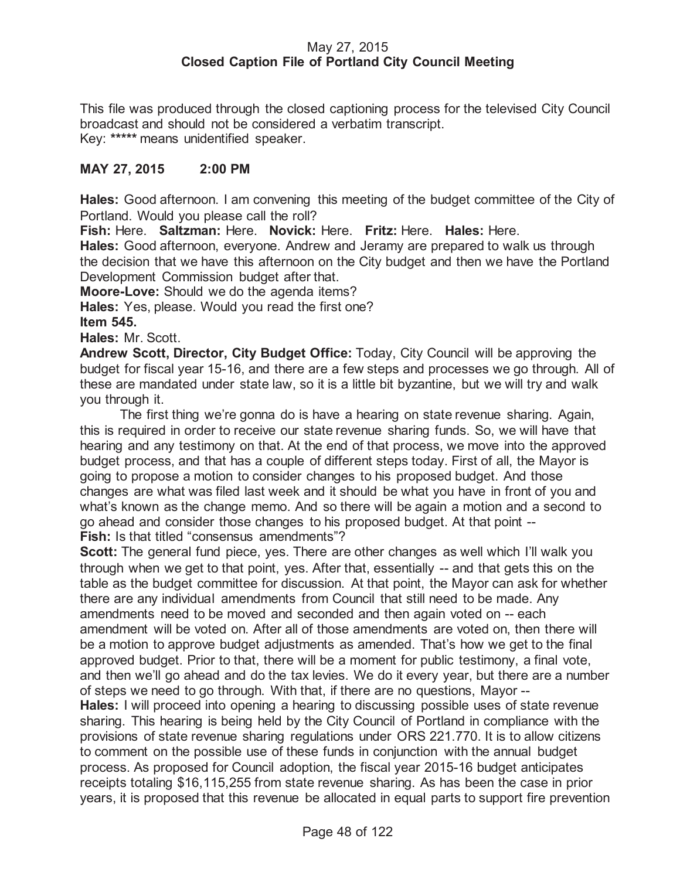### May 27, 2015 **Closed Caption File of Portland City Council Meeting**

This file was produced through the closed captioning process for the televised City Council broadcast and should not be considered a verbatim transcript. Key: **\*\*\*\*\*** means unidentified speaker.

## **MAY 27, 2015 2:00 PM**

**Hales:** Good afternoon. I am convening this meeting of the budget committee of the City of Portland. Would you please call the roll?

**Fish:** Here. **Saltzman:** Here. **Novick:** Here. **Fritz:** Here. **Hales:** Here.

**Hales:** Good afternoon, everyone. Andrew and Jeramy are prepared to walk us through the decision that we have this afternoon on the City budget and then we have the Portland Development Commission budget after that.

**Moore-Love:** Should we do the agenda items?

**Hales:** Yes, please. Would you read the first one?

**Item 545.**

**Hales:** Mr. Scott.

**Andrew Scott, Director, City Budget Office:** Today, City Council will be approving the budget for fiscal year 15-16, and there are a few steps and processes we go through. All of these are mandated under state law, so it is a little bit byzantine, but we will try and walk you through it.

The first thing we're gonna do is have a hearing on state revenue sharing. Again, this is required in order to receive our state revenue sharing funds. So, we will have that hearing and any testimony on that. At the end of that process, we move into the approved budget process, and that has a couple of different steps today. First of all, the Mayor is going to propose a motion to consider changes to his proposed budget. And those changes are what was filed last week and it should be what you have in front of you and what's known as the change memo. And so there will be again a motion and a second to go ahead and consider those changes to his proposed budget. At that point -- **Fish:** Is that titled "consensus amendments"?

**Scott:** The general fund piece, yes. There are other changes as well which I'll walk you through when we get to that point, yes. After that, essentially -- and that gets this on the table as the budget committee for discussion. At that point, the Mayor can ask for whether there are any individual amendments from Council that still need to be made. Any amendments need to be moved and seconded and then again voted on -- each amendment will be voted on. After all of those amendments are voted on, then there will be a motion to approve budget adjustments as amended. That's how we get to the final approved budget. Prior to that, there will be a moment for public testimony, a final vote, and then we'll go ahead and do the tax levies. We do it every year, but there are a number of steps we need to go through. With that, if there are no questions, Mayor -- **Hales:** I will proceed into opening a hearing to discussing possible uses of state revenue sharing. This hearing is being held by the City Council of Portland in compliance with the provisions of state revenue sharing regulations under ORS 221.770. It is to allow citizens to comment on the possible use of these funds in conjunction with the annual budget process. As proposed for Council adoption, the fiscal year 2015-16 budget anticipates receipts totaling \$16,115,255 from state revenue sharing. As has been the case in prior years, it is proposed that this revenue be allocated in equal parts to support fire prevention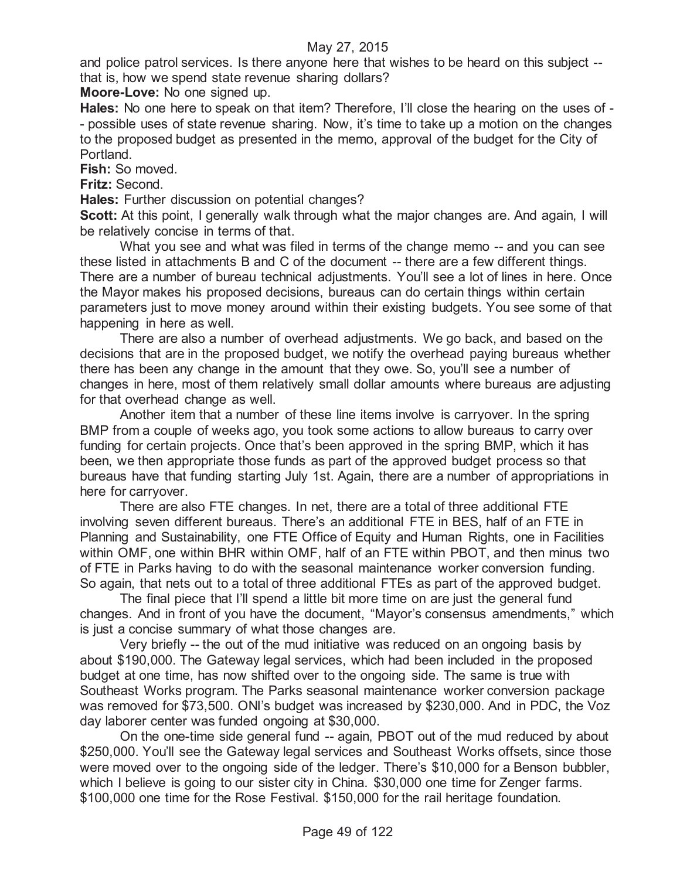and police patrol services. Is there anyone here that wishes to be heard on this subject - that is, how we spend state revenue sharing dollars?

**Moore-Love:** No one signed up.

**Hales:** No one here to speak on that item? Therefore, I'll close the hearing on the uses of - - possible uses of state revenue sharing. Now, it's time to take up a motion on the changes to the proposed budget as presented in the memo, approval of the budget for the City of Portland.

**Fish:** So moved.

**Fritz:** Second.

**Hales:** Further discussion on potential changes?

**Scott:** At this point, I generally walk through what the major changes are. And again, I will be relatively concise in terms of that.

What you see and what was filed in terms of the change memo -- and you can see these listed in attachments B and C of the document -- there are a few different things. There are a number of bureau technical adjustments. You'll see a lot of lines in here. Once the Mayor makes his proposed decisions, bureaus can do certain things within certain parameters just to move money around within their existing budgets. You see some of that happening in here as well.

There are also a number of overhead adjustments. We go back, and based on the decisions that are in the proposed budget, we notify the overhead paying bureaus whether there has been any change in the amount that they owe. So, you'll see a number of changes in here, most of them relatively small dollar amounts where bureaus are adjusting for that overhead change as well.

Another item that a number of these line items involve is carryover. In the spring BMP from a couple of weeks ago, you took some actions to allow bureaus to carry over funding for certain projects. Once that's been approved in the spring BMP, which it has been, we then appropriate those funds as part of the approved budget process so that bureaus have that funding starting July 1st. Again, there are a number of appropriations in here for carryover.

There are also FTE changes. In net, there are a total of three additional FTE involving seven different bureaus. There's an additional FTE in BES, half of an FTE in Planning and Sustainability, one FTE Office of Equity and Human Rights, one in Facilities within OMF, one within BHR within OMF, half of an FTE within PBOT, and then minus two of FTE in Parks having to do with the seasonal maintenance worker conversion funding. So again, that nets out to a total of three additional FTEs as part of the approved budget.

The final piece that I'll spend a little bit more time on are just the general fund changes. And in front of you have the document, "Mayor's consensus amendments," which is just a concise summary of what those changes are.

Very briefly -- the out of the mud initiative was reduced on an ongoing basis by about \$190,000. The Gateway legal services, which had been included in the proposed budget at one time, has now shifted over to the ongoing side. The same is true with Southeast Works program. The Parks seasonal maintenance worker conversion package was removed for \$73,500. ONI's budget was increased by \$230,000. And in PDC, the Voz day laborer center was funded ongoing at \$30,000.

On the one-time side general fund -- again, PBOT out of the mud reduced by about \$250,000. You'll see the Gateway legal services and Southeast Works offsets, since those were moved over to the ongoing side of the ledger. There's \$10,000 for a Benson bubbler, which I believe is going to our sister city in China. \$30,000 one time for Zenger farms. \$100,000 one time for the Rose Festival. \$150,000 for the rail heritage foundation.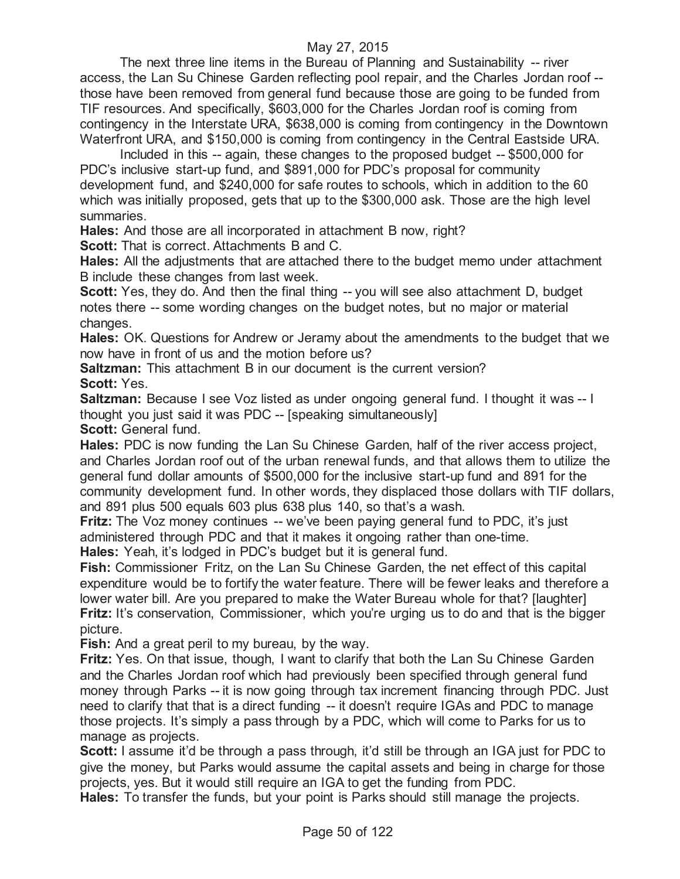The next three line items in the Bureau of Planning and Sustainability -- river access, the Lan Su Chinese Garden reflecting pool repair, and the Charles Jordan roof - those have been removed from general fund because those are going to be funded from TIF resources. And specifically, \$603,000 for the Charles Jordan roof is coming from contingency in the Interstate URA, \$638,000 is coming from contingency in the Downtown Waterfront URA, and \$150,000 is coming from contingency in the Central Eastside URA.

Included in this -- again, these changes to the proposed budget -- \$500,000 for PDC's inclusive start-up fund, and \$891,000 for PDC's proposal for community development fund, and \$240,000 for safe routes to schools, which in addition to the 60 which was initially proposed, gets that up to the \$300,000 ask. Those are the high level summaries.

**Hales:** And those are all incorporated in attachment B now, right?

**Scott:** That is correct. Attachments B and C.

**Hales:** All the adjustments that are attached there to the budget memo under attachment B include these changes from last week.

**Scott:** Yes, they do. And then the final thing -- you will see also attachment D, budget notes there -- some wording changes on the budget notes, but no major or material changes.

**Hales:** OK. Questions for Andrew or Jeramy about the amendments to the budget that we now have in front of us and the motion before us?

**Saltzman:** This attachment B in our document is the current version? **Scott:** Yes.

**Saltzman:** Because I see Voz listed as under ongoing general fund. I thought it was -- I thought you just said it was PDC -- [speaking simultaneously]

**Scott: General fund.** 

**Hales:** PDC is now funding the Lan Su Chinese Garden, half of the river access project, and Charles Jordan roof out of the urban renewal funds, and that allows them to utilize the general fund dollar amounts of \$500,000 for the inclusive start-up fund and 891 for the community development fund. In other words, they displaced those dollars with TIF dollars, and 891 plus 500 equals 603 plus 638 plus 140, so that's a wash.

**Fritz:** The Voz money continues -- we've been paying general fund to PDC, it's just administered through PDC and that it makes it ongoing rather than one-time.

**Hales:** Yeah, it's lodged in PDC's budget but it is general fund.

**Fish:** Commissioner Fritz, on the Lan Su Chinese Garden, the net effect of this capital expenditure would be to fortify the water feature. There will be fewer leaks and therefore a lower water bill. Are you prepared to make the Water Bureau whole for that? [laughter] **Fritz:** It's conservation, Commissioner, which you're urging us to do and that is the bigger picture.

**Fish:** And a great peril to my bureau, by the way.

**Fritz:** Yes. On that issue, though, I want to clarify that both the Lan Su Chinese Garden and the Charles Jordan roof which had previously been specified through general fund money through Parks -- it is now going through tax increment financing through PDC. Just need to clarify that that is a direct funding -- it doesn't require IGAs and PDC to manage those projects. It's simply a pass through by a PDC, which will come to Parks for us to manage as projects.

**Scott:** I assume it'd be through a pass through, it'd still be through an IGA just for PDC to give the money, but Parks would assume the capital assets and being in charge for those projects, yes. But it would still require an IGA to get the funding from PDC.

**Hales:** To transfer the funds, but your point is Parks should still manage the projects.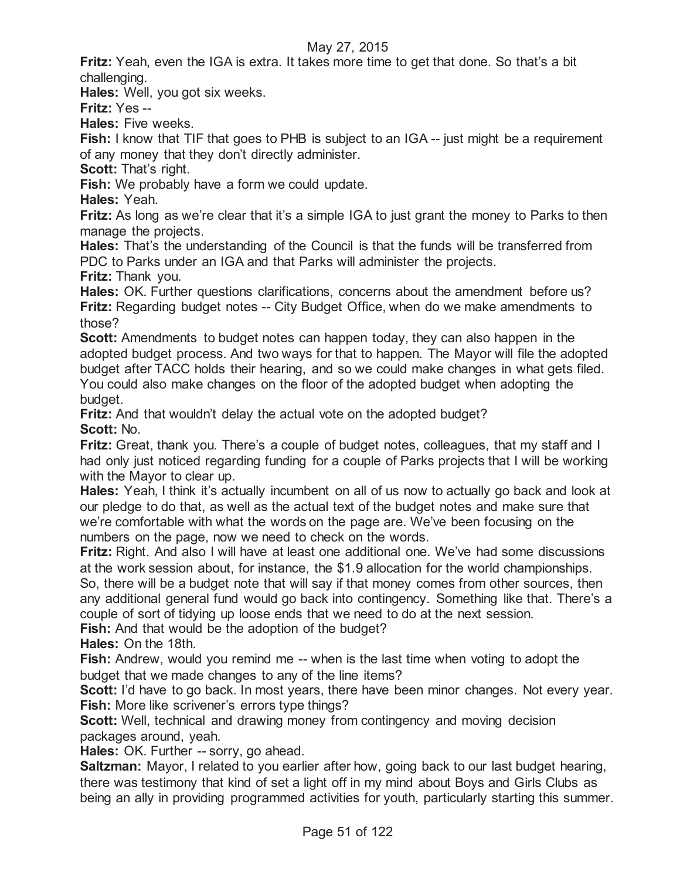**Fritz:** Yeah, even the IGA is extra. It takes more time to get that done. So that's a bit challenging.

**Hales:** Well, you got six weeks.

**Fritz:** Yes --

**Hales:** Five weeks.

**Fish:** I know that TIF that goes to PHB is subject to an IGA -- just might be a requirement of any money that they don't directly administer.

**Scott: That's right.** 

**Fish:** We probably have a form we could update.

**Hales:** Yeah.

**Fritz:** As long as we're clear that it's a simple IGA to just grant the money to Parks to then manage the projects.

**Hales:** That's the understanding of the Council is that the funds will be transferred from PDC to Parks under an IGA and that Parks will administer the projects.

**Fritz:** Thank you.

**Hales:** OK. Further questions clarifications, concerns about the amendment before us? **Fritz:** Regarding budget notes -- City Budget Office, when do we make amendments to those?

**Scott:** Amendments to budget notes can happen today, they can also happen in the adopted budget process. And two ways for that to happen. The Mayor will file the adopted budget after TACC holds their hearing, and so we could make changes in what gets filed. You could also make changes on the floor of the adopted budget when adopting the budget.

**Fritz:** And that wouldn't delay the actual vote on the adopted budget? **Scott:** No.

**Fritz:** Great, thank you. There's a couple of budget notes, colleagues, that my staff and I had only just noticed regarding funding for a couple of Parks projects that I will be working with the Mayor to clear up.

**Hales:** Yeah, I think it's actually incumbent on all of us now to actually go back and look at our pledge to do that, as well as the actual text of the budget notes and make sure that we're comfortable with what the words on the page are. We've been focusing on the numbers on the page, now we need to check on the words.

**Fritz:** Right. And also I will have at least one additional one. We've had some discussions at the work session about, for instance, the \$1.9 allocation for the world championships. So, there will be a budget note that will say if that money comes from other sources, then

any additional general fund would go back into contingency. Something like that. There's a couple of sort of tidying up loose ends that we need to do at the next session.

**Fish:** And that would be the adoption of the budget?

**Hales:** On the 18th.

**Fish:** Andrew, would you remind me -- when is the last time when voting to adopt the budget that we made changes to any of the line items?

**Scott:** I'd have to go back. In most years, there have been minor changes. Not every year. **Fish:** More like scrivener's errors type things?

**Scott:** Well, technical and drawing money from contingency and moving decision packages around, yeah.

**Hales:** OK. Further -- sorry, go ahead.

**Saltzman:** Mayor, I related to you earlier after how, going back to our last budget hearing, there was testimony that kind of set a light off in my mind about Boys and Girls Clubs as being an ally in providing programmed activities for youth, particularly starting this summer.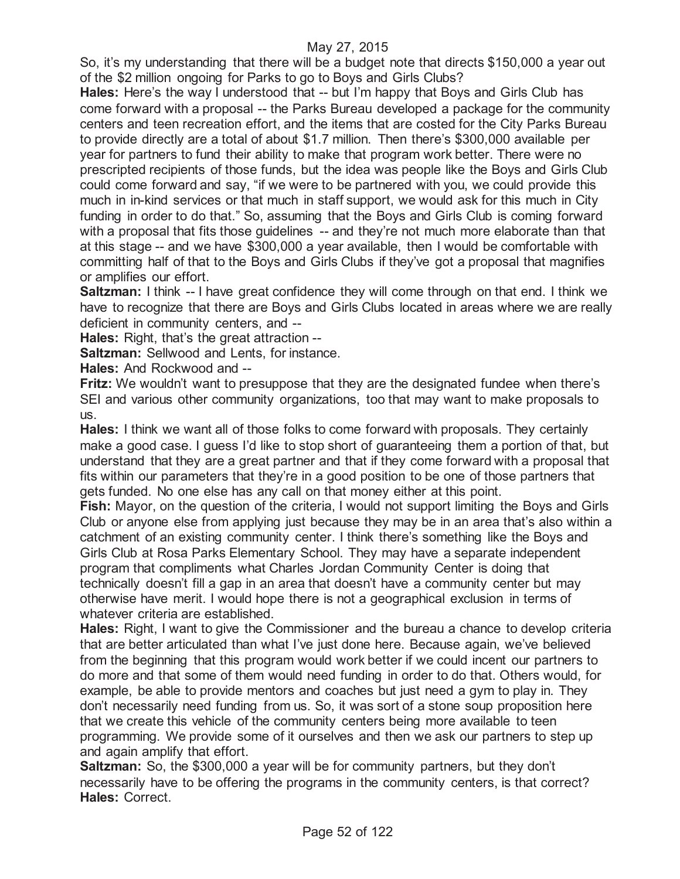So, it's my understanding that there will be a budget note that directs \$150,000 a year out of the \$2 million ongoing for Parks to go to Boys and Girls Clubs?

**Hales:** Here's the way I understood that -- but I'm happy that Boys and Girls Club has come forward with a proposal -- the Parks Bureau developed a package for the community centers and teen recreation effort, and the items that are costed for the City Parks Bureau to provide directly are a total of about \$1.7 million. Then there's \$300,000 available per year for partners to fund their ability to make that program work better. There were no prescripted recipients of those funds, but the idea was people like the Boys and Girls Club could come forward and say, "if we were to be partnered with you, we could provide this much in in-kind services or that much in staff support, we would ask for this much in City funding in order to do that." So, assuming that the Boys and Girls Club is coming forward with a proposal that fits those guidelines -- and they're not much more elaborate than that at this stage -- and we have \$300,000 a year available, then I would be comfortable with committing half of that to the Boys and Girls Clubs if they've got a proposal that magnifies or amplifies our effort.

**Saltzman:** I think -- I have great confidence they will come through on that end. I think we have to recognize that there are Boys and Girls Clubs located in areas where we are really deficient in community centers, and --

**Hales:** Right, that's the great attraction --

**Saltzman:** Sellwood and Lents, for instance.

**Hales:** And Rockwood and --

**Fritz:** We wouldn't want to presuppose that they are the designated fundee when there's SEI and various other community organizations, too that may want to make proposals to us.

**Hales:** I think we want all of those folks to come forward with proposals. They certainly make a good case. I guess I'd like to stop short of guaranteeing them a portion of that, but understand that they are a great partner and that if they come forward with a proposal that fits within our parameters that they're in a good position to be one of those partners that gets funded. No one else has any call on that money either at this point.

**Fish:** Mayor, on the question of the criteria, I would not support limiting the Boys and Girls Club or anyone else from applying just because they may be in an area that's also within a catchment of an existing community center. I think there's something like the Boys and Girls Club at Rosa Parks Elementary School. They may have a separate independent program that compliments what Charles Jordan Community Center is doing that technically doesn't fill a gap in an area that doesn't have a community center but may otherwise have merit. I would hope there is not a geographical exclusion in terms of whatever criteria are established.

**Hales:** Right, I want to give the Commissioner and the bureau a chance to develop criteria that are better articulated than what I've just done here. Because again, we've believed from the beginning that this program would work better if we could incent our partners to do more and that some of them would need funding in order to do that. Others would, for example, be able to provide mentors and coaches but just need a gym to play in. They don't necessarily need funding from us. So, it was sort of a stone soup proposition here that we create this vehicle of the community centers being more available to teen programming. We provide some of it ourselves and then we ask our partners to step up and again amplify that effort.

**Saltzman:** So, the \$300,000 a year will be for community partners, but they don't necessarily have to be offering the programs in the community centers, is that correct? **Hales:** Correct.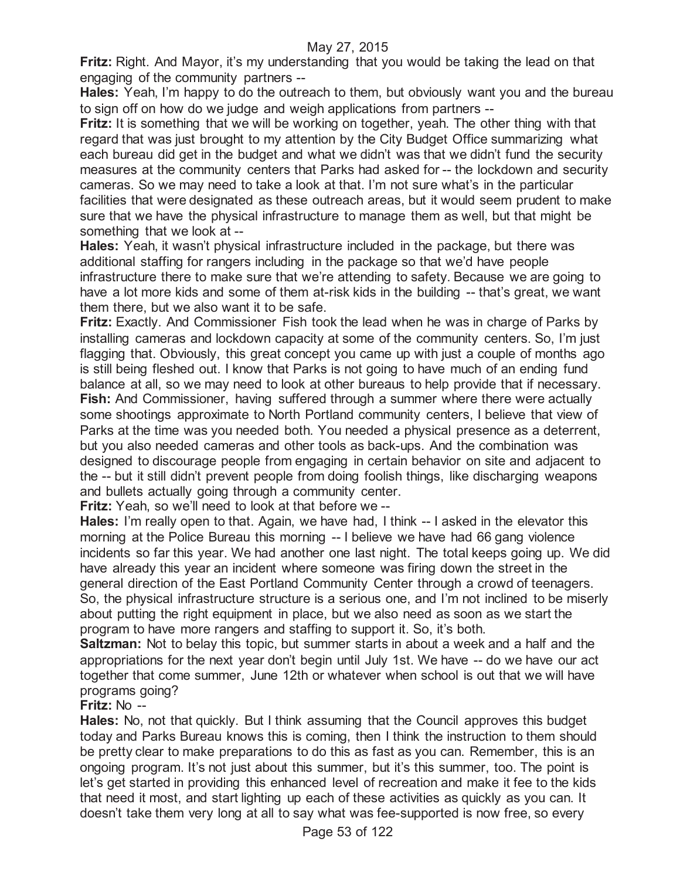**Fritz:** Right. And Mayor, it's my understanding that you would be taking the lead on that engaging of the community partners --

**Hales:** Yeah, I'm happy to do the outreach to them, but obviously want you and the bureau to sign off on how do we judge and weigh applications from partners --

**Fritz:** It is something that we will be working on together, yeah. The other thing with that regard that was just brought to my attention by the City Budget Office summarizing what each bureau did get in the budget and what we didn't was that we didn't fund the security measures at the community centers that Parks had asked for -- the lockdown and security cameras. So we may need to take a look at that. I'm not sure what's in the particular facilities that were designated as these outreach areas, but it would seem prudent to make sure that we have the physical infrastructure to manage them as well, but that might be something that we look at --

**Hales:** Yeah, it wasn't physical infrastructure included in the package, but there was additional staffing for rangers including in the package so that we'd have people infrastructure there to make sure that we're attending to safety. Because we are going to have a lot more kids and some of them at-risk kids in the building -- that's great, we want them there, but we also want it to be safe.

**Fritz:** Exactly. And Commissioner Fish took the lead when he was in charge of Parks by installing cameras and lockdown capacity at some of the community centers. So, I'm just flagging that. Obviously, this great concept you came up with just a couple of months ago is still being fleshed out. I know that Parks is not going to have much of an ending fund balance at all, so we may need to look at other bureaus to help provide that if necessary. **Fish:** And Commissioner, having suffered through a summer where there were actually some shootings approximate to North Portland community centers, I believe that view of Parks at the time was you needed both. You needed a physical presence as a deterrent, but you also needed cameras and other tools as back-ups. And the combination was designed to discourage people from engaging in certain behavior on site and adjacent to the -- but it still didn't prevent people from doing foolish things, like discharging weapons and bullets actually going through a community center.

**Fritz:** Yeah, so we'll need to look at that before we --

**Hales:** I'm really open to that. Again, we have had, I think -- I asked in the elevator this morning at the Police Bureau this morning -- I believe we have had 66 gang violence incidents so far this year. We had another one last night. The total keeps going up. We did have already this year an incident where someone was firing down the street in the general direction of the East Portland Community Center through a crowd of teenagers. So, the physical infrastructure structure is a serious one, and I'm not inclined to be miserly about putting the right equipment in place, but we also need as soon as we start the program to have more rangers and staffing to support it. So, it's both.

**Saltzman:** Not to belay this topic, but summer starts in about a week and a half and the appropriations for the next year don't begin until July 1st. We have -- do we have our act together that come summer, June 12th or whatever when school is out that we will have programs going?

**Fritz:** No --

**Hales:** No, not that quickly. But I think assuming that the Council approves this budget today and Parks Bureau knows this is coming, then I think the instruction to them should be pretty clear to make preparations to do this as fast as you can. Remember, this is an ongoing program. It's not just about this summer, but it's this summer, too. The point is let's get started in providing this enhanced level of recreation and make it fee to the kids that need it most, and start lighting up each of these activities as quickly as you can. It doesn't take them very long at all to say what was fee-supported is now free, so every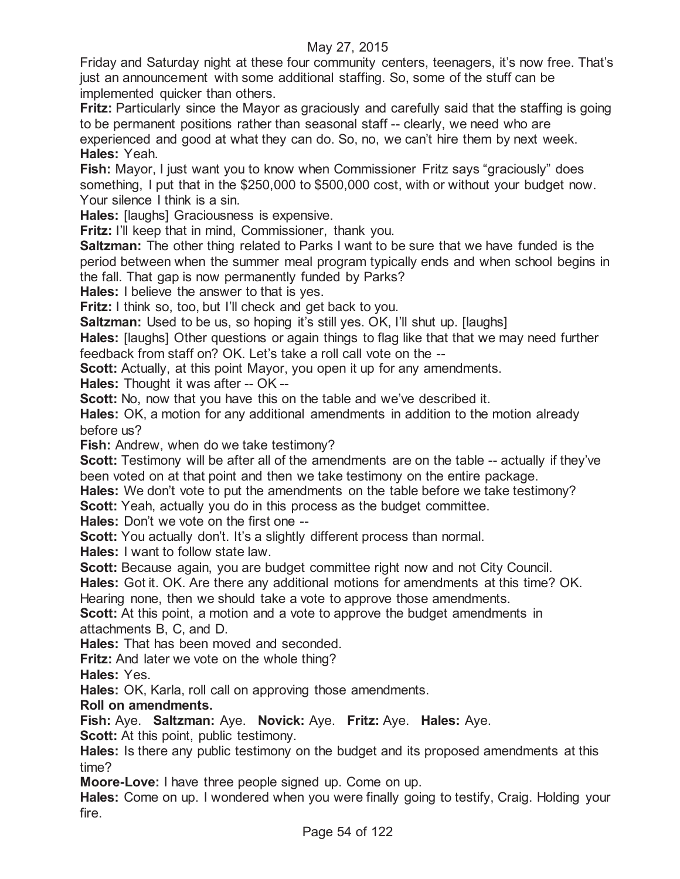Friday and Saturday night at these four community centers, teenagers, it's now free. That's just an announcement with some additional staffing. So, some of the stuff can be implemented quicker than others.

**Fritz:** Particularly since the Mayor as graciously and carefully said that the staffing is going to be permanent positions rather than seasonal staff -- clearly, we need who are experienced and good at what they can do. So, no, we can't hire them by next week. **Hales:** Yeah.

**Fish:** Mayor, I just want you to know when Commissioner Fritz says "graciously" does something, I put that in the \$250,000 to \$500,000 cost, with or without your budget now. Your silence I think is a sin.

**Hales:** [laughs] Graciousness is expensive.

**Fritz:** I'll keep that in mind, Commissioner, thank you.

**Saltzman:** The other thing related to Parks I want to be sure that we have funded is the period between when the summer meal program typically ends and when school begins in the fall. That gap is now permanently funded by Parks?

**Hales:** I believe the answer to that is yes.

**Fritz:** I think so, too, but I'll check and get back to you.

**Saltzman:** Used to be us, so hoping it's still yes. OK, I'll shut up. [laughs]

**Hales:** [laughs] Other questions or again things to flag like that that we may need further feedback from staff on? OK. Let's take a roll call vote on the --

**Scott:** Actually, at this point Mayor, you open it up for any amendments.

**Hales:** Thought it was after -- OK --

**Scott:** No, now that you have this on the table and we've described it.

**Hales:** OK, a motion for any additional amendments in addition to the motion already before us?

**Fish:** Andrew, when do we take testimony?

**Scott:** Testimony will be after all of the amendments are on the table -- actually if they've been voted on at that point and then we take testimony on the entire package.

**Hales:** We don't vote to put the amendments on the table before we take testimony?

**Scott:** Yeah, actually you do in this process as the budget committee.

**Hales:** Don't we vote on the first one --

**Scott:** You actually don't. It's a slightly different process than normal.

**Hales:** I want to follow state law.

**Scott:** Because again, you are budget committee right now and not City Council.

**Hales:** Got it. OK. Are there any additional motions for amendments at this time? OK.

Hearing none, then we should take a vote to approve those amendments.

**Scott:** At this point, a motion and a vote to approve the budget amendments in attachments B, C, and D.

**Hales:** That has been moved and seconded.

**Fritz:** And later we vote on the whole thing?

**Hales:** Yes.

**Hales:** OK, Karla, roll call on approving those amendments.

#### **Roll on amendments.**

**Fish:** Aye. **Saltzman:** Aye. **Novick:** Aye. **Fritz:** Aye. **Hales:** Aye. **Scott:** At this point, public testimony.

**Hales:** Is there any public testimony on the budget and its proposed amendments at this time?

**Moore-Love:** I have three people signed up. Come on up.

**Hales:** Come on up. I wondered when you were finally going to testify, Craig. Holding your fire.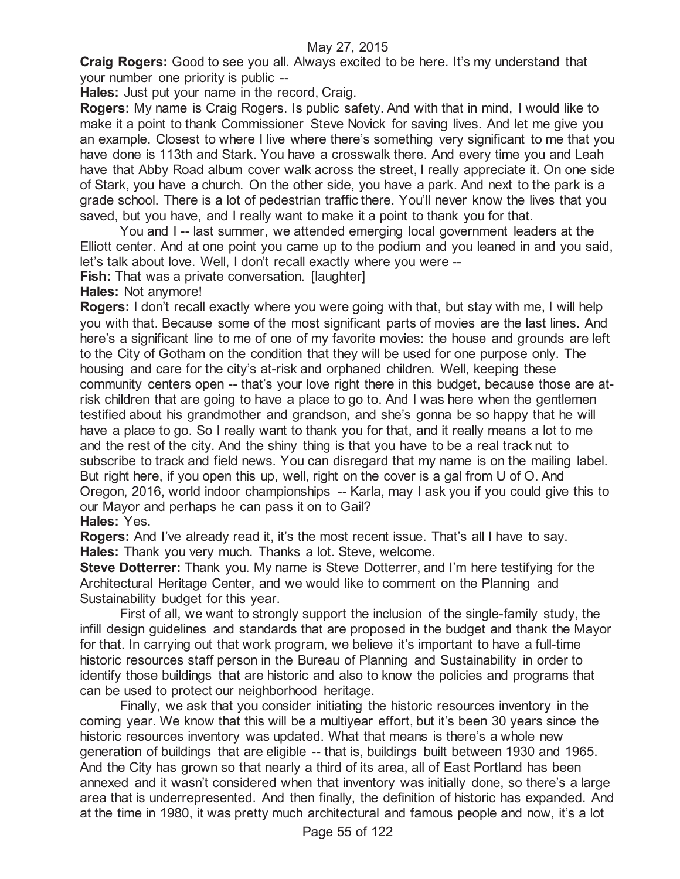**Craig Rogers:** Good to see you all. Always excited to be here. It's my understand that your number one priority is public --

**Hales:** Just put your name in the record, Craig.

**Rogers:** My name is Craig Rogers. Is public safety. And with that in mind, I would like to make it a point to thank Commissioner Steve Novick for saving lives. And let me give you an example. Closest to where I live where there's something very significant to me that you have done is 113th and Stark. You have a crosswalk there. And every time you and Leah have that Abby Road album cover walk across the street, I really appreciate it. On one side of Stark, you have a church. On the other side, you have a park. And next to the park is a grade school. There is a lot of pedestrian traffic there. You'll never know the lives that you saved, but you have, and I really want to make it a point to thank you for that.

You and I -- last summer, we attended emerging local government leaders at the Elliott center. And at one point you came up to the podium and you leaned in and you said, let's talk about love. Well, I don't recall exactly where you were --

**Fish:** That was a private conversation. [laughter]

**Hales:** Not anymore!

**Rogers:** I don't recall exactly where you were going with that, but stay with me, I will help you with that. Because some of the most significant parts of movies are the last lines. And here's a significant line to me of one of my favorite movies: the house and grounds are left to the City of Gotham on the condition that they will be used for one purpose only. The housing and care for the city's at-risk and orphaned children. Well, keeping these community centers open -- that's your love right there in this budget, because those are atrisk children that are going to have a place to go to. And I was here when the gentlemen testified about his grandmother and grandson, and she's gonna be so happy that he will have a place to go. So I really want to thank you for that, and it really means a lot to me and the rest of the city. And the shiny thing is that you have to be a real track nut to subscribe to track and field news. You can disregard that my name is on the mailing label. But right here, if you open this up, well, right on the cover is a gal from U of O. And Oregon, 2016, world indoor championships -- Karla, may I ask you if you could give this to our Mayor and perhaps he can pass it on to Gail? **Hales:** Yes.

**Rogers:** And I've already read it, it's the most recent issue. That's all I have to say. **Hales:** Thank you very much. Thanks a lot. Steve, welcome.

**Steve Dotterrer:** Thank you. My name is Steve Dotterrer, and I'm here testifying for the Architectural Heritage Center, and we would like to comment on the Planning and Sustainability budget for this year.

First of all, we want to strongly support the inclusion of the single-family study, the infill design guidelines and standards that are proposed in the budget and thank the Mayor for that. In carrying out that work program, we believe it's important to have a full-time historic resources staff person in the Bureau of Planning and Sustainability in order to identify those buildings that are historic and also to know the policies and programs that can be used to protect our neighborhood heritage.

Finally, we ask that you consider initiating the historic resources inventory in the coming year. We know that this will be a multiyear effort, but it's been 30 years since the historic resources inventory was updated. What that means is there's a whole new generation of buildings that are eligible -- that is, buildings built between 1930 and 1965. And the City has grown so that nearly a third of its area, all of East Portland has been annexed and it wasn't considered when that inventory was initially done, so there's a large area that is underrepresented. And then finally, the definition of historic has expanded. And at the time in 1980, it was pretty much architectural and famous people and now, it's a lot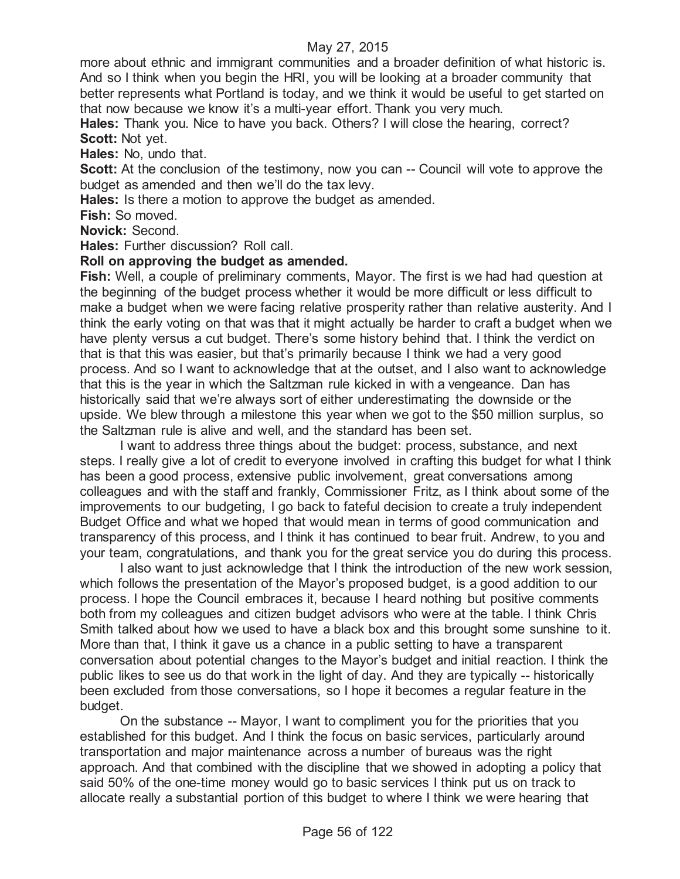more about ethnic and immigrant communities and a broader definition of what historic is. And so I think when you begin the HRI, you will be looking at a broader community that better represents what Portland is today, and we think it would be useful to get started on that now because we know it's a multi-year effort. Thank you very much.

**Hales:** Thank you. Nice to have you back. Others? I will close the hearing, correct? **Scott:** Not yet.

**Hales:** No, undo that.

**Scott:** At the conclusion of the testimony, now you can -- Council will vote to approve the budget as amended and then we'll do the tax levy.

**Hales:** Is there a motion to approve the budget as amended.

**Fish:** So moved.

**Novick:** Second.

**Hales:** Further discussion? Roll call.

### **Roll on approving the budget as amended.**

**Fish:** Well, a couple of preliminary comments, Mayor. The first is we had had question at the beginning of the budget process whether it would be more difficult or less difficult to make a budget when we were facing relative prosperity rather than relative austerity. And I think the early voting on that was that it might actually be harder to craft a budget when we have plenty versus a cut budget. There's some history behind that. I think the verdict on that is that this was easier, but that's primarily because I think we had a very good process. And so I want to acknowledge that at the outset, and I also want to acknowledge that this is the year in which the Saltzman rule kicked in with a vengeance. Dan has historically said that we're always sort of either underestimating the downside or the upside. We blew through a milestone this year when we got to the \$50 million surplus, so the Saltzman rule is alive and well, and the standard has been set.

I want to address three things about the budget: process, substance, and next steps. I really give a lot of credit to everyone involved in crafting this budget for what I think has been a good process, extensive public involvement, great conversations among colleagues and with the staff and frankly, Commissioner Fritz, as I think about some of the improvements to our budgeting, I go back to fateful decision to create a truly independent Budget Office and what we hoped that would mean in terms of good communication and transparency of this process, and I think it has continued to bear fruit. Andrew, to you and your team, congratulations, and thank you for the great service you do during this process.

I also want to just acknowledge that I think the introduction of the new work session, which follows the presentation of the Mayor's proposed budget, is a good addition to our process. I hope the Council embraces it, because I heard nothing but positive comments both from my colleagues and citizen budget advisors who were at the table. I think Chris Smith talked about how we used to have a black box and this brought some sunshine to it. More than that, I think it gave us a chance in a public setting to have a transparent conversation about potential changes to the Mayor's budget and initial reaction. I think the public likes to see us do that work in the light of day. And they are typically -- historically been excluded from those conversations, so I hope it becomes a regular feature in the budget.

On the substance -- Mayor, I want to compliment you for the priorities that you established for this budget. And I think the focus on basic services, particularly around transportation and major maintenance across a number of bureaus was the right approach. And that combined with the discipline that we showed in adopting a policy that said 50% of the one-time money would go to basic services I think put us on track to allocate really a substantial portion of this budget to where I think we were hearing that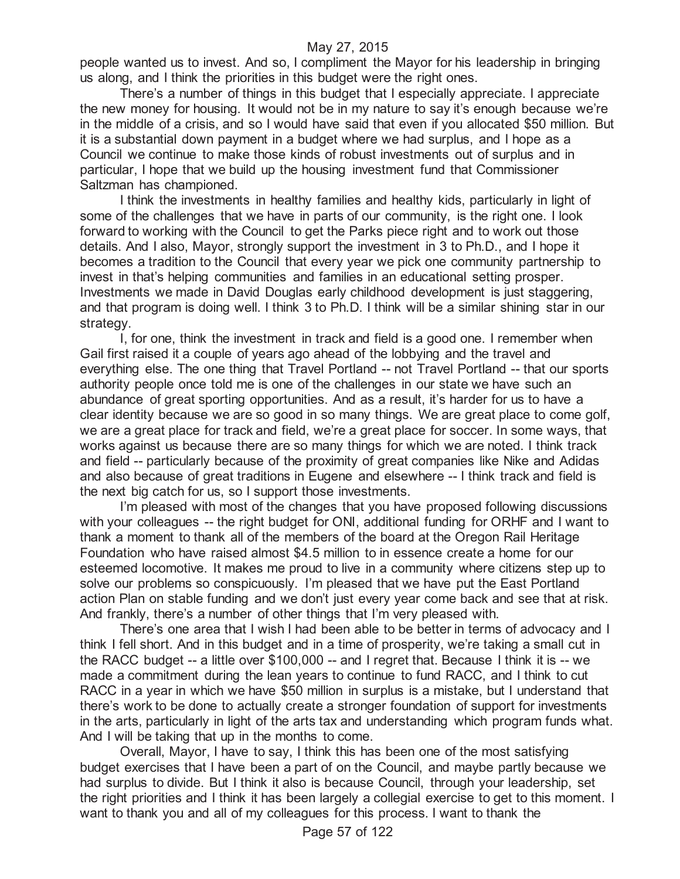people wanted us to invest. And so, I compliment the Mayor for his leadership in bringing us along, and I think the priorities in this budget were the right ones.

There's a number of things in this budget that I especially appreciate. I appreciate the new money for housing. It would not be in my nature to say it's enough because we're in the middle of a crisis, and so I would have said that even if you allocated \$50 million. But it is a substantial down payment in a budget where we had surplus, and I hope as a Council we continue to make those kinds of robust investments out of surplus and in particular, I hope that we build up the housing investment fund that Commissioner Saltzman has championed.

I think the investments in healthy families and healthy kids, particularly in light of some of the challenges that we have in parts of our community, is the right one. I look forward to working with the Council to get the Parks piece right and to work out those details. And I also, Mayor, strongly support the investment in 3 to Ph.D., and I hope it becomes a tradition to the Council that every year we pick one community partnership to invest in that's helping communities and families in an educational setting prosper. Investments we made in David Douglas early childhood development is just staggering, and that program is doing well. I think 3 to Ph.D. I think will be a similar shining star in our strategy.

I, for one, think the investment in track and field is a good one. I remember when Gail first raised it a couple of years ago ahead of the lobbying and the travel and everything else. The one thing that Travel Portland -- not Travel Portland -- that our sports authority people once told me is one of the challenges in our state we have such an abundance of great sporting opportunities. And as a result, it's harder for us to have a clear identity because we are so good in so many things. We are great place to come golf, we are a great place for track and field, we're a great place for soccer. In some ways, that works against us because there are so many things for which we are noted. I think track and field -- particularly because of the proximity of great companies like Nike and Adidas and also because of great traditions in Eugene and elsewhere -- I think track and field is the next big catch for us, so I support those investments.

I'm pleased with most of the changes that you have proposed following discussions with your colleagues -- the right budget for ONI, additional funding for ORHF and I want to thank a moment to thank all of the members of the board at the Oregon Rail Heritage Foundation who have raised almost \$4.5 million to in essence create a home for our esteemed locomotive. It makes me proud to live in a community where citizens step up to solve our problems so conspicuously. I'm pleased that we have put the East Portland action Plan on stable funding and we don't just every year come back and see that at risk. And frankly, there's a number of other things that I'm very pleased with.

There's one area that I wish I had been able to be better in terms of advocacy and I think I fell short. And in this budget and in a time of prosperity, we're taking a small cut in the RACC budget -- a little over \$100,000 -- and I regret that. Because I think it is -- we made a commitment during the lean years to continue to fund RACC, and I think to cut RACC in a year in which we have \$50 million in surplus is a mistake, but I understand that there's work to be done to actually create a stronger foundation of support for investments in the arts, particularly in light of the arts tax and understanding which program funds what. And I will be taking that up in the months to come.

Overall, Mayor, I have to say, I think this has been one of the most satisfying budget exercises that I have been a part of on the Council, and maybe partly because we had surplus to divide. But I think it also is because Council, through your leadership, set the right priorities and I think it has been largely a collegial exercise to get to this moment. I want to thank you and all of my colleagues for this process. I want to thank the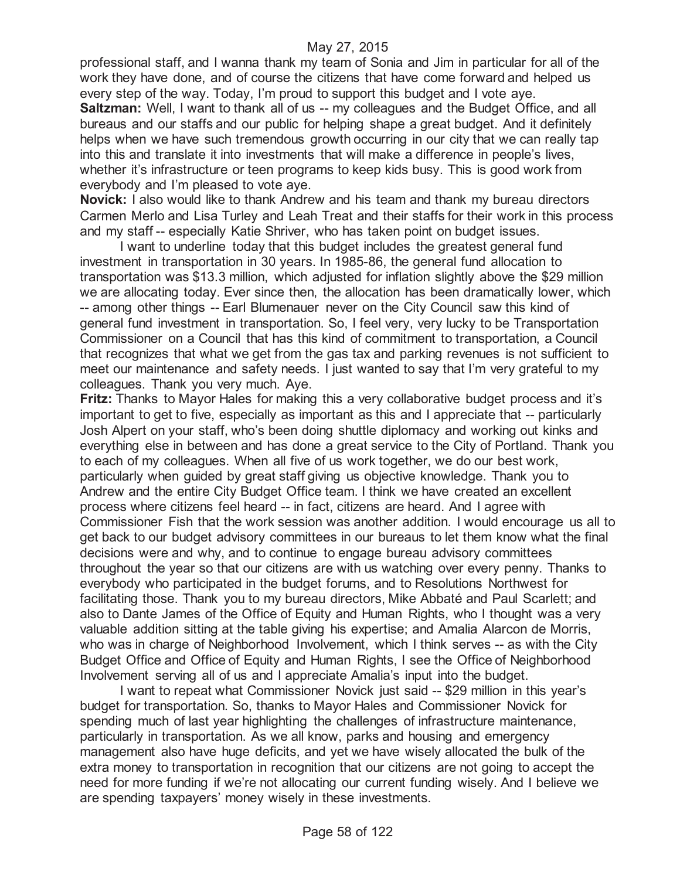professional staff, and I wanna thank my team of Sonia and Jim in particular for all of the work they have done, and of course the citizens that have come forward and helped us every step of the way. Today, I'm proud to support this budget and I vote aye.

**Saltzman:** Well, I want to thank all of us -- my colleagues and the Budget Office, and all bureaus and our staffs and our public for helping shape a great budget. And it definitely helps when we have such tremendous growth occurring in our city that we can really tap into this and translate it into investments that will make a difference in people's lives, whether it's infrastructure or teen programs to keep kids busy. This is good work from everybody and I'm pleased to vote aye.

**Novick:** I also would like to thank Andrew and his team and thank my bureau directors Carmen Merlo and Lisa Turley and Leah Treat and their staffs for their work in this process and my staff -- especially Katie Shriver, who has taken point on budget issues.

I want to underline today that this budget includes the greatest general fund investment in transportation in 30 years. In 1985-86, the general fund allocation to transportation was \$13.3 million, which adjusted for inflation slightly above the \$29 million we are allocating today. Ever since then, the allocation has been dramatically lower, which -- among other things -- Earl Blumenauer never on the City Council saw this kind of general fund investment in transportation. So, I feel very, very lucky to be Transportation Commissioner on a Council that has this kind of commitment to transportation, a Council that recognizes that what we get from the gas tax and parking revenues is not sufficient to meet our maintenance and safety needs. I just wanted to say that I'm very grateful to my colleagues. Thank you very much. Aye.

**Fritz:** Thanks to Mayor Hales for making this a very collaborative budget process and it's important to get to five, especially as important as this and I appreciate that -- particularly Josh Alpert on your staff, who's been doing shuttle diplomacy and working out kinks and everything else in between and has done a great service to the City of Portland. Thank you to each of my colleagues. When all five of us work together, we do our best work, particularly when guided by great staff giving us objective knowledge. Thank you to Andrew and the entire City Budget Office team. I think we have created an excellent process where citizens feel heard -- in fact, citizens are heard. And I agree with Commissioner Fish that the work session was another addition. I would encourage us all to get back to our budget advisory committees in our bureaus to let them know what the final decisions were and why, and to continue to engage bureau advisory committees throughout the year so that our citizens are with us watching over every penny. Thanks to everybody who participated in the budget forums, and to Resolutions Northwest for facilitating those. Thank you to my bureau directors, Mike Abbaté and Paul Scarlett; and also to Dante James of the Office of Equity and Human Rights, who I thought was a very valuable addition sitting at the table giving his expertise; and Amalia Alarcon de Morris, who was in charge of Neighborhood Involvement, which I think serves -- as with the City Budget Office and Office of Equity and Human Rights, I see the Office of Neighborhood Involvement serving all of us and I appreciate Amalia's input into the budget.

I want to repeat what Commissioner Novick just said -- \$29 million in this year's budget for transportation. So, thanks to Mayor Hales and Commissioner Novick for spending much of last year highlighting the challenges of infrastructure maintenance, particularly in transportation. As we all know, parks and housing and emergency management also have huge deficits, and yet we have wisely allocated the bulk of the extra money to transportation in recognition that our citizens are not going to accept the need for more funding if we're not allocating our current funding wisely. And I believe we are spending taxpayers' money wisely in these investments.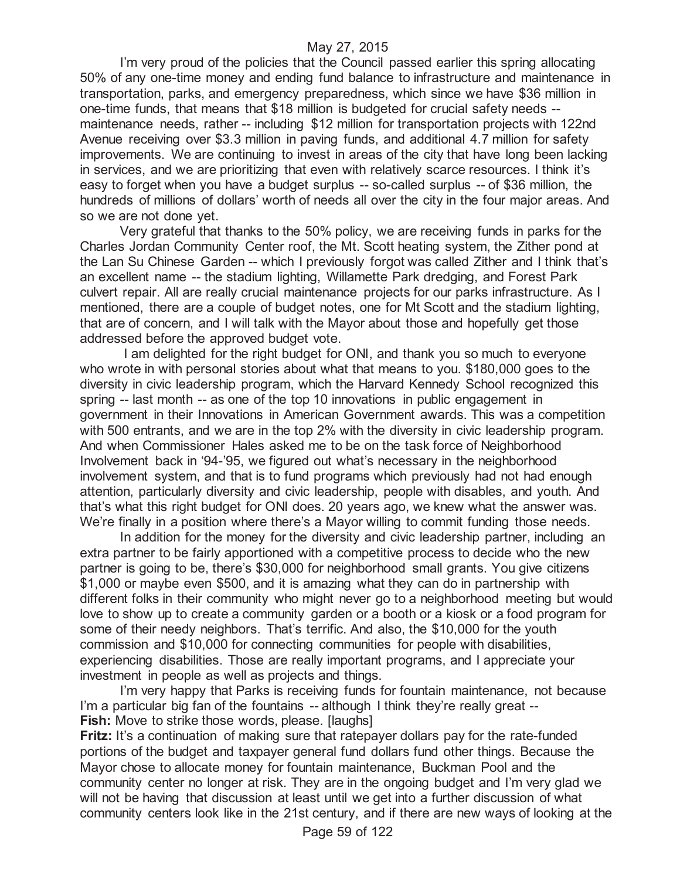I'm very proud of the policies that the Council passed earlier this spring allocating 50% of any one-time money and ending fund balance to infrastructure and maintenance in transportation, parks, and emergency preparedness, which since we have \$36 million in one-time funds, that means that \$18 million is budgeted for crucial safety needs - maintenance needs, rather -- including \$12 million for transportation projects with 122nd Avenue receiving over \$3.3 million in paving funds, and additional 4.7 million for safety improvements. We are continuing to invest in areas of the city that have long been lacking in services, and we are prioritizing that even with relatively scarce resources. I think it's easy to forget when you have a budget surplus -- so-called surplus -- of \$36 million, the hundreds of millions of dollars' worth of needs all over the city in the four major areas. And so we are not done yet.

Very grateful that thanks to the 50% policy, we are receiving funds in parks for the Charles Jordan Community Center roof, the Mt. Scott heating system, the Zither pond at the Lan Su Chinese Garden -- which I previously forgot was called Zither and I think that's an excellent name -- the stadium lighting, Willamette Park dredging, and Forest Park culvert repair. All are really crucial maintenance projects for our parks infrastructure. As I mentioned, there are a couple of budget notes, one for Mt Scott and the stadium lighting, that are of concern, and I will talk with the Mayor about those and hopefully get those addressed before the approved budget vote.

I am delighted for the right budget for ONI, and thank you so much to everyone who wrote in with personal stories about what that means to you. \$180,000 goes to the diversity in civic leadership program, which the Harvard Kennedy School recognized this spring -- last month -- as one of the top 10 innovations in public engagement in government in their Innovations in American Government awards. This was a competition with 500 entrants, and we are in the top 2% with the diversity in civic leadership program. And when Commissioner Hales asked me to be on the task force of Neighborhood Involvement back in '94-'95, we figured out what's necessary in the neighborhood involvement system, and that is to fund programs which previously had not had enough attention, particularly diversity and civic leadership, people with disables, and youth. And that's what this right budget for ONI does. 20 years ago, we knew what the answer was. We're finally in a position where there's a Mayor willing to commit funding those needs.

In addition for the money for the diversity and civic leadership partner, including an extra partner to be fairly apportioned with a competitive process to decide who the new partner is going to be, there's \$30,000 for neighborhood small grants. You give citizens \$1,000 or maybe even \$500, and it is amazing what they can do in partnership with different folks in their community who might never go to a neighborhood meeting but would love to show up to create a community garden or a booth or a kiosk or a food program for some of their needy neighbors. That's terrific. And also, the \$10,000 for the youth commission and \$10,000 for connecting communities for people with disabilities, experiencing disabilities. Those are really important programs, and I appreciate your investment in people as well as projects and things.

I'm very happy that Parks is receiving funds for fountain maintenance, not because I'm a particular big fan of the fountains -- although I think they're really great -- **Fish:** Move to strike those words, please. [laughs]

**Fritz:** It's a continuation of making sure that ratepayer dollars pay for the rate-funded portions of the budget and taxpayer general fund dollars fund other things. Because the Mayor chose to allocate money for fountain maintenance, Buckman Pool and the community center no longer at risk. They are in the ongoing budget and I'm very glad we will not be having that discussion at least until we get into a further discussion of what community centers look like in the 21st century, and if there are new ways of looking at the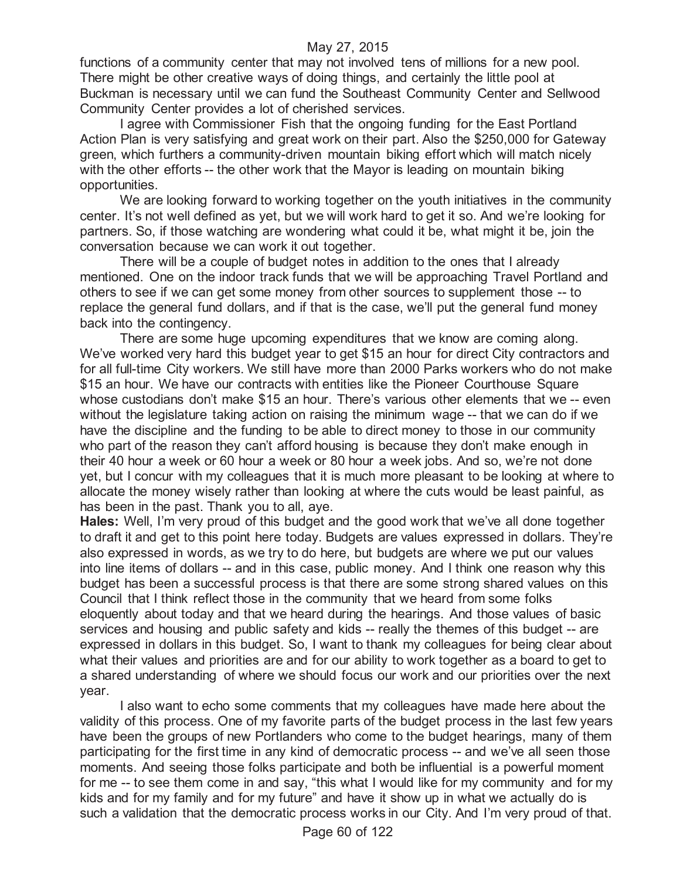functions of a community center that may not involved tens of millions for a new pool. There might be other creative ways of doing things, and certainly the little pool at Buckman is necessary until we can fund the Southeast Community Center and Sellwood Community Center provides a lot of cherished services.

I agree with Commissioner Fish that the ongoing funding for the East Portland Action Plan is very satisfying and great work on their part. Also the \$250,000 for Gateway green, which furthers a community-driven mountain biking effort which will match nicely with the other efforts -- the other work that the Mayor is leading on mountain biking opportunities.

We are looking forward to working together on the youth initiatives in the community center. It's not well defined as yet, but we will work hard to get it so. And we're looking for partners. So, if those watching are wondering what could it be, what might it be, join the conversation because we can work it out together.

There will be a couple of budget notes in addition to the ones that I already mentioned. One on the indoor track funds that we will be approaching Travel Portland and others to see if we can get some money from other sources to supplement those -- to replace the general fund dollars, and if that is the case, we'll put the general fund money back into the contingency.

There are some huge upcoming expenditures that we know are coming along. We've worked very hard this budget year to get \$15 an hour for direct City contractors and for all full-time City workers. We still have more than 2000 Parks workers who do not make \$15 an hour. We have our contracts with entities like the Pioneer Courthouse Square whose custodians don't make \$15 an hour. There's various other elements that we -- even without the legislature taking action on raising the minimum wage -- that we can do if we have the discipline and the funding to be able to direct money to those in our community who part of the reason they can't afford housing is because they don't make enough in their 40 hour a week or 60 hour a week or 80 hour a week jobs. And so, we're not done yet, but I concur with my colleagues that it is much more pleasant to be looking at where to allocate the money wisely rather than looking at where the cuts would be least painful, as has been in the past. Thank you to all, aye.

**Hales:** Well, I'm very proud of this budget and the good work that we've all done together to draft it and get to this point here today. Budgets are values expressed in dollars. They're also expressed in words, as we try to do here, but budgets are where we put our values into line items of dollars -- and in this case, public money. And I think one reason why this budget has been a successful process is that there are some strong shared values on this Council that I think reflect those in the community that we heard from some folks eloquently about today and that we heard during the hearings. And those values of basic services and housing and public safety and kids -- really the themes of this budget -- are expressed in dollars in this budget. So, I want to thank my colleagues for being clear about what their values and priorities are and for our ability to work together as a board to get to a shared understanding of where we should focus our work and our priorities over the next year.

I also want to echo some comments that my colleagues have made here about the validity of this process. One of my favorite parts of the budget process in the last few years have been the groups of new Portlanders who come to the budget hearings, many of them participating for the first time in any kind of democratic process -- and we've all seen those moments. And seeing those folks participate and both be influential is a powerful moment for me -- to see them come in and say, "this what I would like for my community and for my kids and for my family and for my future" and have it show up in what we actually do is such a validation that the democratic process works in our City. And I'm very proud of that.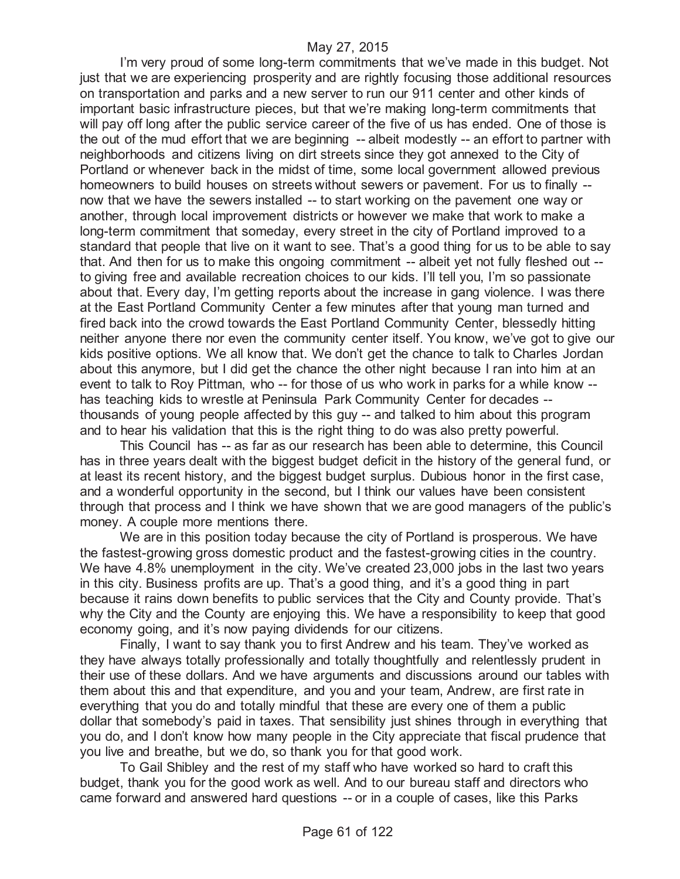I'm very proud of some long-term commitments that we've made in this budget. Not just that we are experiencing prosperity and are rightly focusing those additional resources on transportation and parks and a new server to run our 911 center and other kinds of important basic infrastructure pieces, but that we're making long-term commitments that will pay off long after the public service career of the five of us has ended. One of those is the out of the mud effort that we are beginning -- albeit modestly -- an effort to partner with neighborhoods and citizens living on dirt streets since they got annexed to the City of Portland or whenever back in the midst of time, some local government allowed previous homeowners to build houses on streets without sewers or pavement. For us to finally - now that we have the sewers installed -- to start working on the pavement one way or another, through local improvement districts or however we make that work to make a long-term commitment that someday, every street in the city of Portland improved to a standard that people that live on it want to see. That's a good thing for us to be able to say that. And then for us to make this ongoing commitment -- albeit yet not fully fleshed out - to giving free and available recreation choices to our kids. I'll tell you, I'm so passionate about that. Every day, I'm getting reports about the increase in gang violence. I was there at the East Portland Community Center a few minutes after that young man turned and fired back into the crowd towards the East Portland Community Center, blessedly hitting neither anyone there nor even the community center itself. You know, we've got to give our kids positive options. We all know that. We don't get the chance to talk to Charles Jordan about this anymore, but I did get the chance the other night because I ran into him at an event to talk to Roy Pittman, who -- for those of us who work in parks for a while know - has teaching kids to wrestle at Peninsula Park Community Center for decades - thousands of young people affected by this guy -- and talked to him about this program and to hear his validation that this is the right thing to do was also pretty powerful.

This Council has -- as far as our research has been able to determine, this Council has in three years dealt with the biggest budget deficit in the history of the general fund, or at least its recent history, and the biggest budget surplus. Dubious honor in the first case, and a wonderful opportunity in the second, but I think our values have been consistent through that process and I think we have shown that we are good managers of the public's money. A couple more mentions there.

We are in this position today because the city of Portland is prosperous. We have the fastest-growing gross domestic product and the fastest-growing cities in the country. We have 4.8% unemployment in the city. We've created 23,000 jobs in the last two years in this city. Business profits are up. That's a good thing, and it's a good thing in part because it rains down benefits to public services that the City and County provide. That's why the City and the County are enjoying this. We have a responsibility to keep that good economy going, and it's now paying dividends for our citizens.

Finally, I want to say thank you to first Andrew and his team. They've worked as they have always totally professionally and totally thoughtfully and relentlessly prudent in their use of these dollars. And we have arguments and discussions around our tables with them about this and that expenditure, and you and your team, Andrew, are first rate in everything that you do and totally mindful that these are every one of them a public dollar that somebody's paid in taxes. That sensibility just shines through in everything that you do, and I don't know how many people in the City appreciate that fiscal prudence that you live and breathe, but we do, so thank you for that good work.

To Gail Shibley and the rest of my staff who have worked so hard to craft this budget, thank you for the good work as well. And to our bureau staff and directors who came forward and answered hard questions -- or in a couple of cases, like this Parks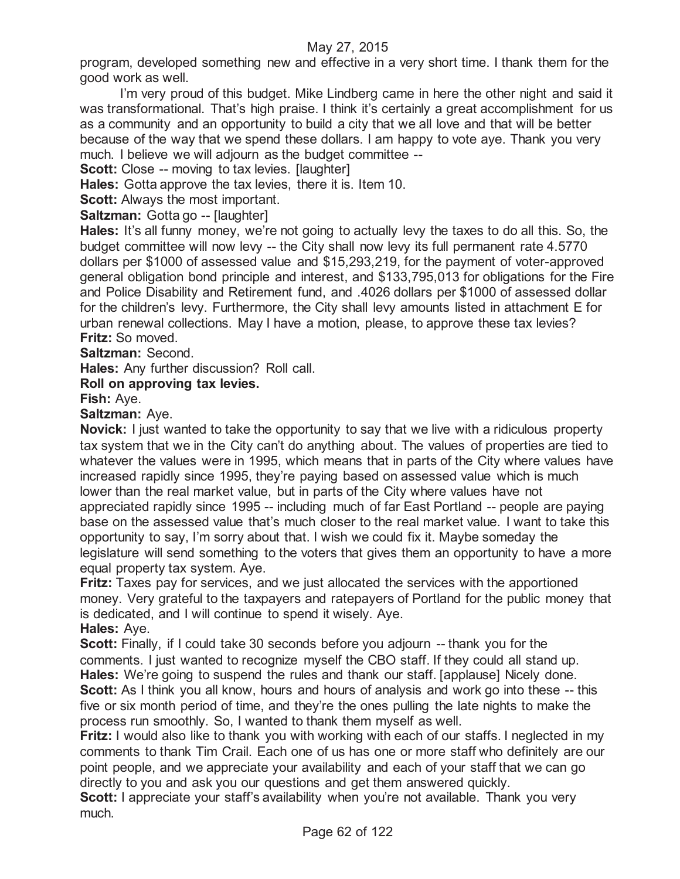program, developed something new and effective in a very short time. I thank them for the good work as well.

I'm very proud of this budget. Mike Lindberg came in here the other night and said it was transformational. That's high praise. I think it's certainly a great accomplishment for us as a community and an opportunity to build a city that we all love and that will be better because of the way that we spend these dollars. I am happy to vote aye. Thank you very much. I believe we will adjourn as the budget committee --

**Scott:** Close -- moving to tax levies. [laughter]

**Hales:** Gotta approve the tax levies, there it is. Item 10.

**Scott:** Always the most important.

**Saltzman: Gotta go -- [laughter]** 

**Hales:** It's all funny money, we're not going to actually levy the taxes to do all this. So, the budget committee will now levy -- the City shall now levy its full permanent rate 4.5770 dollars per \$1000 of assessed value and \$15,293,219, for the payment of voter-approved general obligation bond principle and interest, and \$133,795,013 for obligations for the Fire and Police Disability and Retirement fund, and .4026 dollars per \$1000 of assessed dollar for the children's levy. Furthermore, the City shall levy amounts listed in attachment E for urban renewal collections. May I have a motion, please, to approve these tax levies? **Fritz:** So moved.

**Saltzman:** Second.

**Hales:** Any further discussion? Roll call.

**Roll on approving tax levies.**

**Fish:** Aye.

**Saltzman:** Aye.

**Novick:** I just wanted to take the opportunity to say that we live with a ridiculous property tax system that we in the City can't do anything about. The values of properties are tied to whatever the values were in 1995, which means that in parts of the City where values have increased rapidly since 1995, they're paying based on assessed value which is much lower than the real market value, but in parts of the City where values have not appreciated rapidly since 1995 -- including much of far East Portland -- people are paying base on the assessed value that's much closer to the real market value. I want to take this opportunity to say, I'm sorry about that. I wish we could fix it. Maybe someday the legislature will send something to the voters that gives them an opportunity to have a more equal property tax system. Aye.

**Fritz:** Taxes pay for services, and we just allocated the services with the apportioned money. Very grateful to the taxpayers and ratepayers of Portland for the public money that is dedicated, and I will continue to spend it wisely. Aye.

**Hales:** Aye.

**Scott:** Finally, if I could take 30 seconds before you adjourn -- thank you for the comments. I just wanted to recognize myself the CBO staff. If they could all stand up. **Hales:** We're going to suspend the rules and thank our staff. [applause] Nicely done. **Scott:** As I think you all know, hours and hours of analysis and work go into these -- this five or six month period of time, and they're the ones pulling the late nights to make the process run smoothly. So, I wanted to thank them myself as well.

**Fritz:** I would also like to thank you with working with each of our staffs. I neglected in my comments to thank Tim Crail. Each one of us has one or more staff who definitely are our point people, and we appreciate your availability and each of your staff that we can go directly to you and ask you our questions and get them answered quickly.

**Scott:** I appreciate your staff's availability when you're not available. Thank you very much.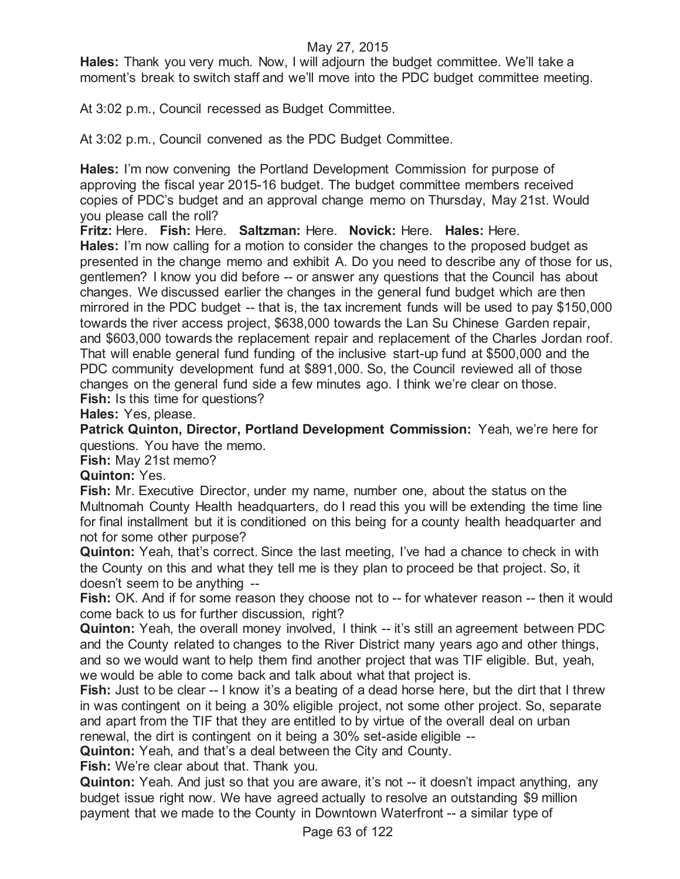**Hales:** Thank you very much. Now, I will adjourn the budget committee. We'll take a moment's break to switch staff and we'll move into the PDC budget committee meeting.

At 3:02 p.m., Council recessed as Budget Committee.

At 3:02 p.m., Council convened as the PDC Budget Committee.

**Hales:** I'm now convening the Portland Development Commission for purpose of approving the fiscal year 2015-16 budget. The budget committee members received copies of PDC's budget and an approval change memo on Thursday, May 21st. Would you please call the roll?

**Fritz:** Here. **Fish:** Here. **Saltzman:** Here. **Novick:** Here. **Hales:** Here. **Hales:** I'm now calling for a motion to consider the changes to the proposed budget as presented in the change memo and exhibit A. Do you need to describe any of those for us, gentlemen? I know you did before -- or answer any questions that the Council has about changes. We discussed earlier the changes in the general fund budget which are then mirrored in the PDC budget -- that is, the tax increment funds will be used to pay \$150,000 towards the river access project, \$638,000 towards the Lan Su Chinese Garden repair, and \$603,000 towards the replacement repair and replacement of the Charles Jordan roof. That will enable general fund funding of the inclusive start-up fund at \$500,000 and the PDC community development fund at \$891,000. So, the Council reviewed all of those changes on the general fund side a few minutes ago. I think we're clear on those.

**Fish:** Is this time for questions?

**Hales:** Yes, please.

**Patrick Quinton, Director, Portland Development Commission:** Yeah, we're here for questions. You have the memo.

**Fish:** May 21st memo?

**Quinton:** Yes.

**Fish:** Mr. Executive Director, under my name, number one, about the status on the Multnomah County Health headquarters, do I read this you will be extending the time line for final installment but it is conditioned on this being for a county health headquarter and not for some other purpose?

**Quinton:** Yeah, that's correct. Since the last meeting, I've had a chance to check in with the County on this and what they tell me is they plan to proceed be that project. So, it doesn't seem to be anything --

Fish: OK. And if for some reason they choose not to -- for whatever reason -- then it would come back to us for further discussion, right?

**Quinton:** Yeah, the overall money involved, I think -- it's still an agreement between PDC and the County related to changes to the River District many years ago and other things, and so we would want to help them find another project that was TIF eligible. But, yeah, we would be able to come back and talk about what that project is.

**Fish:** Just to be clear -- I know it's a beating of a dead horse here, but the dirt that I threw in was contingent on it being a 30% eligible project, not some other project. So, separate and apart from the TIF that they are entitled to by virtue of the overall deal on urban renewal, the dirt is contingent on it being a 30% set-aside eligible --

**Quinton:** Yeah, and that's a deal between the City and County.

**Fish:** We're clear about that. Thank you.

**Quinton:** Yeah. And just so that you are aware, it's not -- it doesn't impact anything, any budget issue right now. We have agreed actually to resolve an outstanding \$9 million payment that we made to the County in Downtown Waterfront -- a similar type of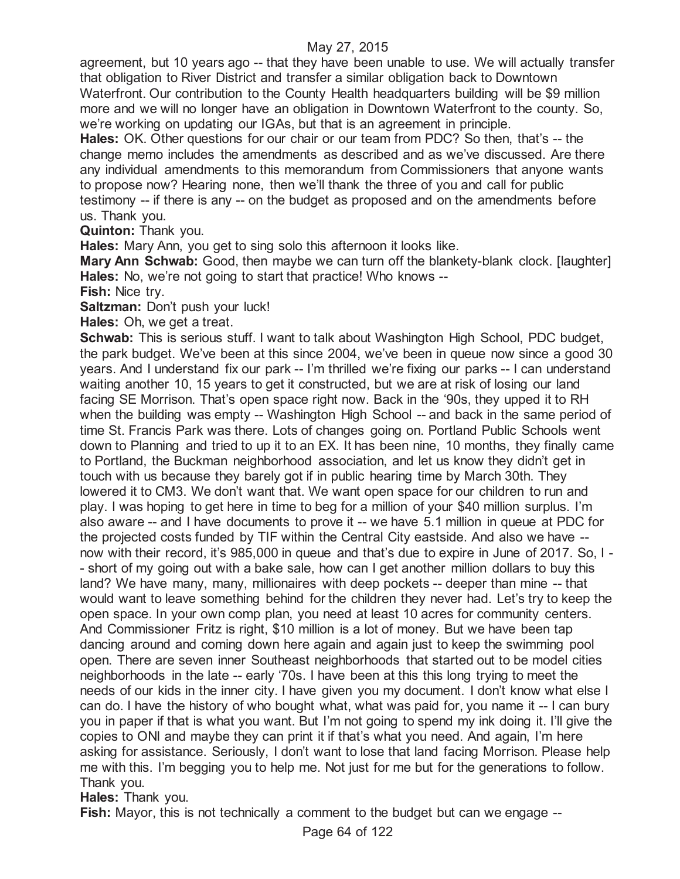agreement, but 10 years ago -- that they have been unable to use. We will actually transfer that obligation to River District and transfer a similar obligation back to Downtown Waterfront. Our contribution to the County Health headquarters building will be \$9 million more and we will no longer have an obligation in Downtown Waterfront to the county. So, we're working on updating our IGAs, but that is an agreement in principle.

**Hales:** OK. Other questions for our chair or our team from PDC? So then, that's -- the change memo includes the amendments as described and as we've discussed. Are there any individual amendments to this memorandum from Commissioners that anyone wants to propose now? Hearing none, then we'll thank the three of you and call for public testimony -- if there is any -- on the budget as proposed and on the amendments before us. Thank you.

**Quinton:** Thank you.

**Hales:** Mary Ann, you get to sing solo this afternoon it looks like.

**Mary Ann Schwab:** Good, then maybe we can turn off the blankety-blank clock. [laughter] **Hales:** No, we're not going to start that practice! Who knows --

**Fish:** Nice try.

**Saltzman: Don't push your luck!** 

**Hales:** Oh, we get a treat.

**Schwab:** This is serious stuff. I want to talk about Washington High School, PDC budget, the park budget. We've been at this since 2004, we've been in queue now since a good 30 years. And I understand fix our park -- I'm thrilled we're fixing our parks -- I can understand waiting another 10, 15 years to get it constructed, but we are at risk of losing our land facing SE Morrison. That's open space right now. Back in the '90s, they upped it to RH when the building was empty -- Washington High School -- and back in the same period of time St. Francis Park was there. Lots of changes going on. Portland Public Schools went down to Planning and tried to up it to an EX. It has been nine, 10 months, they finally came to Portland, the Buckman neighborhood association, and let us know they didn't get in touch with us because they barely got if in public hearing time by March 30th. They lowered it to CM3. We don't want that. We want open space for our children to run and play. I was hoping to get here in time to beg for a million of your \$40 million surplus. I'm also aware -- and I have documents to prove it -- we have 5.1 million in queue at PDC for the projected costs funded by TIF within the Central City eastside. And also we have - now with their record, it's 985,000 in queue and that's due to expire in June of 2017. So, I - - short of my going out with a bake sale, how can I get another million dollars to buy this land? We have many, many, millionaires with deep pockets -- deeper than mine -- that would want to leave something behind for the children they never had. Let's try to keep the open space. In your own comp plan, you need at least 10 acres for community centers. And Commissioner Fritz is right, \$10 million is a lot of money. But we have been tap dancing around and coming down here again and again just to keep the swimming pool open. There are seven inner Southeast neighborhoods that started out to be model cities neighborhoods in the late -- early '70s. I have been at this this long trying to meet the needs of our kids in the inner city. I have given you my document. I don't know what else I can do. I have the history of who bought what, what was paid for, you name it -- I can bury you in paper if that is what you want. But I'm not going to spend my ink doing it. I'll give the copies to ONI and maybe they can print it if that's what you need. And again, I'm here asking for assistance. Seriously, I don't want to lose that land facing Morrison. Please help me with this. I'm begging you to help me. Not just for me but for the generations to follow. Thank you.

**Hales:** Thank you.

**Fish:** Mayor, this is not technically a comment to the budget but can we engage --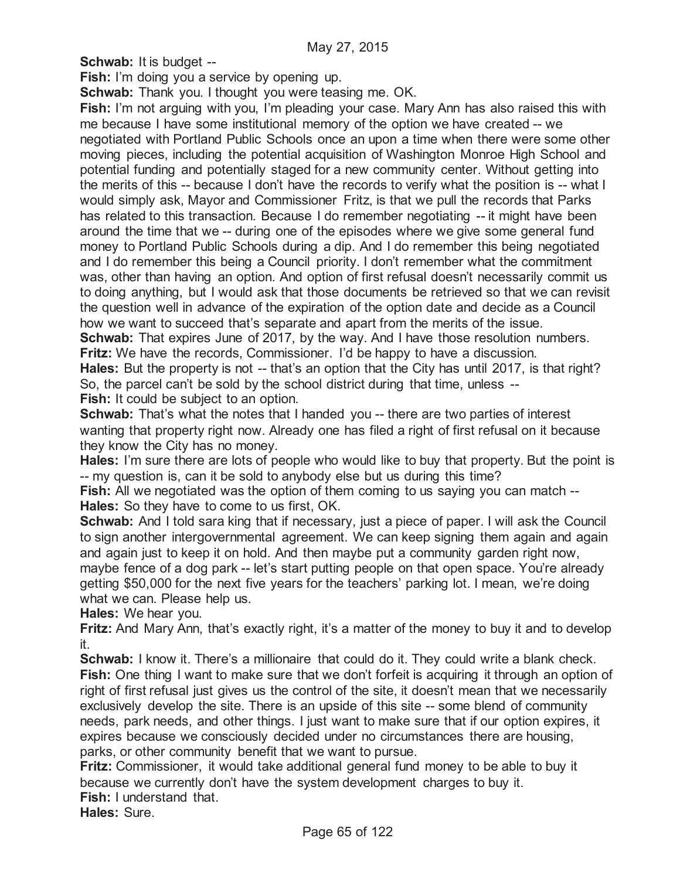**Schwab:** It is budget --

**Fish:** I'm doing you a service by opening up.

**Schwab:** Thank you. I thought you were teasing me. OK.

**Fish:** I'm not arguing with you, I'm pleading your case. Mary Ann has also raised this with me because I have some institutional memory of the option we have created -- we negotiated with Portland Public Schools once an upon a time when there were some other moving pieces, including the potential acquisition of Washington Monroe High School and potential funding and potentially staged for a new community center. Without getting into the merits of this -- because I don't have the records to verify what the position is -- what I would simply ask, Mayor and Commissioner Fritz, is that we pull the records that Parks has related to this transaction. Because I do remember negotiating -- it might have been around the time that we -- during one of the episodes where we give some general fund money to Portland Public Schools during a dip. And I do remember this being negotiated and I do remember this being a Council priority. I don't remember what the commitment was, other than having an option. And option of first refusal doesn't necessarily commit us to doing anything, but I would ask that those documents be retrieved so that we can revisit the question well in advance of the expiration of the option date and decide as a Council how we want to succeed that's separate and apart from the merits of the issue.

**Schwab:** That expires June of 2017, by the way. And I have those resolution numbers. **Fritz:** We have the records, Commissioner. I'd be happy to have a discussion.

**Hales:** But the property is not -- that's an option that the City has until 2017, is that right? So, the parcel can't be sold by the school district during that time, unless -- **Fish:** It could be subject to an option.

**Schwab:** That's what the notes that I handed you -- there are two parties of interest wanting that property right now. Already one has filed a right of first refusal on it because they know the City has no money.

**Hales:** I'm sure there are lots of people who would like to buy that property. But the point is -- my question is, can it be sold to anybody else but us during this time?

**Fish:** All we negotiated was the option of them coming to us saying you can match --**Hales:** So they have to come to us first, OK.

**Schwab:** And I told sara king that if necessary, just a piece of paper. I will ask the Council to sign another intergovernmental agreement. We can keep signing them again and again and again just to keep it on hold. And then maybe put a community garden right now, maybe fence of a dog park -- let's start putting people on that open space. You're already getting \$50,000 for the next five years for the teachers' parking lot. I mean, we're doing what we can. Please help us.

**Hales:** We hear you.

**Fritz:** And Mary Ann, that's exactly right, it's a matter of the money to buy it and to develop it.

**Schwab:** I know it. There's a millionaire that could do it. They could write a blank check. **Fish:** One thing I want to make sure that we don't forfeit is acquiring it through an option of right of first refusal just gives us the control of the site, it doesn't mean that we necessarily exclusively develop the site. There is an upside of this site -- some blend of community needs, park needs, and other things. I just want to make sure that if our option expires, it expires because we consciously decided under no circumstances there are housing, parks, or other community benefit that we want to pursue.

**Fritz:** Commissioner, it would take additional general fund money to be able to buy it because we currently don't have the system development charges to buy it. **Fish:** I understand that.

**Hales:** Sure.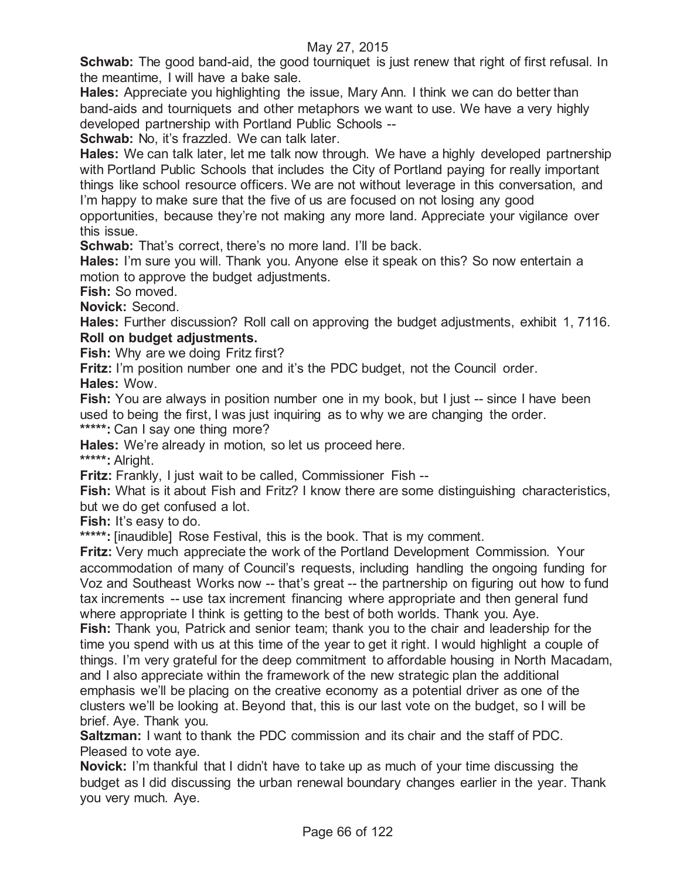**Schwab:** The good band-aid, the good tourniquet is just renew that right of first refusal. In the meantime, I will have a bake sale.

**Hales:** Appreciate you highlighting the issue, Mary Ann. I think we can do better than band-aids and tourniquets and other metaphors we want to use. We have a very highly developed partnership with Portland Public Schools --

**Schwab:** No, it's frazzled. We can talk later.

**Hales:** We can talk later, let me talk now through. We have a highly developed partnership with Portland Public Schools that includes the City of Portland paying for really important things like school resource officers. We are not without leverage in this conversation, and I'm happy to make sure that the five of us are focused on not losing any good opportunities, because they're not making any more land. Appreciate your vigilance over this issue.

**Schwab:** That's correct, there's no more land. I'll be back.

**Hales:** I'm sure you will. Thank you. Anyone else it speak on this? So now entertain a motion to approve the budget adjustments.

**Fish:** So moved.

**Novick:** Second.

**Hales:** Further discussion? Roll call on approving the budget adjustments, exhibit 1, 7116. **Roll on budget adjustments.**

**Fish:** Why are we doing Fritz first?

**Fritz:** I'm position number one and it's the PDC budget, not the Council order. **Hales:** Wow.

**Fish:** You are always in position number one in my book, but I just -- since I have been used to being the first, I was just inquiring as to why we are changing the order.

**\*\*\*\*\*:** Can I say one thing more?

**Hales:** We're already in motion, so let us proceed here.

**\*\*\*\*\*:** Alright.

**Fritz:** Frankly, I just wait to be called, Commissioner Fish --

**Fish:** What is it about Fish and Fritz? I know there are some distinguishing characteristics, but we do get confused a lot.

**Fish:** It's easy to do.

**\*\*\*\*\*:** [inaudible] Rose Festival, this is the book. That is my comment.

**Fritz:** Very much appreciate the work of the Portland Development Commission. Your accommodation of many of Council's requests, including handling the ongoing funding for Voz and Southeast Works now -- that's great -- the partnership on figuring out how to fund tax increments -- use tax increment financing where appropriate and then general fund where appropriate I think is getting to the best of both worlds. Thank you. Aye.

**Fish:** Thank you, Patrick and senior team; thank you to the chair and leadership for the time you spend with us at this time of the year to get it right. I would highlight a couple of things. I'm very grateful for the deep commitment to affordable housing in North Macadam, and I also appreciate within the framework of the new strategic plan the additional emphasis we'll be placing on the creative economy as a potential driver as one of the clusters we'll be looking at. Beyond that, this is our last vote on the budget, so I will be brief. Aye. Thank you.

**Saltzman:** I want to thank the PDC commission and its chair and the staff of PDC. Pleased to vote aye.

**Novick:** I'm thankful that I didn't have to take up as much of your time discussing the budget as I did discussing the urban renewal boundary changes earlier in the year. Thank you very much. Aye.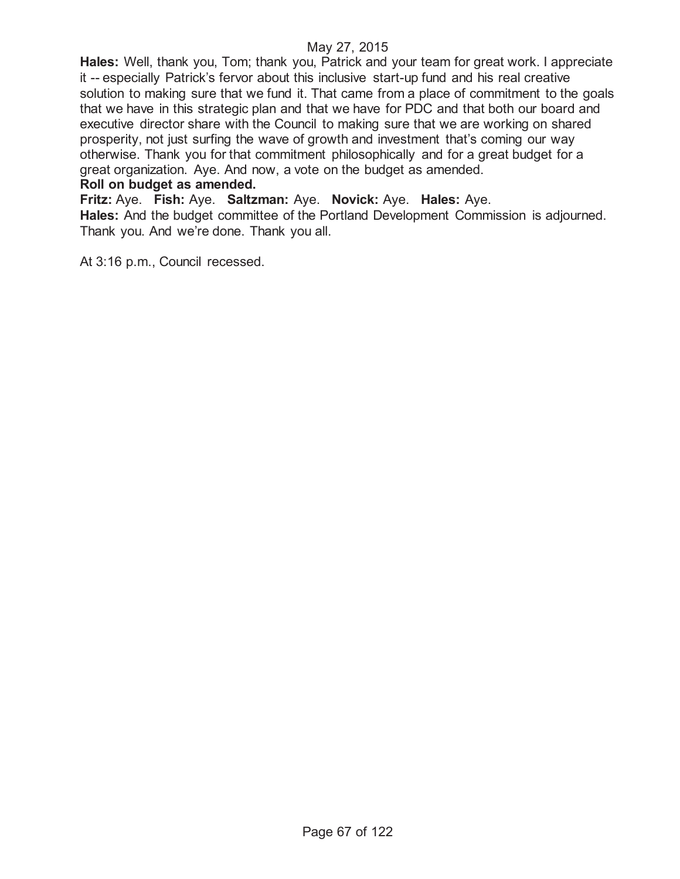**Hales:** Well, thank you, Tom; thank you, Patrick and your team for great work. I appreciate it -- especially Patrick's fervor about this inclusive start-up fund and his real creative solution to making sure that we fund it. That came from a place of commitment to the goals that we have in this strategic plan and that we have for PDC and that both our board and executive director share with the Council to making sure that we are working on shared prosperity, not just surfing the wave of growth and investment that's coming our way otherwise. Thank you for that commitment philosophically and for a great budget for a great organization. Aye. And now, a vote on the budget as amended.

#### **Roll on budget as amended.**

**Fritz:** Aye. **Fish:** Aye. **Saltzman:** Aye. **Novick:** Aye. **Hales:** Aye.

**Hales:** And the budget committee of the Portland Development Commission is adjourned. Thank you. And we're done. Thank you all.

At 3:16 p.m., Council recessed.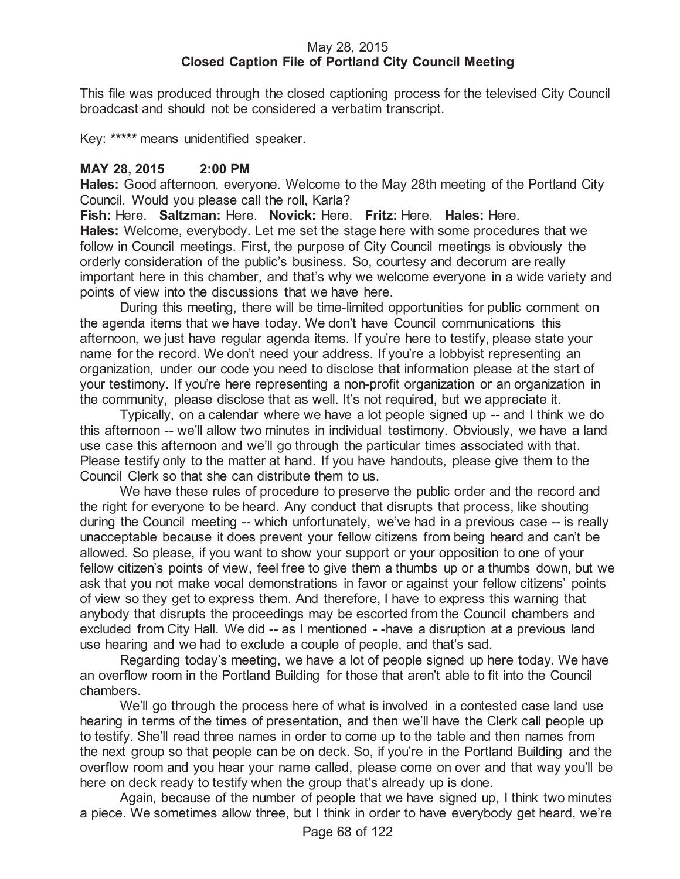### May 28, 2015 **Closed Caption File of Portland City Council Meeting**

This file was produced through the closed captioning process for the televised City Council broadcast and should not be considered a verbatim transcript.

Key: **\*\*\*\*\*** means unidentified speaker.

## **MAY 28, 2015 2:00 PM**

**Hales:** Good afternoon, everyone. Welcome to the May 28th meeting of the Portland City Council. Would you please call the roll, Karla?

**Fish:** Here. **Saltzman:** Here. **Novick:** Here. **Fritz:** Here. **Hales:** Here. **Hales:** Welcome, everybody. Let me set the stage here with some procedures that we follow in Council meetings. First, the purpose of City Council meetings is obviously the orderly consideration of the public's business. So, courtesy and decorum are really important here in this chamber, and that's why we welcome everyone in a wide variety and points of view into the discussions that we have here.

During this meeting, there will be time-limited opportunities for public comment on the agenda items that we have today. We don't have Council communications this afternoon, we just have regular agenda items. If you're here to testify, please state your name for the record. We don't need your address. If you're a lobbyist representing an organization, under our code you need to disclose that information please at the start of your testimony. If you're here representing a non-profit organization or an organization in the community, please disclose that as well. It's not required, but we appreciate it.

Typically, on a calendar where we have a lot people signed up -- and I think we do this afternoon -- we'll allow two minutes in individual testimony. Obviously, we have a land use case this afternoon and we'll go through the particular times associated with that. Please testify only to the matter at hand. If you have handouts, please give them to the Council Clerk so that she can distribute them to us.

We have these rules of procedure to preserve the public order and the record and the right for everyone to be heard. Any conduct that disrupts that process, like shouting during the Council meeting -- which unfortunately, we've had in a previous case -- is really unacceptable because it does prevent your fellow citizens from being heard and can't be allowed. So please, if you want to show your support or your opposition to one of your fellow citizen's points of view, feel free to give them a thumbs up or a thumbs down, but we ask that you not make vocal demonstrations in favor or against your fellow citizens' points of view so they get to express them. And therefore, I have to express this warning that anybody that disrupts the proceedings may be escorted from the Council chambers and excluded from City Hall. We did -- as I mentioned - -have a disruption at a previous land use hearing and we had to exclude a couple of people, and that's sad.

Regarding today's meeting, we have a lot of people signed up here today. We have an overflow room in the Portland Building for those that aren't able to fit into the Council chambers.

We'll go through the process here of what is involved in a contested case land use hearing in terms of the times of presentation, and then we'll have the Clerk call people up to testify. She'll read three names in order to come up to the table and then names from the next group so that people can be on deck. So, if you're in the Portland Building and the overflow room and you hear your name called, please come on over and that way you'll be here on deck ready to testify when the group that's already up is done.

Again, because of the number of people that we have signed up, I think two minutes a piece. We sometimes allow three, but I think in order to have everybody get heard, we're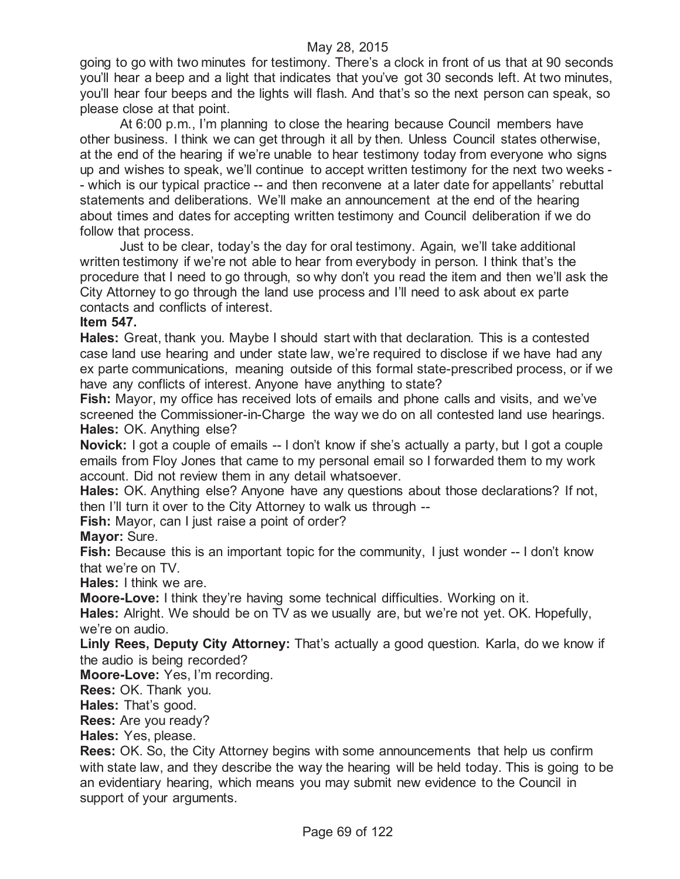### May 28, 2015

going to go with two minutes for testimony. There's a clock in front of us that at 90 seconds you'll hear a beep and a light that indicates that you've got 30 seconds left. At two minutes, you'll hear four beeps and the lights will flash. And that's so the next person can speak, so please close at that point.

At 6:00 p.m., I'm planning to close the hearing because Council members have other business. I think we can get through it all by then. Unless Council states otherwise, at the end of the hearing if we're unable to hear testimony today from everyone who signs up and wishes to speak, we'll continue to accept written testimony for the next two weeks - - which is our typical practice -- and then reconvene at a later date for appellants' rebuttal statements and deliberations. We'll make an announcement at the end of the hearing about times and dates for accepting written testimony and Council deliberation if we do follow that process.

Just to be clear, today's the day for oral testimony. Again, we'll take additional written testimony if we're not able to hear from everybody in person. I think that's the procedure that I need to go through, so why don't you read the item and then we'll ask the City Attorney to go through the land use process and I'll need to ask about ex parte contacts and conflicts of interest.

#### **Item 547.**

**Hales:** Great, thank you. Maybe I should start with that declaration. This is a contested case land use hearing and under state law, we're required to disclose if we have had any ex parte communications, meaning outside of this formal state-prescribed process, or if we have any conflicts of interest. Anyone have anything to state?

**Fish:** Mayor, my office has received lots of emails and phone calls and visits, and we've screened the Commissioner-in-Charge the way we do on all contested land use hearings. **Hales:** OK. Anything else?

**Novick:** I got a couple of emails -- I don't know if she's actually a party, but I got a couple emails from Floy Jones that came to my personal email so I forwarded them to my work account. Did not review them in any detail whatsoever.

**Hales:** OK. Anything else? Anyone have any questions about those declarations? If not, then I'll turn it over to the City Attorney to walk us through --

**Fish:** Mayor, can I just raise a point of order?

## **Mayor:** Sure.

**Fish:** Because this is an important topic for the community, I just wonder -- I don't know that we're on TV.

**Hales:** I think we are.

**Moore-Love:** I think they're having some technical difficulties. Working on it.

**Hales:** Alright. We should be on TV as we usually are, but we're not yet. OK. Hopefully, we're on audio.

**Linly Rees, Deputy City Attorney:** That's actually a good question. Karla, do we know if the audio is being recorded?

**Moore-Love:** Yes, I'm recording.

**Rees:** OK. Thank you.

**Hales:** That's good.

**Rees:** Are you ready?

**Hales:** Yes, please.

**Rees:** OK. So, the City Attorney begins with some announcements that help us confirm with state law, and they describe the way the hearing will be held today. This is going to be an evidentiary hearing, which means you may submit new evidence to the Council in support of your arguments.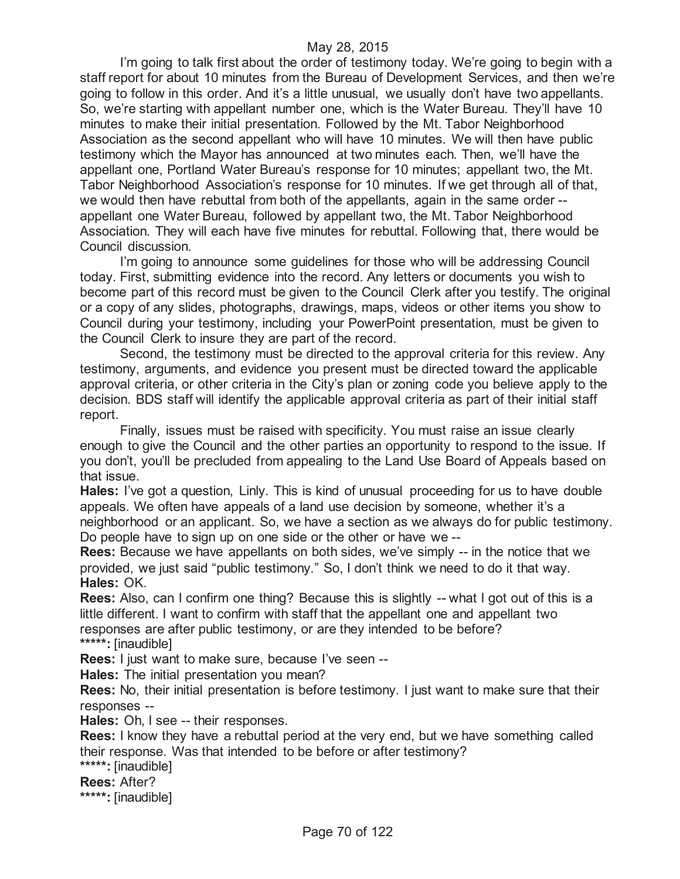I'm going to talk first about the order of testimony today. We're going to begin with a staff report for about 10 minutes from the Bureau of Development Services, and then we're going to follow in this order. And it's a little unusual, we usually don't have two appellants. So, we're starting with appellant number one, which is the Water Bureau. They'll have 10 minutes to make their initial presentation. Followed by the Mt. Tabor Neighborhood Association as the second appellant who will have 10 minutes. We will then have public testimony which the Mayor has announced at two minutes each. Then, we'll have the appellant one, Portland Water Bureau's response for 10 minutes; appellant two, the Mt. Tabor Neighborhood Association's response for 10 minutes. If we get through all of that, we would then have rebuttal from both of the appellants, again in the same order - appellant one Water Bureau, followed by appellant two, the Mt. Tabor Neighborhood Association. They will each have five minutes for rebuttal. Following that, there would be Council discussion.

I'm going to announce some guidelines for those who will be addressing Council today. First, submitting evidence into the record. Any letters or documents you wish to become part of this record must be given to the Council Clerk after you testify. The original or a copy of any slides, photographs, drawings, maps, videos or other items you show to Council during your testimony, including your PowerPoint presentation, must be given to the Council Clerk to insure they are part of the record.

Second, the testimony must be directed to the approval criteria for this review. Any testimony, arguments, and evidence you present must be directed toward the applicable approval criteria, or other criteria in the City's plan or zoning code you believe apply to the decision. BDS staff will identify the applicable approval criteria as part of their initial staff report.

Finally, issues must be raised with specificity. You must raise an issue clearly enough to give the Council and the other parties an opportunity to respond to the issue. If you don't, you'll be precluded from appealing to the Land Use Board of Appeals based on that issue.

**Hales:** I've got a question, Linly. This is kind of unusual proceeding for us to have double appeals. We often have appeals of a land use decision by someone, whether it's a neighborhood or an applicant. So, we have a section as we always do for public testimony. Do people have to sign up on one side or the other or have we --

**Rees:** Because we have appellants on both sides, we've simply -- in the notice that we provided, we just said "public testimony." So, I don't think we need to do it that way. **Hales:** OK.

**Rees:** Also, can I confirm one thing? Because this is slightly -- what I got out of this is a little different. I want to confirm with staff that the appellant one and appellant two responses are after public testimony, or are they intended to be before? **\*\*\*\*\*:** [inaudible]

**Rees:** I just want to make sure, because I've seen --

**Hales:** The initial presentation you mean?

**Rees:** No, their initial presentation is before testimony. I just want to make sure that their responses --

**Hales:** Oh, I see -- their responses.

**Rees:** I know they have a rebuttal period at the very end, but we have something called their response. Was that intended to be before or after testimony?

**\*\*\*\*\*:** [inaudible]

**Rees:** After?

**\*\*\*\*\*:** [inaudible]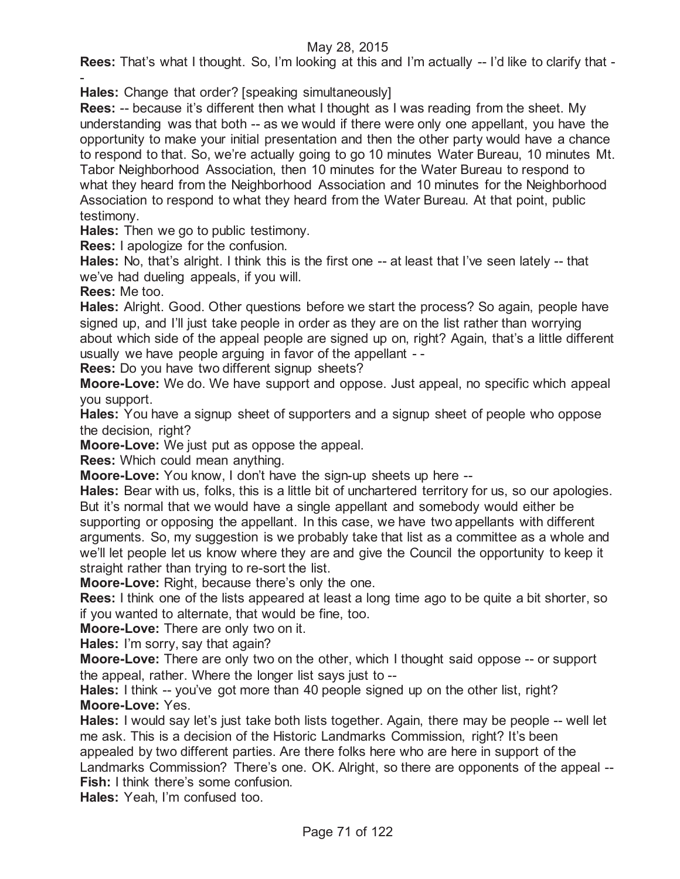## May 28, 2015

**Rees:** That's what I thought. So, I'm looking at this and I'm actually -- I'd like to clarify that -

- **Hales:** Change that order? [speaking simultaneously]

**Rees:** -- because it's different then what I thought as I was reading from the sheet. My understanding was that both -- as we would if there were only one appellant, you have the opportunity to make your initial presentation and then the other party would have a chance to respond to that. So, we're actually going to go 10 minutes Water Bureau, 10 minutes Mt. Tabor Neighborhood Association, then 10 minutes for the Water Bureau to respond to what they heard from the Neighborhood Association and 10 minutes for the Neighborhood Association to respond to what they heard from the Water Bureau. At that point, public testimony.

**Hales:** Then we go to public testimony.

**Rees:** I apologize for the confusion.

**Hales:** No, that's alright. I think this is the first one -- at least that I've seen lately -- that we've had dueling appeals, if you will.

**Rees:** Me too.

**Hales:** Alright. Good. Other questions before we start the process? So again, people have signed up, and I'll just take people in order as they are on the list rather than worrying about which side of the appeal people are signed up on, right? Again, that's a little different usually we have people arguing in favor of the appellant - -

**Rees:** Do you have two different signup sheets?

**Moore-Love:** We do. We have support and oppose. Just appeal, no specific which appeal you support.

**Hales:** You have a signup sheet of supporters and a signup sheet of people who oppose the decision, right?

**Moore-Love:** We just put as oppose the appeal.

**Rees:** Which could mean anything.

**Moore-Love:** You know, I don't have the sign-up sheets up here --

**Hales:** Bear with us, folks, this is a little bit of unchartered territory for us, so our apologies. But it's normal that we would have a single appellant and somebody would either be supporting or opposing the appellant. In this case, we have two appellants with different arguments. So, my suggestion is we probably take that list as a committee as a whole and we'll let people let us know where they are and give the Council the opportunity to keep it straight rather than trying to re-sort the list.

**Moore-Love:** Right, because there's only the one.

**Rees:** I think one of the lists appeared at least a long time ago to be quite a bit shorter, so if you wanted to alternate, that would be fine, too.

**Moore-Love:** There are only two on it.

**Hales:** I'm sorry, say that again?

**Moore-Love:** There are only two on the other, which I thought said oppose -- or support the appeal, rather. Where the longer list says just to --

Hales: I think -- you've got more than 40 people signed up on the other list, right? **Moore-Love:** Yes.

**Hales:** I would say let's just take both lists together. Again, there may be people -- well let me ask. This is a decision of the Historic Landmarks Commission, right? It's been appealed by two different parties. Are there folks here who are here in support of the Landmarks Commission? There's one. OK. Alright, so there are opponents of the appeal -- **Fish:** I think there's some confusion.

**Hales:** Yeah, I'm confused too.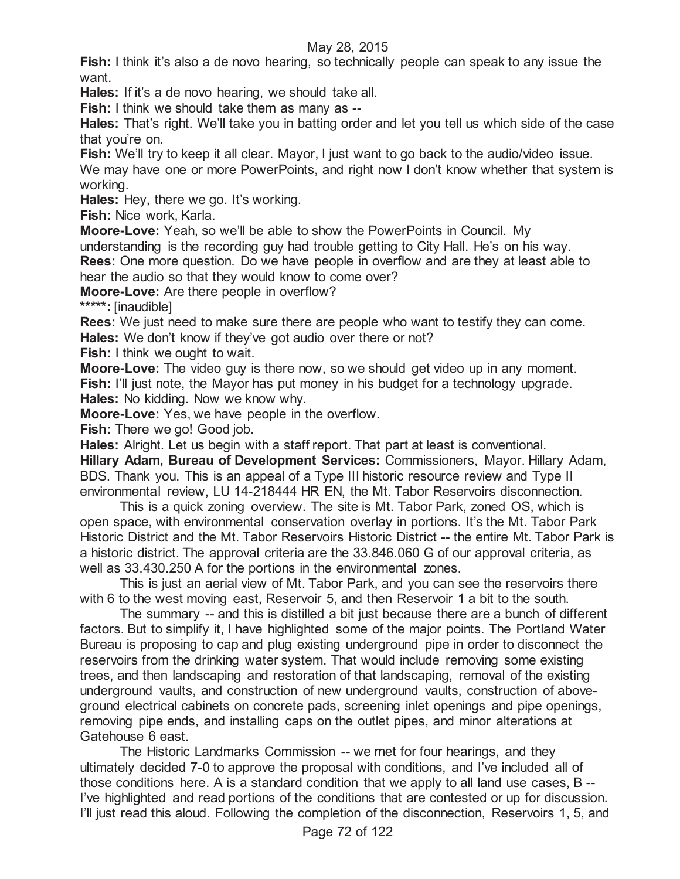## May 28, 2015

**Fish:** I think it's also a de novo hearing, so technically people can speak to any issue the want.

**Hales:** If it's a de novo hearing, we should take all.

**Fish:** I think we should take them as many as --

**Hales:** That's right. We'll take you in batting order and let you tell us which side of the case that you're on.

**Fish:** We'll try to keep it all clear. Mayor, I just want to go back to the audio/video issue.

We may have one or more PowerPoints, and right now I don't know whether that system is working.

**Hales:** Hey, there we go. It's working.

**Fish:** Nice work, Karla.

**Moore-Love:** Yeah, so we'll be able to show the PowerPoints in Council. My

understanding is the recording guy had trouble getting to City Hall. He's on his way.

**Rees:** One more question. Do we have people in overflow and are they at least able to hear the audio so that they would know to come over?

**Moore-Love:** Are there people in overflow?

**\*\*\*\*\*:** [inaudible]

**Rees:** We just need to make sure there are people who want to testify they can come. **Hales:** We don't know if they've got audio over there or not?

**Fish:** I think we ought to wait.

**Moore-Love:** The video guy is there now, so we should get video up in any moment. **Fish:** I'll just note, the Mayor has put money in his budget for a technology upgrade.

**Hales:** No kidding. Now we know why.

**Moore-Love:** Yes, we have people in the overflow.

**Fish:** There we go! Good job.

**Hales:** Alright. Let us begin with a staff report. That part at least is conventional. **Hillary Adam, Bureau of Development Services:** Commissioners, Mayor. Hillary Adam, BDS. Thank you. This is an appeal of a Type III historic resource review and Type II environmental review, LU 14-218444 HR EN, the Mt. Tabor Reservoirs disconnection.

This is a quick zoning overview. The site is Mt. Tabor Park, zoned OS, which is open space, with environmental conservation overlay in portions. It's the Mt. Tabor Park Historic District and the Mt. Tabor Reservoirs Historic District -- the entire Mt. Tabor Park is a historic district. The approval criteria are the 33.846.060 G of our approval criteria, as well as 33.430.250 A for the portions in the environmental zones.

This is just an aerial view of Mt. Tabor Park, and you can see the reservoirs there with 6 to the west moving east, Reservoir 5, and then Reservoir 1 a bit to the south.

The summary -- and this is distilled a bit just because there are a bunch of different factors. But to simplify it, I have highlighted some of the major points. The Portland Water Bureau is proposing to cap and plug existing underground pipe in order to disconnect the reservoirs from the drinking water system. That would include removing some existing trees, and then landscaping and restoration of that landscaping, removal of the existing underground vaults, and construction of new underground vaults, construction of aboveground electrical cabinets on concrete pads, screening inlet openings and pipe openings, removing pipe ends, and installing caps on the outlet pipes, and minor alterations at Gatehouse 6 east.

The Historic Landmarks Commission -- we met for four hearings, and they ultimately decided 7-0 to approve the proposal with conditions, and I've included all of those conditions here. A is a standard condition that we apply to all land use cases, B -- I've highlighted and read portions of the conditions that are contested or up for discussion. I'll just read this aloud. Following the completion of the disconnection, Reservoirs 1, 5, and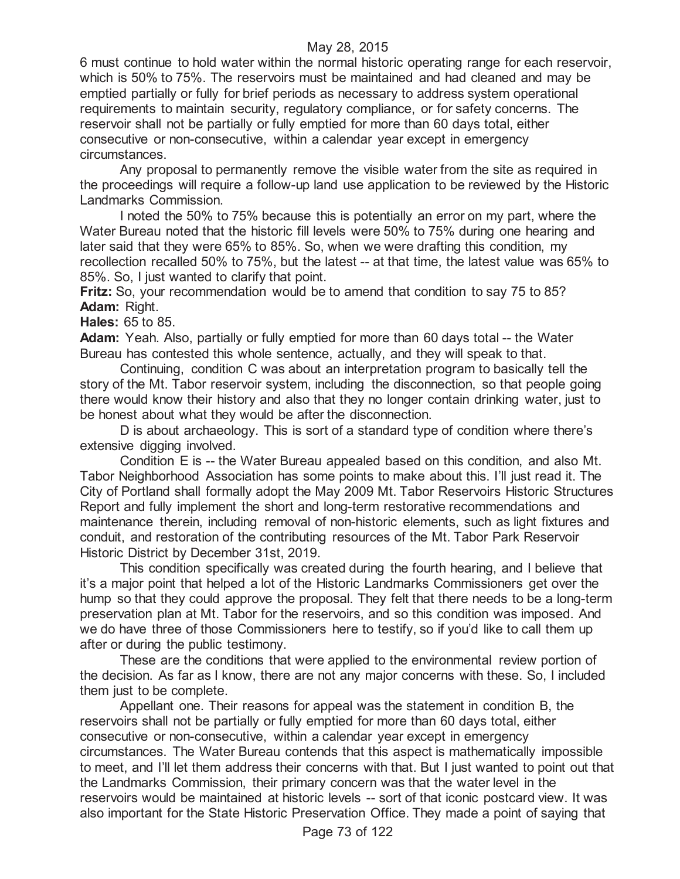6 must continue to hold water within the normal historic operating range for each reservoir, which is 50% to 75%. The reservoirs must be maintained and had cleaned and may be emptied partially or fully for brief periods as necessary to address system operational requirements to maintain security, regulatory compliance, or for safety concerns. The reservoir shall not be partially or fully emptied for more than 60 days total, either consecutive or non-consecutive, within a calendar year except in emergency circumstances.

Any proposal to permanently remove the visible water from the site as required in the proceedings will require a follow-up land use application to be reviewed by the Historic Landmarks Commission.

I noted the 50% to 75% because this is potentially an error on my part, where the Water Bureau noted that the historic fill levels were 50% to 75% during one hearing and later said that they were 65% to 85%. So, when we were drafting this condition, my recollection recalled 50% to 75%, but the latest -- at that time, the latest value was 65% to 85%. So, I just wanted to clarify that point.

**Fritz:** So, your recommendation would be to amend that condition to say 75 to 85? **Adam:** Right.

**Hales:** 65 to 85.

**Adam:** Yeah. Also, partially or fully emptied for more than 60 days total -- the Water Bureau has contested this whole sentence, actually, and they will speak to that.

Continuing, condition C was about an interpretation program to basically tell the story of the Mt. Tabor reservoir system, including the disconnection, so that people going there would know their history and also that they no longer contain drinking water, just to be honest about what they would be after the disconnection.

D is about archaeology. This is sort of a standard type of condition where there's extensive digging involved.

Condition E is -- the Water Bureau appealed based on this condition, and also Mt. Tabor Neighborhood Association has some points to make about this. I'll just read it. The City of Portland shall formally adopt the May 2009 Mt. Tabor Reservoirs Historic Structures Report and fully implement the short and long-term restorative recommendations and maintenance therein, including removal of non-historic elements, such as light fixtures and conduit, and restoration of the contributing resources of the Mt. Tabor Park Reservoir Historic District by December 31st, 2019.

This condition specifically was created during the fourth hearing, and I believe that it's a major point that helped a lot of the Historic Landmarks Commissioners get over the hump so that they could approve the proposal. They felt that there needs to be a long-term preservation plan at Mt. Tabor for the reservoirs, and so this condition was imposed. And we do have three of those Commissioners here to testify, so if you'd like to call them up after or during the public testimony.

These are the conditions that were applied to the environmental review portion of the decision. As far as I know, there are not any major concerns with these. So, I included them just to be complete.

Appellant one. Their reasons for appeal was the statement in condition B, the reservoirs shall not be partially or fully emptied for more than 60 days total, either consecutive or non-consecutive, within a calendar year except in emergency circumstances. The Water Bureau contends that this aspect is mathematically impossible to meet, and I'll let them address their concerns with that. But I just wanted to point out that the Landmarks Commission, their primary concern was that the water level in the reservoirs would be maintained at historic levels -- sort of that iconic postcard view. It was also important for the State Historic Preservation Office. They made a point of saying that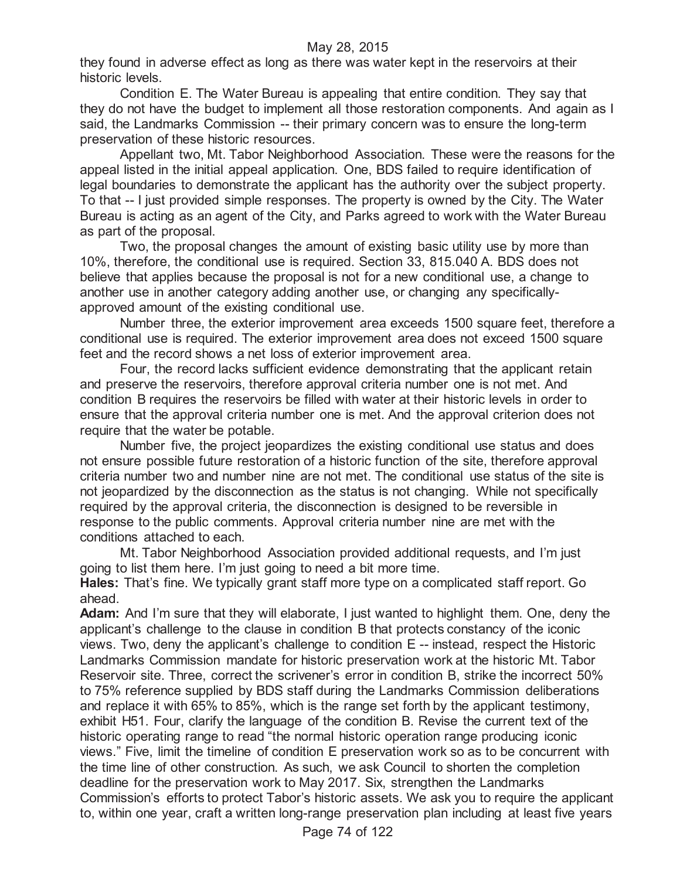they found in adverse effect as long as there was water kept in the reservoirs at their historic levels.

Condition E. The Water Bureau is appealing that entire condition. They say that they do not have the budget to implement all those restoration components. And again as I said, the Landmarks Commission -- their primary concern was to ensure the long-term preservation of these historic resources.

Appellant two, Mt. Tabor Neighborhood Association. These were the reasons for the appeal listed in the initial appeal application. One, BDS failed to require identification of legal boundaries to demonstrate the applicant has the authority over the subject property. To that -- I just provided simple responses. The property is owned by the City. The Water Bureau is acting as an agent of the City, and Parks agreed to work with the Water Bureau as part of the proposal.

Two, the proposal changes the amount of existing basic utility use by more than 10%, therefore, the conditional use is required. Section 33, 815.040 A. BDS does not believe that applies because the proposal is not for a new conditional use, a change to another use in another category adding another use, or changing any specificallyapproved amount of the existing conditional use.

Number three, the exterior improvement area exceeds 1500 square feet, therefore a conditional use is required. The exterior improvement area does not exceed 1500 square feet and the record shows a net loss of exterior improvement area.

Four, the record lacks sufficient evidence demonstrating that the applicant retain and preserve the reservoirs, therefore approval criteria number one is not met. And condition B requires the reservoirs be filled with water at their historic levels in order to ensure that the approval criteria number one is met. And the approval criterion does not require that the water be potable.

Number five, the project jeopardizes the existing conditional use status and does not ensure possible future restoration of a historic function of the site, therefore approval criteria number two and number nine are not met. The conditional use status of the site is not jeopardized by the disconnection as the status is not changing. While not specifically required by the approval criteria, the disconnection is designed to be reversible in response to the public comments. Approval criteria number nine are met with the conditions attached to each.

Mt. Tabor Neighborhood Association provided additional requests, and I'm just going to list them here. I'm just going to need a bit more time.

**Hales:** That's fine. We typically grant staff more type on a complicated staff report. Go ahead.

**Adam:** And I'm sure that they will elaborate, I just wanted to highlight them. One, deny the applicant's challenge to the clause in condition B that protects constancy of the iconic views. Two, deny the applicant's challenge to condition E -- instead, respect the Historic Landmarks Commission mandate for historic preservation work at the historic Mt. Tabor Reservoir site. Three, correct the scrivener's error in condition B, strike the incorrect 50% to 75% reference supplied by BDS staff during the Landmarks Commission deliberations and replace it with 65% to 85%, which is the range set forth by the applicant testimony, exhibit H51. Four, clarify the language of the condition B. Revise the current text of the historic operating range to read "the normal historic operation range producing iconic views." Five, limit the timeline of condition E preservation work so as to be concurrent with the time line of other construction. As such, we ask Council to shorten the completion deadline for the preservation work to May 2017. Six, strengthen the Landmarks Commission's efforts to protect Tabor's historic assets. We ask you to require the applicant to, within one year, craft a written long-range preservation plan including at least five years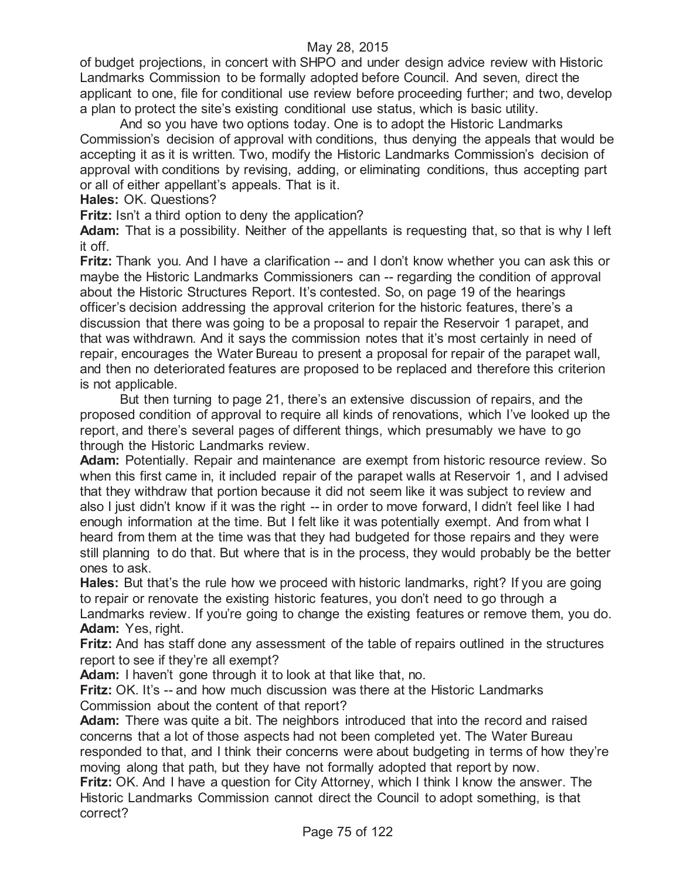of budget projections, in concert with SHPO and under design advice review with Historic Landmarks Commission to be formally adopted before Council. And seven, direct the applicant to one, file for conditional use review before proceeding further; and two, develop a plan to protect the site's existing conditional use status, which is basic utility.

And so you have two options today. One is to adopt the Historic Landmarks Commission's decision of approval with conditions, thus denying the appeals that would be accepting it as it is written. Two, modify the Historic Landmarks Commission's decision of approval with conditions by revising, adding, or eliminating conditions, thus accepting part or all of either appellant's appeals. That is it.

**Hales:** OK. Questions?

**Fritz:** Isn't a third option to deny the application?

**Adam:** That is a possibility. Neither of the appellants is requesting that, so that is why I left it off.

**Fritz:** Thank you. And I have a clarification -- and I don't know whether you can ask this or maybe the Historic Landmarks Commissioners can -- regarding the condition of approval about the Historic Structures Report. It's contested. So, on page 19 of the hearings officer's decision addressing the approval criterion for the historic features, there's a discussion that there was going to be a proposal to repair the Reservoir 1 parapet, and that was withdrawn. And it says the commission notes that it's most certainly in need of repair, encourages the Water Bureau to present a proposal for repair of the parapet wall, and then no deteriorated features are proposed to be replaced and therefore this criterion is not applicable.

But then turning to page 21, there's an extensive discussion of repairs, and the proposed condition of approval to require all kinds of renovations, which I've looked up the report, and there's several pages of different things, which presumably we have to go through the Historic Landmarks review.

**Adam:** Potentially. Repair and maintenance are exempt from historic resource review. So when this first came in, it included repair of the parapet walls at Reservoir 1, and I advised that they withdraw that portion because it did not seem like it was subject to review and also I just didn't know if it was the right -- in order to move forward, I didn't feel like I had enough information at the time. But I felt like it was potentially exempt. And from what I heard from them at the time was that they had budgeted for those repairs and they were still planning to do that. But where that is in the process, they would probably be the better ones to ask.

**Hales:** But that's the rule how we proceed with historic landmarks, right? If you are going to repair or renovate the existing historic features, you don't need to go through a Landmarks review. If you're going to change the existing features or remove them, you do. **Adam:** Yes, right.

**Fritz:** And has staff done any assessment of the table of repairs outlined in the structures report to see if they're all exempt?

**Adam:** I haven't gone through it to look at that like that, no.

**Fritz:** OK. It's -- and how much discussion was there at the Historic Landmarks Commission about the content of that report?

**Adam:** There was quite a bit. The neighbors introduced that into the record and raised concerns that a lot of those aspects had not been completed yet. The Water Bureau responded to that, and I think their concerns were about budgeting in terms of how they're moving along that path, but they have not formally adopted that report by now.

**Fritz:** OK. And I have a question for City Attorney, which I think I know the answer. The Historic Landmarks Commission cannot direct the Council to adopt something, is that correct?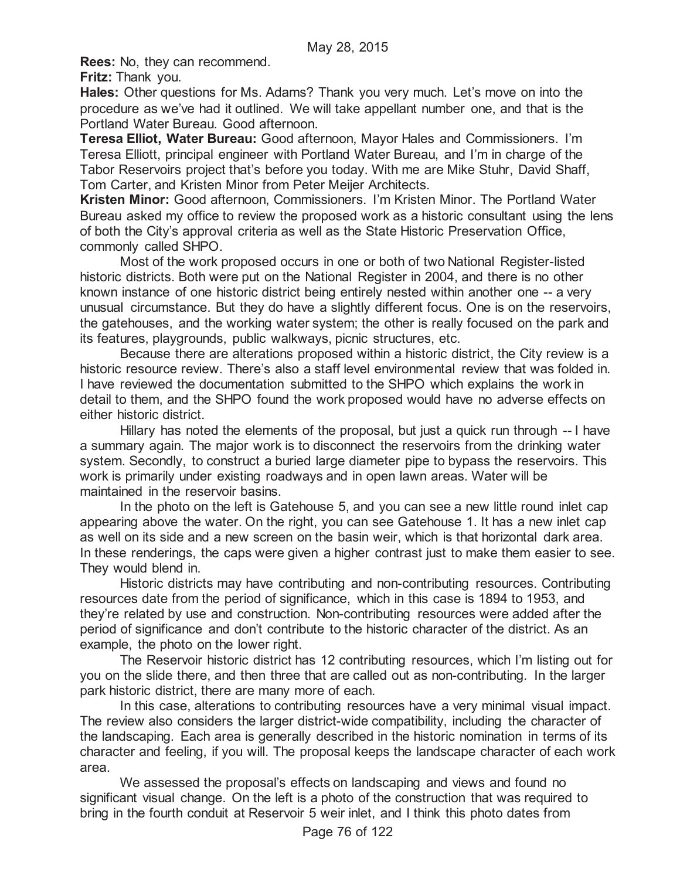**Rees:** No, they can recommend.

**Fritz:** Thank you.

**Hales:** Other questions for Ms. Adams? Thank you very much. Let's move on into the procedure as we've had it outlined. We will take appellant number one, and that is the Portland Water Bureau. Good afternoon.

**Teresa Elliot, Water Bureau:** Good afternoon, Mayor Hales and Commissioners. I'm Teresa Elliott, principal engineer with Portland Water Bureau, and I'm in charge of the Tabor Reservoirs project that's before you today. With me are Mike Stuhr, David Shaff, Tom Carter, and Kristen Minor from Peter Meijer Architects.

**Kristen Minor:** Good afternoon, Commissioners. I'm Kristen Minor. The Portland Water Bureau asked my office to review the proposed work as a historic consultant using the lens of both the City's approval criteria as well as the State Historic Preservation Office, commonly called SHPO.

Most of the work proposed occurs in one or both of two National Register-listed historic districts. Both were put on the National Register in 2004, and there is no other known instance of one historic district being entirely nested within another one -- a very unusual circumstance. But they do have a slightly different focus. One is on the reservoirs, the gatehouses, and the working water system; the other is really focused on the park and its features, playgrounds, public walkways, picnic structures, etc.

Because there are alterations proposed within a historic district, the City review is a historic resource review. There's also a staff level environmental review that was folded in. I have reviewed the documentation submitted to the SHPO which explains the work in detail to them, and the SHPO found the work proposed would have no adverse effects on either historic district.

Hillary has noted the elements of the proposal, but just a quick run through -- I have a summary again. The major work is to disconnect the reservoirs from the drinking water system. Secondly, to construct a buried large diameter pipe to bypass the reservoirs. This work is primarily under existing roadways and in open lawn areas. Water will be maintained in the reservoir basins.

In the photo on the left is Gatehouse 5, and you can see a new little round inlet cap appearing above the water. On the right, you can see Gatehouse 1. It has a new inlet cap as well on its side and a new screen on the basin weir, which is that horizontal dark area. In these renderings, the caps were given a higher contrast just to make them easier to see. They would blend in.

Historic districts may have contributing and non-contributing resources. Contributing resources date from the period of significance, which in this case is 1894 to 1953, and they're related by use and construction. Non-contributing resources were added after the period of significance and don't contribute to the historic character of the district. As an example, the photo on the lower right.

The Reservoir historic district has 12 contributing resources, which I'm listing out for you on the slide there, and then three that are called out as non-contributing. In the larger park historic district, there are many more of each.

In this case, alterations to contributing resources have a very minimal visual impact. The review also considers the larger district-wide compatibility, including the character of the landscaping. Each area is generally described in the historic nomination in terms of its character and feeling, if you will. The proposal keeps the landscape character of each work area.

We assessed the proposal's effects on landscaping and views and found no significant visual change. On the left is a photo of the construction that was required to bring in the fourth conduit at Reservoir 5 weir inlet, and I think this photo dates from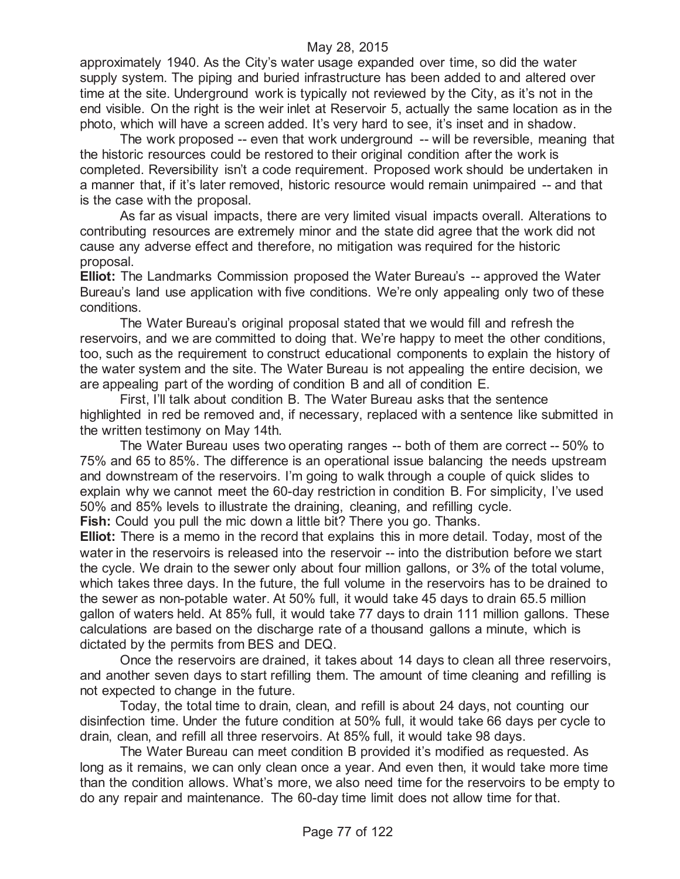approximately 1940. As the City's water usage expanded over time, so did the water supply system. The piping and buried infrastructure has been added to and altered over time at the site. Underground work is typically not reviewed by the City, as it's not in the end visible. On the right is the weir inlet at Reservoir 5, actually the same location as in the photo, which will have a screen added. It's very hard to see, it's inset and in shadow.

The work proposed -- even that work underground -- will be reversible, meaning that the historic resources could be restored to their original condition after the work is completed. Reversibility isn't a code requirement. Proposed work should be undertaken in a manner that, if it's later removed, historic resource would remain unimpaired -- and that is the case with the proposal.

As far as visual impacts, there are very limited visual impacts overall. Alterations to contributing resources are extremely minor and the state did agree that the work did not cause any adverse effect and therefore, no mitigation was required for the historic proposal.

**Elliot:** The Landmarks Commission proposed the Water Bureau's -- approved the Water Bureau's land use application with five conditions. We're only appealing only two of these conditions.

The Water Bureau's original proposal stated that we would fill and refresh the reservoirs, and we are committed to doing that. We're happy to meet the other conditions, too, such as the requirement to construct educational components to explain the history of the water system and the site. The Water Bureau is not appealing the entire decision, we are appealing part of the wording of condition B and all of condition E.

First, I'll talk about condition B. The Water Bureau asks that the sentence highlighted in red be removed and, if necessary, replaced with a sentence like submitted in the written testimony on May 14th.

The Water Bureau uses two operating ranges -- both of them are correct -- 50% to 75% and 65 to 85%. The difference is an operational issue balancing the needs upstream and downstream of the reservoirs. I'm going to walk through a couple of quick slides to explain why we cannot meet the 60-day restriction in condition B. For simplicity, I've used 50% and 85% levels to illustrate the draining, cleaning, and refilling cycle.

**Fish:** Could you pull the mic down a little bit? There you go. Thanks.

**Elliot:** There is a memo in the record that explains this in more detail. Today, most of the water in the reservoirs is released into the reservoir -- into the distribution before we start the cycle. We drain to the sewer only about four million gallons, or 3% of the total volume, which takes three days. In the future, the full volume in the reservoirs has to be drained to the sewer as non-potable water. At 50% full, it would take 45 days to drain 65.5 million gallon of waters held. At 85% full, it would take 77 days to drain 111 million gallons. These calculations are based on the discharge rate of a thousand gallons a minute, which is dictated by the permits from BES and DEQ.

Once the reservoirs are drained, it takes about 14 days to clean all three reservoirs, and another seven days to start refilling them. The amount of time cleaning and refilling is not expected to change in the future.

Today, the total time to drain, clean, and refill is about 24 days, not counting our disinfection time. Under the future condition at 50% full, it would take 66 days per cycle to drain, clean, and refill all three reservoirs. At 85% full, it would take 98 days.

The Water Bureau can meet condition B provided it's modified as requested. As long as it remains, we can only clean once a year. And even then, it would take more time than the condition allows. What's more, we also need time for the reservoirs to be empty to do any repair and maintenance. The 60-day time limit does not allow time for that.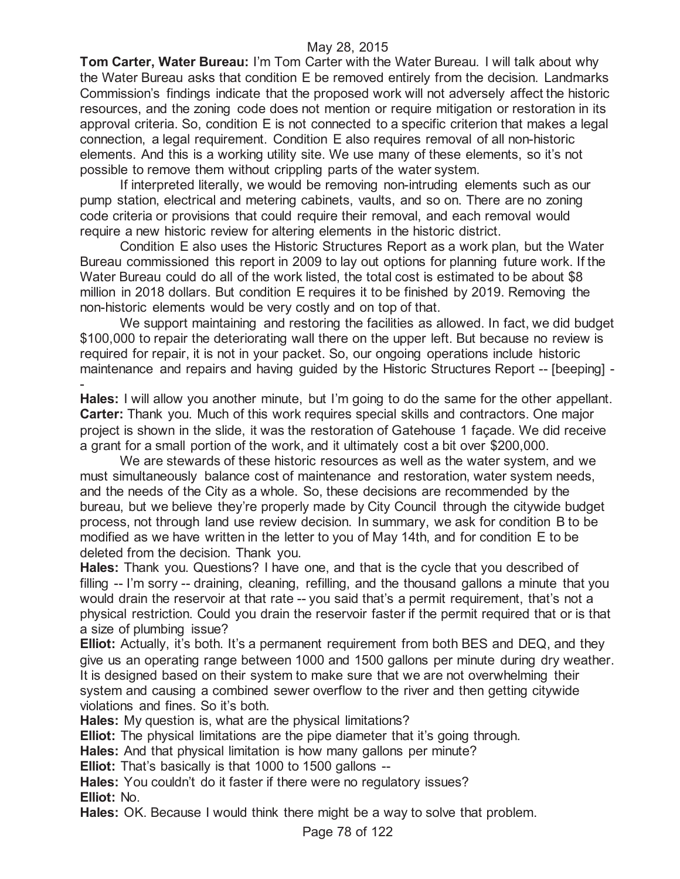**Tom Carter, Water Bureau:** I'm Tom Carter with the Water Bureau. I will talk about why the Water Bureau asks that condition E be removed entirely from the decision. Landmarks Commission's findings indicate that the proposed work will not adversely affect the historic resources, and the zoning code does not mention or require mitigation or restoration in its approval criteria. So, condition E is not connected to a specific criterion that makes a legal connection, a legal requirement. Condition E also requires removal of all non-historic elements. And this is a working utility site. We use many of these elements, so it's not possible to remove them without crippling parts of the water system.

If interpreted literally, we would be removing non-intruding elements such as our pump station, electrical and metering cabinets, vaults, and so on. There are no zoning code criteria or provisions that could require their removal, and each removal would require a new historic review for altering elements in the historic district.

Condition E also uses the Historic Structures Report as a work plan, but the Water Bureau commissioned this report in 2009 to lay out options for planning future work. If the Water Bureau could do all of the work listed, the total cost is estimated to be about \$8 million in 2018 dollars. But condition E requires it to be finished by 2019. Removing the non-historic elements would be very costly and on top of that.

We support maintaining and restoring the facilities as allowed. In fact, we did budget \$100,000 to repair the deteriorating wall there on the upper left. But because no review is required for repair, it is not in your packet. So, our ongoing operations include historic maintenance and repairs and having guided by the Historic Structures Report -- [beeping] -

- **Hales:** I will allow you another minute, but I'm going to do the same for the other appellant. **Carter:** Thank you. Much of this work requires special skills and contractors. One major project is shown in the slide, it was the restoration of Gatehouse 1 façade. We did receive a grant for a small portion of the work, and it ultimately cost a bit over \$200,000.

We are stewards of these historic resources as well as the water system, and we must simultaneously balance cost of maintenance and restoration, water system needs, and the needs of the City as a whole. So, these decisions are recommended by the bureau, but we believe they're properly made by City Council through the citywide budget process, not through land use review decision. In summary, we ask for condition B to be modified as we have written in the letter to you of May 14th, and for condition E to be deleted from the decision. Thank you.

**Hales:** Thank you. Questions? I have one, and that is the cycle that you described of filling -- I'm sorry -- draining, cleaning, refilling, and the thousand gallons a minute that you would drain the reservoir at that rate -- you said that's a permit requirement, that's not a physical restriction. Could you drain the reservoir faster if the permit required that or is that a size of plumbing issue?

**Elliot:** Actually, it's both. It's a permanent requirement from both BES and DEQ, and they give us an operating range between 1000 and 1500 gallons per minute during dry weather. It is designed based on their system to make sure that we are not overwhelming their system and causing a combined sewer overflow to the river and then getting citywide violations and fines. So it's both.

**Hales:** My question is, what are the physical limitations?

**Elliot:** The physical limitations are the pipe diameter that it's going through.

**Hales:** And that physical limitation is how many gallons per minute?

**Elliot:** That's basically is that 1000 to 1500 gallons --

**Hales:** You couldn't do it faster if there were no regulatory issues? **Elliot:** No.

**Hales:** OK. Because I would think there might be a way to solve that problem.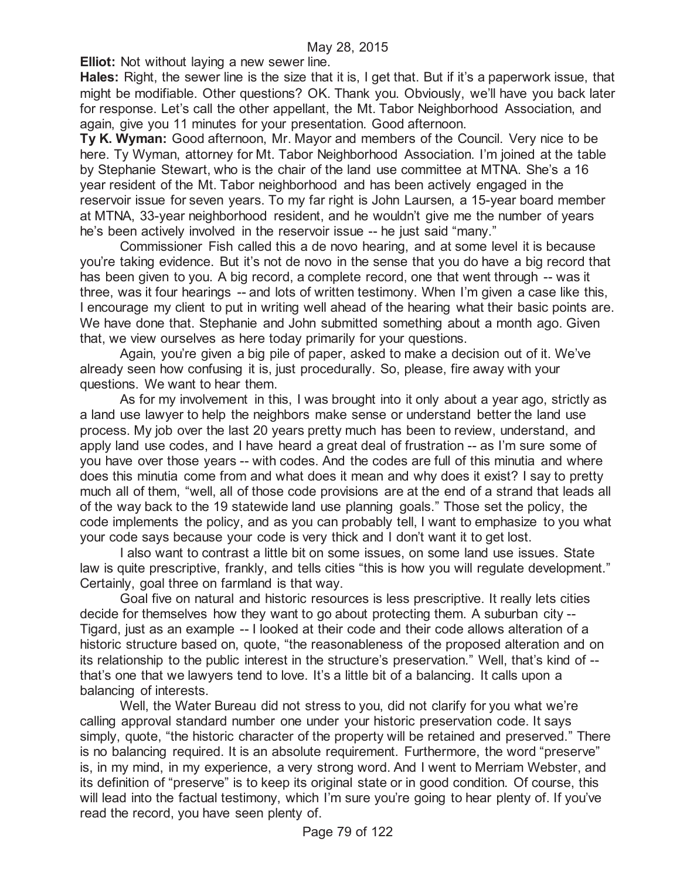**Elliot:** Not without laying a new sewer line.

**Hales:** Right, the sewer line is the size that it is, I get that. But if it's a paperwork issue, that might be modifiable. Other questions? OK. Thank you. Obviously, we'll have you back later for response. Let's call the other appellant, the Mt. Tabor Neighborhood Association, and again, give you 11 minutes for your presentation. Good afternoon.

**Ty K. Wyman:** Good afternoon, Mr. Mayor and members of the Council. Very nice to be here. Ty Wyman, attorney for Mt. Tabor Neighborhood Association. I'm joined at the table by Stephanie Stewart, who is the chair of the land use committee at MTNA. She's a 16 year resident of the Mt. Tabor neighborhood and has been actively engaged in the reservoir issue for seven years. To my far right is John Laursen, a 15-year board member at MTNA, 33-year neighborhood resident, and he wouldn't give me the number of years he's been actively involved in the reservoir issue -- he just said "many."

Commissioner Fish called this a de novo hearing, and at some level it is because you're taking evidence. But it's not de novo in the sense that you do have a big record that has been given to you. A big record, a complete record, one that went through -- was it three, was it four hearings -- and lots of written testimony. When I'm given a case like this, I encourage my client to put in writing well ahead of the hearing what their basic points are. We have done that. Stephanie and John submitted something about a month ago. Given that, we view ourselves as here today primarily for your questions.

Again, you're given a big pile of paper, asked to make a decision out of it. We've already seen how confusing it is, just procedurally. So, please, fire away with your questions. We want to hear them.

As for my involvement in this, I was brought into it only about a year ago, strictly as a land use lawyer to help the neighbors make sense or understand better the land use process. My job over the last 20 years pretty much has been to review, understand, and apply land use codes, and I have heard a great deal of frustration -- as I'm sure some of you have over those years -- with codes. And the codes are full of this minutia and where does this minutia come from and what does it mean and why does it exist? I say to pretty much all of them, "well, all of those code provisions are at the end of a strand that leads all of the way back to the 19 statewide land use planning goals." Those set the policy, the code implements the policy, and as you can probably tell, I want to emphasize to you what your code says because your code is very thick and I don't want it to get lost.

I also want to contrast a little bit on some issues, on some land use issues. State law is quite prescriptive, frankly, and tells cities "this is how you will regulate development." Certainly, goal three on farmland is that way.

Goal five on natural and historic resources is less prescriptive. It really lets cities decide for themselves how they want to go about protecting them. A suburban city -- Tigard, just as an example -- I looked at their code and their code allows alteration of a historic structure based on, quote, "the reasonableness of the proposed alteration and on its relationship to the public interest in the structure's preservation." Well, that's kind of - that's one that we lawyers tend to love. It's a little bit of a balancing. It calls upon a balancing of interests.

Well, the Water Bureau did not stress to you, did not clarify for you what we're calling approval standard number one under your historic preservation code. It says simply, quote, "the historic character of the property will be retained and preserved." There is no balancing required. It is an absolute requirement. Furthermore, the word "preserve" is, in my mind, in my experience, a very strong word. And I went to Merriam Webster, and its definition of "preserve" is to keep its original state or in good condition. Of course, this will lead into the factual testimony, which I'm sure you're going to hear plenty of. If you've read the record, you have seen plenty of.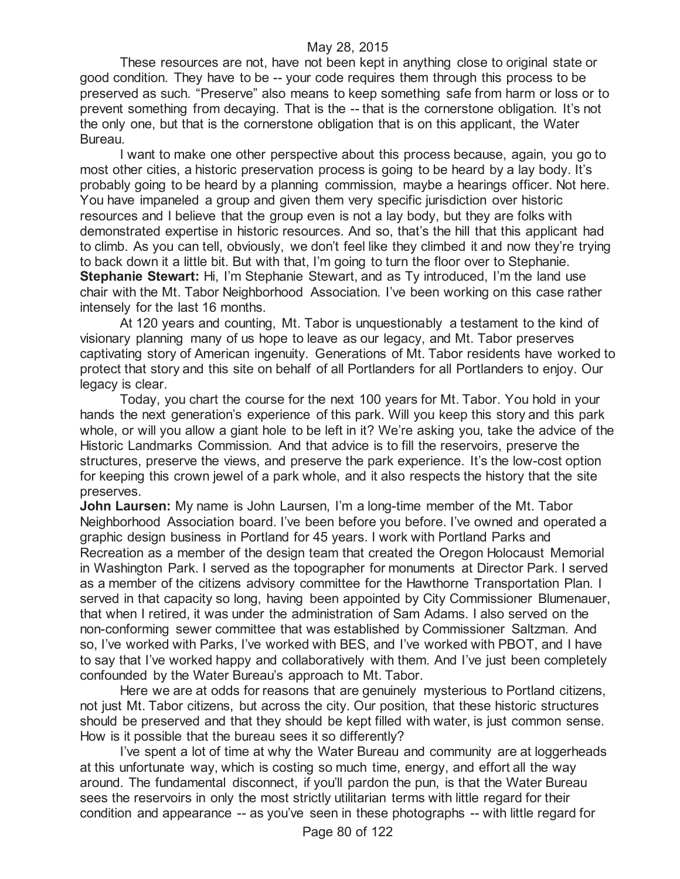These resources are not, have not been kept in anything close to original state or good condition. They have to be -- your code requires them through this process to be preserved as such. "Preserve" also means to keep something safe from harm or loss or to prevent something from decaying. That is the -- that is the cornerstone obligation. It's not the only one, but that is the cornerstone obligation that is on this applicant, the Water Bureau.

I want to make one other perspective about this process because, again, you go to most other cities, a historic preservation process is going to be heard by a lay body. It's probably going to be heard by a planning commission, maybe a hearings officer. Not here. You have impaneled a group and given them very specific jurisdiction over historic resources and I believe that the group even is not a lay body, but they are folks with demonstrated expertise in historic resources. And so, that's the hill that this applicant had to climb. As you can tell, obviously, we don't feel like they climbed it and now they're trying to back down it a little bit. But with that, I'm going to turn the floor over to Stephanie. **Stephanie Stewart:** Hi, I'm Stephanie Stewart, and as Ty introduced, I'm the land use chair with the Mt. Tabor Neighborhood Association. I've been working on this case rather intensely for the last 16 months.

At 120 years and counting, Mt. Tabor is unquestionably a testament to the kind of visionary planning many of us hope to leave as our legacy, and Mt. Tabor preserves captivating story of American ingenuity. Generations of Mt. Tabor residents have worked to protect that story and this site on behalf of all Portlanders for all Portlanders to enjoy. Our legacy is clear.

Today, you chart the course for the next 100 years for Mt. Tabor. You hold in your hands the next generation's experience of this park. Will you keep this story and this park whole, or will you allow a giant hole to be left in it? We're asking you, take the advice of the Historic Landmarks Commission. And that advice is to fill the reservoirs, preserve the structures, preserve the views, and preserve the park experience. It's the low-cost option for keeping this crown jewel of a park whole, and it also respects the history that the site preserves.

**John Laursen:** My name is John Laursen, I'm a long-time member of the Mt. Tabor Neighborhood Association board. I've been before you before. I've owned and operated a graphic design business in Portland for 45 years. I work with Portland Parks and Recreation as a member of the design team that created the Oregon Holocaust Memorial in Washington Park. I served as the topographer for monuments at Director Park. I served as a member of the citizens advisory committee for the Hawthorne Transportation Plan. I served in that capacity so long, having been appointed by City Commissioner Blumenauer, that when I retired, it was under the administration of Sam Adams. I also served on the non-conforming sewer committee that was established by Commissioner Saltzman. And so, I've worked with Parks, I've worked with BES, and I've worked with PBOT, and I have to say that I've worked happy and collaboratively with them. And I've just been completely confounded by the Water Bureau's approach to Mt. Tabor.

Here we are at odds for reasons that are genuinely mysterious to Portland citizens, not just Mt. Tabor citizens, but across the city. Our position, that these historic structures should be preserved and that they should be kept filled with water, is just common sense. How is it possible that the bureau sees it so differently?

I've spent a lot of time at why the Water Bureau and community are at loggerheads at this unfortunate way, which is costing so much time, energy, and effort all the way around. The fundamental disconnect, if you'll pardon the pun, is that the Water Bureau sees the reservoirs in only the most strictly utilitarian terms with little regard for their condition and appearance -- as you've seen in these photographs -- with little regard for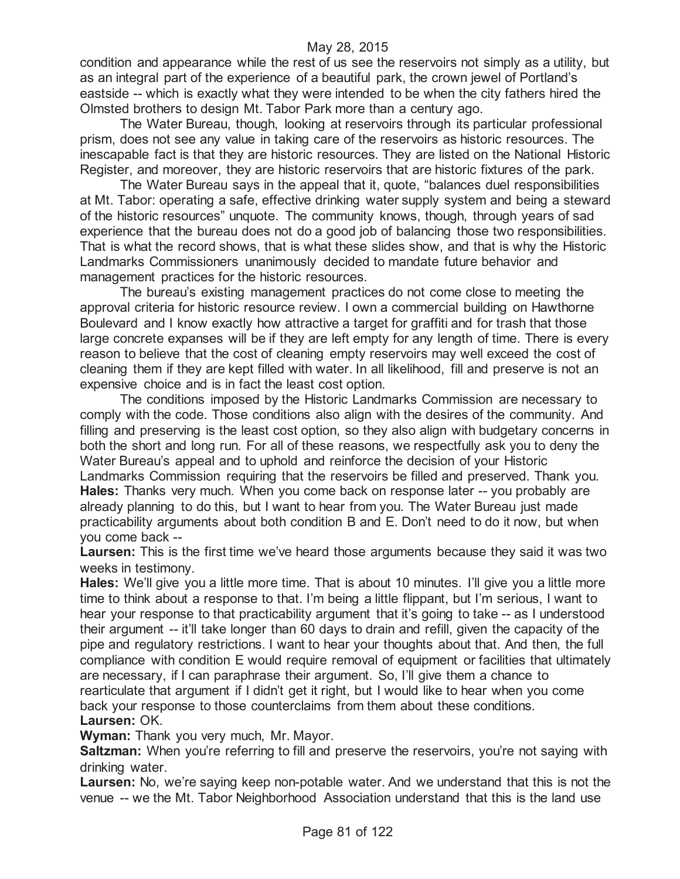condition and appearance while the rest of us see the reservoirs not simply as a utility, but as an integral part of the experience of a beautiful park, the crown jewel of Portland's eastside -- which is exactly what they were intended to be when the city fathers hired the Olmsted brothers to design Mt. Tabor Park more than a century ago.

The Water Bureau, though, looking at reservoirs through its particular professional prism, does not see any value in taking care of the reservoirs as historic resources. The inescapable fact is that they are historic resources. They are listed on the National Historic Register, and moreover, they are historic reservoirs that are historic fixtures of the park.

The Water Bureau says in the appeal that it, quote, "balances duel responsibilities at Mt. Tabor: operating a safe, effective drinking water supply system and being a steward of the historic resources" unquote. The community knows, though, through years of sad experience that the bureau does not do a good job of balancing those two responsibilities. That is what the record shows, that is what these slides show, and that is why the Historic Landmarks Commissioners unanimously decided to mandate future behavior and management practices for the historic resources.

The bureau's existing management practices do not come close to meeting the approval criteria for historic resource review. I own a commercial building on Hawthorne Boulevard and I know exactly how attractive a target for graffiti and for trash that those large concrete expanses will be if they are left empty for any length of time. There is every reason to believe that the cost of cleaning empty reservoirs may well exceed the cost of cleaning them if they are kept filled with water. In all likelihood, fill and preserve is not an expensive choice and is in fact the least cost option.

The conditions imposed by the Historic Landmarks Commission are necessary to comply with the code. Those conditions also align with the desires of the community. And filling and preserving is the least cost option, so they also align with budgetary concerns in both the short and long run. For all of these reasons, we respectfully ask you to deny the Water Bureau's appeal and to uphold and reinforce the decision of your Historic Landmarks Commission requiring that the reservoirs be filled and preserved. Thank you. **Hales:** Thanks very much. When you come back on response later -- you probably are already planning to do this, but I want to hear from you. The Water Bureau just made practicability arguments about both condition B and E. Don't need to do it now, but when you come back --

**Laursen:** This is the first time we've heard those arguments because they said it was two weeks in testimony.

**Hales:** We'll give you a little more time. That is about 10 minutes. I'll give you a little more time to think about a response to that. I'm being a little flippant, but I'm serious, I want to hear your response to that practicability argument that it's going to take -- as I understood their argument -- it'll take longer than 60 days to drain and refill, given the capacity of the pipe and regulatory restrictions. I want to hear your thoughts about that. And then, the full compliance with condition E would require removal of equipment or facilities that ultimately are necessary, if I can paraphrase their argument. So, I'll give them a chance to rearticulate that argument if I didn't get it right, but I would like to hear when you come back your response to those counterclaims from them about these conditions. **Laursen:** OK.

**Wyman:** Thank you very much, Mr. Mayor.

**Saltzman:** When you're referring to fill and preserve the reservoirs, you're not saying with drinking water.

**Laursen:** No, we're saying keep non-potable water. And we understand that this is not the venue -- we the Mt. Tabor Neighborhood Association understand that this is the land use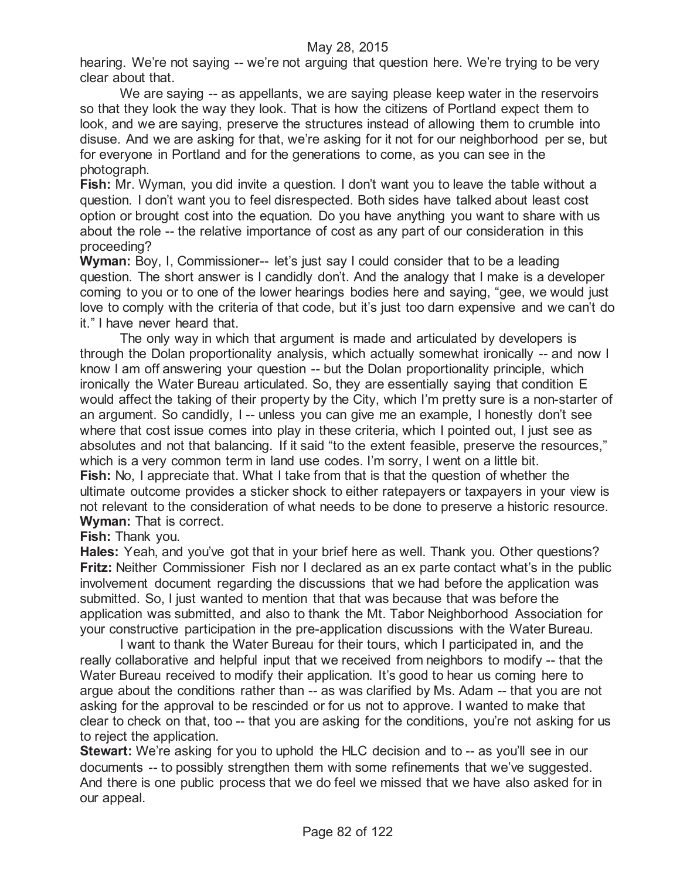hearing. We're not saying -- we're not arguing that question here. We're trying to be very clear about that.

We are saying -- as appellants, we are saying please keep water in the reservoirs so that they look the way they look. That is how the citizens of Portland expect them to look, and we are saying, preserve the structures instead of allowing them to crumble into disuse. And we are asking for that, we're asking for it not for our neighborhood per se, but for everyone in Portland and for the generations to come, as you can see in the photograph.

**Fish:** Mr. Wyman, you did invite a question. I don't want you to leave the table without a question. I don't want you to feel disrespected. Both sides have talked about least cost option or brought cost into the equation. Do you have anything you want to share with us about the role -- the relative importance of cost as any part of our consideration in this proceeding?

**Wyman:** Boy, I, Commissioner-- let's just say I could consider that to be a leading question. The short answer is I candidly don't. And the analogy that I make is a developer coming to you or to one of the lower hearings bodies here and saying, "gee, we would just love to comply with the criteria of that code, but it's just too darn expensive and we can't do it." I have never heard that.

The only way in which that argument is made and articulated by developers is through the Dolan proportionality analysis, which actually somewhat ironically -- and now I know I am off answering your question -- but the Dolan proportionality principle, which ironically the Water Bureau articulated. So, they are essentially saying that condition E would affect the taking of their property by the City, which I'm pretty sure is a non-starter of an argument. So candidly, I -- unless you can give me an example, I honestly don't see where that cost issue comes into play in these criteria, which I pointed out, I just see as absolutes and not that balancing. If it said "to the extent feasible, preserve the resources," which is a very common term in land use codes. I'm sorry, I went on a little bit. **Fish:** No, I appreciate that. What I take from that is that the question of whether the ultimate outcome provides a sticker shock to either ratepayers or taxpayers in your view is not relevant to the consideration of what needs to be done to preserve a historic resource. **Wyman:** That is correct.

**Fish:** Thank you.

**Hales:** Yeah, and you've got that in your brief here as well. Thank you. Other questions? **Fritz:** Neither Commissioner Fish nor I declared as an ex parte contact what's in the public involvement document regarding the discussions that we had before the application was submitted. So, I just wanted to mention that that was because that was before the application was submitted, and also to thank the Mt. Tabor Neighborhood Association for your constructive participation in the pre-application discussions with the Water Bureau.

I want to thank the Water Bureau for their tours, which I participated in, and the really collaborative and helpful input that we received from neighbors to modify -- that the Water Bureau received to modify their application. It's good to hear us coming here to argue about the conditions rather than -- as was clarified by Ms. Adam -- that you are not asking for the approval to be rescinded or for us not to approve. I wanted to make that clear to check on that, too -- that you are asking for the conditions, you're not asking for us to reject the application.

**Stewart:** We're asking for you to uphold the HLC decision and to -- as you'll see in our documents -- to possibly strengthen them with some refinements that we've suggested. And there is one public process that we do feel we missed that we have also asked for in our appeal.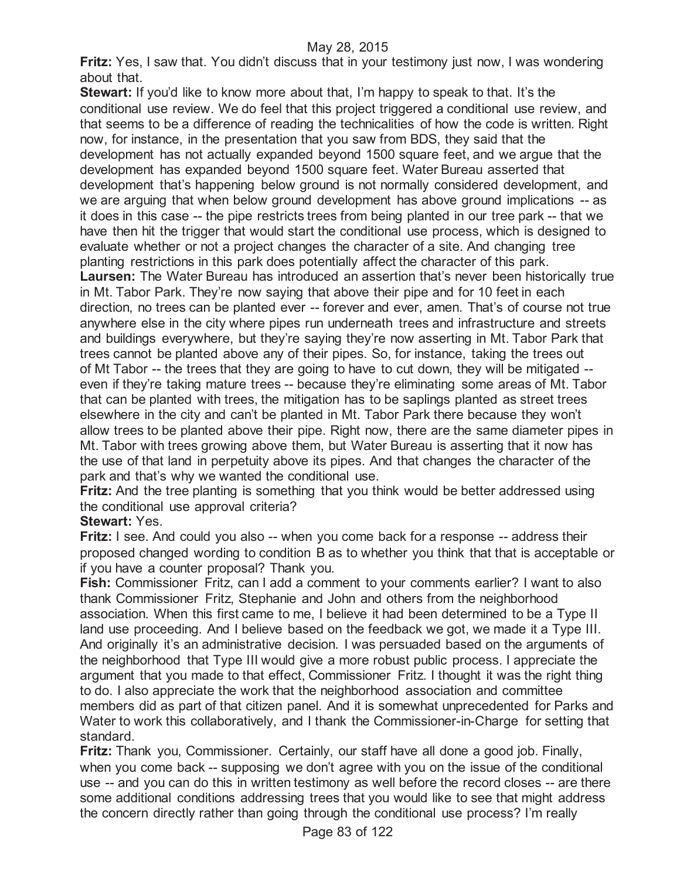**Fritz:** Yes, I saw that. You didn't discuss that in your testimony just now, I was wondering about that.

**Stewart:** If you'd like to know more about that, I'm happy to speak to that. It's the conditional use review. We do feel that this project triggered a conditional use review, and that seems to be a difference of reading the technicalities of how the code is written. Right now, for instance, in the presentation that you saw from BDS, they said that the development has not actually expanded beyond 1500 square feet, and we argue that the development has expanded beyond 1500 square feet. Water Bureau asserted that development that's happening below ground is not normally considered development, and we are arguing that when below ground development has above ground implications -- as it does in this case -- the pipe restricts trees from being planted in our tree park -- that we have then hit the trigger that would start the conditional use process, which is designed to evaluate whether or not a project changes the character of a site. And changing tree planting restrictions in this park does potentially affect the character of this park. **Laursen:** The Water Bureau has introduced an assertion that's never been historically true in Mt. Tabor Park. They're now saying that above their pipe and for 10 feet in each direction, no trees can be planted ever -- forever and ever, amen. That's of course not true anywhere else in the city where pipes run underneath trees and infrastructure and streets and buildings everywhere, but they're saying they're now asserting in Mt. Tabor Park that trees cannot be planted above any of their pipes. So, for instance, taking the trees out of Mt Tabor -- the trees that they are going to have to cut down, they will be mitigated - even if they're taking mature trees -- because they're eliminating some areas of Mt. Tabor that can be planted with trees, the mitigation has to be saplings planted as street trees elsewhere in the city and can't be planted in Mt. Tabor Park there because they won't allow trees to be planted above their pipe. Right now, there are the same diameter pipes in Mt. Tabor with trees growing above them, but Water Bureau is asserting that it now has the use of that land in perpetuity above its pipes. And that changes the character of the park and that's why we wanted the conditional use.

**Fritz:** And the tree planting is something that you think would be better addressed using the conditional use approval criteria?

**Stewart:** Yes.

**Fritz:** I see. And could you also -- when you come back for a response -- address their proposed changed wording to condition B as to whether you think that that is acceptable or if you have a counter proposal? Thank you.

**Fish:** Commissioner Fritz, can I add a comment to your comments earlier? I want to also thank Commissioner Fritz, Stephanie and John and others from the neighborhood association. When this first came to me, I believe it had been determined to be a Type II land use proceeding. And I believe based on the feedback we got, we made it a Type III. And originally it's an administrative decision. I was persuaded based on the arguments of the neighborhood that Type III would give a more robust public process. I appreciate the argument that you made to that effect, Commissioner Fritz. I thought it was the right thing to do. I also appreciate the work that the neighborhood association and committee members did as part of that citizen panel. And it is somewhat unprecedented for Parks and Water to work this collaboratively, and I thank the Commissioner-in-Charge for setting that standard.

**Fritz:** Thank you, Commissioner. Certainly, our staff have all done a good job. Finally, when you come back -- supposing we don't agree with you on the issue of the conditional use -- and you can do this in written testimony as well before the record closes -- are there some additional conditions addressing trees that you would like to see that might address the concern directly rather than going through the conditional use process? I'm really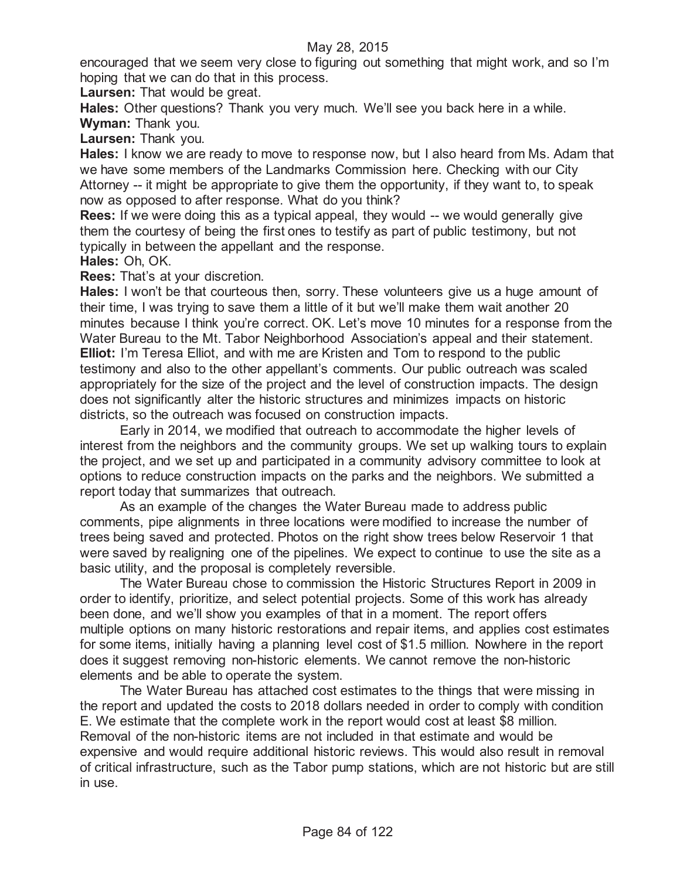encouraged that we seem very close to figuring out something that might work, and so I'm hoping that we can do that in this process.

**Laursen:** That would be great.

**Hales:** Other questions? Thank you very much. We'll see you back here in a while.

**Wyman:** Thank you.

**Laursen:** Thank you.

**Hales:** I know we are ready to move to response now, but I also heard from Ms. Adam that we have some members of the Landmarks Commission here. Checking with our City Attorney -- it might be appropriate to give them the opportunity, if they want to, to speak now as opposed to after response. What do you think?

**Rees:** If we were doing this as a typical appeal, they would -- we would generally give them the courtesy of being the first ones to testify as part of public testimony, but not typically in between the appellant and the response.

**Hales:** Oh, OK.

**Rees:** That's at your discretion.

**Hales:** I won't be that courteous then, sorry. These volunteers give us a huge amount of their time, I was trying to save them a little of it but we'll make them wait another 20 minutes because I think you're correct. OK. Let's move 10 minutes for a response from the Water Bureau to the Mt. Tabor Neighborhood Association's appeal and their statement. **Elliot:** I'm Teresa Elliot, and with me are Kristen and Tom to respond to the public testimony and also to the other appellant's comments. Our public outreach was scaled appropriately for the size of the project and the level of construction impacts. The design does not significantly alter the historic structures and minimizes impacts on historic districts, so the outreach was focused on construction impacts.

Early in 2014, we modified that outreach to accommodate the higher levels of interest from the neighbors and the community groups. We set up walking tours to explain the project, and we set up and participated in a community advisory committee to look at options to reduce construction impacts on the parks and the neighbors. We submitted a report today that summarizes that outreach.

As an example of the changes the Water Bureau made to address public comments, pipe alignments in three locations were modified to increase the number of trees being saved and protected. Photos on the right show trees below Reservoir 1 that were saved by realigning one of the pipelines. We expect to continue to use the site as a basic utility, and the proposal is completely reversible.

The Water Bureau chose to commission the Historic Structures Report in 2009 in order to identify, prioritize, and select potential projects. Some of this work has already been done, and we'll show you examples of that in a moment. The report offers multiple options on many historic restorations and repair items, and applies cost estimates for some items, initially having a planning level cost of \$1.5 million. Nowhere in the report does it suggest removing non-historic elements. We cannot remove the non-historic elements and be able to operate the system.

The Water Bureau has attached cost estimates to the things that were missing in the report and updated the costs to 2018 dollars needed in order to comply with condition E. We estimate that the complete work in the report would cost at least \$8 million. Removal of the non-historic items are not included in that estimate and would be expensive and would require additional historic reviews. This would also result in removal of critical infrastructure, such as the Tabor pump stations, which are not historic but are still in use.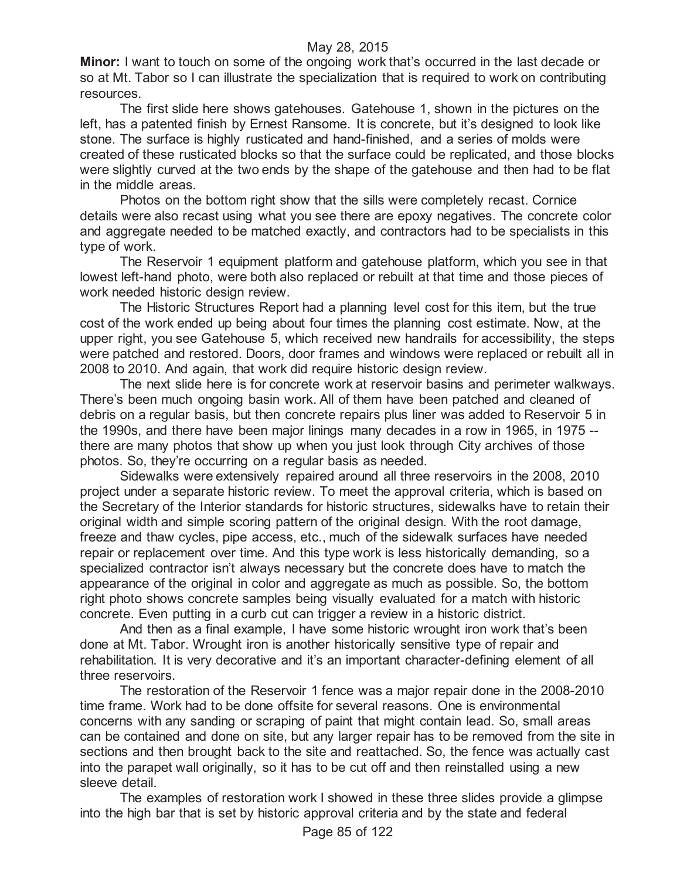**Minor:** I want to touch on some of the ongoing work that's occurred in the last decade or so at Mt. Tabor so I can illustrate the specialization that is required to work on contributing resources.

The first slide here shows gatehouses. Gatehouse 1, shown in the pictures on the left, has a patented finish by Ernest Ransome. It is concrete, but it's designed to look like stone. The surface is highly rusticated and hand-finished, and a series of molds were created of these rusticated blocks so that the surface could be replicated, and those blocks were slightly curved at the two ends by the shape of the gatehouse and then had to be flat in the middle areas.

Photos on the bottom right show that the sills were completely recast. Cornice details were also recast using what you see there are epoxy negatives. The concrete color and aggregate needed to be matched exactly, and contractors had to be specialists in this type of work.

The Reservoir 1 equipment platform and gatehouse platform, which you see in that lowest left-hand photo, were both also replaced or rebuilt at that time and those pieces of work needed historic design review.

The Historic Structures Report had a planning level cost for this item, but the true cost of the work ended up being about four times the planning cost estimate. Now, at the upper right, you see Gatehouse 5, which received new handrails for accessibility, the steps were patched and restored. Doors, door frames and windows were replaced or rebuilt all in 2008 to 2010. And again, that work did require historic design review.

The next slide here is for concrete work at reservoir basins and perimeter walkways. There's been much ongoing basin work. All of them have been patched and cleaned of debris on a regular basis, but then concrete repairs plus liner was added to Reservoir 5 in the 1990s, and there have been major linings many decades in a row in 1965, in 1975 - there are many photos that show up when you just look through City archives of those photos. So, they're occurring on a regular basis as needed.

Sidewalks were extensively repaired around all three reservoirs in the 2008, 2010 project under a separate historic review. To meet the approval criteria, which is based on the Secretary of the Interior standards for historic structures, sidewalks have to retain their original width and simple scoring pattern of the original design. With the root damage, freeze and thaw cycles, pipe access, etc., much of the sidewalk surfaces have needed repair or replacement over time. And this type work is less historically demanding, so a specialized contractor isn't always necessary but the concrete does have to match the appearance of the original in color and aggregate as much as possible. So, the bottom right photo shows concrete samples being visually evaluated for a match with historic concrete. Even putting in a curb cut can trigger a review in a historic district.

And then as a final example, I have some historic wrought iron work that's been done at Mt. Tabor. Wrought iron is another historically sensitive type of repair and rehabilitation. It is very decorative and it's an important character-defining element of all three reservoirs.

The restoration of the Reservoir 1 fence was a major repair done in the 2008-2010 time frame. Work had to be done offsite for several reasons. One is environmental concerns with any sanding or scraping of paint that might contain lead. So, small areas can be contained and done on site, but any larger repair has to be removed from the site in sections and then brought back to the site and reattached. So, the fence was actually cast into the parapet wall originally, so it has to be cut off and then reinstalled using a new sleeve detail.

The examples of restoration work I showed in these three slides provide a glimpse into the high bar that is set by historic approval criteria and by the state and federal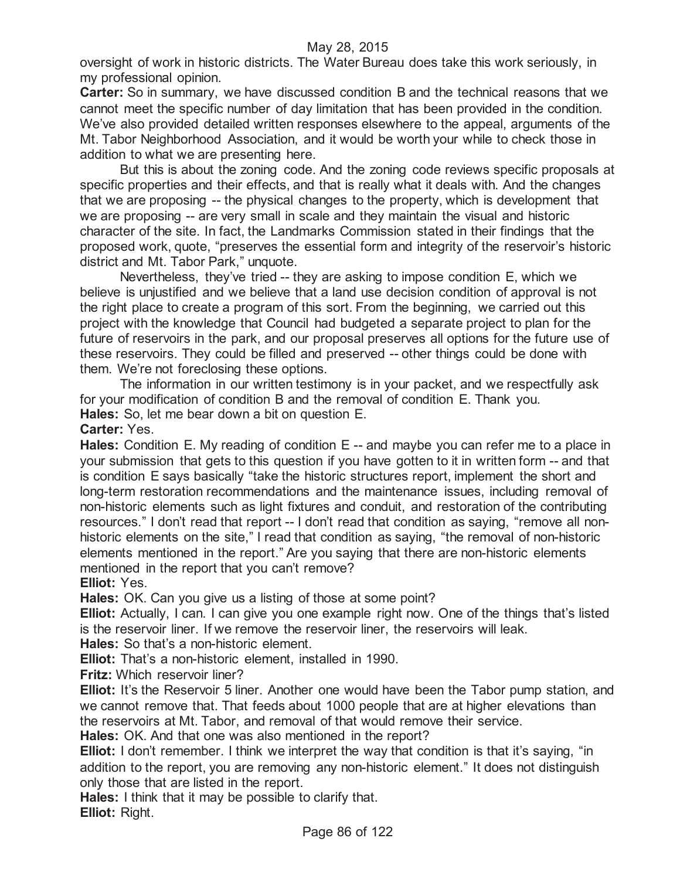oversight of work in historic districts. The Water Bureau does take this work seriously, in my professional opinion.

**Carter:** So in summary, we have discussed condition B and the technical reasons that we cannot meet the specific number of day limitation that has been provided in the condition. We've also provided detailed written responses elsewhere to the appeal, arguments of the Mt. Tabor Neighborhood Association, and it would be worth your while to check those in addition to what we are presenting here.

But this is about the zoning code. And the zoning code reviews specific proposals at specific properties and their effects, and that is really what it deals with. And the changes that we are proposing -- the physical changes to the property, which is development that we are proposing -- are very small in scale and they maintain the visual and historic character of the site. In fact, the Landmarks Commission stated in their findings that the proposed work, quote, "preserves the essential form and integrity of the reservoir's historic district and Mt. Tabor Park," unquote.

Nevertheless, they've tried -- they are asking to impose condition E, which we believe is unjustified and we believe that a land use decision condition of approval is not the right place to create a program of this sort. From the beginning, we carried out this project with the knowledge that Council had budgeted a separate project to plan for the future of reservoirs in the park, and our proposal preserves all options for the future use of these reservoirs. They could be filled and preserved -- other things could be done with them. We're not foreclosing these options.

The information in our written testimony is in your packet, and we respectfully ask for your modification of condition B and the removal of condition E. Thank you. **Hales:** So, let me bear down a bit on question E.

**Carter:** Yes.

**Hales:** Condition E. My reading of condition E -- and maybe you can refer me to a place in your submission that gets to this question if you have gotten to it in written form -- and that is condition E says basically "take the historic structures report, implement the short and long-term restoration recommendations and the maintenance issues, including removal of non-historic elements such as light fixtures and conduit, and restoration of the contributing resources." I don't read that report -- I don't read that condition as saying, "remove all nonhistoric elements on the site," I read that condition as saying, "the removal of non-historic elements mentioned in the report." Are you saying that there are non-historic elements mentioned in the report that you can't remove?

**Elliot:** Yes.

**Hales:** OK. Can you give us a listing of those at some point?

**Elliot:** Actually, I can. I can give you one example right now. One of the things that's listed is the reservoir liner. If we remove the reservoir liner, the reservoirs will leak.

**Hales:** So that's a non-historic element.

**Elliot:** That's a non-historic element, installed in 1990.

**Fritz:** Which reservoir liner?

**Elliot:** It's the Reservoir 5 liner. Another one would have been the Tabor pump station, and we cannot remove that. That feeds about 1000 people that are at higher elevations than the reservoirs at Mt. Tabor, and removal of that would remove their service.

**Hales:** OK. And that one was also mentioned in the report?

**Elliot:** I don't remember. I think we interpret the way that condition is that it's saying, "in addition to the report, you are removing any non-historic element." It does not distinguish only those that are listed in the report.

**Hales:** I think that it may be possible to clarify that. **Elliot:** Right.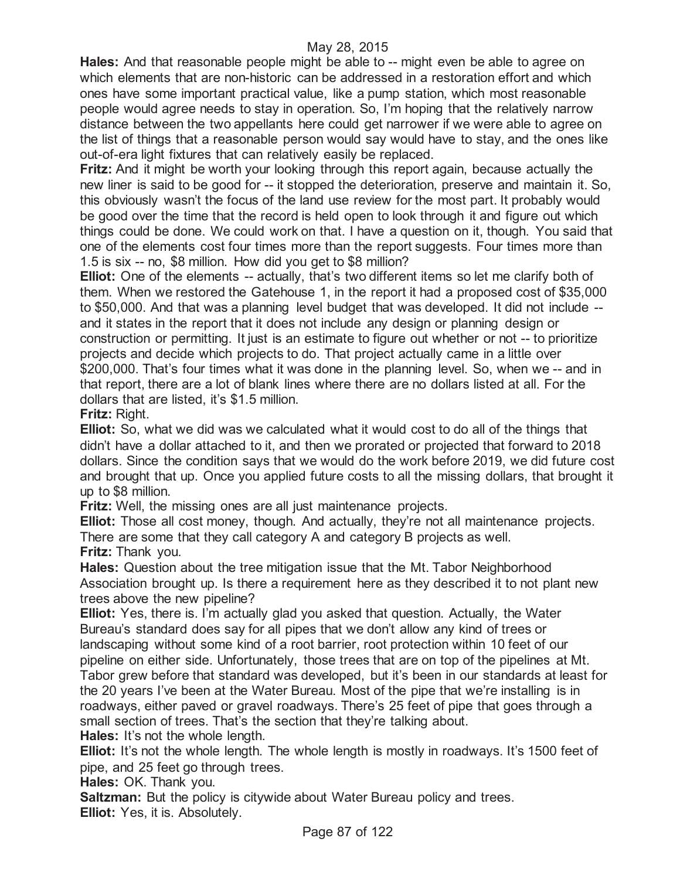**Hales:** And that reasonable people might be able to -- might even be able to agree on which elements that are non-historic can be addressed in a restoration effort and which ones have some important practical value, like a pump station, which most reasonable people would agree needs to stay in operation. So, I'm hoping that the relatively narrow distance between the two appellants here could get narrower if we were able to agree on the list of things that a reasonable person would say would have to stay, and the ones like out-of-era light fixtures that can relatively easily be replaced.

**Fritz:** And it might be worth your looking through this report again, because actually the new liner is said to be good for -- it stopped the deterioration, preserve and maintain it. So, this obviously wasn't the focus of the land use review for the most part. It probably would be good over the time that the record is held open to look through it and figure out which things could be done. We could work on that. I have a question on it, though. You said that one of the elements cost four times more than the report suggests. Four times more than 1.5 is six -- no, \$8 million. How did you get to \$8 million?

**Elliot:** One of the elements -- actually, that's two different items so let me clarify both of them. When we restored the Gatehouse 1, in the report it had a proposed cost of \$35,000 to \$50,000. And that was a planning level budget that was developed. It did not include - and it states in the report that it does not include any design or planning design or construction or permitting. It just is an estimate to figure out whether or not -- to prioritize projects and decide which projects to do. That project actually came in a little over \$200,000. That's four times what it was done in the planning level. So, when we -- and in that report, there are a lot of blank lines where there are no dollars listed at all. For the dollars that are listed, it's \$1.5 million.

**Fritz:** Right.

**Elliot:** So, what we did was we calculated what it would cost to do all of the things that didn't have a dollar attached to it, and then we prorated or projected that forward to 2018 dollars. Since the condition says that we would do the work before 2019, we did future cost and brought that up. Once you applied future costs to all the missing dollars, that brought it up to \$8 million.

**Fritz:** Well, the missing ones are all just maintenance projects.

**Elliot:** Those all cost money, though. And actually, they're not all maintenance projects. There are some that they call category A and category B projects as well. **Fritz:** Thank you.

**Hales:** Question about the tree mitigation issue that the Mt. Tabor Neighborhood Association brought up. Is there a requirement here as they described it to not plant new trees above the new pipeline?

**Elliot:** Yes, there is. I'm actually glad you asked that question. Actually, the Water Bureau's standard does say for all pipes that we don't allow any kind of trees or landscaping without some kind of a root barrier, root protection within 10 feet of our pipeline on either side. Unfortunately, those trees that are on top of the pipelines at Mt. Tabor grew before that standard was developed, but it's been in our standards at least for the 20 years I've been at the Water Bureau. Most of the pipe that we're installing is in roadways, either paved or gravel roadways. There's 25 feet of pipe that goes through a small section of trees. That's the section that they're talking about.

**Hales:** It's not the whole length.

**Elliot:** It's not the whole length. The whole length is mostly in roadways. It's 1500 feet of pipe, and 25 feet go through trees.

**Hales:** OK. Thank you.

**Saltzman:** But the policy is citywide about Water Bureau policy and trees. **Elliot:** Yes, it is. Absolutely.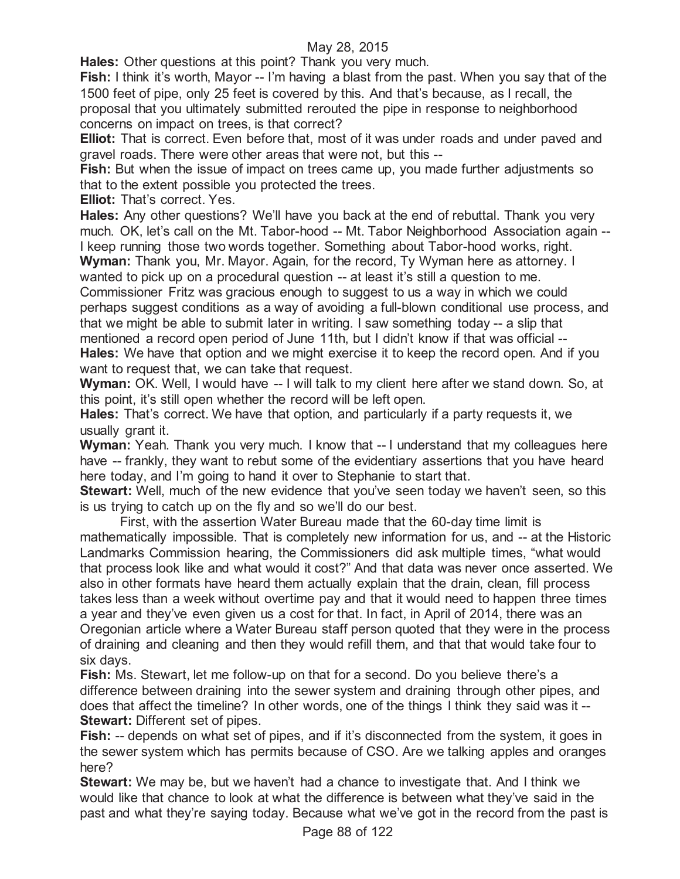**Hales:** Other questions at this point? Thank you very much.

**Fish:** I think it's worth, Mayor -- I'm having a blast from the past. When you say that of the 1500 feet of pipe, only 25 feet is covered by this. And that's because, as I recall, the proposal that you ultimately submitted rerouted the pipe in response to neighborhood concerns on impact on trees, is that correct?

**Elliot:** That is correct. Even before that, most of it was under roads and under paved and gravel roads. There were other areas that were not, but this --

**Fish:** But when the issue of impact on trees came up, you made further adjustments so that to the extent possible you protected the trees.

**Elliot:** That's correct. Yes.

**Hales:** Any other questions? We'll have you back at the end of rebuttal. Thank you very much. OK, let's call on the Mt. Tabor-hood -- Mt. Tabor Neighborhood Association again -- I keep running those two words together. Something about Tabor-hood works, right.

**Wyman:** Thank you, Mr. Mayor. Again, for the record, Ty Wyman here as attorney. I wanted to pick up on a procedural question -- at least it's still a question to me.

Commissioner Fritz was gracious enough to suggest to us a way in which we could perhaps suggest conditions as a way of avoiding a full-blown conditional use process, and that we might be able to submit later in writing. I saw something today -- a slip that mentioned a record open period of June 11th, but I didn't know if that was official -- **Hales:** We have that option and we might exercise it to keep the record open. And if you

want to request that, we can take that request.

**Wyman:** OK. Well, I would have -- I will talk to my client here after we stand down. So, at this point, it's still open whether the record will be left open.

**Hales:** That's correct. We have that option, and particularly if a party requests it, we usually grant it.

**Wyman:** Yeah. Thank you very much. I know that -- I understand that my colleagues here have -- frankly, they want to rebut some of the evidentiary assertions that you have heard here today, and I'm going to hand it over to Stephanie to start that.

**Stewart:** Well, much of the new evidence that you've seen today we haven't seen, so this is us trying to catch up on the fly and so we'll do our best.

First, with the assertion Water Bureau made that the 60-day time limit is mathematically impossible. That is completely new information for us, and -- at the Historic Landmarks Commission hearing, the Commissioners did ask multiple times, "what would that process look like and what would it cost?" And that data was never once asserted. We also in other formats have heard them actually explain that the drain, clean, fill process takes less than a week without overtime pay and that it would need to happen three times a year and they've even given us a cost for that. In fact, in April of 2014, there was an Oregonian article where a Water Bureau staff person quoted that they were in the process of draining and cleaning and then they would refill them, and that that would take four to six days.

**Fish:** Ms. Stewart, let me follow-up on that for a second. Do you believe there's a difference between draining into the sewer system and draining through other pipes, and does that affect the timeline? In other words, one of the things I think they said was it -- **Stewart: Different set of pipes.** 

**Fish:** -- depends on what set of pipes, and if it's disconnected from the system, it goes in the sewer system which has permits because of CSO. Are we talking apples and oranges here?

**Stewart:** We may be, but we haven't had a chance to investigate that. And I think we would like that chance to look at what the difference is between what they've said in the past and what they're saying today. Because what we've got in the record from the past is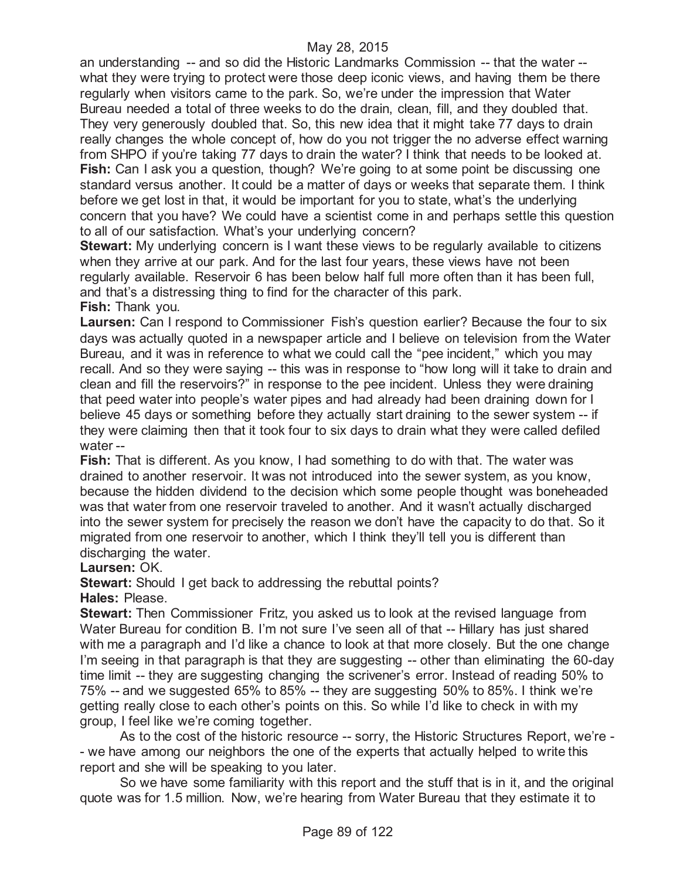an understanding -- and so did the Historic Landmarks Commission -- that the water - what they were trying to protect were those deep iconic views, and having them be there regularly when visitors came to the park. So, we're under the impression that Water Bureau needed a total of three weeks to do the drain, clean, fill, and they doubled that. They very generously doubled that. So, this new idea that it might take 77 days to drain really changes the whole concept of, how do you not trigger the no adverse effect warning from SHPO if you're taking 77 days to drain the water? I think that needs to be looked at. **Fish:** Can I ask you a question, though? We're going to at some point be discussing one standard versus another. It could be a matter of days or weeks that separate them. I think before we get lost in that, it would be important for you to state, what's the underlying concern that you have? We could have a scientist come in and perhaps settle this question to all of our satisfaction. What's your underlying concern?

**Stewart:** My underlying concern is I want these views to be regularly available to citizens when they arrive at our park. And for the last four years, these views have not been regularly available. Reservoir 6 has been below half full more often than it has been full, and that's a distressing thing to find for the character of this park.

**Fish:** Thank you.

**Laursen:** Can I respond to Commissioner Fish's question earlier? Because the four to six days was actually quoted in a newspaper article and I believe on television from the Water Bureau, and it was in reference to what we could call the "pee incident," which you may recall. And so they were saying -- this was in response to "how long will it take to drain and clean and fill the reservoirs?" in response to the pee incident. Unless they were draining that peed water into people's water pipes and had already had been draining down for I believe 45 days or something before they actually start draining to the sewer system -- if they were claiming then that it took four to six days to drain what they were called defiled water --

**Fish:** That is different. As you know, I had something to do with that. The water was drained to another reservoir. It was not introduced into the sewer system, as you know, because the hidden dividend to the decision which some people thought was boneheaded was that water from one reservoir traveled to another. And it wasn't actually discharged into the sewer system for precisely the reason we don't have the capacity to do that. So it migrated from one reservoir to another, which I think they'll tell you is different than discharging the water.

**Laursen:** OK.

**Stewart:** Should I get back to addressing the rebuttal points? **Hales:** Please.

**Stewart:** Then Commissioner Fritz, you asked us to look at the revised language from Water Bureau for condition B. I'm not sure I've seen all of that -- Hillary has just shared with me a paragraph and I'd like a chance to look at that more closely. But the one change I'm seeing in that paragraph is that they are suggesting -- other than eliminating the 60-day time limit -- they are suggesting changing the scrivener's error. Instead of reading 50% to 75% -- and we suggested 65% to 85% -- they are suggesting 50% to 85%. I think we're getting really close to each other's points on this. So while I'd like to check in with my group, I feel like we're coming together.

As to the cost of the historic resource -- sorry, the Historic Structures Report, we're - - we have among our neighbors the one of the experts that actually helped to write this report and she will be speaking to you later.

So we have some familiarity with this report and the stuff that is in it, and the original quote was for 1.5 million. Now, we're hearing from Water Bureau that they estimate it to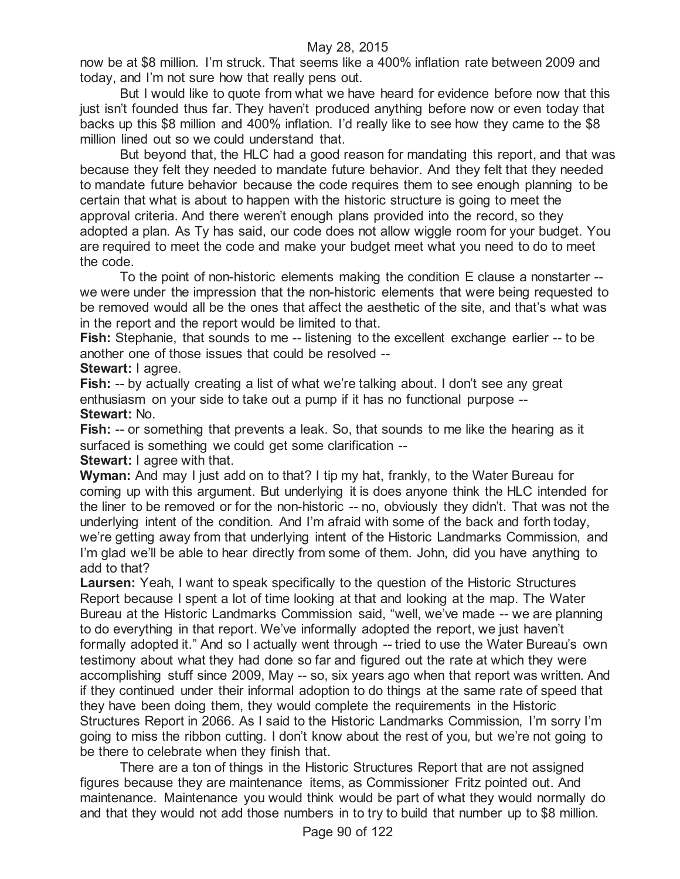now be at \$8 million. I'm struck. That seems like a 400% inflation rate between 2009 and today, and I'm not sure how that really pens out.

But I would like to quote from what we have heard for evidence before now that this just isn't founded thus far. They haven't produced anything before now or even today that backs up this \$8 million and 400% inflation. I'd really like to see how they came to the \$8 million lined out so we could understand that.

But beyond that, the HLC had a good reason for mandating this report, and that was because they felt they needed to mandate future behavior. And they felt that they needed to mandate future behavior because the code requires them to see enough planning to be certain that what is about to happen with the historic structure is going to meet the approval criteria. And there weren't enough plans provided into the record, so they adopted a plan. As Ty has said, our code does not allow wiggle room for your budget. You are required to meet the code and make your budget meet what you need to do to meet the code.

To the point of non-historic elements making the condition E clause a nonstarter - we were under the impression that the non-historic elements that were being requested to be removed would all be the ones that affect the aesthetic of the site, and that's what was in the report and the report would be limited to that.

**Fish:** Stephanie, that sounds to me -- listening to the excellent exchange earlier -- to be another one of those issues that could be resolved --

**Stewart:** I agree.

**Fish:** -- by actually creating a list of what we're talking about. I don't see any great enthusiasm on your side to take out a pump if it has no functional purpose -- **Stewart:** No.

**Fish:** -- or something that prevents a leak. So, that sounds to me like the hearing as it surfaced is something we could get some clarification --

**Stewart:** I agree with that.

**Wyman:** And may I just add on to that? I tip my hat, frankly, to the Water Bureau for coming up with this argument. But underlying it is does anyone think the HLC intended for the liner to be removed or for the non-historic -- no, obviously they didn't. That was not the underlying intent of the condition. And I'm afraid with some of the back and forth today, we're getting away from that underlying intent of the Historic Landmarks Commission, and I'm glad we'll be able to hear directly from some of them. John, did you have anything to add to that?

**Laursen:** Yeah, I want to speak specifically to the question of the Historic Structures Report because I spent a lot of time looking at that and looking at the map. The Water Bureau at the Historic Landmarks Commission said, "well, we've made -- we are planning to do everything in that report. We've informally adopted the report, we just haven't formally adopted it." And so I actually went through -- tried to use the Water Bureau's own testimony about what they had done so far and figured out the rate at which they were accomplishing stuff since 2009, May -- so, six years ago when that report was written. And if they continued under their informal adoption to do things at the same rate of speed that they have been doing them, they would complete the requirements in the Historic Structures Report in 2066. As I said to the Historic Landmarks Commission, I'm sorry I'm going to miss the ribbon cutting. I don't know about the rest of you, but we're not going to be there to celebrate when they finish that.

There are a ton of things in the Historic Structures Report that are not assigned figures because they are maintenance items, as Commissioner Fritz pointed out. And maintenance. Maintenance you would think would be part of what they would normally do and that they would not add those numbers in to try to build that number up to \$8 million.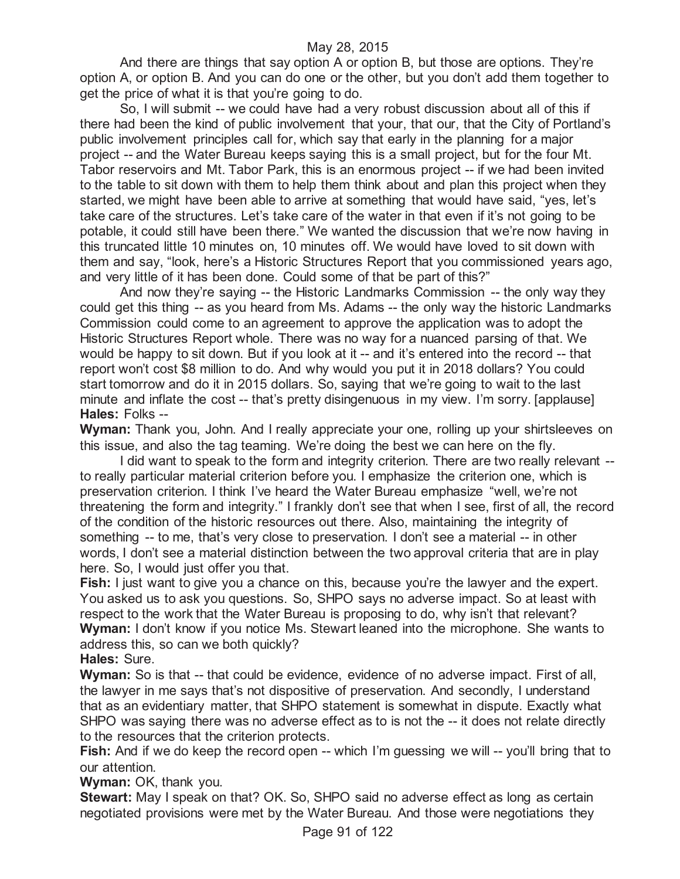And there are things that say option A or option B, but those are options. They're option A, or option B. And you can do one or the other, but you don't add them together to get the price of what it is that you're going to do.

So, I will submit -- we could have had a very robust discussion about all of this if there had been the kind of public involvement that your, that our, that the City of Portland's public involvement principles call for, which say that early in the planning for a major project -- and the Water Bureau keeps saying this is a small project, but for the four Mt. Tabor reservoirs and Mt. Tabor Park, this is an enormous project -- if we had been invited to the table to sit down with them to help them think about and plan this project when they started, we might have been able to arrive at something that would have said, "yes, let's take care of the structures. Let's take care of the water in that even if it's not going to be potable, it could still have been there." We wanted the discussion that we're now having in this truncated little 10 minutes on, 10 minutes off. We would have loved to sit down with them and say, "look, here's a Historic Structures Report that you commissioned years ago, and very little of it has been done. Could some of that be part of this?"

And now they're saying -- the Historic Landmarks Commission -- the only way they could get this thing -- as you heard from Ms. Adams -- the only way the historic Landmarks Commission could come to an agreement to approve the application was to adopt the Historic Structures Report whole. There was no way for a nuanced parsing of that. We would be happy to sit down. But if you look at it -- and it's entered into the record -- that report won't cost \$8 million to do. And why would you put it in 2018 dollars? You could start tomorrow and do it in 2015 dollars. So, saying that we're going to wait to the last minute and inflate the cost -- that's pretty disingenuous in my view. I'm sorry. [applause] **Hales:** Folks --

**Wyman:** Thank you, John. And I really appreciate your one, rolling up your shirtsleeves on this issue, and also the tag teaming. We're doing the best we can here on the fly.

I did want to speak to the form and integrity criterion. There are two really relevant - to really particular material criterion before you. I emphasize the criterion one, which is preservation criterion. I think I've heard the Water Bureau emphasize "well, we're not threatening the form and integrity." I frankly don't see that when I see, first of all, the record of the condition of the historic resources out there. Also, maintaining the integrity of something -- to me, that's very close to preservation. I don't see a material -- in other words, I don't see a material distinction between the two approval criteria that are in play here. So, I would just offer you that.

**Fish:** I just want to give you a chance on this, because you're the lawyer and the expert. You asked us to ask you questions. So, SHPO says no adverse impact. So at least with respect to the work that the Water Bureau is proposing to do, why isn't that relevant? **Wyman:** I don't know if you notice Ms. Stewart leaned into the microphone. She wants to address this, so can we both quickly?

**Hales:** Sure.

**Wyman:** So is that -- that could be evidence, evidence of no adverse impact. First of all, the lawyer in me says that's not dispositive of preservation. And secondly, I understand that as an evidentiary matter, that SHPO statement is somewhat in dispute. Exactly what SHPO was saying there was no adverse effect as to is not the -- it does not relate directly to the resources that the criterion protects.

**Fish:** And if we do keep the record open -- which I'm guessing we will -- you'll bring that to our attention.

**Wyman:** OK, thank you.

**Stewart:** May I speak on that? OK. So, SHPO said no adverse effect as long as certain negotiated provisions were met by the Water Bureau. And those were negotiations they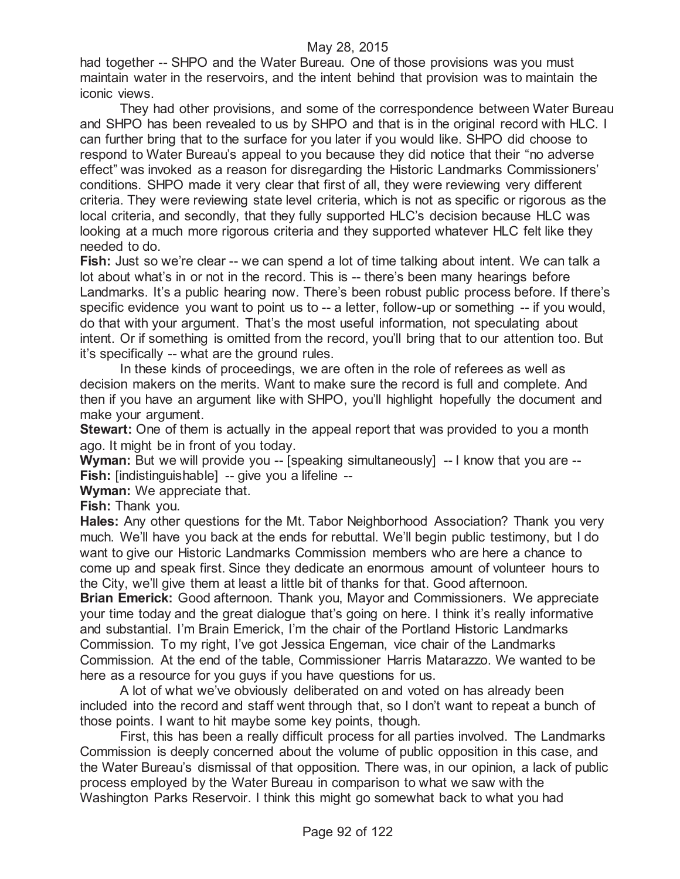had together -- SHPO and the Water Bureau. One of those provisions was you must maintain water in the reservoirs, and the intent behind that provision was to maintain the iconic views.

They had other provisions, and some of the correspondence between Water Bureau and SHPO has been revealed to us by SHPO and that is in the original record with HLC. I can further bring that to the surface for you later if you would like. SHPO did choose to respond to Water Bureau's appeal to you because they did notice that their "no adverse effect" was invoked as a reason for disregarding the Historic Landmarks Commissioners' conditions. SHPO made it very clear that first of all, they were reviewing very different criteria. They were reviewing state level criteria, which is not as specific or rigorous as the local criteria, and secondly, that they fully supported HLC's decision because HLC was looking at a much more rigorous criteria and they supported whatever HLC felt like they needed to do.

**Fish:** Just so we're clear -- we can spend a lot of time talking about intent. We can talk a lot about what's in or not in the record. This is -- there's been many hearings before Landmarks. It's a public hearing now. There's been robust public process before. If there's specific evidence you want to point us to -- a letter, follow-up or something -- if you would, do that with your argument. That's the most useful information, not speculating about intent. Or if something is omitted from the record, you'll bring that to our attention too. But it's specifically -- what are the ground rules.

In these kinds of proceedings, we are often in the role of referees as well as decision makers on the merits. Want to make sure the record is full and complete. And then if you have an argument like with SHPO, you'll highlight hopefully the document and make your argument.

**Stewart:** One of them is actually in the appeal report that was provided to you a month ago. It might be in front of you today.

**Wyman:** But we will provide you -- [speaking simultaneously] -- I know that you are --**Fish:** [indistinguishable] -- give you a lifeline --

**Wyman:** We appreciate that.

**Fish:** Thank you.

**Hales:** Any other questions for the Mt. Tabor Neighborhood Association? Thank you very much. We'll have you back at the ends for rebuttal. We'll begin public testimony, but I do want to give our Historic Landmarks Commission members who are here a chance to come up and speak first. Since they dedicate an enormous amount of volunteer hours to the City, we'll give them at least a little bit of thanks for that. Good afternoon.

**Brian Emerick:** Good afternoon. Thank you, Mayor and Commissioners. We appreciate your time today and the great dialogue that's going on here. I think it's really informative and substantial. I'm Brain Emerick, I'm the chair of the Portland Historic Landmarks Commission. To my right, I've got Jessica Engeman, vice chair of the Landmarks Commission. At the end of the table, Commissioner Harris Matarazzo. We wanted to be here as a resource for you guys if you have questions for us.

A lot of what we've obviously deliberated on and voted on has already been included into the record and staff went through that, so I don't want to repeat a bunch of those points. I want to hit maybe some key points, though.

First, this has been a really difficult process for all parties involved. The Landmarks Commission is deeply concerned about the volume of public opposition in this case, and the Water Bureau's dismissal of that opposition. There was, in our opinion, a lack of public process employed by the Water Bureau in comparison to what we saw with the Washington Parks Reservoir. I think this might go somewhat back to what you had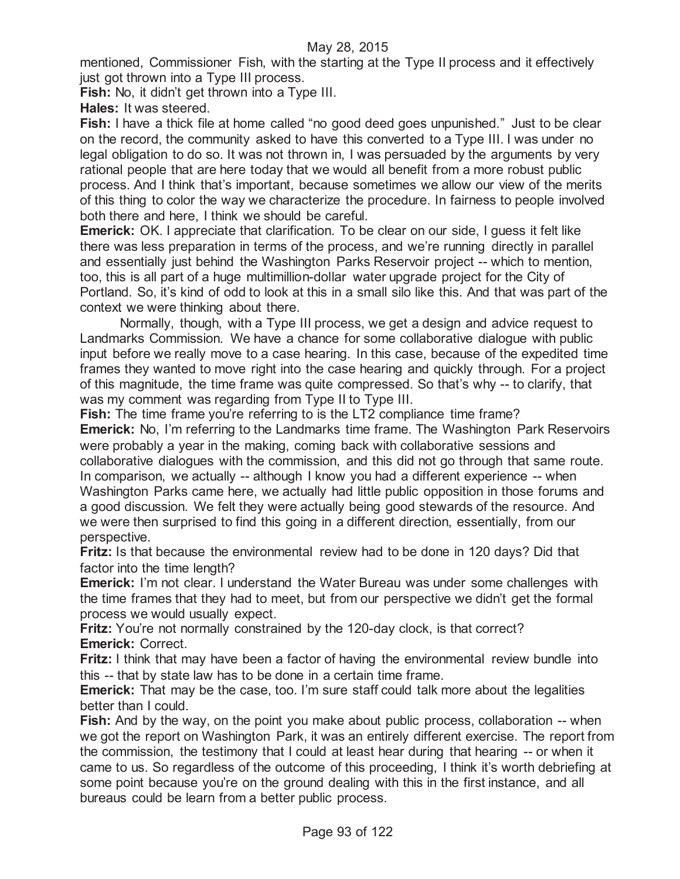mentioned, Commissioner Fish, with the starting at the Type II process and it effectively just got thrown into a Type III process.

**Fish:** No, it didn't get thrown into a Type III.

**Hales:** It was steered.

**Fish:** I have a thick file at home called "no good deed goes unpunished." Just to be clear on the record, the community asked to have this converted to a Type III. I was under no legal obligation to do so. It was not thrown in, I was persuaded by the arguments by very rational people that are here today that we would all benefit from a more robust public process. And I think that's important, because sometimes we allow our view of the merits of this thing to color the way we characterize the procedure. In fairness to people involved both there and here, I think we should be careful.

**Emerick:** OK. I appreciate that clarification. To be clear on our side, I guess it felt like there was less preparation in terms of the process, and we're running directly in parallel and essentially just behind the Washington Parks Reservoir project -- which to mention, too, this is all part of a huge multimillion-dollar water upgrade project for the City of Portland. So, it's kind of odd to look at this in a small silo like this. And that was part of the context we were thinking about there.

Normally, though, with a Type III process, we get a design and advice request to Landmarks Commission. We have a chance for some collaborative dialogue with public input before we really move to a case hearing. In this case, because of the expedited time frames they wanted to move right into the case hearing and quickly through. For a project of this magnitude, the time frame was quite compressed. So that's why -- to clarify, that was my comment was regarding from Type II to Type III.

**Fish:** The time frame you're referring to is the LT2 compliance time frame? **Emerick:** No, I'm referring to the Landmarks time frame. The Washington Park Reservoirs were probably a year in the making, coming back with collaborative sessions and collaborative dialogues with the commission, and this did not go through that same route. In comparison, we actually -- although I know you had a different experience -- when Washington Parks came here, we actually had little public opposition in those forums and a good discussion. We felt they were actually being good stewards of the resource. And we were then surprised to find this going in a different direction, essentially, from our perspective.

**Fritz:** Is that because the environmental review had to be done in 120 days? Did that factor into the time length?

**Emerick:** I'm not clear. I understand the Water Bureau was under some challenges with the time frames that they had to meet, but from our perspective we didn't get the formal process we would usually expect.

**Fritz:** You're not normally constrained by the 120-day clock, is that correct? **Emerick:** Correct.

**Fritz:** I think that may have been a factor of having the environmental review bundle into this -- that by state law has to be done in a certain time frame.

**Emerick:** That may be the case, too. I'm sure staff could talk more about the legalities better than I could.

**Fish:** And by the way, on the point you make about public process, collaboration -- when we got the report on Washington Park, it was an entirely different exercise. The report from the commission, the testimony that I could at least hear during that hearing -- or when it came to us. So regardless of the outcome of this proceeding, I think it's worth debriefing at some point because you're on the ground dealing with this in the first instance, and all bureaus could be learn from a better public process.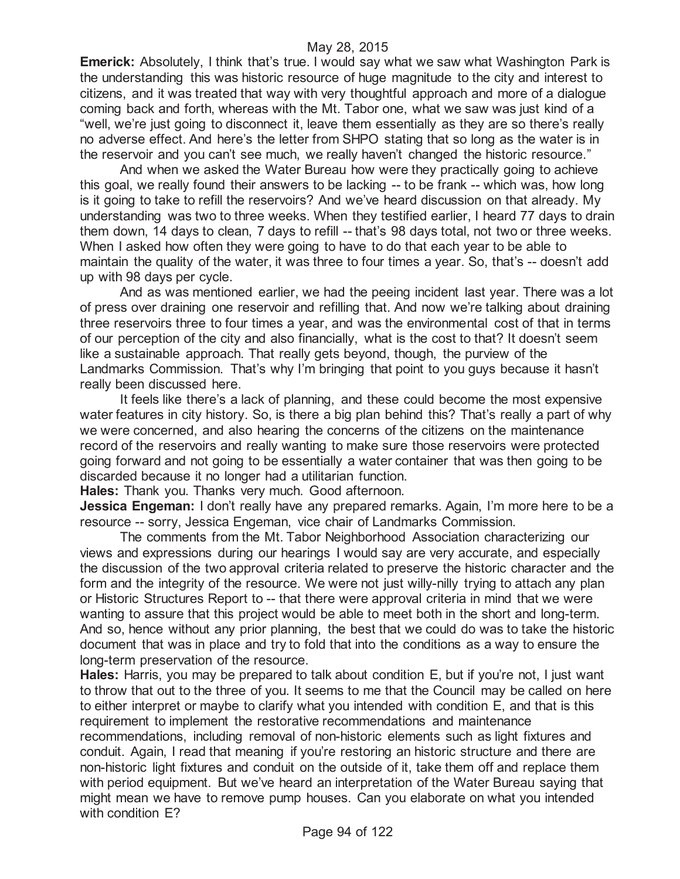**Emerick:** Absolutely, I think that's true. I would say what we saw what Washington Park is the understanding this was historic resource of huge magnitude to the city and interest to citizens, and it was treated that way with very thoughtful approach and more of a dialogue coming back and forth, whereas with the Mt. Tabor one, what we saw was just kind of a "well, we're just going to disconnect it, leave them essentially as they are so there's really no adverse effect. And here's the letter from SHPO stating that so long as the water is in the reservoir and you can't see much, we really haven't changed the historic resource."

And when we asked the Water Bureau how were they practically going to achieve this goal, we really found their answers to be lacking -- to be frank -- which was, how long is it going to take to refill the reservoirs? And we've heard discussion on that already. My understanding was two to three weeks. When they testified earlier, I heard 77 days to drain them down, 14 days to clean, 7 days to refill -- that's 98 days total, not two or three weeks. When I asked how often they were going to have to do that each year to be able to maintain the quality of the water, it was three to four times a year. So, that's -- doesn't add up with 98 days per cycle.

And as was mentioned earlier, we had the peeing incident last year. There was a lot of press over draining one reservoir and refilling that. And now we're talking about draining three reservoirs three to four times a year, and was the environmental cost of that in terms of our perception of the city and also financially, what is the cost to that? It doesn't seem like a sustainable approach. That really gets beyond, though, the purview of the Landmarks Commission. That's why I'm bringing that point to you guys because it hasn't really been discussed here.

It feels like there's a lack of planning, and these could become the most expensive water features in city history. So, is there a big plan behind this? That's really a part of why we were concerned, and also hearing the concerns of the citizens on the maintenance record of the reservoirs and really wanting to make sure those reservoirs were protected going forward and not going to be essentially a water container that was then going to be discarded because it no longer had a utilitarian function.

**Hales:** Thank you. Thanks very much. Good afternoon.

**Jessica Engeman:** I don't really have any prepared remarks. Again, I'm more here to be a resource -- sorry, Jessica Engeman, vice chair of Landmarks Commission.

The comments from the Mt. Tabor Neighborhood Association characterizing our views and expressions during our hearings I would say are very accurate, and especially the discussion of the two approval criteria related to preserve the historic character and the form and the integrity of the resource. We were not just willy-nilly trying to attach any plan or Historic Structures Report to -- that there were approval criteria in mind that we were wanting to assure that this project would be able to meet both in the short and long-term. And so, hence without any prior planning, the best that we could do was to take the historic document that was in place and try to fold that into the conditions as a way to ensure the long-term preservation of the resource.

**Hales:** Harris, you may be prepared to talk about condition E, but if you're not, I just want to throw that out to the three of you. It seems to me that the Council may be called on here to either interpret or maybe to clarify what you intended with condition E, and that is this requirement to implement the restorative recommendations and maintenance recommendations, including removal of non-historic elements such as light fixtures and conduit. Again, I read that meaning if you're restoring an historic structure and there are non-historic light fixtures and conduit on the outside of it, take them off and replace them with period equipment. But we've heard an interpretation of the Water Bureau saying that might mean we have to remove pump houses. Can you elaborate on what you intended with condition E?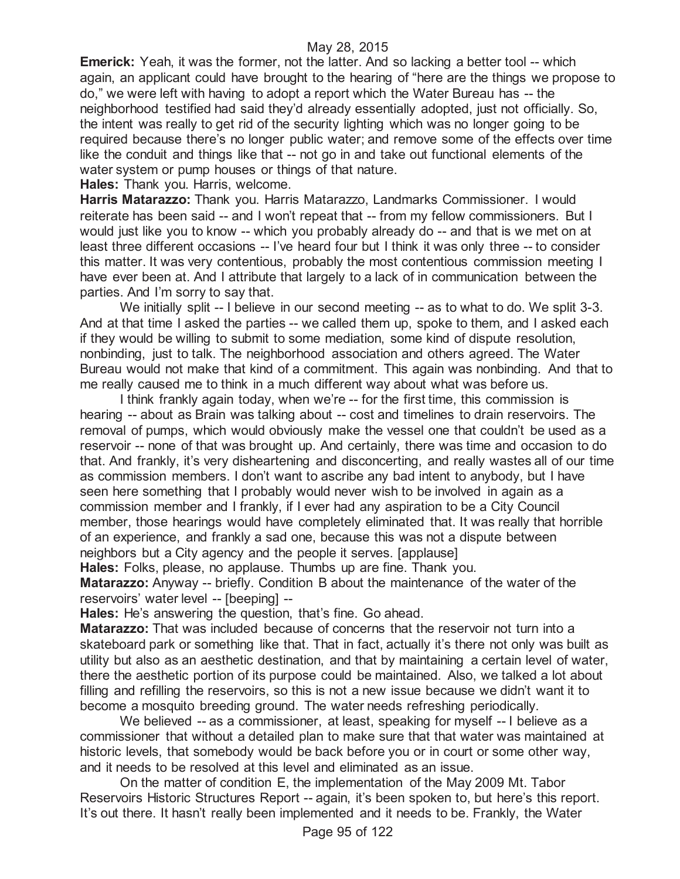**Emerick:** Yeah, it was the former, not the latter. And so lacking a better tool -- which again, an applicant could have brought to the hearing of "here are the things we propose to do," we were left with having to adopt a report which the Water Bureau has -- the neighborhood testified had said they'd already essentially adopted, just not officially. So, the intent was really to get rid of the security lighting which was no longer going to be required because there's no longer public water; and remove some of the effects over time like the conduit and things like that -- not go in and take out functional elements of the water system or pump houses or things of that nature.

**Hales:** Thank you. Harris, welcome.

**Harris Matarazzo:** Thank you. Harris Matarazzo, Landmarks Commissioner. I would reiterate has been said -- and I won't repeat that -- from my fellow commissioners. But I would just like you to know -- which you probably already do -- and that is we met on at least three different occasions -- I've heard four but I think it was only three -- to consider this matter. It was very contentious, probably the most contentious commission meeting I have ever been at. And I attribute that largely to a lack of in communication between the parties. And I'm sorry to say that.

We initially split -- I believe in our second meeting -- as to what to do. We split 3-3. And at that time I asked the parties -- we called them up, spoke to them, and I asked each if they would be willing to submit to some mediation, some kind of dispute resolution, nonbinding, just to talk. The neighborhood association and others agreed. The Water Bureau would not make that kind of a commitment. This again was nonbinding. And that to me really caused me to think in a much different way about what was before us.

I think frankly again today, when we're -- for the first time, this commission is hearing -- about as Brain was talking about -- cost and timelines to drain reservoirs. The removal of pumps, which would obviously make the vessel one that couldn't be used as a reservoir -- none of that was brought up. And certainly, there was time and occasion to do that. And frankly, it's very disheartening and disconcerting, and really wastes all of our time as commission members. I don't want to ascribe any bad intent to anybody, but I have seen here something that I probably would never wish to be involved in again as a commission member and I frankly, if I ever had any aspiration to be a City Council member, those hearings would have completely eliminated that. It was really that horrible of an experience, and frankly a sad one, because this was not a dispute between neighbors but a City agency and the people it serves. [applause]

**Hales:** Folks, please, no applause. Thumbs up are fine. Thank you. **Matarazzo:** Anyway -- briefly. Condition B about the maintenance of the water of the reservoirs' water level -- [beeping] --

**Hales:** He's answering the question, that's fine. Go ahead.

**Matarazzo:** That was included because of concerns that the reservoir not turn into a skateboard park or something like that. That in fact, actually it's there not only was built as utility but also as an aesthetic destination, and that by maintaining a certain level of water, there the aesthetic portion of its purpose could be maintained. Also, we talked a lot about filling and refilling the reservoirs, so this is not a new issue because we didn't want it to become a mosquito breeding ground. The water needs refreshing periodically.

We believed -- as a commissioner, at least, speaking for myself -- I believe as a commissioner that without a detailed plan to make sure that that water was maintained at historic levels, that somebody would be back before you or in court or some other way, and it needs to be resolved at this level and eliminated as an issue.

On the matter of condition E, the implementation of the May 2009 Mt. Tabor Reservoirs Historic Structures Report -- again, it's been spoken to, but here's this report. It's out there. It hasn't really been implemented and it needs to be. Frankly, the Water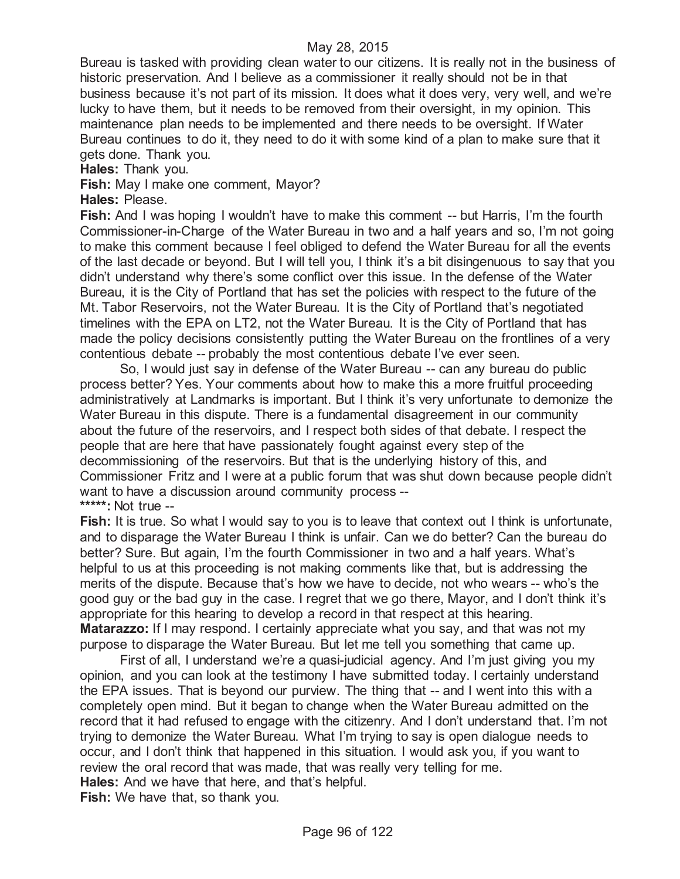Bureau is tasked with providing clean water to our citizens. It is really not in the business of historic preservation. And I believe as a commissioner it really should not be in that business because it's not part of its mission. It does what it does very, very well, and we're lucky to have them, but it needs to be removed from their oversight, in my opinion. This maintenance plan needs to be implemented and there needs to be oversight. If Water Bureau continues to do it, they need to do it with some kind of a plan to make sure that it gets done. Thank you.

**Hales:** Thank you.

**Fish:** May I make one comment, Mayor?

**Hales:** Please.

**Fish:** And I was hoping I wouldn't have to make this comment -- but Harris, I'm the fourth Commissioner-in-Charge of the Water Bureau in two and a half years and so, I'm not going to make this comment because I feel obliged to defend the Water Bureau for all the events of the last decade or beyond. But I will tell you, I think it's a bit disingenuous to say that you didn't understand why there's some conflict over this issue. In the defense of the Water Bureau, it is the City of Portland that has set the policies with respect to the future of the Mt. Tabor Reservoirs, not the Water Bureau. It is the City of Portland that's negotiated timelines with the EPA on LT2, not the Water Bureau. It is the City of Portland that has made the policy decisions consistently putting the Water Bureau on the frontlines of a very contentious debate -- probably the most contentious debate I've ever seen.

So, I would just say in defense of the Water Bureau -- can any bureau do public process better? Yes. Your comments about how to make this a more fruitful proceeding administratively at Landmarks is important. But I think it's very unfortunate to demonize the Water Bureau in this dispute. There is a fundamental disagreement in our community about the future of the reservoirs, and I respect both sides of that debate. I respect the people that are here that have passionately fought against every step of the decommissioning of the reservoirs. But that is the underlying history of this, and Commissioner Fritz and I were at a public forum that was shut down because people didn't want to have a discussion around community process -- **\*\*\*\*\*:** Not true --

**Fish:** It is true. So what I would say to you is to leave that context out I think is unfortunate, and to disparage the Water Bureau I think is unfair. Can we do better? Can the bureau do better? Sure. But again, I'm the fourth Commissioner in two and a half years. What's helpful to us at this proceeding is not making comments like that, but is addressing the merits of the dispute. Because that's how we have to decide, not who wears -- who's the good guy or the bad guy in the case. I regret that we go there, Mayor, and I don't think it's appropriate for this hearing to develop a record in that respect at this hearing. **Matarazzo:** If I may respond. I certainly appreciate what you say, and that was not my purpose to disparage the Water Bureau. But let me tell you something that came up.

First of all, I understand we're a quasi-judicial agency. And I'm just giving you my opinion, and you can look at the testimony I have submitted today. I certainly understand the EPA issues. That is beyond our purview. The thing that -- and I went into this with a completely open mind. But it began to change when the Water Bureau admitted on the record that it had refused to engage with the citizenry. And I don't understand that. I'm not trying to demonize the Water Bureau. What I'm trying to say is open dialogue needs to occur, and I don't think that happened in this situation. I would ask you, if you want to review the oral record that was made, that was really very telling for me. **Hales:** And we have that here, and that's helpful.

**Fish:** We have that, so thank you.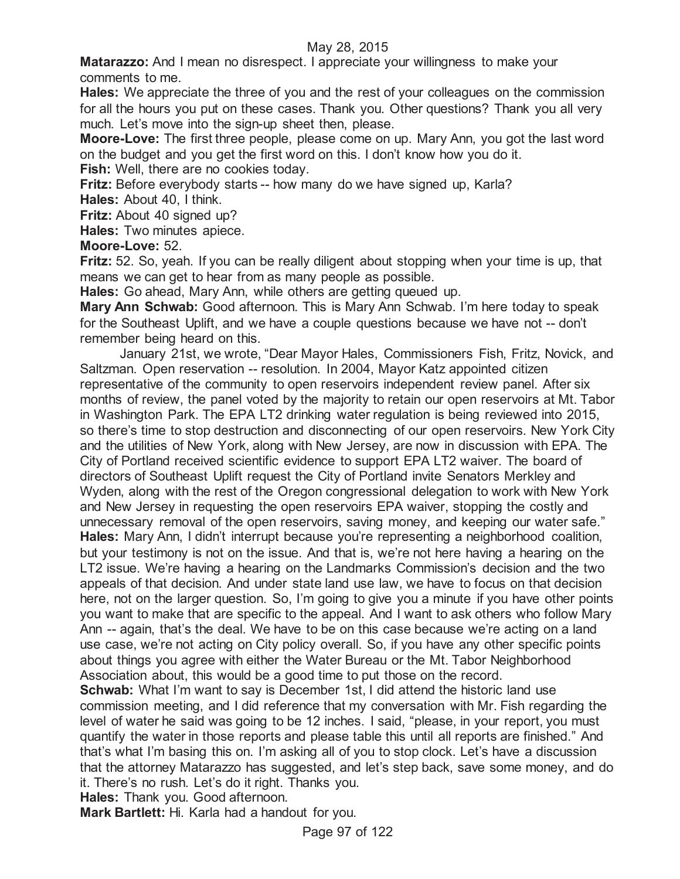**Matarazzo:** And I mean no disrespect. I appreciate your willingness to make your comments to me.

**Hales:** We appreciate the three of you and the rest of your colleagues on the commission for all the hours you put on these cases. Thank you. Other questions? Thank you all very much. Let's move into the sign-up sheet then, please.

**Moore-Love:** The first three people, please come on up. Mary Ann, you got the last word on the budget and you get the first word on this. I don't know how you do it.

**Fish:** Well, there are no cookies today.

**Fritz:** Before everybody starts -- how many do we have signed up, Karla?

**Hales:** About 40, I think.

**Fritz:** About 40 signed up?

**Hales:** Two minutes apiece.

# **Moore-Love:** 52.

**Fritz:** 52. So, yeah. If you can be really diligent about stopping when your time is up, that means we can get to hear from as many people as possible.

**Hales:** Go ahead, Mary Ann, while others are getting queued up.

**Mary Ann Schwab:** Good afternoon. This is Mary Ann Schwab. I'm here today to speak for the Southeast Uplift, and we have a couple questions because we have not -- don't remember being heard on this.

January 21st, we wrote, "Dear Mayor Hales, Commissioners Fish, Fritz, Novick, and Saltzman. Open reservation -- resolution. In 2004, Mayor Katz appointed citizen representative of the community to open reservoirs independent review panel. After six months of review, the panel voted by the majority to retain our open reservoirs at Mt. Tabor in Washington Park. The EPA LT2 drinking water regulation is being reviewed into 2015, so there's time to stop destruction and disconnecting of our open reservoirs. New York City and the utilities of New York, along with New Jersey, are now in discussion with EPA. The City of Portland received scientific evidence to support EPA LT2 waiver. The board of directors of Southeast Uplift request the City of Portland invite Senators Merkley and Wyden, along with the rest of the Oregon congressional delegation to work with New York and New Jersey in requesting the open reservoirs EPA waiver, stopping the costly and unnecessary removal of the open reservoirs, saving money, and keeping our water safe." **Hales:** Mary Ann, I didn't interrupt because you're representing a neighborhood coalition, but your testimony is not on the issue. And that is, we're not here having a hearing on the LT2 issue. We're having a hearing on the Landmarks Commission's decision and the two appeals of that decision. And under state land use law, we have to focus on that decision here, not on the larger question. So, I'm going to give you a minute if you have other points you want to make that are specific to the appeal. And I want to ask others who follow Mary Ann -- again, that's the deal. We have to be on this case because we're acting on a land use case, we're not acting on City policy overall. So, if you have any other specific points about things you agree with either the Water Bureau or the Mt. Tabor Neighborhood Association about, this would be a good time to put those on the record.

**Schwab:** What I'm want to say is December 1st, I did attend the historic land use commission meeting, and I did reference that my conversation with Mr. Fish regarding the level of water he said was going to be 12 inches. I said, "please, in your report, you must quantify the water in those reports and please table this until all reports are finished." And that's what I'm basing this on. I'm asking all of you to stop clock. Let's have a discussion that the attorney Matarazzo has suggested, and let's step back, save some money, and do it. There's no rush. Let's do it right. Thanks you.

**Hales:** Thank you. Good afternoon.

**Mark Bartlett:** Hi. Karla had a handout for you.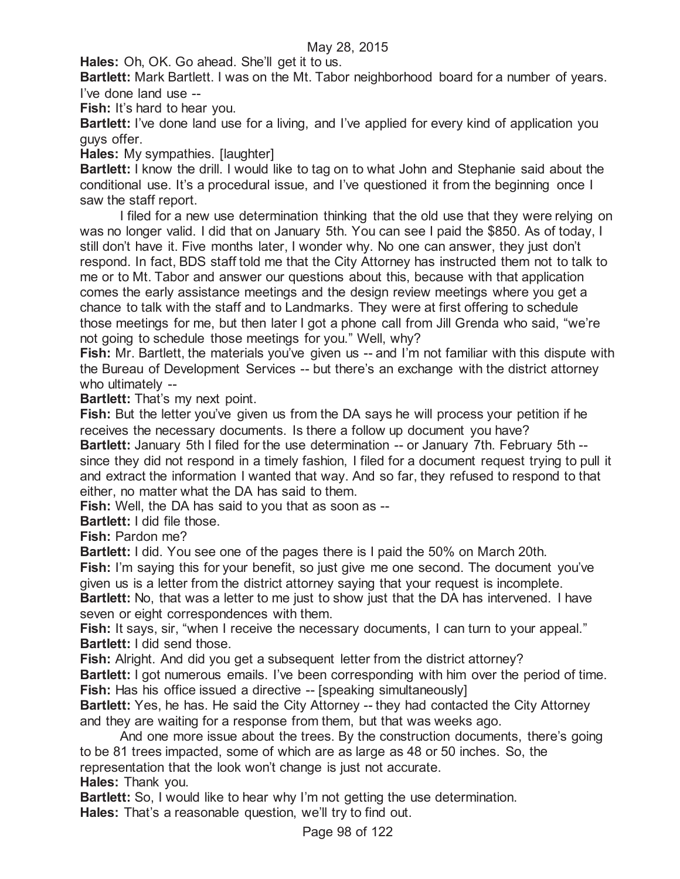**Hales:** Oh, OK. Go ahead. She'll get it to us.

**Bartlett:** Mark Bartlett. I was on the Mt. Tabor neighborhood board for a number of years. I've done land use --

**Fish:** It's hard to hear you.

**Bartlett:** I've done land use for a living, and I've applied for every kind of application you guys offer.

**Hales:** My sympathies. [laughter]

**Bartlett:** I know the drill. I would like to tag on to what John and Stephanie said about the conditional use. It's a procedural issue, and I've questioned it from the beginning once I saw the staff report.

I filed for a new use determination thinking that the old use that they were relying on was no longer valid. I did that on January 5th. You can see I paid the \$850. As of today, I still don't have it. Five months later, I wonder why. No one can answer, they just don't respond. In fact, BDS staff told me that the City Attorney has instructed them not to talk to me or to Mt. Tabor and answer our questions about this, because with that application comes the early assistance meetings and the design review meetings where you get a chance to talk with the staff and to Landmarks. They were at first offering to schedule those meetings for me, but then later I got a phone call from Jill Grenda who said, "we're not going to schedule those meetings for you." Well, why?

**Fish:** Mr. Bartlett, the materials you've given us -- and I'm not familiar with this dispute with the Bureau of Development Services -- but there's an exchange with the district attorney who ultimately --

**Bartlett:** That's my next point.

**Fish:** But the letter you've given us from the DA says he will process your petition if he receives the necessary documents. Is there a follow up document you have?

**Bartlett:** January 5th I filed for the use determination -- or January 7th. February 5th - since they did not respond in a timely fashion, I filed for a document request trying to pull it and extract the information I wanted that way. And so far, they refused to respond to that either, no matter what the DA has said to them.

**Fish:** Well, the DA has said to you that as soon as --

**Bartlett:** I did file those.

**Fish:** Pardon me?

**Bartlett:** I did. You see one of the pages there is I paid the 50% on March 20th.

**Fish:** I'm saying this for your benefit, so just give me one second. The document you've given us is a letter from the district attorney saying that your request is incomplete.

**Bartlett:** No, that was a letter to me just to show just that the DA has intervened. I have seven or eight correspondences with them.

**Fish:** It says, sir, "when I receive the necessary documents, I can turn to your appeal." **Bartlett:** I did send those.

**Fish:** Alright. And did you get a subsequent letter from the district attorney?

**Bartlett:** I got numerous emails. I've been corresponding with him over the period of time. **Fish:** Has his office issued a directive -- [speaking simultaneously]

**Bartlett:** Yes, he has. He said the City Attorney -- they had contacted the City Attorney and they are waiting for a response from them, but that was weeks ago.

And one more issue about the trees. By the construction documents, there's going to be 81 trees impacted, some of which are as large as 48 or 50 inches. So, the representation that the look won't change is just not accurate.

**Hales:** Thank you.

**Bartlett:** So, I would like to hear why I'm not getting the use determination. **Hales:** That's a reasonable question, we'll try to find out.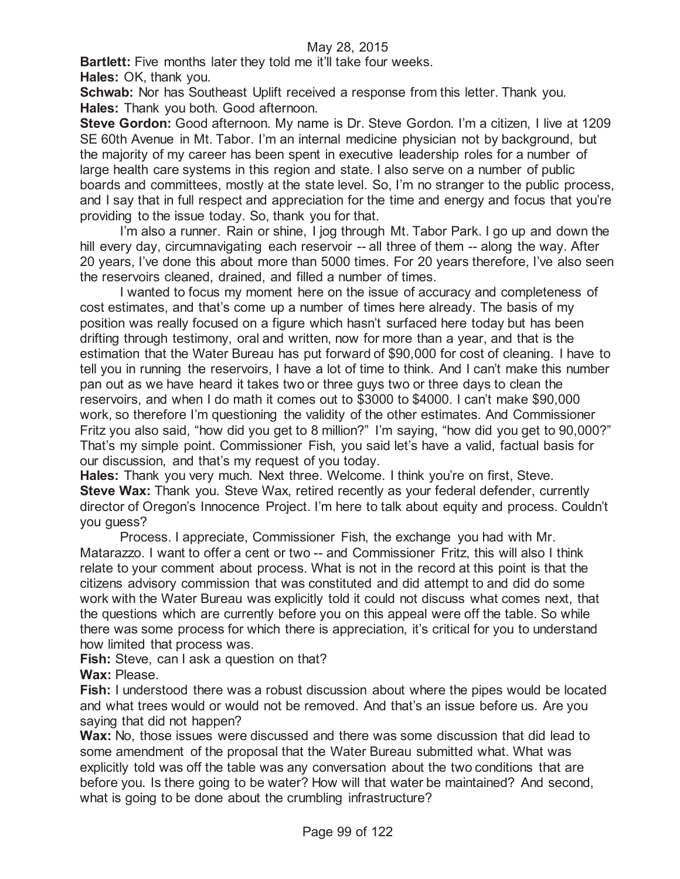**Bartlett:** Five months later they told me it'll take four weeks. **Hales:** OK, thank you.

**Schwab:** Nor has Southeast Uplift received a response from this letter. Thank you. **Hales:** Thank you both. Good afternoon.

**Steve Gordon:** Good afternoon. My name is Dr. Steve Gordon. I'm a citizen, I live at 1209 SE 60th Avenue in Mt. Tabor. I'm an internal medicine physician not by background, but the majority of my career has been spent in executive leadership roles for a number of large health care systems in this region and state. I also serve on a number of public boards and committees, mostly at the state level. So, I'm no stranger to the public process, and I say that in full respect and appreciation for the time and energy and focus that you're providing to the issue today. So, thank you for that.

I'm also a runner. Rain or shine, I jog through Mt. Tabor Park. I go up and down the hill every day, circumnavigating each reservoir -- all three of them -- along the way. After 20 years, I've done this about more than 5000 times. For 20 years therefore, I've also seen the reservoirs cleaned, drained, and filled a number of times.

I wanted to focus my moment here on the issue of accuracy and completeness of cost estimates, and that's come up a number of times here already. The basis of my position was really focused on a figure which hasn't surfaced here today but has been drifting through testimony, oral and written, now for more than a year, and that is the estimation that the Water Bureau has put forward of \$90,000 for cost of cleaning. I have to tell you in running the reservoirs, I have a lot of time to think. And I can't make this number pan out as we have heard it takes two or three guys two or three days to clean the reservoirs, and when I do math it comes out to \$3000 to \$4000. I can't make \$90,000 work, so therefore I'm questioning the validity of the other estimates. And Commissioner Fritz you also said, "how did you get to 8 million?" I'm saying, "how did you get to 90,000?" That's my simple point. Commissioner Fish, you said let's have a valid, factual basis for our discussion, and that's my request of you today.

**Hales:** Thank you very much. Next three. Welcome. I think you're on first, Steve. **Steve Wax:** Thank you. Steve Wax, retired recently as your federal defender, currently director of Oregon's Innocence Project. I'm here to talk about equity and process. Couldn't you guess?

Process. I appreciate, Commissioner Fish, the exchange you had with Mr. Matarazzo. I want to offer a cent or two -- and Commissioner Fritz, this will also I think relate to your comment about process. What is not in the record at this point is that the citizens advisory commission that was constituted and did attempt to and did do some work with the Water Bureau was explicitly told it could not discuss what comes next, that the questions which are currently before you on this appeal were off the table. So while there was some process for which there is appreciation, it's critical for you to understand how limited that process was.

**Fish:** Steve, can I ask a question on that?

**Wax:** Please.

Fish: I understood there was a robust discussion about where the pipes would be located and what trees would or would not be removed. And that's an issue before us. Are you saying that did not happen?

**Wax:** No, those issues were discussed and there was some discussion that did lead to some amendment of the proposal that the Water Bureau submitted what. What was explicitly told was off the table was any conversation about the two conditions that are before you. Is there going to be water? How will that water be maintained? And second, what is going to be done about the crumbling infrastructure?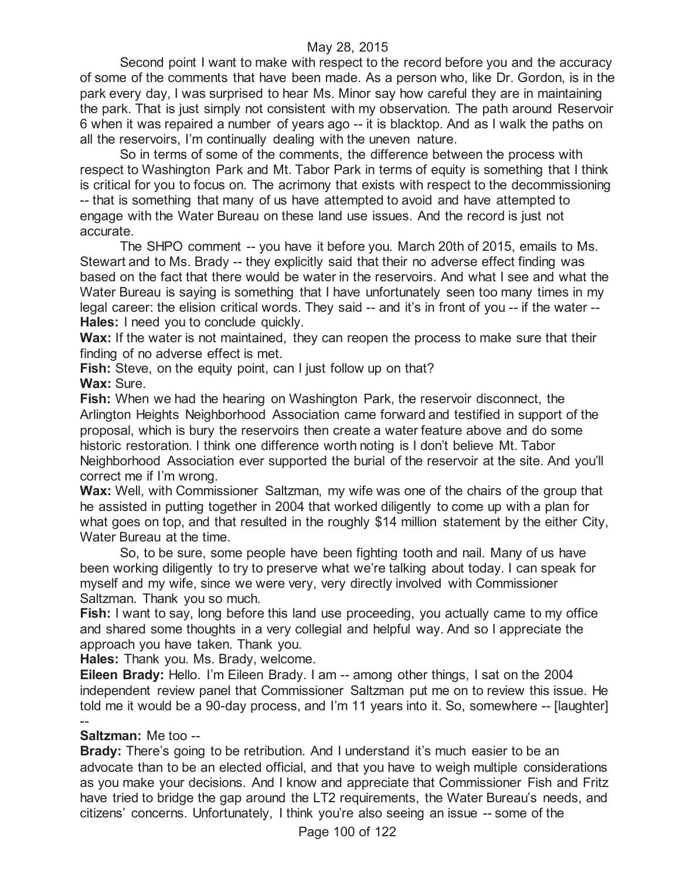Second point I want to make with respect to the record before you and the accuracy of some of the comments that have been made. As a person who, like Dr. Gordon, is in the park every day, I was surprised to hear Ms. Minor say how careful they are in maintaining the park. That is just simply not consistent with my observation. The path around Reservoir 6 when it was repaired a number of years ago -- it is blacktop. And as I walk the paths on all the reservoirs, I'm continually dealing with the uneven nature.

So in terms of some of the comments, the difference between the process with respect to Washington Park and Mt. Tabor Park in terms of equity is something that I think is critical for you to focus on. The acrimony that exists with respect to the decommissioning -- that is something that many of us have attempted to avoid and have attempted to engage with the Water Bureau on these land use issues. And the record is just not accurate.

The SHPO comment -- you have it before you. March 20th of 2015, emails to Ms. Stewart and to Ms. Brady -- they explicitly said that their no adverse effect finding was based on the fact that there would be water in the reservoirs. And what I see and what the Water Bureau is saying is something that I have unfortunately seen too many times in my legal career: the elision critical words. They said -- and it's in front of you -- if the water -- **Hales:** I need you to conclude quickly.

**Wax:** If the water is not maintained, they can reopen the process to make sure that their finding of no adverse effect is met.

**Fish:** Steve, on the equity point, can I just follow up on that? **Wax:** Sure.

**Fish:** When we had the hearing on Washington Park, the reservoir disconnect, the Arlington Heights Neighborhood Association came forward and testified in support of the proposal, which is bury the reservoirs then create a water feature above and do some historic restoration. I think one difference worth noting is I don't believe Mt. Tabor Neighborhood Association ever supported the burial of the reservoir at the site. And you'll correct me if I'm wrong.

**Wax:** Well, with Commissioner Saltzman, my wife was one of the chairs of the group that he assisted in putting together in 2004 that worked diligently to come up with a plan for what goes on top, and that resulted in the roughly \$14 million statement by the either City, Water Bureau at the time.

So, to be sure, some people have been fighting tooth and nail. Many of us have been working diligently to try to preserve what we're talking about today. I can speak for myself and my wife, since we were very, very directly involved with Commissioner Saltzman. Thank you so much.

**Fish:** I want to say, long before this land use proceeding, you actually came to my office and shared some thoughts in a very collegial and helpful way. And so I appreciate the approach you have taken. Thank you.

**Hales:** Thank you. Ms. Brady, welcome.

**Eileen Brady:** Hello. I'm Eileen Brady. I am -- among other things, I sat on the 2004 independent review panel that Commissioner Saltzman put me on to review this issue. He told me it would be a 90-day process, and I'm 11 years into it. So, somewhere -- [laughter]

#### -- **Saltzman:** Me too --

**Brady:** There's going to be retribution. And I understand it's much easier to be an advocate than to be an elected official, and that you have to weigh multiple considerations as you make your decisions. And I know and appreciate that Commissioner Fish and Fritz have tried to bridge the gap around the LT2 requirements, the Water Bureau's needs, and citizens' concerns. Unfortunately, I think you're also seeing an issue -- some of the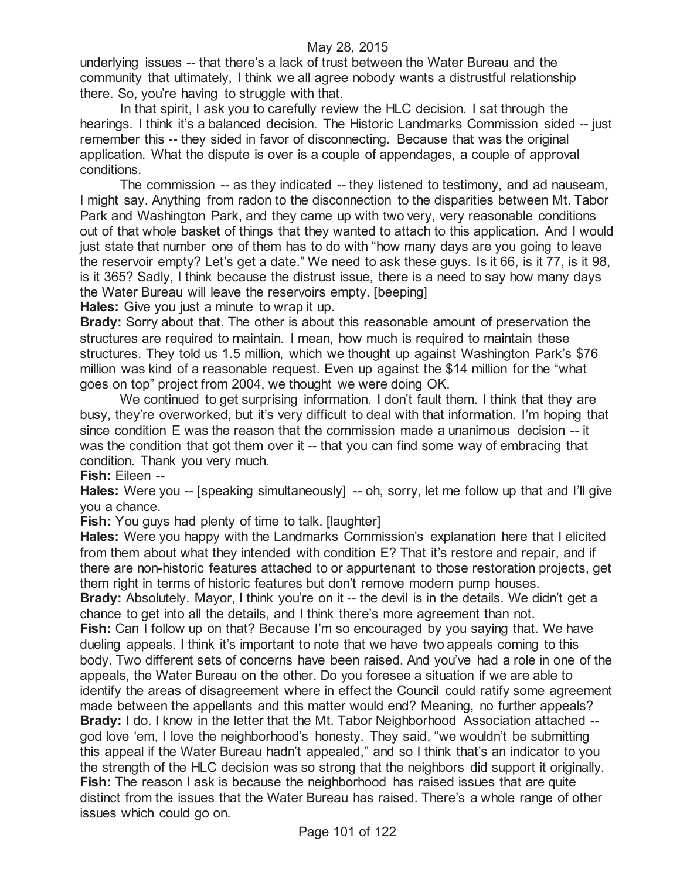underlying issues -- that there's a lack of trust between the Water Bureau and the community that ultimately, I think we all agree nobody wants a distrustful relationship there. So, you're having to struggle with that.

In that spirit, I ask you to carefully review the HLC decision. I sat through the hearings. I think it's a balanced decision. The Historic Landmarks Commission sided -- just remember this -- they sided in favor of disconnecting. Because that was the original application. What the dispute is over is a couple of appendages, a couple of approval conditions.

The commission -- as they indicated -- they listened to testimony, and ad nauseam, I might say. Anything from radon to the disconnection to the disparities between Mt. Tabor Park and Washington Park, and they came up with two very, very reasonable conditions out of that whole basket of things that they wanted to attach to this application. And I would just state that number one of them has to do with "how many days are you going to leave the reservoir empty? Let's get a date." We need to ask these guys. Is it 66, is it 77, is it 98, is it 365? Sadly, I think because the distrust issue, there is a need to say how many days the Water Bureau will leave the reservoirs empty. [beeping]

**Hales:** Give you just a minute to wrap it up.

**Brady:** Sorry about that. The other is about this reasonable amount of preservation the structures are required to maintain. I mean, how much is required to maintain these structures. They told us 1.5 million, which we thought up against Washington Park's \$76 million was kind of a reasonable request. Even up against the \$14 million for the "what goes on top" project from 2004, we thought we were doing OK.

We continued to get surprising information. I don't fault them. I think that they are busy, they're overworked, but it's very difficult to deal with that information. I'm hoping that since condition E was the reason that the commission made a unanimous decision -- it was the condition that got them over it -- that you can find some way of embracing that condition. Thank you very much.

**Fish:** Eileen --

**Hales:** Were you -- [speaking simultaneously] -- oh, sorry, let me follow up that and I'll give you a chance.

**Fish:** You guys had plenty of time to talk. [laughter]

**Hales:** Were you happy with the Landmarks Commission's explanation here that I elicited from them about what they intended with condition E? That it's restore and repair, and if there are non-historic features attached to or appurtenant to those restoration projects, get them right in terms of historic features but don't remove modern pump houses.

**Brady:** Absolutely. Mayor, I think you're on it -- the devil is in the details. We didn't get a chance to get into all the details, and I think there's more agreement than not.

**Fish:** Can I follow up on that? Because I'm so encouraged by you saying that. We have dueling appeals. I think it's important to note that we have two appeals coming to this body. Two different sets of concerns have been raised. And you've had a role in one of the appeals, the Water Bureau on the other. Do you foresee a situation if we are able to identify the areas of disagreement where in effect the Council could ratify some agreement made between the appellants and this matter would end? Meaning, no further appeals? **Brady:** I do. I know in the letter that the Mt. Tabor Neighborhood Association attached -god love 'em, I love the neighborhood's honesty. They said, "we wouldn't be submitting this appeal if the Water Bureau hadn't appealed," and so I think that's an indicator to you the strength of the HLC decision was so strong that the neighbors did support it originally. **Fish:** The reason I ask is because the neighborhood has raised issues that are quite distinct from the issues that the Water Bureau has raised. There's a whole range of other issues which could go on.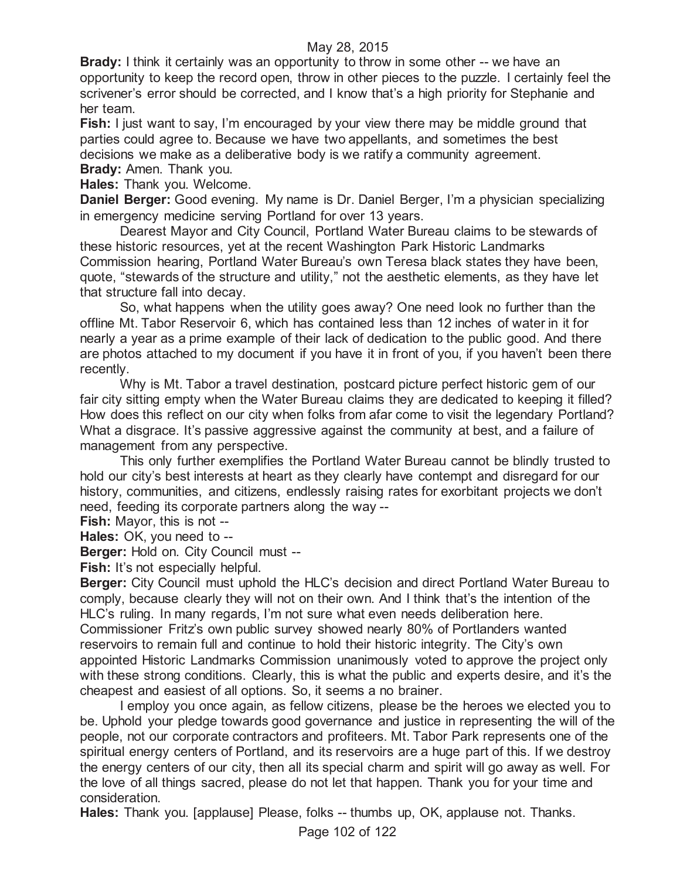**Brady:** I think it certainly was an opportunity to throw in some other -- we have an opportunity to keep the record open, throw in other pieces to the puzzle. I certainly feel the scrivener's error should be corrected, and I know that's a high priority for Stephanie and her team.

**Fish:** I just want to say, I'm encouraged by your view there may be middle ground that parties could agree to. Because we have two appellants, and sometimes the best decisions we make as a deliberative body is we ratify a community agreement. **Brady:** Amen. Thank you.

**Hales:** Thank you. Welcome.

**Daniel Berger:** Good evening. My name is Dr. Daniel Berger, I'm a physician specializing in emergency medicine serving Portland for over 13 years.

Dearest Mayor and City Council, Portland Water Bureau claims to be stewards of these historic resources, yet at the recent Washington Park Historic Landmarks Commission hearing, Portland Water Bureau's own Teresa black states they have been, quote, "stewards of the structure and utility," not the aesthetic elements, as they have let that structure fall into decay.

So, what happens when the utility goes away? One need look no further than the offline Mt. Tabor Reservoir 6, which has contained less than 12 inches of water in it for nearly a year as a prime example of their lack of dedication to the public good. And there are photos attached to my document if you have it in front of you, if you haven't been there recently.

Why is Mt. Tabor a travel destination, postcard picture perfect historic gem of our fair city sitting empty when the Water Bureau claims they are dedicated to keeping it filled? How does this reflect on our city when folks from afar come to visit the legendary Portland? What a disgrace. It's passive aggressive against the community at best, and a failure of management from any perspective.

This only further exemplifies the Portland Water Bureau cannot be blindly trusted to hold our city's best interests at heart as they clearly have contempt and disregard for our history, communities, and citizens, endlessly raising rates for exorbitant projects we don't need, feeding its corporate partners along the way --

**Fish:** Mayor, this is not --

**Hales:** OK, you need to --

**Berger:** Hold on. City Council must --

Fish: It's not especially helpful.

**Berger:** City Council must uphold the HLC's decision and direct Portland Water Bureau to comply, because clearly they will not on their own. And I think that's the intention of the HLC's ruling. In many regards, I'm not sure what even needs deliberation here. Commissioner Fritz's own public survey showed nearly 80% of Portlanders wanted reservoirs to remain full and continue to hold their historic integrity. The City's own appointed Historic Landmarks Commission unanimously voted to approve the project only with these strong conditions. Clearly, this is what the public and experts desire, and it's the cheapest and easiest of all options. So, it seems a no brainer.

I employ you once again, as fellow citizens, please be the heroes we elected you to be. Uphold your pledge towards good governance and justice in representing the will of the people, not our corporate contractors and profiteers. Mt. Tabor Park represents one of the spiritual energy centers of Portland, and its reservoirs are a huge part of this. If we destroy the energy centers of our city, then all its special charm and spirit will go away as well. For the love of all things sacred, please do not let that happen. Thank you for your time and consideration.

**Hales:** Thank you. [applause] Please, folks -- thumbs up, OK, applause not. Thanks.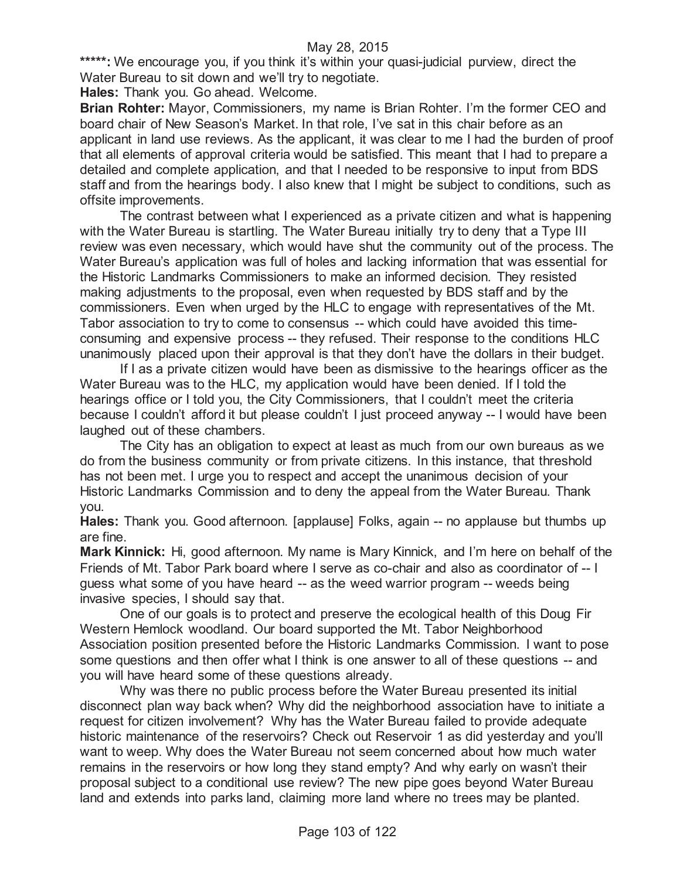\*\*\*\*\*: We encourage you, if you think it's within your quasi-judicial purview, direct the Water Bureau to sit down and we'll try to negotiate.

**Hales:** Thank you. Go ahead. Welcome.

**Brian Rohter:** Mayor, Commissioners, my name is Brian Rohter. I'm the former CEO and board chair of New Season's Market. In that role, I've sat in this chair before as an applicant in land use reviews. As the applicant, it was clear to me I had the burden of proof that all elements of approval criteria would be satisfied. This meant that I had to prepare a detailed and complete application, and that I needed to be responsive to input from BDS staff and from the hearings body. I also knew that I might be subject to conditions, such as offsite improvements.

The contrast between what I experienced as a private citizen and what is happening with the Water Bureau is startling. The Water Bureau initially try to deny that a Type III review was even necessary, which would have shut the community out of the process. The Water Bureau's application was full of holes and lacking information that was essential for the Historic Landmarks Commissioners to make an informed decision. They resisted making adjustments to the proposal, even when requested by BDS staff and by the commissioners. Even when urged by the HLC to engage with representatives of the Mt. Tabor association to try to come to consensus -- which could have avoided this timeconsuming and expensive process -- they refused. Their response to the conditions HLC unanimously placed upon their approval is that they don't have the dollars in their budget.

If I as a private citizen would have been as dismissive to the hearings officer as the Water Bureau was to the HLC, my application would have been denied. If I told the hearings office or I told you, the City Commissioners, that I couldn't meet the criteria because I couldn't afford it but please couldn't I just proceed anyway -- I would have been laughed out of these chambers.

The City has an obligation to expect at least as much from our own bureaus as we do from the business community or from private citizens. In this instance, that threshold has not been met. I urge you to respect and accept the unanimous decision of your Historic Landmarks Commission and to deny the appeal from the Water Bureau. Thank you.

**Hales:** Thank you. Good afternoon. [applause] Folks, again -- no applause but thumbs up are fine.

**Mark Kinnick:** Hi, good afternoon. My name is Mary Kinnick, and I'm here on behalf of the Friends of Mt. Tabor Park board where I serve as co-chair and also as coordinator of -- I guess what some of you have heard -- as the weed warrior program -- weeds being invasive species, I should say that.

One of our goals is to protect and preserve the ecological health of this Doug Fir Western Hemlock woodland. Our board supported the Mt. Tabor Neighborhood Association position presented before the Historic Landmarks Commission. I want to pose some questions and then offer what I think is one answer to all of these questions -- and you will have heard some of these questions already.

Why was there no public process before the Water Bureau presented its initial disconnect plan way back when? Why did the neighborhood association have to initiate a request for citizen involvement? Why has the Water Bureau failed to provide adequate historic maintenance of the reservoirs? Check out Reservoir 1 as did yesterday and you'll want to weep. Why does the Water Bureau not seem concerned about how much water remains in the reservoirs or how long they stand empty? And why early on wasn't their proposal subject to a conditional use review? The new pipe goes beyond Water Bureau land and extends into parks land, claiming more land where no trees may be planted.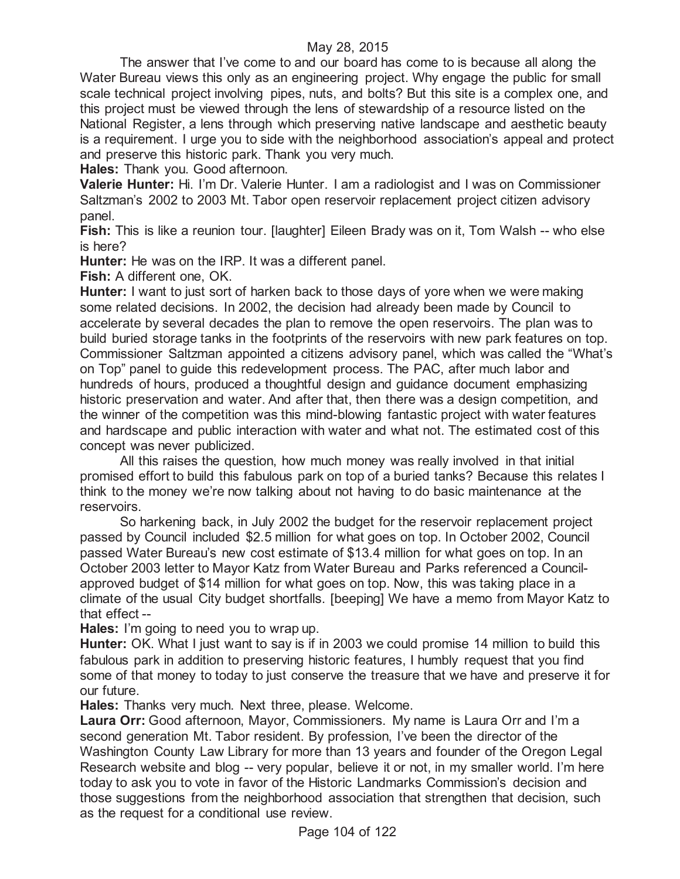The answer that I've come to and our board has come to is because all along the Water Bureau views this only as an engineering project. Why engage the public for small scale technical project involving pipes, nuts, and bolts? But this site is a complex one, and this project must be viewed through the lens of stewardship of a resource listed on the National Register, a lens through which preserving native landscape and aesthetic beauty is a requirement. I urge you to side with the neighborhood association's appeal and protect and preserve this historic park. Thank you very much.

**Hales:** Thank you. Good afternoon.

**Valerie Hunter:** Hi. I'm Dr. Valerie Hunter. I am a radiologist and I was on Commissioner Saltzman's 2002 to 2003 Mt. Tabor open reservoir replacement project citizen advisory panel.

**Fish:** This is like a reunion tour. [laughter] Eileen Brady was on it, Tom Walsh -- who else is here?

**Hunter:** He was on the IRP. It was a different panel.

**Fish:** A different one, OK.

**Hunter:** I want to just sort of harken back to those days of yore when we were making some related decisions. In 2002, the decision had already been made by Council to accelerate by several decades the plan to remove the open reservoirs. The plan was to build buried storage tanks in the footprints of the reservoirs with new park features on top. Commissioner Saltzman appointed a citizens advisory panel, which was called the "What's on Top" panel to guide this redevelopment process. The PAC, after much labor and hundreds of hours, produced a thoughtful design and guidance document emphasizing historic preservation and water. And after that, then there was a design competition, and the winner of the competition was this mind-blowing fantastic project with water features and hardscape and public interaction with water and what not. The estimated cost of this concept was never publicized.

All this raises the question, how much money was really involved in that initial promised effort to build this fabulous park on top of a buried tanks? Because this relates I think to the money we're now talking about not having to do basic maintenance at the reservoirs.

So harkening back, in July 2002 the budget for the reservoir replacement project passed by Council included \$2.5 million for what goes on top. In October 2002, Council passed Water Bureau's new cost estimate of \$13.4 million for what goes on top. In an October 2003 letter to Mayor Katz from Water Bureau and Parks referenced a Councilapproved budget of \$14 million for what goes on top. Now, this was taking place in a climate of the usual City budget shortfalls. [beeping] We have a memo from Mayor Katz to that effect --

**Hales:** I'm going to need you to wrap up.

**Hunter:** OK. What I just want to say is if in 2003 we could promise 14 million to build this fabulous park in addition to preserving historic features, I humbly request that you find some of that money to today to just conserve the treasure that we have and preserve it for our future.

**Hales:** Thanks very much. Next three, please. Welcome.

**Laura Orr:** Good afternoon, Mayor, Commissioners. My name is Laura Orr and I'm a second generation Mt. Tabor resident. By profession, I've been the director of the Washington County Law Library for more than 13 years and founder of the Oregon Legal Research website and blog -- very popular, believe it or not, in my smaller world. I'm here today to ask you to vote in favor of the Historic Landmarks Commission's decision and those suggestions from the neighborhood association that strengthen that decision, such as the request for a conditional use review.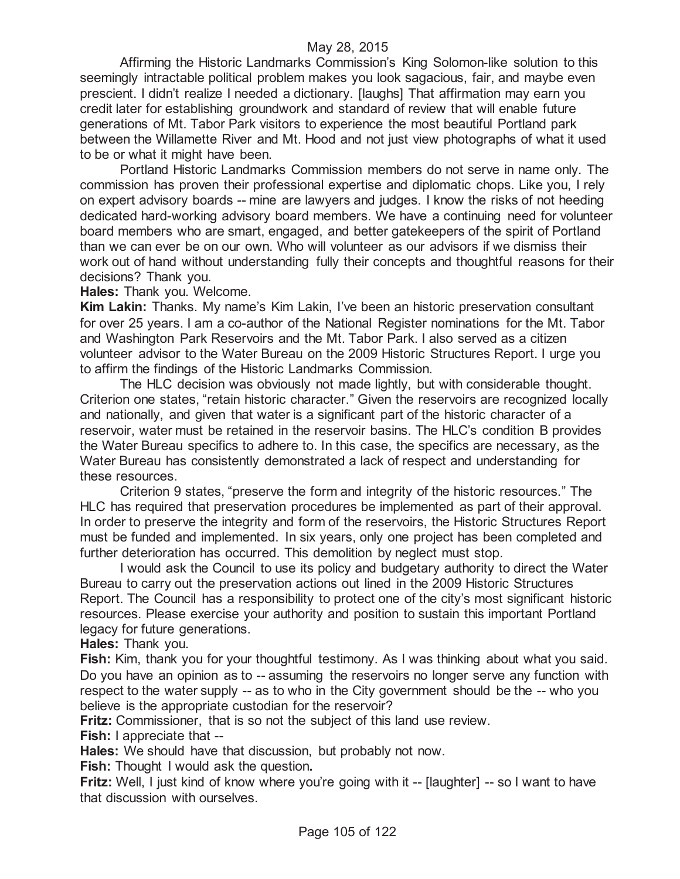Affirming the Historic Landmarks Commission's King Solomon-like solution to this seemingly intractable political problem makes you look sagacious, fair, and maybe even prescient. I didn't realize I needed a dictionary. [laughs] That affirmation may earn you credit later for establishing groundwork and standard of review that will enable future generations of Mt. Tabor Park visitors to experience the most beautiful Portland park between the Willamette River and Mt. Hood and not just view photographs of what it used to be or what it might have been.

Portland Historic Landmarks Commission members do not serve in name only. The commission has proven their professional expertise and diplomatic chops. Like you, I rely on expert advisory boards -- mine are lawyers and judges. I know the risks of not heeding dedicated hard-working advisory board members. We have a continuing need for volunteer board members who are smart, engaged, and better gatekeepers of the spirit of Portland than we can ever be on our own. Who will volunteer as our advisors if we dismiss their work out of hand without understanding fully their concepts and thoughtful reasons for their decisions? Thank you.

**Hales:** Thank you. Welcome.

**Kim Lakin:** Thanks. My name's Kim Lakin, I've been an historic preservation consultant for over 25 years. I am a co-author of the National Register nominations for the Mt. Tabor and Washington Park Reservoirs and the Mt. Tabor Park. I also served as a citizen volunteer advisor to the Water Bureau on the 2009 Historic Structures Report. I urge you to affirm the findings of the Historic Landmarks Commission.

The HLC decision was obviously not made lightly, but with considerable thought. Criterion one states, "retain historic character." Given the reservoirs are recognized locally and nationally, and given that water is a significant part of the historic character of a reservoir, water must be retained in the reservoir basins. The HLC's condition B provides the Water Bureau specifics to adhere to. In this case, the specifics are necessary, as the Water Bureau has consistently demonstrated a lack of respect and understanding for these resources.

Criterion 9 states, "preserve the form and integrity of the historic resources." The HLC has required that preservation procedures be implemented as part of their approval. In order to preserve the integrity and form of the reservoirs, the Historic Structures Report must be funded and implemented. In six years, only one project has been completed and further deterioration has occurred. This demolition by neglect must stop.

I would ask the Council to use its policy and budgetary authority to direct the Water Bureau to carry out the preservation actions out lined in the 2009 Historic Structures Report. The Council has a responsibility to protect one of the city's most significant historic resources. Please exercise your authority and position to sustain this important Portland legacy for future generations.

**Hales:** Thank you.

**Fish:** Kim, thank you for your thoughtful testimony. As I was thinking about what you said. Do you have an opinion as to -- assuming the reservoirs no longer serve any function with respect to the water supply -- as to who in the City government should be the -- who you believe is the appropriate custodian for the reservoir?

**Fritz:** Commissioner, that is so not the subject of this land use review.

**Fish:** I appreciate that --

**Hales:** We should have that discussion, but probably not now.

**Fish:** Thought I would ask the question**.**

**Fritz:** Well, I just kind of know where you're going with it -- [laughter] -- so I want to have that discussion with ourselves.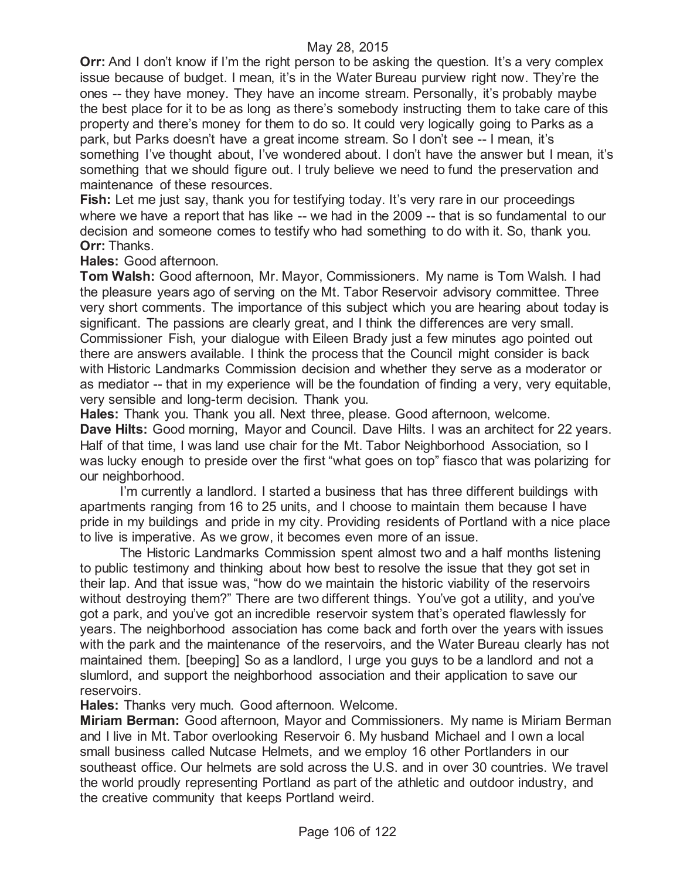**Orr:** And I don't know if I'm the right person to be asking the question. It's a very complex issue because of budget. I mean, it's in the Water Bureau purview right now. They're the ones -- they have money. They have an income stream. Personally, it's probably maybe the best place for it to be as long as there's somebody instructing them to take care of this property and there's money for them to do so. It could very logically going to Parks as a park, but Parks doesn't have a great income stream. So I don't see -- I mean, it's something I've thought about, I've wondered about. I don't have the answer but I mean, it's something that we should figure out. I truly believe we need to fund the preservation and maintenance of these resources.

**Fish:** Let me just say, thank you for testifying today. It's very rare in our proceedings where we have a report that has like -- we had in the 2009 -- that is so fundamental to our decision and someone comes to testify who had something to do with it. So, thank you. **Orr:** Thanks.

**Hales:** Good afternoon.

**Tom Walsh:** Good afternoon, Mr. Mayor, Commissioners. My name is Tom Walsh. I had the pleasure years ago of serving on the Mt. Tabor Reservoir advisory committee. Three very short comments. The importance of this subject which you are hearing about today is significant. The passions are clearly great, and I think the differences are very small. Commissioner Fish, your dialogue with Eileen Brady just a few minutes ago pointed out there are answers available. I think the process that the Council might consider is back with Historic Landmarks Commission decision and whether they serve as a moderator or as mediator -- that in my experience will be the foundation of finding a very, very equitable, very sensible and long-term decision. Thank you.

**Hales:** Thank you. Thank you all. Next three, please. Good afternoon, welcome. **Dave Hilts:** Good morning, Mayor and Council. Dave Hilts. I was an architect for 22 years. Half of that time, I was land use chair for the Mt. Tabor Neighborhood Association, so I was lucky enough to preside over the first "what goes on top" fiasco that was polarizing for our neighborhood.

I'm currently a landlord. I started a business that has three different buildings with apartments ranging from 16 to 25 units, and I choose to maintain them because I have pride in my buildings and pride in my city. Providing residents of Portland with a nice place to live is imperative. As we grow, it becomes even more of an issue.

The Historic Landmarks Commission spent almost two and a half months listening to public testimony and thinking about how best to resolve the issue that they got set in their lap. And that issue was, "how do we maintain the historic viability of the reservoirs without destroying them?" There are two different things. You've got a utility, and you've got a park, and you've got an incredible reservoir system that's operated flawlessly for years. The neighborhood association has come back and forth over the years with issues with the park and the maintenance of the reservoirs, and the Water Bureau clearly has not maintained them. [beeping] So as a landlord, I urge you guys to be a landlord and not a slumlord, and support the neighborhood association and their application to save our reservoirs.

**Hales:** Thanks very much. Good afternoon. Welcome.

**Miriam Berman:** Good afternoon, Mayor and Commissioners. My name is Miriam Berman and I live in Mt. Tabor overlooking Reservoir 6. My husband Michael and I own a local small business called Nutcase Helmets, and we employ 16 other Portlanders in our southeast office. Our helmets are sold across the U.S. and in over 30 countries. We travel the world proudly representing Portland as part of the athletic and outdoor industry, and the creative community that keeps Portland weird.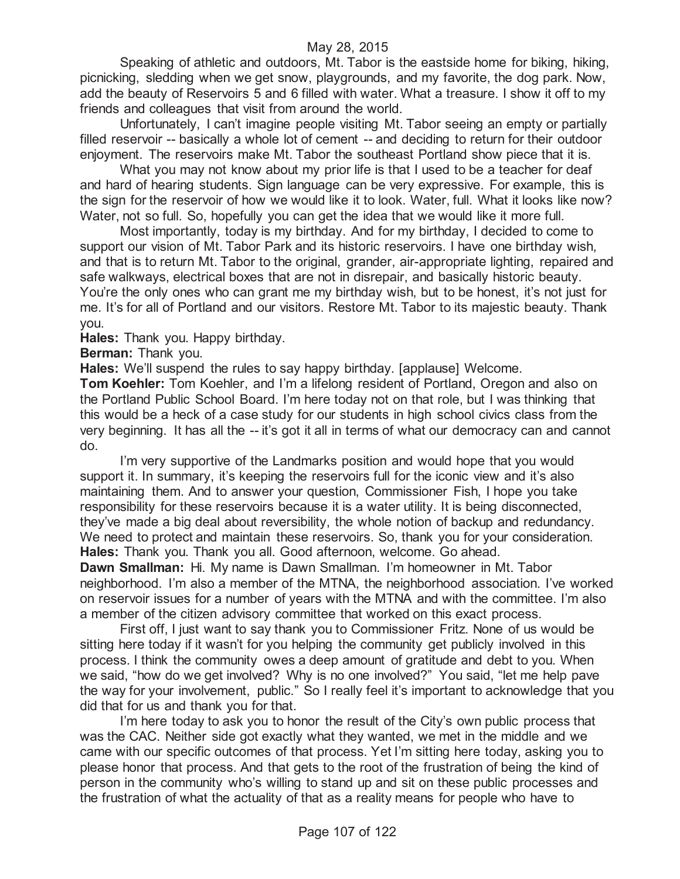Speaking of athletic and outdoors, Mt. Tabor is the eastside home for biking, hiking, picnicking, sledding when we get snow, playgrounds, and my favorite, the dog park. Now, add the beauty of Reservoirs 5 and 6 filled with water. What a treasure. I show it off to my friends and colleagues that visit from around the world.

Unfortunately, I can't imagine people visiting Mt. Tabor seeing an empty or partially filled reservoir -- basically a whole lot of cement -- and deciding to return for their outdoor enjoyment. The reservoirs make Mt. Tabor the southeast Portland show piece that it is.

What you may not know about my prior life is that I used to be a teacher for deaf and hard of hearing students. Sign language can be very expressive. For example, this is the sign for the reservoir of how we would like it to look. Water, full. What it looks like now? Water, not so full. So, hopefully you can get the idea that we would like it more full.

Most importantly, today is my birthday. And for my birthday, I decided to come to support our vision of Mt. Tabor Park and its historic reservoirs. I have one birthday wish, and that is to return Mt. Tabor to the original, grander, air-appropriate lighting, repaired and safe walkways, electrical boxes that are not in disrepair, and basically historic beauty. You're the only ones who can grant me my birthday wish, but to be honest, it's not just for me. It's for all of Portland and our visitors. Restore Mt. Tabor to its majestic beauty. Thank you.

**Hales:** Thank you. Happy birthday.

**Berman:** Thank you.

**Hales:** We'll suspend the rules to say happy birthday. [applause] Welcome.

**Tom Koehler:** Tom Koehler, and I'm a lifelong resident of Portland, Oregon and also on the Portland Public School Board. I'm here today not on that role, but I was thinking that this would be a heck of a case study for our students in high school civics class from the very beginning. It has all the -- it's got it all in terms of what our democracy can and cannot do.

I'm very supportive of the Landmarks position and would hope that you would support it. In summary, it's keeping the reservoirs full for the iconic view and it's also maintaining them. And to answer your question, Commissioner Fish, I hope you take responsibility for these reservoirs because it is a water utility. It is being disconnected, they've made a big deal about reversibility, the whole notion of backup and redundancy. We need to protect and maintain these reservoirs. So, thank you for your consideration. **Hales:** Thank you. Thank you all. Good afternoon, welcome. Go ahead.

**Dawn Smallman:** Hi. My name is Dawn Smallman. I'm homeowner in Mt. Tabor neighborhood. I'm also a member of the MTNA, the neighborhood association. I've worked on reservoir issues for a number of years with the MTNA and with the committee. I'm also a member of the citizen advisory committee that worked on this exact process.

First off, I just want to say thank you to Commissioner Fritz. None of us would be sitting here today if it wasn't for you helping the community get publicly involved in this process. I think the community owes a deep amount of gratitude and debt to you. When we said, "how do we get involved? Why is no one involved?" You said, "let me help pave the way for your involvement, public." So I really feel it's important to acknowledge that you did that for us and thank you for that.

I'm here today to ask you to honor the result of the City's own public process that was the CAC. Neither side got exactly what they wanted, we met in the middle and we came with our specific outcomes of that process. Yet I'm sitting here today, asking you to please honor that process. And that gets to the root of the frustration of being the kind of person in the community who's willing to stand up and sit on these public processes and the frustration of what the actuality of that as a reality means for people who have to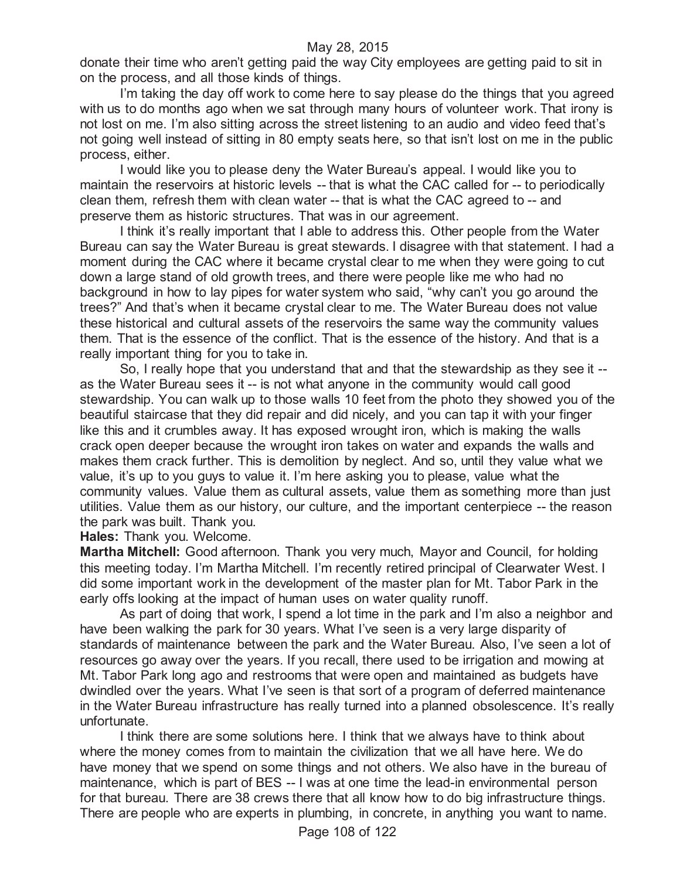donate their time who aren't getting paid the way City employees are getting paid to sit in on the process, and all those kinds of things.

I'm taking the day off work to come here to say please do the things that you agreed with us to do months ago when we sat through many hours of volunteer work. That irony is not lost on me. I'm also sitting across the street listening to an audio and video feed that's not going well instead of sitting in 80 empty seats here, so that isn't lost on me in the public process, either.

I would like you to please deny the Water Bureau's appeal. I would like you to maintain the reservoirs at historic levels -- that is what the CAC called for -- to periodically clean them, refresh them with clean water -- that is what the CAC agreed to -- and preserve them as historic structures. That was in our agreement.

I think it's really important that I able to address this. Other people from the Water Bureau can say the Water Bureau is great stewards. I disagree with that statement. I had a moment during the CAC where it became crystal clear to me when they were going to cut down a large stand of old growth trees, and there were people like me who had no background in how to lay pipes for water system who said, "why can't you go around the trees?" And that's when it became crystal clear to me. The Water Bureau does not value these historical and cultural assets of the reservoirs the same way the community values them. That is the essence of the conflict. That is the essence of the history. And that is a really important thing for you to take in.

So, I really hope that you understand that and that the stewardship as they see it - as the Water Bureau sees it -- is not what anyone in the community would call good stewardship. You can walk up to those walls 10 feet from the photo they showed you of the beautiful staircase that they did repair and did nicely, and you can tap it with your finger like this and it crumbles away. It has exposed wrought iron, which is making the walls crack open deeper because the wrought iron takes on water and expands the walls and makes them crack further. This is demolition by neglect. And so, until they value what we value, it's up to you guys to value it. I'm here asking you to please, value what the community values. Value them as cultural assets, value them as something more than just utilities. Value them as our history, our culture, and the important centerpiece -- the reason the park was built. Thank you.

**Hales:** Thank you. Welcome.

**Martha Mitchell:** Good afternoon. Thank you very much, Mayor and Council, for holding this meeting today. I'm Martha Mitchell. I'm recently retired principal of Clearwater West. I did some important work in the development of the master plan for Mt. Tabor Park in the early offs looking at the impact of human uses on water quality runoff.

As part of doing that work, I spend a lot time in the park and I'm also a neighbor and have been walking the park for 30 years. What I've seen is a very large disparity of standards of maintenance between the park and the Water Bureau. Also, I've seen a lot of resources go away over the years. If you recall, there used to be irrigation and mowing at Mt. Tabor Park long ago and restrooms that were open and maintained as budgets have dwindled over the years. What I've seen is that sort of a program of deferred maintenance in the Water Bureau infrastructure has really turned into a planned obsolescence. It's really unfortunate.

I think there are some solutions here. I think that we always have to think about where the money comes from to maintain the civilization that we all have here. We do have money that we spend on some things and not others. We also have in the bureau of maintenance, which is part of BES -- I was at one time the lead-in environmental person for that bureau. There are 38 crews there that all know how to do big infrastructure things. There are people who are experts in plumbing, in concrete, in anything you want to name.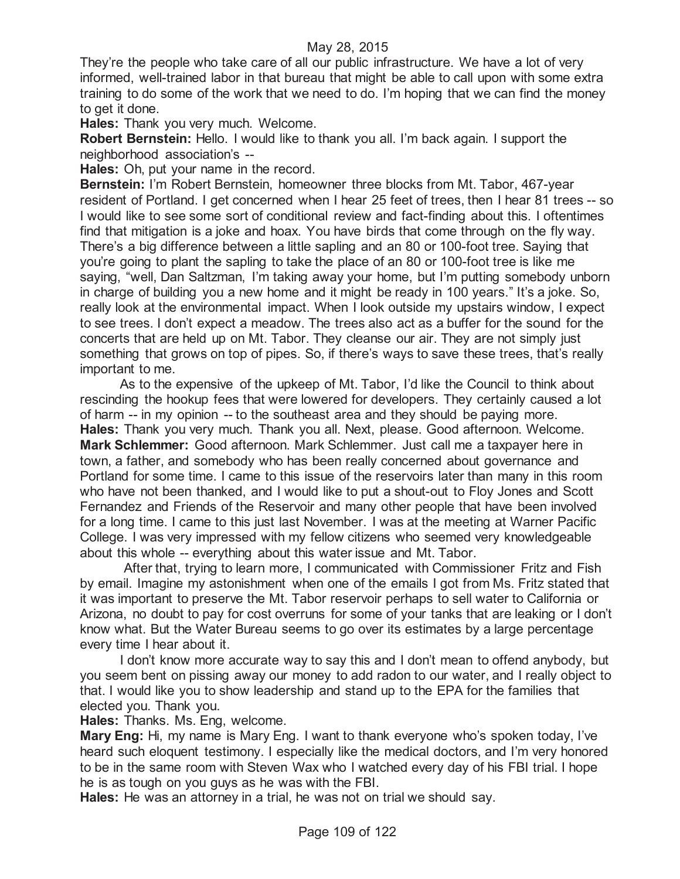They're the people who take care of all our public infrastructure. We have a lot of very informed, well-trained labor in that bureau that might be able to call upon with some extra training to do some of the work that we need to do. I'm hoping that we can find the money to get it done.

**Hales:** Thank you very much. Welcome.

**Robert Bernstein:** Hello. I would like to thank you all. I'm back again. I support the neighborhood association's --

**Hales:** Oh, put your name in the record.

**Bernstein:** I'm Robert Bernstein, homeowner three blocks from Mt. Tabor, 467-year resident of Portland. I get concerned when I hear 25 feet of trees, then I hear 81 trees -- so I would like to see some sort of conditional review and fact-finding about this. I oftentimes find that mitigation is a joke and hoax. You have birds that come through on the fly way. There's a big difference between a little sapling and an 80 or 100-foot tree. Saying that you're going to plant the sapling to take the place of an 80 or 100-foot tree is like me saying, "well, Dan Saltzman, I'm taking away your home, but I'm putting somebody unborn in charge of building you a new home and it might be ready in 100 years." It's a joke. So, really look at the environmental impact. When I look outside my upstairs window, I expect to see trees. I don't expect a meadow. The trees also act as a buffer for the sound for the concerts that are held up on Mt. Tabor. They cleanse our air. They are not simply just something that grows on top of pipes. So, if there's ways to save these trees, that's really important to me.

As to the expensive of the upkeep of Mt. Tabor, I'd like the Council to think about rescinding the hookup fees that were lowered for developers. They certainly caused a lot of harm -- in my opinion -- to the southeast area and they should be paying more. **Hales:** Thank you very much. Thank you all. Next, please. Good afternoon. Welcome. **Mark Schlemmer:** Good afternoon. Mark Schlemmer. Just call me a taxpayer here in town, a father, and somebody who has been really concerned about governance and Portland for some time. I came to this issue of the reservoirs later than many in this room who have not been thanked, and I would like to put a shout-out to Floy Jones and Scott Fernandez and Friends of the Reservoir and many other people that have been involved for a long time. I came to this just last November. I was at the meeting at Warner Pacific College. I was very impressed with my fellow citizens who seemed very knowledgeable about this whole -- everything about this water issue and Mt. Tabor.

After that, trying to learn more, I communicated with Commissioner Fritz and Fish by email. Imagine my astonishment when one of the emails I got from Ms. Fritz stated that it was important to preserve the Mt. Tabor reservoir perhaps to sell water to California or Arizona, no doubt to pay for cost overruns for some of your tanks that are leaking or I don't know what. But the Water Bureau seems to go over its estimates by a large percentage every time I hear about it.

I don't know more accurate way to say this and I don't mean to offend anybody, but you seem bent on pissing away our money to add radon to our water, and I really object to that. I would like you to show leadership and stand up to the EPA for the families that elected you. Thank you.

**Hales:** Thanks. Ms. Eng, welcome.

**Mary Eng:** Hi, my name is Mary Eng. I want to thank everyone who's spoken today, I've heard such eloquent testimony. I especially like the medical doctors, and I'm very honored to be in the same room with Steven Wax who I watched every day of his FBI trial. I hope he is as tough on you guys as he was with the FBI.

**Hales:** He was an attorney in a trial, he was not on trial we should say.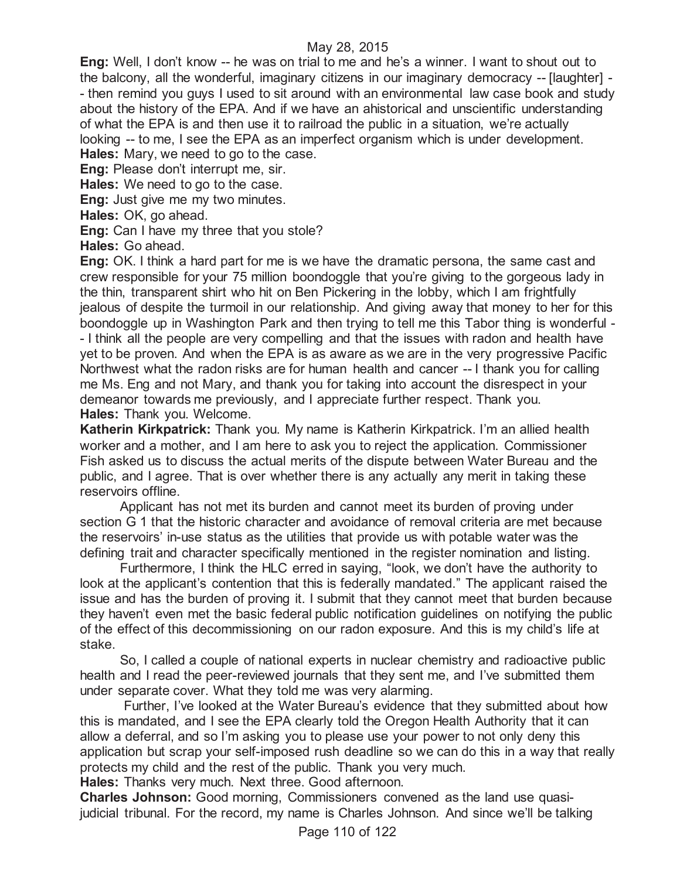**Eng:** Well, I don't know -- he was on trial to me and he's a winner. I want to shout out to the balcony, all the wonderful, imaginary citizens in our imaginary democracy -- [laughter] - - then remind you guys I used to sit around with an environmental law case book and study about the history of the EPA. And if we have an ahistorical and unscientific understanding of what the EPA is and then use it to railroad the public in a situation, we're actually looking -- to me, I see the EPA as an imperfect organism which is under development. **Hales:** Mary, we need to go to the case.

**Eng:** Please don't interrupt me, sir.

**Hales:** We need to go to the case.

**Eng:** Just give me my two minutes.

**Hales:** OK, go ahead.

**Eng:** Can I have my three that you stole?

**Hales:** Go ahead.

**Eng:** OK. I think a hard part for me is we have the dramatic persona, the same cast and crew responsible for your 75 million boondoggle that you're giving to the gorgeous lady in the thin, transparent shirt who hit on Ben Pickering in the lobby, which I am frightfully jealous of despite the turmoil in our relationship. And giving away that money to her for this boondoggle up in Washington Park and then trying to tell me this Tabor thing is wonderful - - I think all the people are very compelling and that the issues with radon and health have yet to be proven. And when the EPA is as aware as we are in the very progressive Pacific Northwest what the radon risks are for human health and cancer -- I thank you for calling me Ms. Eng and not Mary, and thank you for taking into account the disrespect in your demeanor towards me previously, and I appreciate further respect. Thank you. **Hales:** Thank you. Welcome.

**Katherin Kirkpatrick:** Thank you. My name is Katherin Kirkpatrick. I'm an allied health worker and a mother, and I am here to ask you to reject the application. Commissioner Fish asked us to discuss the actual merits of the dispute between Water Bureau and the public, and I agree. That is over whether there is any actually any merit in taking these reservoirs offline.

Applicant has not met its burden and cannot meet its burden of proving under section G 1 that the historic character and avoidance of removal criteria are met because the reservoirs' in-use status as the utilities that provide us with potable water was the defining trait and character specifically mentioned in the register nomination and listing.

Furthermore, I think the HLC erred in saying, "look, we don't have the authority to look at the applicant's contention that this is federally mandated." The applicant raised the issue and has the burden of proving it. I submit that they cannot meet that burden because they haven't even met the basic federal public notification guidelines on notifying the public of the effect of this decommissioning on our radon exposure. And this is my child's life at stake.

So, I called a couple of national experts in nuclear chemistry and radioactive public health and I read the peer-reviewed journals that they sent me, and I've submitted them under separate cover. What they told me was very alarming.

Further, I've looked at the Water Bureau's evidence that they submitted about how this is mandated, and I see the EPA clearly told the Oregon Health Authority that it can allow a deferral, and so I'm asking you to please use your power to not only deny this application but scrap your self-imposed rush deadline so we can do this in a way that really protects my child and the rest of the public. Thank you very much. **Hales:** Thanks very much. Next three. Good afternoon.

**Charles Johnson:** Good morning, Commissioners convened as the land use quasijudicial tribunal. For the record, my name is Charles Johnson. And since we'll be talking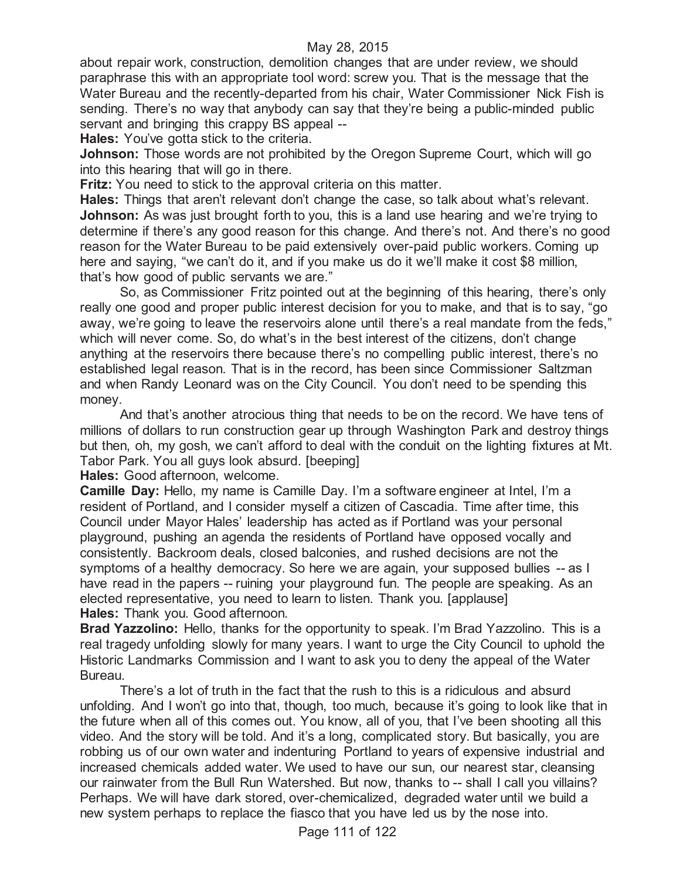about repair work, construction, demolition changes that are under review, we should paraphrase this with an appropriate tool word: screw you. That is the message that the Water Bureau and the recently-departed from his chair, Water Commissioner Nick Fish is sending. There's no way that anybody can say that they're being a public-minded public servant and bringing this crappy BS appeal --

**Hales:** You've gotta stick to the criteria.

**Johnson:** Those words are not prohibited by the Oregon Supreme Court, which will go into this hearing that will go in there.

**Fritz:** You need to stick to the approval criteria on this matter.

**Hales:** Things that aren't relevant don't change the case, so talk about what's relevant. **Johnson:** As was just brought forth to you, this is a land use hearing and we're trying to determine if there's any good reason for this change. And there's not. And there's no good reason for the Water Bureau to be paid extensively over-paid public workers. Coming up here and saying, "we can't do it, and if you make us do it we'll make it cost \$8 million, that's how good of public servants we are."

So, as Commissioner Fritz pointed out at the beginning of this hearing, there's only really one good and proper public interest decision for you to make, and that is to say, "go away, we're going to leave the reservoirs alone until there's a real mandate from the feds," which will never come. So, do what's in the best interest of the citizens, don't change anything at the reservoirs there because there's no compelling public interest, there's no established legal reason. That is in the record, has been since Commissioner Saltzman and when Randy Leonard was on the City Council. You don't need to be spending this money.

And that's another atrocious thing that needs to be on the record. We have tens of millions of dollars to run construction gear up through Washington Park and destroy things but then, oh, my gosh, we can't afford to deal with the conduit on the lighting fixtures at Mt. Tabor Park. You all guys look absurd. [beeping]

**Hales:** Good afternoon, welcome.

**Camille Day:** Hello, my name is Camille Day. I'm a software engineer at Intel, I'm a resident of Portland, and I consider myself a citizen of Cascadia. Time after time, this Council under Mayor Hales' leadership has acted as if Portland was your personal playground, pushing an agenda the residents of Portland have opposed vocally and consistently. Backroom deals, closed balconies, and rushed decisions are not the symptoms of a healthy democracy. So here we are again, your supposed bullies -- as I have read in the papers -- ruining your playground fun. The people are speaking. As an elected representative, you need to learn to listen. Thank you. [applause] **Hales:** Thank you. Good afternoon.

**Brad Yazzolino:** Hello, thanks for the opportunity to speak. I'm Brad Yazzolino. This is a real tragedy unfolding slowly for many years. I want to urge the City Council to uphold the Historic Landmarks Commission and I want to ask you to deny the appeal of the Water Bureau.

There's a lot of truth in the fact that the rush to this is a ridiculous and absurd unfolding. And I won't go into that, though, too much, because it's going to look like that in the future when all of this comes out. You know, all of you, that I've been shooting all this video. And the story will be told. And it's a long, complicated story. But basically, you are robbing us of our own water and indenturing Portland to years of expensive industrial and increased chemicals added water. We used to have our sun, our nearest star, cleansing our rainwater from the Bull Run Watershed. But now, thanks to -- shall I call you villains? Perhaps. We will have dark stored, over-chemicalized, degraded water until we build a new system perhaps to replace the fiasco that you have led us by the nose into.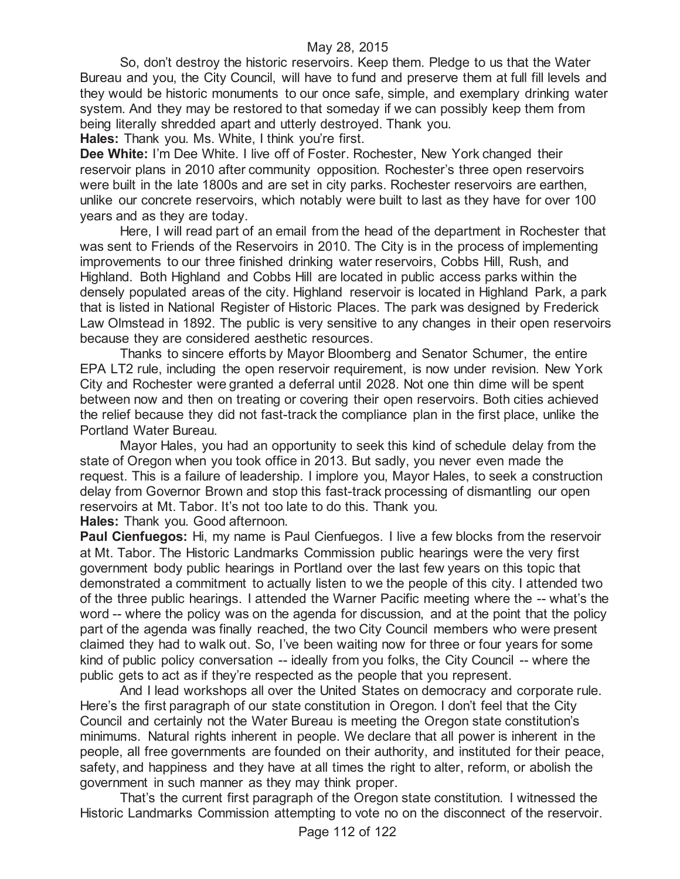So, don't destroy the historic reservoirs. Keep them. Pledge to us that the Water Bureau and you, the City Council, will have to fund and preserve them at full fill levels and they would be historic monuments to our once safe, simple, and exemplary drinking water system. And they may be restored to that someday if we can possibly keep them from being literally shredded apart and utterly destroyed. Thank you.

**Hales:** Thank you. Ms. White, I think you're first.

**Dee White:** I'm Dee White. I live off of Foster. Rochester, New York changed their reservoir plans in 2010 after community opposition. Rochester's three open reservoirs were built in the late 1800s and are set in city parks. Rochester reservoirs are earthen, unlike our concrete reservoirs, which notably were built to last as they have for over 100 years and as they are today.

Here, I will read part of an email from the head of the department in Rochester that was sent to Friends of the Reservoirs in 2010. The City is in the process of implementing improvements to our three finished drinking water reservoirs, Cobbs Hill, Rush, and Highland. Both Highland and Cobbs Hill are located in public access parks within the densely populated areas of the city. Highland reservoir is located in Highland Park, a park that is listed in National Register of Historic Places. The park was designed by Frederick Law Olmstead in 1892. The public is very sensitive to any changes in their open reservoirs because they are considered aesthetic resources.

Thanks to sincere efforts by Mayor Bloomberg and Senator Schumer, the entire EPA LT2 rule, including the open reservoir requirement, is now under revision. New York City and Rochester were granted a deferral until 2028. Not one thin dime will be spent between now and then on treating or covering their open reservoirs. Both cities achieved the relief because they did not fast-track the compliance plan in the first place, unlike the Portland Water Bureau.

Mayor Hales, you had an opportunity to seek this kind of schedule delay from the state of Oregon when you took office in 2013. But sadly, you never even made the request. This is a failure of leadership. I implore you, Mayor Hales, to seek a construction delay from Governor Brown and stop this fast-track processing of dismantling our open reservoirs at Mt. Tabor. It's not too late to do this. Thank you.

**Hales:** Thank you. Good afternoon.

**Paul Cienfuegos:** Hi, my name is Paul Cienfuegos. I live a few blocks from the reservoir at Mt. Tabor. The Historic Landmarks Commission public hearings were the very first government body public hearings in Portland over the last few years on this topic that demonstrated a commitment to actually listen to we the people of this city. I attended two of the three public hearings. I attended the Warner Pacific meeting where the -- what's the word -- where the policy was on the agenda for discussion, and at the point that the policy part of the agenda was finally reached, the two City Council members who were present claimed they had to walk out. So, I've been waiting now for three or four years for some kind of public policy conversation -- ideally from you folks, the City Council -- where the public gets to act as if they're respected as the people that you represent.

And I lead workshops all over the United States on democracy and corporate rule. Here's the first paragraph of our state constitution in Oregon. I don't feel that the City Council and certainly not the Water Bureau is meeting the Oregon state constitution's minimums. Natural rights inherent in people. We declare that all power is inherent in the people, all free governments are founded on their authority, and instituted for their peace, safety, and happiness and they have at all times the right to alter, reform, or abolish the government in such manner as they may think proper.

That's the current first paragraph of the Oregon state constitution. I witnessed the Historic Landmarks Commission attempting to vote no on the disconnect of the reservoir.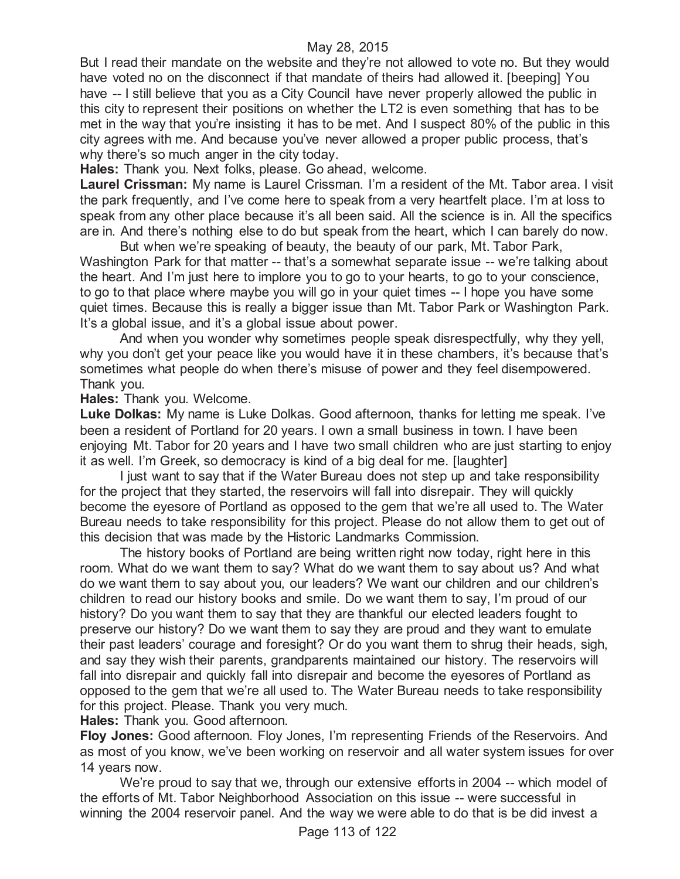But I read their mandate on the website and they're not allowed to vote no. But they would have voted no on the disconnect if that mandate of theirs had allowed it. [beeping] You have -- I still believe that you as a City Council have never properly allowed the public in this city to represent their positions on whether the LT2 is even something that has to be met in the way that you're insisting it has to be met. And I suspect 80% of the public in this city agrees with me. And because you've never allowed a proper public process, that's why there's so much anger in the city today.

**Hales:** Thank you. Next folks, please. Go ahead, welcome.

**Laurel Crissman:** My name is Laurel Crissman. I'm a resident of the Mt. Tabor area. I visit the park frequently, and I've come here to speak from a very heartfelt place. I'm at loss to speak from any other place because it's all been said. All the science is in. All the specifics are in. And there's nothing else to do but speak from the heart, which I can barely do now.

But when we're speaking of beauty, the beauty of our park, Mt. Tabor Park, Washington Park for that matter -- that's a somewhat separate issue -- we're talking about the heart. And I'm just here to implore you to go to your hearts, to go to your conscience, to go to that place where maybe you will go in your quiet times -- I hope you have some quiet times. Because this is really a bigger issue than Mt. Tabor Park or Washington Park. It's a global issue, and it's a global issue about power.

And when you wonder why sometimes people speak disrespectfully, why they yell, why you don't get your peace like you would have it in these chambers, it's because that's sometimes what people do when there's misuse of power and they feel disempowered. Thank you.

**Hales:** Thank you. Welcome.

**Luke Dolkas:** My name is Luke Dolkas. Good afternoon, thanks for letting me speak. I've been a resident of Portland for 20 years. I own a small business in town. I have been enjoying Mt. Tabor for 20 years and I have two small children who are just starting to enjoy it as well. I'm Greek, so democracy is kind of a big deal for me. [laughter]

I just want to say that if the Water Bureau does not step up and take responsibility for the project that they started, the reservoirs will fall into disrepair. They will quickly become the eyesore of Portland as opposed to the gem that we're all used to. The Water Bureau needs to take responsibility for this project. Please do not allow them to get out of this decision that was made by the Historic Landmarks Commission.

The history books of Portland are being written right now today, right here in this room. What do we want them to say? What do we want them to say about us? And what do we want them to say about you, our leaders? We want our children and our children's children to read our history books and smile. Do we want them to say, I'm proud of our history? Do you want them to say that they are thankful our elected leaders fought to preserve our history? Do we want them to say they are proud and they want to emulate their past leaders' courage and foresight? Or do you want them to shrug their heads, sigh, and say they wish their parents, grandparents maintained our history. The reservoirs will fall into disrepair and quickly fall into disrepair and become the eyesores of Portland as opposed to the gem that we're all used to. The Water Bureau needs to take responsibility for this project. Please. Thank you very much.

**Hales:** Thank you. Good afternoon.

**Floy Jones:** Good afternoon. Floy Jones, I'm representing Friends of the Reservoirs. And as most of you know, we've been working on reservoir and all water system issues for over 14 years now.

We're proud to say that we, through our extensive efforts in 2004 -- which model of the efforts of Mt. Tabor Neighborhood Association on this issue -- were successful in winning the 2004 reservoir panel. And the way we were able to do that is be did invest a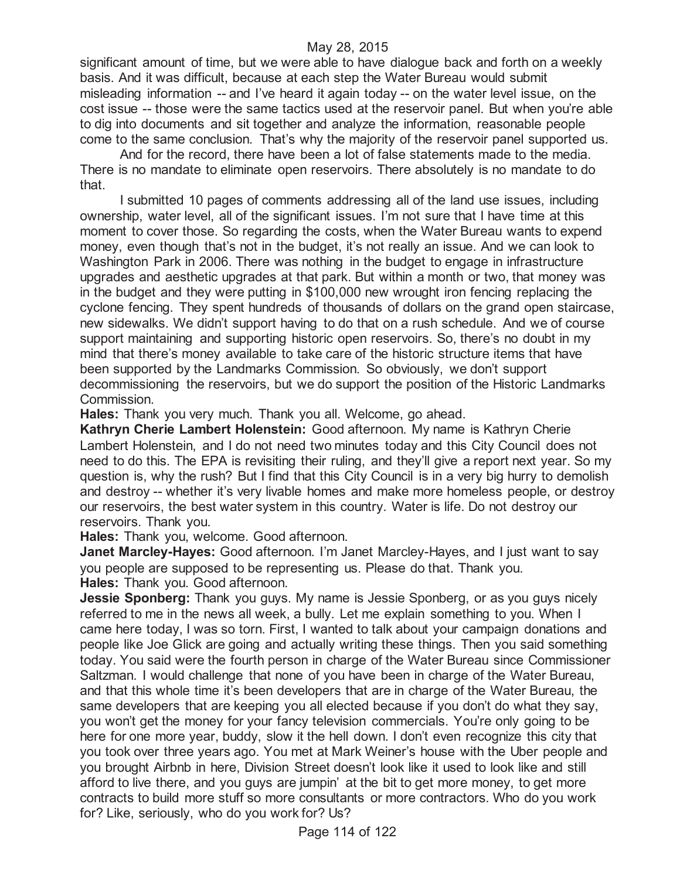significant amount of time, but we were able to have dialogue back and forth on a weekly basis. And it was difficult, because at each step the Water Bureau would submit misleading information -- and I've heard it again today -- on the water level issue, on the cost issue -- those were the same tactics used at the reservoir panel. But when you're able to dig into documents and sit together and analyze the information, reasonable people come to the same conclusion. That's why the majority of the reservoir panel supported us.

And for the record, there have been a lot of false statements made to the media. There is no mandate to eliminate open reservoirs. There absolutely is no mandate to do that.

I submitted 10 pages of comments addressing all of the land use issues, including ownership, water level, all of the significant issues. I'm not sure that I have time at this moment to cover those. So regarding the costs, when the Water Bureau wants to expend money, even though that's not in the budget, it's not really an issue. And we can look to Washington Park in 2006. There was nothing in the budget to engage in infrastructure upgrades and aesthetic upgrades at that park. But within a month or two, that money was in the budget and they were putting in \$100,000 new wrought iron fencing replacing the cyclone fencing. They spent hundreds of thousands of dollars on the grand open staircase, new sidewalks. We didn't support having to do that on a rush schedule. And we of course support maintaining and supporting historic open reservoirs. So, there's no doubt in my mind that there's money available to take care of the historic structure items that have been supported by the Landmarks Commission. So obviously, we don't support decommissioning the reservoirs, but we do support the position of the Historic Landmarks Commission.

**Hales:** Thank you very much. Thank you all. Welcome, go ahead.

**Kathryn Cherie Lambert Holenstein:** Good afternoon. My name is Kathryn Cherie Lambert Holenstein, and I do not need two minutes today and this City Council does not need to do this. The EPA is revisiting their ruling, and they'll give a report next year. So my question is, why the rush? But I find that this City Council is in a very big hurry to demolish and destroy -- whether it's very livable homes and make more homeless people, or destroy our reservoirs, the best water system in this country. Water is life. Do not destroy our reservoirs. Thank you.

**Hales:** Thank you, welcome. Good afternoon.

**Janet Marcley-Hayes:** Good afternoon. I'm Janet Marcley-Hayes, and I just want to say you people are supposed to be representing us. Please do that. Thank you. **Hales:** Thank you. Good afternoon.

**Jessie Sponberg:** Thank you guys. My name is Jessie Sponberg, or as you guys nicely referred to me in the news all week, a bully. Let me explain something to you. When I came here today, I was so torn. First, I wanted to talk about your campaign donations and people like Joe Glick are going and actually writing these things. Then you said something today. You said were the fourth person in charge of the Water Bureau since Commissioner Saltzman. I would challenge that none of you have been in charge of the Water Bureau, and that this whole time it's been developers that are in charge of the Water Bureau, the same developers that are keeping you all elected because if you don't do what they say, you won't get the money for your fancy television commercials. You're only going to be here for one more year, buddy, slow it the hell down. I don't even recognize this city that you took over three years ago. You met at Mark Weiner's house with the Uber people and you brought Airbnb in here, Division Street doesn't look like it used to look like and still afford to live there, and you guys are jumpin' at the bit to get more money, to get more contracts to build more stuff so more consultants or more contractors. Who do you work for? Like, seriously, who do you work for? Us?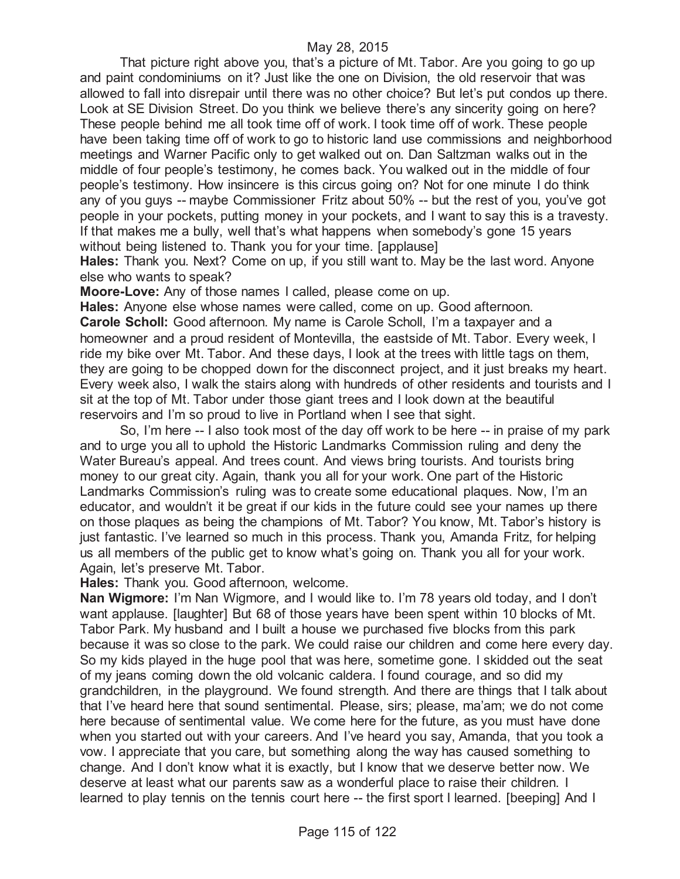That picture right above you, that's a picture of Mt. Tabor. Are you going to go up and paint condominiums on it? Just like the one on Division, the old reservoir that was allowed to fall into disrepair until there was no other choice? But let's put condos up there. Look at SE Division Street. Do you think we believe there's any sincerity going on here? These people behind me all took time off of work. I took time off of work. These people have been taking time off of work to go to historic land use commissions and neighborhood meetings and Warner Pacific only to get walked out on. Dan Saltzman walks out in the middle of four people's testimony, he comes back. You walked out in the middle of four people's testimony. How insincere is this circus going on? Not for one minute I do think any of you guys -- maybe Commissioner Fritz about 50% -- but the rest of you, you've got people in your pockets, putting money in your pockets, and I want to say this is a travesty. If that makes me a bully, well that's what happens when somebody's gone 15 years without being listened to. Thank you for your time. [applause]

**Hales:** Thank you. Next? Come on up, if you still want to. May be the last word. Anyone else who wants to speak?

**Moore-Love:** Any of those names I called, please come on up.

**Hales:** Anyone else whose names were called, come on up. Good afternoon. **Carole Scholl:** Good afternoon. My name is Carole Scholl, I'm a taxpayer and a homeowner and a proud resident of Montevilla, the eastside of Mt. Tabor. Every week, I ride my bike over Mt. Tabor. And these days, I look at the trees with little tags on them, they are going to be chopped down for the disconnect project, and it just breaks my heart. Every week also, I walk the stairs along with hundreds of other residents and tourists and I sit at the top of Mt. Tabor under those giant trees and I look down at the beautiful reservoirs and I'm so proud to live in Portland when I see that sight.

So, I'm here -- I also took most of the day off work to be here -- in praise of my park and to urge you all to uphold the Historic Landmarks Commission ruling and deny the Water Bureau's appeal. And trees count. And views bring tourists. And tourists bring money to our great city. Again, thank you all for your work. One part of the Historic Landmarks Commission's ruling was to create some educational plaques. Now, I'm an educator, and wouldn't it be great if our kids in the future could see your names up there on those plaques as being the champions of Mt. Tabor? You know, Mt. Tabor's history is just fantastic. I've learned so much in this process. Thank you, Amanda Fritz, for helping us all members of the public get to know what's going on. Thank you all for your work. Again, let's preserve Mt. Tabor.

**Hales:** Thank you. Good afternoon, welcome.

**Nan Wigmore:** I'm Nan Wigmore, and I would like to. I'm 78 years old today, and I don't want applause. [laughter] But 68 of those years have been spent within 10 blocks of Mt. Tabor Park. My husband and I built a house we purchased five blocks from this park because it was so close to the park. We could raise our children and come here every day. So my kids played in the huge pool that was here, sometime gone. I skidded out the seat of my jeans coming down the old volcanic caldera. I found courage, and so did my grandchildren, in the playground. We found strength. And there are things that I talk about that I've heard here that sound sentimental. Please, sirs; please, ma'am; we do not come here because of sentimental value. We come here for the future, as you must have done when you started out with your careers. And I've heard you say, Amanda, that you took a vow. I appreciate that you care, but something along the way has caused something to change. And I don't know what it is exactly, but I know that we deserve better now. We deserve at least what our parents saw as a wonderful place to raise their children. I learned to play tennis on the tennis court here -- the first sport I learned. [beeping] And I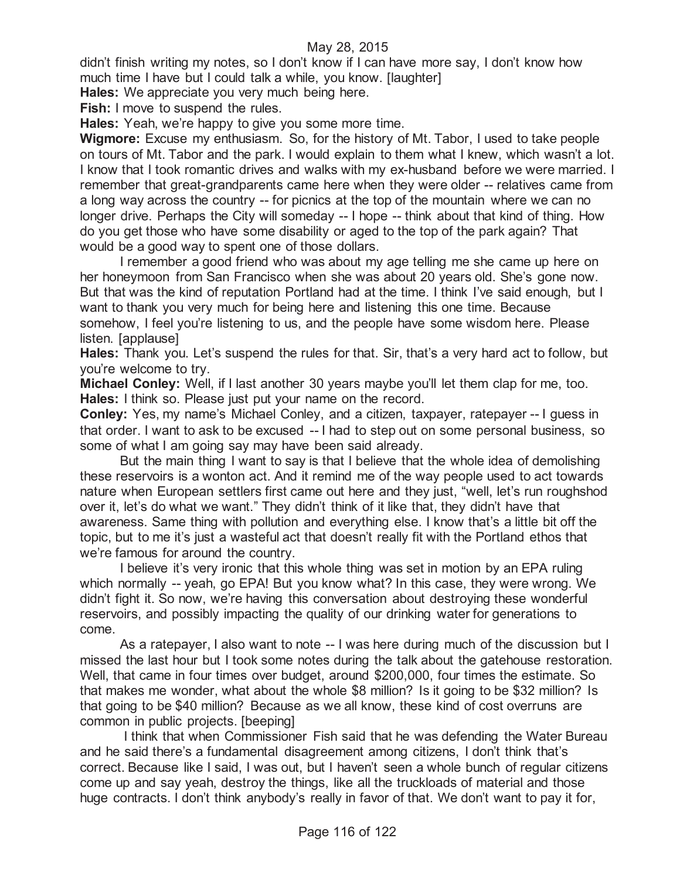didn't finish writing my notes, so I don't know if I can have more say, I don't know how much time I have but I could talk a while, you know. [laughter]

**Hales:** We appreciate you very much being here.

**Fish:** I move to suspend the rules.

**Hales:** Yeah, we're happy to give you some more time.

**Wigmore:** Excuse my enthusiasm. So, for the history of Mt. Tabor, I used to take people on tours of Mt. Tabor and the park. I would explain to them what I knew, which wasn't a lot. I know that I took romantic drives and walks with my ex-husband before we were married. I remember that great-grandparents came here when they were older -- relatives came from a long way across the country -- for picnics at the top of the mountain where we can no longer drive. Perhaps the City will someday -- I hope -- think about that kind of thing. How do you get those who have some disability or aged to the top of the park again? That would be a good way to spent one of those dollars.

I remember a good friend who was about my age telling me she came up here on her honeymoon from San Francisco when she was about 20 years old. She's gone now. But that was the kind of reputation Portland had at the time. I think I've said enough, but I want to thank you very much for being here and listening this one time. Because somehow, I feel you're listening to us, and the people have some wisdom here. Please listen. [applause]

**Hales:** Thank you. Let's suspend the rules for that. Sir, that's a very hard act to follow, but you're welcome to try.

**Michael Conley:** Well, if I last another 30 years maybe you'll let them clap for me, too. **Hales:** I think so. Please just put your name on the record.

**Conley:** Yes, my name's Michael Conley, and a citizen, taxpayer, ratepayer -- I guess in that order. I want to ask to be excused -- I had to step out on some personal business, so some of what I am going say may have been said already.

But the main thing I want to say is that I believe that the whole idea of demolishing these reservoirs is a wonton act. And it remind me of the way people used to act towards nature when European settlers first came out here and they just, "well, let's run roughshod over it, let's do what we want." They didn't think of it like that, they didn't have that awareness. Same thing with pollution and everything else. I know that's a little bit off the topic, but to me it's just a wasteful act that doesn't really fit with the Portland ethos that we're famous for around the country.

I believe it's very ironic that this whole thing was set in motion by an EPA ruling which normally -- yeah, go EPA! But you know what? In this case, they were wrong. We didn't fight it. So now, we're having this conversation about destroying these wonderful reservoirs, and possibly impacting the quality of our drinking water for generations to come.

As a ratepayer, I also want to note -- I was here during much of the discussion but I missed the last hour but I took some notes during the talk about the gatehouse restoration. Well, that came in four times over budget, around \$200,000, four times the estimate. So that makes me wonder, what about the whole \$8 million? Is it going to be \$32 million? Is that going to be \$40 million? Because as we all know, these kind of cost overruns are common in public projects. [beeping]

I think that when Commissioner Fish said that he was defending the Water Bureau and he said there's a fundamental disagreement among citizens, I don't think that's correct. Because like I said, I was out, but I haven't seen a whole bunch of regular citizens come up and say yeah, destroy the things, like all the truckloads of material and those huge contracts. I don't think anybody's really in favor of that. We don't want to pay it for,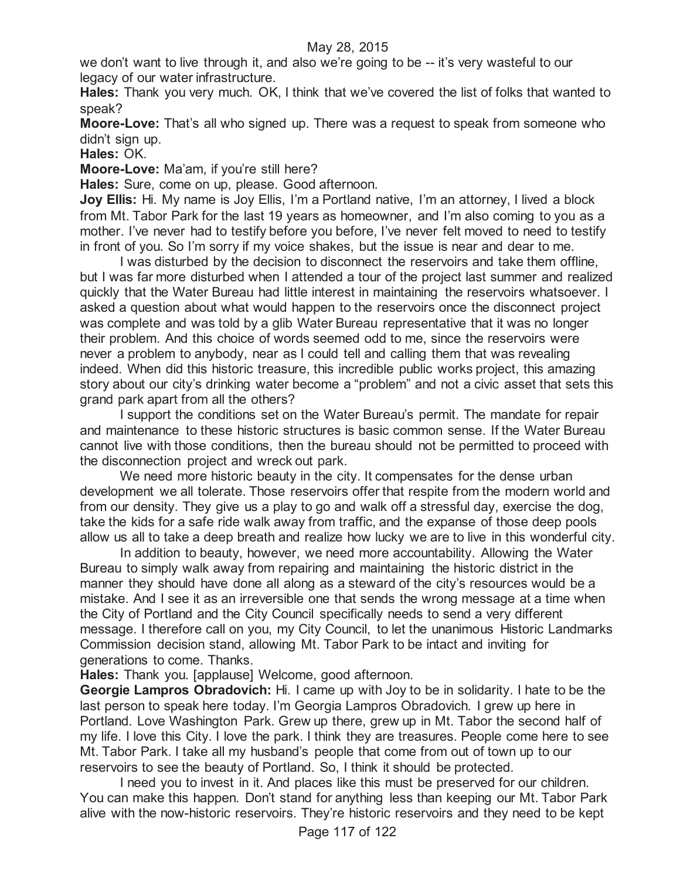we don't want to live through it, and also we're going to be -- it's very wasteful to our legacy of our water infrastructure.

**Hales:** Thank you very much. OK, I think that we've covered the list of folks that wanted to speak?

**Moore-Love:** That's all who signed up. There was a request to speak from someone who didn't sign up.

**Hales:** OK.

**Moore-Love:** Ma'am, if you're still here?

**Hales:** Sure, come on up, please. Good afternoon.

**Joy Ellis:** Hi. My name is Joy Ellis, I'm a Portland native, I'm an attorney, I lived a block from Mt. Tabor Park for the last 19 years as homeowner, and I'm also coming to you as a mother. I've never had to testify before you before, I've never felt moved to need to testify in front of you. So I'm sorry if my voice shakes, but the issue is near and dear to me.

I was disturbed by the decision to disconnect the reservoirs and take them offline, but I was far more disturbed when I attended a tour of the project last summer and realized quickly that the Water Bureau had little interest in maintaining the reservoirs whatsoever. I asked a question about what would happen to the reservoirs once the disconnect project was complete and was told by a glib Water Bureau representative that it was no longer their problem. And this choice of words seemed odd to me, since the reservoirs were never a problem to anybody, near as I could tell and calling them that was revealing indeed. When did this historic treasure, this incredible public works project, this amazing story about our city's drinking water become a "problem" and not a civic asset that sets this grand park apart from all the others?

I support the conditions set on the Water Bureau's permit. The mandate for repair and maintenance to these historic structures is basic common sense. If the Water Bureau cannot live with those conditions, then the bureau should not be permitted to proceed with the disconnection project and wreck out park.

We need more historic beauty in the city. It compensates for the dense urban development we all tolerate. Those reservoirs offer that respite from the modern world and from our density. They give us a play to go and walk off a stressful day, exercise the dog, take the kids for a safe ride walk away from traffic, and the expanse of those deep pools allow us all to take a deep breath and realize how lucky we are to live in this wonderful city.

In addition to beauty, however, we need more accountability. Allowing the Water Bureau to simply walk away from repairing and maintaining the historic district in the manner they should have done all along as a steward of the city's resources would be a mistake. And I see it as an irreversible one that sends the wrong message at a time when the City of Portland and the City Council specifically needs to send a very different message. I therefore call on you, my City Council, to let the unanimous Historic Landmarks Commission decision stand, allowing Mt. Tabor Park to be intact and inviting for generations to come. Thanks.

**Hales:** Thank you. [applause] Welcome, good afternoon.

**Georgie Lampros Obradovich:** Hi. I came up with Joy to be in solidarity. I hate to be the last person to speak here today. I'm Georgia Lampros Obradovich. I grew up here in Portland. Love Washington Park. Grew up there, grew up in Mt. Tabor the second half of my life. I love this City. I love the park. I think they are treasures. People come here to see Mt. Tabor Park. I take all my husband's people that come from out of town up to our reservoirs to see the beauty of Portland. So, I think it should be protected.

I need you to invest in it. And places like this must be preserved for our children. You can make this happen. Don't stand for anything less than keeping our Mt. Tabor Park alive with the now-historic reservoirs. They're historic reservoirs and they need to be kept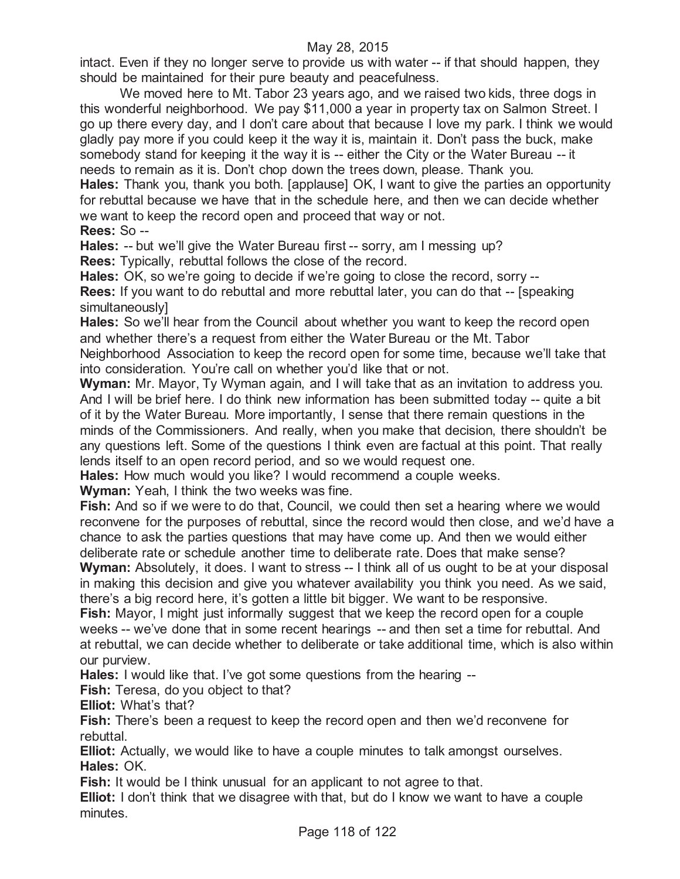intact. Even if they no longer serve to provide us with water -- if that should happen, they should be maintained for their pure beauty and peacefulness.

We moved here to Mt. Tabor 23 years ago, and we raised two kids, three dogs in this wonderful neighborhood. We pay \$11,000 a year in property tax on Salmon Street. I go up there every day, and I don't care about that because I love my park. I think we would gladly pay more if you could keep it the way it is, maintain it. Don't pass the buck, make somebody stand for keeping it the way it is -- either the City or the Water Bureau -- it needs to remain as it is. Don't chop down the trees down, please. Thank you. **Hales:** Thank you, thank you both. [applause] OK, I want to give the parties an opportunity for rebuttal because we have that in the schedule here, and then we can decide whether

we want to keep the record open and proceed that way or not.

**Rees:** So --

**Hales:** -- but we'll give the Water Bureau first -- sorry, am I messing up? **Rees:** Typically, rebuttal follows the close of the record.

**Hales:** OK, so we're going to decide if we're going to close the record, sorry -- **Rees:** If you want to do rebuttal and more rebuttal later, you can do that -- [speaking simultaneously]

**Hales:** So we'll hear from the Council about whether you want to keep the record open and whether there's a request from either the Water Bureau or the Mt. Tabor Neighborhood Association to keep the record open for some time, because we'll take that into consideration. You're call on whether you'd like that or not.

**Wyman:** Mr. Mayor, Ty Wyman again, and I will take that as an invitation to address you. And I will be brief here. I do think new information has been submitted today -- quite a bit of it by the Water Bureau. More importantly, I sense that there remain questions in the minds of the Commissioners. And really, when you make that decision, there shouldn't be any questions left. Some of the questions I think even are factual at this point. That really lends itself to an open record period, and so we would request one.

**Hales:** How much would you like? I would recommend a couple weeks.

**Wyman:** Yeah, I think the two weeks was fine.

**Fish:** And so if we were to do that, Council, we could then set a hearing where we would reconvene for the purposes of rebuttal, since the record would then close, and we'd have a chance to ask the parties questions that may have come up. And then we would either deliberate rate or schedule another time to deliberate rate. Does that make sense?

**Wyman:** Absolutely, it does. I want to stress -- I think all of us ought to be at your disposal in making this decision and give you whatever availability you think you need. As we said, there's a big record here, it's gotten a little bit bigger. We want to be responsive.

**Fish:** Mayor, I might just informally suggest that we keep the record open for a couple weeks -- we've done that in some recent hearings -- and then set a time for rebuttal. And at rebuttal, we can decide whether to deliberate or take additional time, which is also within our purview.

**Hales:** I would like that. I've got some questions from the hearing --

**Fish:** Teresa, do you object to that?

**Elliot:** What's that?

**Fish:** There's been a request to keep the record open and then we'd reconvene for rebuttal.

**Elliot:** Actually, we would like to have a couple minutes to talk amongst ourselves. **Hales:** OK.

**Fish:** It would be I think unusual for an applicant to not agree to that.

**Elliot:** I don't think that we disagree with that, but do I know we want to have a couple minutes.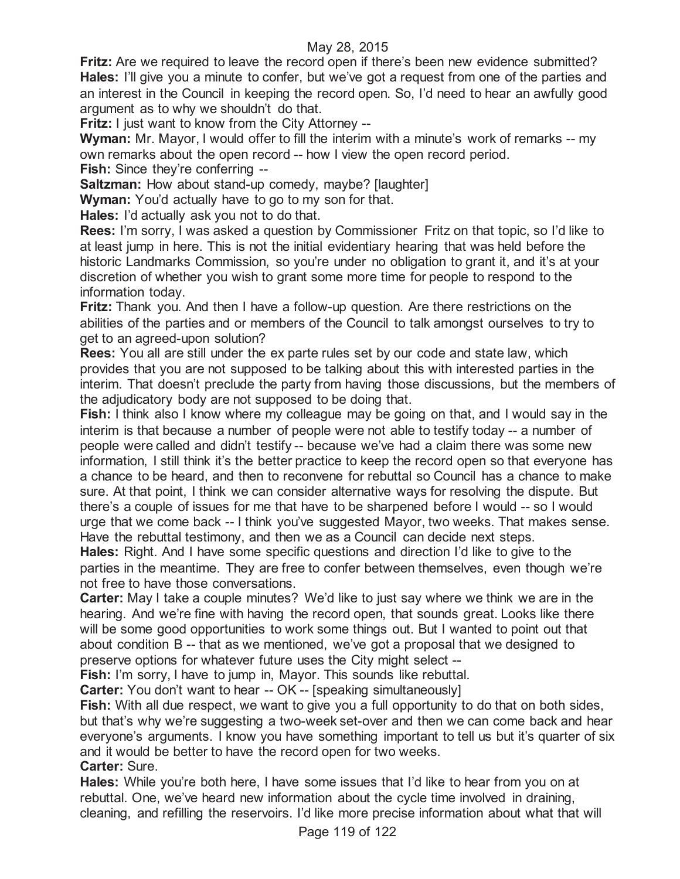**Fritz:** Are we required to leave the record open if there's been new evidence submitted? **Hales:** I'll give you a minute to confer, but we've got a request from one of the parties and an interest in the Council in keeping the record open. So, I'd need to hear an awfully good argument as to why we shouldn't do that.

**Fritz:** I just want to know from the City Attorney --

**Wyman:** Mr. Mayor, I would offer to fill the interim with a minute's work of remarks -- my own remarks about the open record -- how I view the open record period.

**Fish:** Since they're conferring --

**Saltzman:** How about stand-up comedy, maybe? [laughter]

**Wyman:** You'd actually have to go to my son for that.

**Hales:** I'd actually ask you not to do that.

**Rees:** I'm sorry, I was asked a question by Commissioner Fritz on that topic, so I'd like to at least jump in here. This is not the initial evidentiary hearing that was held before the historic Landmarks Commission, so you're under no obligation to grant it, and it's at your discretion of whether you wish to grant some more time for people to respond to the information today.

**Fritz:** Thank you. And then I have a follow-up question. Are there restrictions on the abilities of the parties and or members of the Council to talk amongst ourselves to try to get to an agreed-upon solution?

**Rees:** You all are still under the ex parte rules set by our code and state law, which provides that you are not supposed to be talking about this with interested parties in the interim. That doesn't preclude the party from having those discussions, but the members of the adjudicatory body are not supposed to be doing that.

**Fish:** I think also I know where my colleague may be going on that, and I would say in the interim is that because a number of people were not able to testify today -- a number of people were called and didn't testify -- because we've had a claim there was some new information, I still think it's the better practice to keep the record open so that everyone has a chance to be heard, and then to reconvene for rebuttal so Council has a chance to make sure. At that point, I think we can consider alternative ways for resolving the dispute. But there's a couple of issues for me that have to be sharpened before I would -- so I would urge that we come back -- I think you've suggested Mayor, two weeks. That makes sense. Have the rebuttal testimony, and then we as a Council can decide next steps.

**Hales:** Right. And I have some specific questions and direction I'd like to give to the parties in the meantime. They are free to confer between themselves, even though we're not free to have those conversations.

**Carter:** May I take a couple minutes? We'd like to just say where we think we are in the hearing. And we're fine with having the record open, that sounds great. Looks like there will be some good opportunities to work some things out. But I wanted to point out that about condition B -- that as we mentioned, we've got a proposal that we designed to preserve options for whatever future uses the City might select --

**Fish:** I'm sorry, I have to jump in, Mayor. This sounds like rebuttal.

**Carter:** You don't want to hear -- OK -- [speaking simultaneously]

**Fish:** With all due respect, we want to give you a full opportunity to do that on both sides, but that's why we're suggesting a two-week set-over and then we can come back and hear everyone's arguments. I know you have something important to tell us but it's quarter of six and it would be better to have the record open for two weeks.

**Carter:** Sure.

**Hales:** While you're both here, I have some issues that I'd like to hear from you on at rebuttal. One, we've heard new information about the cycle time involved in draining, cleaning, and refilling the reservoirs. I'd like more precise information about what that will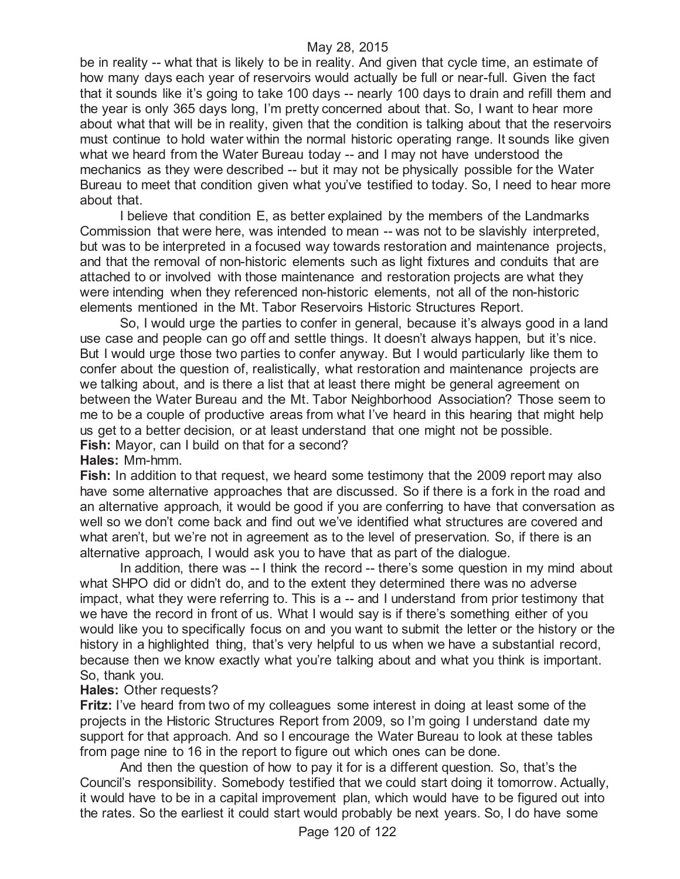be in reality -- what that is likely to be in reality. And given that cycle time, an estimate of how many days each year of reservoirs would actually be full or near-full. Given the fact that it sounds like it's going to take 100 days -- nearly 100 days to drain and refill them and the year is only 365 days long, I'm pretty concerned about that. So, I want to hear more about what that will be in reality, given that the condition is talking about that the reservoirs must continue to hold water within the normal historic operating range. It sounds like given what we heard from the Water Bureau today -- and I may not have understood the mechanics as they were described -- but it may not be physically possible for the Water Bureau to meet that condition given what you've testified to today. So, I need to hear more about that.

I believe that condition E, as better explained by the members of the Landmarks Commission that were here, was intended to mean -- was not to be slavishly interpreted, but was to be interpreted in a focused way towards restoration and maintenance projects, and that the removal of non-historic elements such as light fixtures and conduits that are attached to or involved with those maintenance and restoration projects are what they were intending when they referenced non-historic elements, not all of the non-historic elements mentioned in the Mt. Tabor Reservoirs Historic Structures Report.

So, I would urge the parties to confer in general, because it's always good in a land use case and people can go off and settle things. It doesn't always happen, but it's nice. But I would urge those two parties to confer anyway. But I would particularly like them to confer about the question of, realistically, what restoration and maintenance projects are we talking about, and is there a list that at least there might be general agreement on between the Water Bureau and the Mt. Tabor Neighborhood Association? Those seem to me to be a couple of productive areas from what I've heard in this hearing that might help us get to a better decision, or at least understand that one might not be possible. **Fish:** Mayor, can I build on that for a second?

**Hales:** Mm-hmm.

**Fish:** In addition to that request, we heard some testimony that the 2009 report may also have some alternative approaches that are discussed. So if there is a fork in the road and an alternative approach, it would be good if you are conferring to have that conversation as well so we don't come back and find out we've identified what structures are covered and what aren't, but we're not in agreement as to the level of preservation. So, if there is an alternative approach, I would ask you to have that as part of the dialogue.

In addition, there was -- I think the record -- there's some question in my mind about what SHPO did or didn't do, and to the extent they determined there was no adverse impact, what they were referring to. This is a -- and I understand from prior testimony that we have the record in front of us. What I would say is if there's something either of you would like you to specifically focus on and you want to submit the letter or the history or the history in a highlighted thing, that's very helpful to us when we have a substantial record, because then we know exactly what you're talking about and what you think is important. So, thank you.

# **Hales:** Other requests?

**Fritz:** I've heard from two of my colleagues some interest in doing at least some of the projects in the Historic Structures Report from 2009, so I'm going I understand date my support for that approach. And so I encourage the Water Bureau to look at these tables from page nine to 16 in the report to figure out which ones can be done.

And then the question of how to pay it for is a different question. So, that's the Council's responsibility. Somebody testified that we could start doing it tomorrow. Actually, it would have to be in a capital improvement plan, which would have to be figured out into the rates. So the earliest it could start would probably be next years. So, I do have some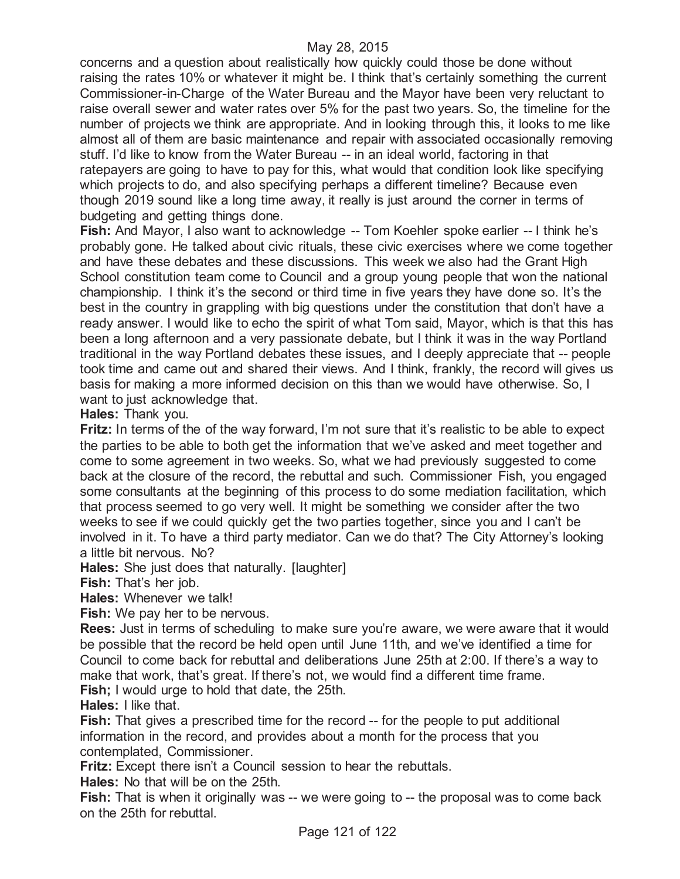concerns and a question about realistically how quickly could those be done without raising the rates 10% or whatever it might be. I think that's certainly something the current Commissioner-in-Charge of the Water Bureau and the Mayor have been very reluctant to raise overall sewer and water rates over 5% for the past two years. So, the timeline for the number of projects we think are appropriate. And in looking through this, it looks to me like almost all of them are basic maintenance and repair with associated occasionally removing stuff. I'd like to know from the Water Bureau -- in an ideal world, factoring in that ratepayers are going to have to pay for this, what would that condition look like specifying which projects to do, and also specifying perhaps a different timeline? Because even though 2019 sound like a long time away, it really is just around the corner in terms of budgeting and getting things done.

**Fish:** And Mayor, I also want to acknowledge -- Tom Koehler spoke earlier -- I think he's probably gone. He talked about civic rituals, these civic exercises where we come together and have these debates and these discussions. This week we also had the Grant High School constitution team come to Council and a group young people that won the national championship. I think it's the second or third time in five years they have done so. It's the best in the country in grappling with big questions under the constitution that don't have a ready answer. I would like to echo the spirit of what Tom said, Mayor, which is that this has been a long afternoon and a very passionate debate, but I think it was in the way Portland traditional in the way Portland debates these issues, and I deeply appreciate that -- people took time and came out and shared their views. And I think, frankly, the record will gives us basis for making a more informed decision on this than we would have otherwise. So, I want to just acknowledge that.

**Hales:** Thank you.

**Fritz:** In terms of the of the way forward, I'm not sure that it's realistic to be able to expect the parties to be able to both get the information that we've asked and meet together and come to some agreement in two weeks. So, what we had previously suggested to come back at the closure of the record, the rebuttal and such. Commissioner Fish, you engaged some consultants at the beginning of this process to do some mediation facilitation, which that process seemed to go very well. It might be something we consider after the two weeks to see if we could quickly get the two parties together, since you and I can't be involved in it. To have a third party mediator. Can we do that? The City Attorney's looking a little bit nervous. No?

**Hales:** She just does that naturally. [laughter]

**Fish:** That's her job.

**Hales:** Whenever we talk!

**Fish:** We pay her to be nervous.

**Rees:** Just in terms of scheduling to make sure you're aware, we were aware that it would be possible that the record be held open until June 11th, and we've identified a time for Council to come back for rebuttal and deliberations June 25th at 2:00. If there's a way to make that work, that's great. If there's not, we would find a different time frame. **Fish;** I would urge to hold that date, the 25th.

**Hales:** I like that.

**Fish:** That gives a prescribed time for the record -- for the people to put additional information in the record, and provides about a month for the process that you contemplated, Commissioner.

**Fritz:** Except there isn't a Council session to hear the rebuttals.

**Hales:** No that will be on the 25th.

**Fish:** That is when it originally was -- we were going to -- the proposal was to come back on the 25th for rebuttal.